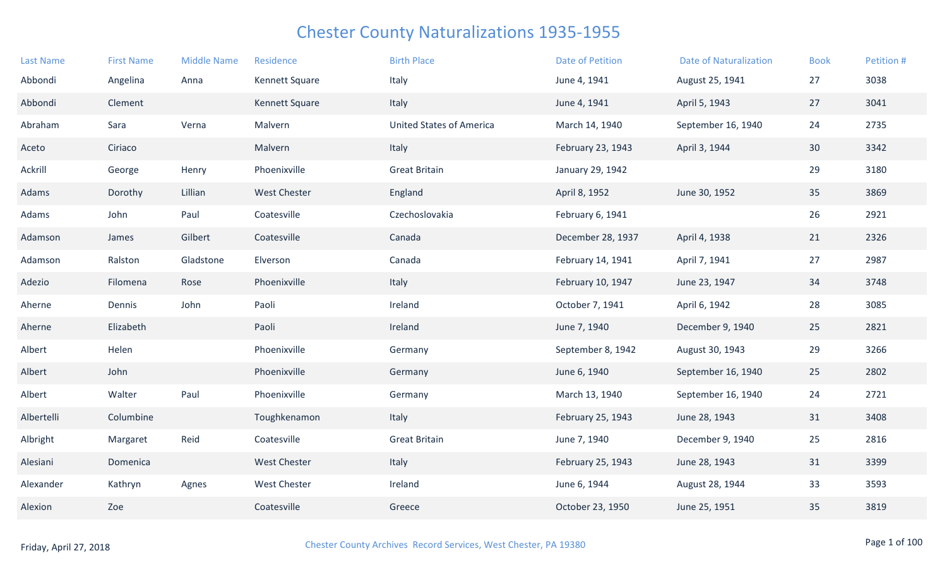| <b>Last Name</b> | <b>First Name</b> | <b>Middle Name</b> | Residence           | <b>Birth Place</b>              | Date of Petition  | <b>Date of Naturalization</b> | <b>Book</b> | Petition # |
|------------------|-------------------|--------------------|---------------------|---------------------------------|-------------------|-------------------------------|-------------|------------|
| Abbondi          | Angelina          | Anna               | Kennett Square      | Italy                           | June 4, 1941      | August 25, 1941               | 27          | 3038       |
| Abbondi          | Clement           |                    | Kennett Square      | Italy                           | June 4, 1941      | April 5, 1943                 | 27          | 3041       |
| Abraham          | Sara              | Verna              | Malvern             | <b>United States of America</b> | March 14, 1940    | September 16, 1940            | 24          | 2735       |
| Aceto            | Ciriaco           |                    | Malvern             | Italy                           | February 23, 1943 | April 3, 1944                 | 30          | 3342       |
| Ackrill          | George            | Henry              | Phoenixville        | <b>Great Britain</b>            | January 29, 1942  |                               | 29          | 3180       |
| Adams            | Dorothy           | Lillian            | <b>West Chester</b> | England                         | April 8, 1952     | June 30, 1952                 | 35          | 3869       |
| Adams            | John              | Paul               | Coatesville         | Czechoslovakia                  | February 6, 1941  |                               | 26          | 2921       |
| Adamson          | James             | Gilbert            | Coatesville         | Canada                          | December 28, 1937 | April 4, 1938                 | 21          | 2326       |
| Adamson          | Ralston           | Gladstone          | Elverson            | Canada                          | February 14, 1941 | April 7, 1941                 | 27          | 2987       |
| Adezio           | Filomena          | Rose               | Phoenixville        | Italy                           | February 10, 1947 | June 23, 1947                 | 34          | 3748       |
| Aherne           | Dennis            | John               | Paoli               | Ireland                         | October 7, 1941   | April 6, 1942                 | 28          | 3085       |
| Aherne           | Elizabeth         |                    | Paoli               | Ireland                         | June 7, 1940      | December 9, 1940              | 25          | 2821       |
| Albert           | Helen             |                    | Phoenixville        | Germany                         | September 8, 1942 | August 30, 1943               | 29          | 3266       |
| Albert           | John              |                    | Phoenixville        | Germany                         | June 6, 1940      | September 16, 1940            | 25          | 2802       |
| Albert           | Walter            | Paul               | Phoenixville        | Germany                         | March 13, 1940    | September 16, 1940            | 24          | 2721       |
| Albertelli       | Columbine         |                    | Toughkenamon        | Italy                           | February 25, 1943 | June 28, 1943                 | 31          | 3408       |
| Albright         | Margaret          | Reid               | Coatesville         | <b>Great Britain</b>            | June 7, 1940      | December 9, 1940              | 25          | 2816       |
| Alesiani         | Domenica          |                    | <b>West Chester</b> | Italy                           | February 25, 1943 | June 28, 1943                 | 31          | 3399       |
| Alexander        | Kathryn           | Agnes              | West Chester        | Ireland                         | June 6, 1944      | August 28, 1944               | 33          | 3593       |
| Alexion          | Zoe               |                    | Coatesville         | Greece                          | October 23, 1950  | June 25, 1951                 | 35          | 3819       |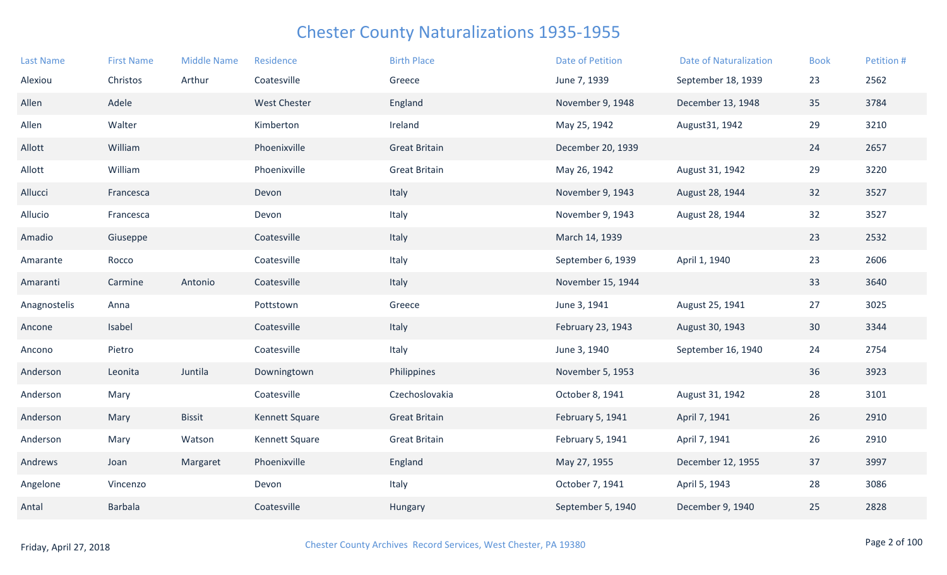| <b>Last Name</b> | <b>First Name</b> | <b>Middle Name</b> | Residence           | <b>Birth Place</b>   | <b>Date of Petition</b> | <b>Date of Naturalization</b> | <b>Book</b>     | Petition # |
|------------------|-------------------|--------------------|---------------------|----------------------|-------------------------|-------------------------------|-----------------|------------|
| Alexiou          | Christos          | Arthur             | Coatesville         | Greece               | June 7, 1939            | September 18, 1939            | 23              | 2562       |
| Allen            | Adele             |                    | <b>West Chester</b> | England              | November 9, 1948        | December 13, 1948             | 35              | 3784       |
| Allen            | Walter            |                    | Kimberton           | Ireland              | May 25, 1942            | August 31, 1942               | 29              | 3210       |
| Allott           | William           |                    | Phoenixville        | <b>Great Britain</b> | December 20, 1939       |                               | 24              | 2657       |
| Allott           | William           |                    | Phoenixville        | <b>Great Britain</b> | May 26, 1942            | August 31, 1942               | 29              | 3220       |
| Allucci          | Francesca         |                    | Devon               | Italy                | November 9, 1943        | August 28, 1944               | 32              | 3527       |
| Allucio          | Francesca         |                    | Devon               | Italy                | November 9, 1943        | August 28, 1944               | 32              | 3527       |
| Amadio           | Giuseppe          |                    | Coatesville         | Italy                | March 14, 1939          |                               | 23              | 2532       |
| Amarante         | Rocco             |                    | Coatesville         | Italy                | September 6, 1939       | April 1, 1940                 | 23              | 2606       |
| Amaranti         | Carmine           | Antonio            | Coatesville         | Italy                | November 15, 1944       |                               | 33              | 3640       |
| Anagnostelis     | Anna              |                    | Pottstown           | Greece               | June 3, 1941            | August 25, 1941               | 27              | 3025       |
| Ancone           | Isabel            |                    | Coatesville         | Italy                | February 23, 1943       | August 30, 1943               | 30 <sup>°</sup> | 3344       |
| Ancono           | Pietro            |                    | Coatesville         | Italy                | June 3, 1940            | September 16, 1940            | 24              | 2754       |
| Anderson         | Leonita           | Juntila            | Downingtown         | Philippines          | November 5, 1953        |                               | 36              | 3923       |
| Anderson         | Mary              |                    | Coatesville         | Czechoslovakia       | October 8, 1941         | August 31, 1942               | 28              | 3101       |
| Anderson         | Mary              | <b>Bissit</b>      | Kennett Square      | <b>Great Britain</b> | February 5, 1941        | April 7, 1941                 | 26              | 2910       |
| Anderson         | Mary              | Watson             | Kennett Square      | <b>Great Britain</b> | February 5, 1941        | April 7, 1941                 | 26              | 2910       |
| Andrews          | Joan              | Margaret           | Phoenixville        | England              | May 27, 1955            | December 12, 1955             | 37              | 3997       |
| Angelone         | Vincenzo          |                    | Devon               | Italy                | October 7, 1941         | April 5, 1943                 | 28              | 3086       |
| Antal            | <b>Barbala</b>    |                    | Coatesville         | Hungary              | September 5, 1940       | December 9, 1940              | 25              | 2828       |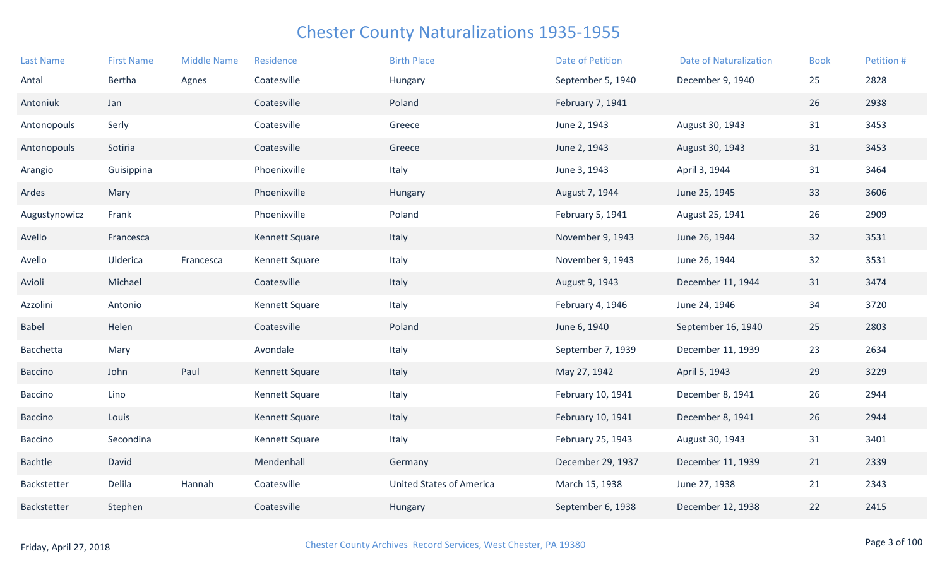| <b>Last Name</b> | <b>First Name</b> | <b>Middle Name</b> | Residence      | <b>Birth Place</b>              | <b>Date of Petition</b> | <b>Date of Naturalization</b> | <b>Book</b> | Petition # |
|------------------|-------------------|--------------------|----------------|---------------------------------|-------------------------|-------------------------------|-------------|------------|
| Antal            | Bertha            | Agnes              | Coatesville    | Hungary                         | September 5, 1940       | December 9, 1940              | 25          | 2828       |
| Antoniuk         | Jan               |                    | Coatesville    | Poland                          | February 7, 1941        |                               | 26          | 2938       |
| Antonopouls      | Serly             |                    | Coatesville    | Greece                          | June 2, 1943            | August 30, 1943               | 31          | 3453       |
| Antonopouls      | Sotiria           |                    | Coatesville    | Greece                          | June 2, 1943            | August 30, 1943               | 31          | 3453       |
| Arangio          | Guisippina        |                    | Phoenixville   | Italy                           | June 3, 1943            | April 3, 1944                 | 31          | 3464       |
| Ardes            | Mary              |                    | Phoenixville   | Hungary                         | August 7, 1944          | June 25, 1945                 | 33          | 3606       |
| Augustynowicz    | Frank             |                    | Phoenixville   | Poland                          | February 5, 1941        | August 25, 1941               | 26          | 2909       |
| Avello           | Francesca         |                    | Kennett Square | Italy                           | November 9, 1943        | June 26, 1944                 | 32          | 3531       |
| Avello           | Ulderica          | Francesca          | Kennett Square | Italy                           | November 9, 1943        | June 26, 1944                 | 32          | 3531       |
| Avioli           | Michael           |                    | Coatesville    | Italy                           | August 9, 1943          | December 11, 1944             | 31          | 3474       |
| Azzolini         | Antonio           |                    | Kennett Square | Italy                           | February 4, 1946        | June 24, 1946                 | 34          | 3720       |
| Babel            | Helen             |                    | Coatesville    | Poland                          | June 6, 1940            | September 16, 1940            | 25          | 2803       |
| Bacchetta        | Mary              |                    | Avondale       | Italy                           | September 7, 1939       | December 11, 1939             | 23          | 2634       |
| <b>Baccino</b>   | John              | Paul               | Kennett Square | Italy                           | May 27, 1942            | April 5, 1943                 | 29          | 3229       |
| Baccino          | Lino              |                    | Kennett Square | Italy                           | February 10, 1941       | December 8, 1941              | 26          | 2944       |
| <b>Baccino</b>   | Louis             |                    | Kennett Square | Italy                           | February 10, 1941       | December 8, 1941              | 26          | 2944       |
| Baccino          | Secondina         |                    | Kennett Square | Italy                           | February 25, 1943       | August 30, 1943               | 31          | 3401       |
| Bachtle          | David             |                    | Mendenhall     | Germany                         | December 29, 1937       | December 11, 1939             | 21          | 2339       |
| Backstetter      | Delila            | Hannah             | Coatesville    | <b>United States of America</b> | March 15, 1938          | June 27, 1938                 | 21          | 2343       |
| Backstetter      | Stephen           |                    | Coatesville    | Hungary                         | September 6, 1938       | December 12, 1938             | 22          | 2415       |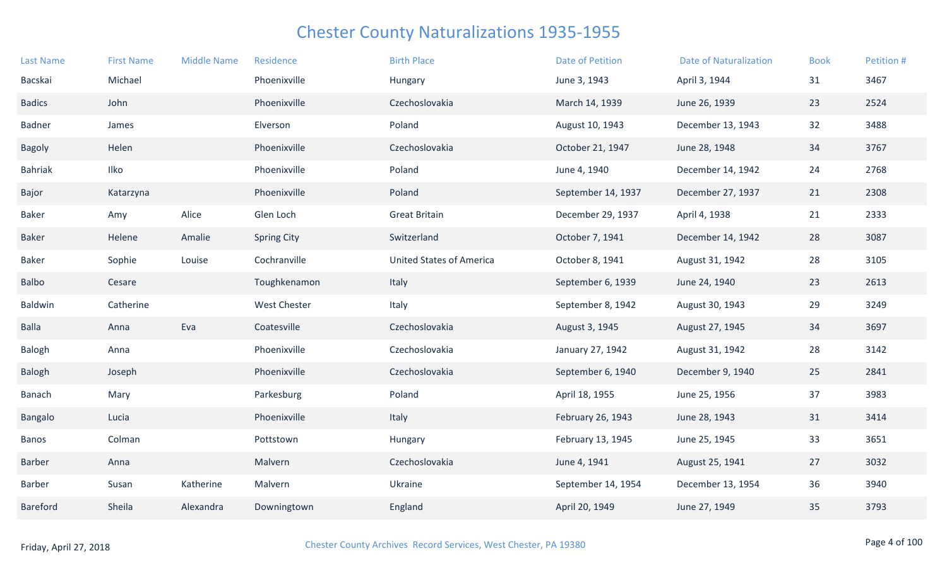| <b>Last Name</b> | <b>First Name</b> | <b>Middle Name</b> | Residence           | <b>Birth Place</b>              | <b>Date of Petition</b> | <b>Date of Naturalization</b> | <b>Book</b> | Petition # |
|------------------|-------------------|--------------------|---------------------|---------------------------------|-------------------------|-------------------------------|-------------|------------|
| Bacskai          | Michael           |                    | Phoenixville        | Hungary                         | June 3, 1943            | April 3, 1944                 | 31          | 3467       |
| <b>Badics</b>    | John              |                    | Phoenixville        | Czechoslovakia                  | March 14, 1939          | June 26, 1939                 | 23          | 2524       |
| <b>Badner</b>    | James             |                    | Elverson            | Poland                          | August 10, 1943         | December 13, 1943             | 32          | 3488       |
| <b>Bagoly</b>    | Helen             |                    | Phoenixville        | Czechoslovakia                  | October 21, 1947        | June 28, 1948                 | 34          | 3767       |
| <b>Bahriak</b>   | Ilko              |                    | Phoenixville        | Poland                          | June 4, 1940            | December 14, 1942             | 24          | 2768       |
| Bajor            | Katarzyna         |                    | Phoenixville        | Poland                          | September 14, 1937      | December 27, 1937             | 21          | 2308       |
| <b>Baker</b>     | Amy               | Alice              | Glen Loch           | <b>Great Britain</b>            | December 29, 1937       | April 4, 1938                 | 21          | 2333       |
| <b>Baker</b>     | Helene            | Amalie             | <b>Spring City</b>  | Switzerland                     | October 7, 1941         | December 14, 1942             | 28          | 3087       |
| Baker            | Sophie            | Louise             | Cochranville        | <b>United States of America</b> | October 8, 1941         | August 31, 1942               | 28          | 3105       |
| Balbo            | Cesare            |                    | Toughkenamon        | Italy                           | September 6, 1939       | June 24, 1940                 | 23          | 2613       |
| Baldwin          | Catherine         |                    | <b>West Chester</b> | Italy                           | September 8, 1942       | August 30, 1943               | 29          | 3249       |
| <b>Balla</b>     | Anna              | Eva                | Coatesville         | Czechoslovakia                  | August 3, 1945          | August 27, 1945               | 34          | 3697       |
| Balogh           | Anna              |                    | Phoenixville        | Czechoslovakia                  | January 27, 1942        | August 31, 1942               | 28          | 3142       |
| Balogh           | Joseph            |                    | Phoenixville        | Czechoslovakia                  | September 6, 1940       | December 9, 1940              | 25          | 2841       |
| <b>Banach</b>    | Mary              |                    | Parkesburg          | Poland                          | April 18, 1955          | June 25, 1956                 | 37          | 3983       |
| <b>Bangalo</b>   | Lucia             |                    | Phoenixville        | Italy                           | February 26, 1943       | June 28, 1943                 | 31          | 3414       |
| Banos            | Colman            |                    | Pottstown           | Hungary                         | February 13, 1945       | June 25, 1945                 | 33          | 3651       |
| Barber           | Anna              |                    | Malvern             | Czechoslovakia                  | June 4, 1941            | August 25, 1941               | 27          | 3032       |
| Barber           | Susan             | Katherine          | Malvern             | Ukraine                         | September 14, 1954      | December 13, 1954             | 36          | 3940       |
| Bareford         | Sheila            | Alexandra          | Downingtown         | England                         | April 20, 1949          | June 27, 1949                 | 35          | 3793       |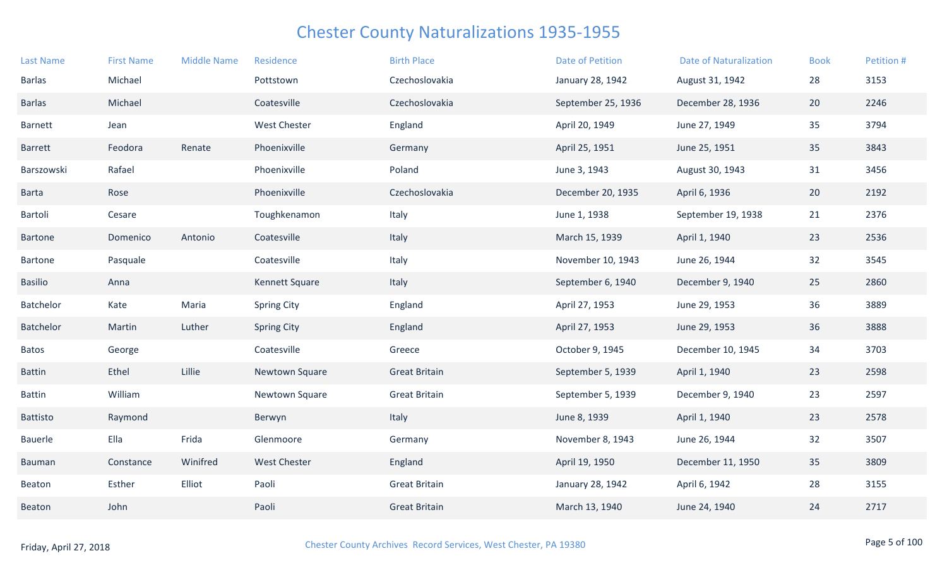| <b>Last Name</b> | <b>First Name</b> | <b>Middle Name</b> | Residence           | <b>Birth Place</b>   | <b>Date of Petition</b> | <b>Date of Naturalization</b> | <b>Book</b> | Petition # |
|------------------|-------------------|--------------------|---------------------|----------------------|-------------------------|-------------------------------|-------------|------------|
| <b>Barlas</b>    | Michael           |                    | Pottstown           | Czechoslovakia       | January 28, 1942        | August 31, 1942               | 28          | 3153       |
| <b>Barlas</b>    | Michael           |                    | Coatesville         | Czechoslovakia       | September 25, 1936      | December 28, 1936             | 20          | 2246       |
| Barnett          | Jean              |                    | <b>West Chester</b> | England              | April 20, 1949          | June 27, 1949                 | 35          | 3794       |
| <b>Barrett</b>   | Feodora           | Renate             | Phoenixville        | Germany              | April 25, 1951          | June 25, 1951                 | 35          | 3843       |
| Barszowski       | Rafael            |                    | Phoenixville        | Poland               | June 3, 1943            | August 30, 1943               | 31          | 3456       |
| <b>Barta</b>     | Rose              |                    | Phoenixville        | Czechoslovakia       | December 20, 1935       | April 6, 1936                 | 20          | 2192       |
| Bartoli          | Cesare            |                    | Toughkenamon        | Italy                | June 1, 1938            | September 19, 1938            | 21          | 2376       |
| <b>Bartone</b>   | Domenico          | Antonio            | Coatesville         | Italy                | March 15, 1939          | April 1, 1940                 | 23          | 2536       |
| Bartone          | Pasquale          |                    | Coatesville         | Italy                | November 10, 1943       | June 26, 1944                 | 32          | 3545       |
| <b>Basilio</b>   | Anna              |                    | Kennett Square      | Italy                | September 6, 1940       | December 9, 1940              | 25          | 2860       |
| Batchelor        | Kate              | Maria              | <b>Spring City</b>  | England              | April 27, 1953          | June 29, 1953                 | 36          | 3889       |
| Batchelor        | Martin            | Luther             | <b>Spring City</b>  | England              | April 27, 1953          | June 29, 1953                 | 36          | 3888       |
| <b>Batos</b>     | George            |                    | Coatesville         | Greece               | October 9, 1945         | December 10, 1945             | 34          | 3703       |
| <b>Battin</b>    | Ethel             | Lillie             | Newtown Square      | <b>Great Britain</b> | September 5, 1939       | April 1, 1940                 | 23          | 2598       |
| <b>Battin</b>    | William           |                    | Newtown Square      | <b>Great Britain</b> | September 5, 1939       | December 9, 1940              | 23          | 2597       |
| Battisto         | Raymond           |                    | Berwyn              | Italy                | June 8, 1939            | April 1, 1940                 | 23          | 2578       |
| Bauerle          | Ella              | Frida              | Glenmoore           | Germany              | November 8, 1943        | June 26, 1944                 | 32          | 3507       |
| Bauman           | Constance         | Winifred           | <b>West Chester</b> | England              | April 19, 1950          | December 11, 1950             | 35          | 3809       |
| Beaton           | Esther            | Elliot             | Paoli               | <b>Great Britain</b> | January 28, 1942        | April 6, 1942                 | 28          | 3155       |
| Beaton           | John              |                    | Paoli               | <b>Great Britain</b> | March 13, 1940          | June 24, 1940                 | 24          | 2717       |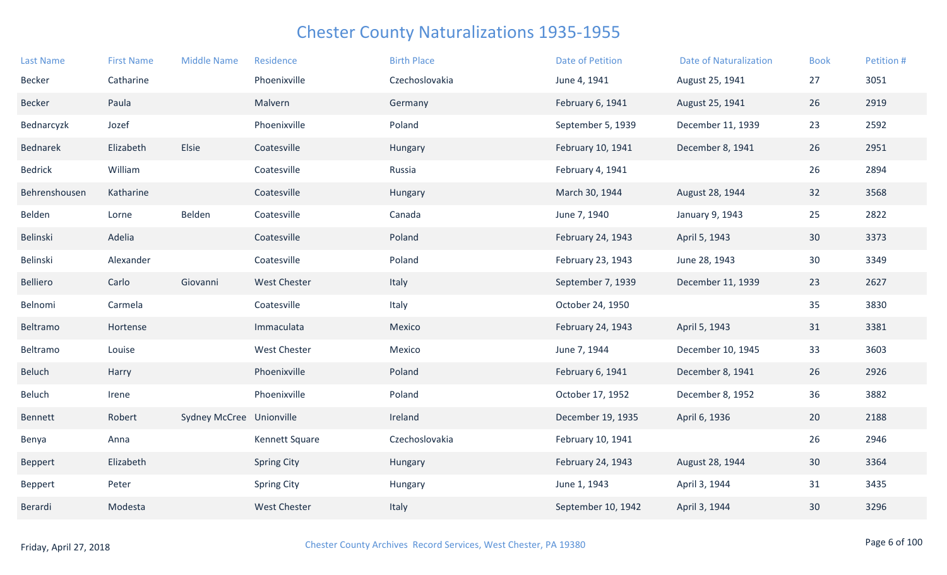| <b>Last Name</b> | <b>First Name</b> | <b>Middle Name</b>       | Residence           | <b>Birth Place</b> | <b>Date of Petition</b> | <b>Date of Naturalization</b> | <b>Book</b>     | Petition # |
|------------------|-------------------|--------------------------|---------------------|--------------------|-------------------------|-------------------------------|-----------------|------------|
| Becker           | Catharine         |                          | Phoenixville        | Czechoslovakia     | June 4, 1941            | August 25, 1941               | 27              | 3051       |
| <b>Becker</b>    | Paula             |                          | Malvern             | Germany            | February 6, 1941        | August 25, 1941               | 26              | 2919       |
| Bednarcyzk       | Jozef             |                          | Phoenixville        | Poland             | September 5, 1939       | December 11, 1939             | 23              | 2592       |
| Bednarek         | Elizabeth         | Elsie                    | Coatesville         | Hungary            | February 10, 1941       | December 8, 1941              | 26              | 2951       |
| <b>Bedrick</b>   | William           |                          | Coatesville         | Russia             | February 4, 1941        |                               | 26              | 2894       |
| Behrenshousen    | Katharine         |                          | Coatesville         | Hungary            | March 30, 1944          | August 28, 1944               | 32              | 3568       |
| Belden           | Lorne             | Belden                   | Coatesville         | Canada             | June 7, 1940            | January 9, 1943               | 25              | 2822       |
| Belinski         | Adelia            |                          | Coatesville         | Poland             | February 24, 1943       | April 5, 1943                 | 30              | 3373       |
| Belinski         | Alexander         |                          | Coatesville         | Poland             | February 23, 1943       | June 28, 1943                 | 30 <sub>o</sub> | 3349       |
| Belliero         | Carlo             | Giovanni                 | West Chester        | Italy              | September 7, 1939       | December 11, 1939             | 23              | 2627       |
| Belnomi          | Carmela           |                          | Coatesville         | Italy              | October 24, 1950        |                               | 35              | 3830       |
| Beltramo         | Hortense          |                          | Immaculata          | Mexico             | February 24, 1943       | April 5, 1943                 | 31              | 3381       |
| Beltramo         | Louise            |                          | <b>West Chester</b> | Mexico             | June 7, 1944            | December 10, 1945             | 33              | 3603       |
| Beluch           | Harry             |                          | Phoenixville        | Poland             | February 6, 1941        | December 8, 1941              | 26              | 2926       |
| Beluch           | Irene             |                          | Phoenixville        | Poland             | October 17, 1952        | December 8, 1952              | 36              | 3882       |
| Bennett          | Robert            | Sydney McCree Unionville |                     | Ireland            | December 19, 1935       | April 6, 1936                 | 20              | 2188       |
| Benya            | Anna              |                          | Kennett Square      | Czechoslovakia     | February 10, 1941       |                               | 26              | 2946       |
| Beppert          | Elizabeth         |                          | <b>Spring City</b>  | Hungary            | February 24, 1943       | August 28, 1944               | 30              | 3364       |
| Beppert          | Peter             |                          | <b>Spring City</b>  | Hungary            | June 1, 1943            | April 3, 1944                 | 31              | 3435       |
| Berardi          | Modesta           |                          | <b>West Chester</b> | Italy              | September 10, 1942      | April 3, 1944                 | 30              | 3296       |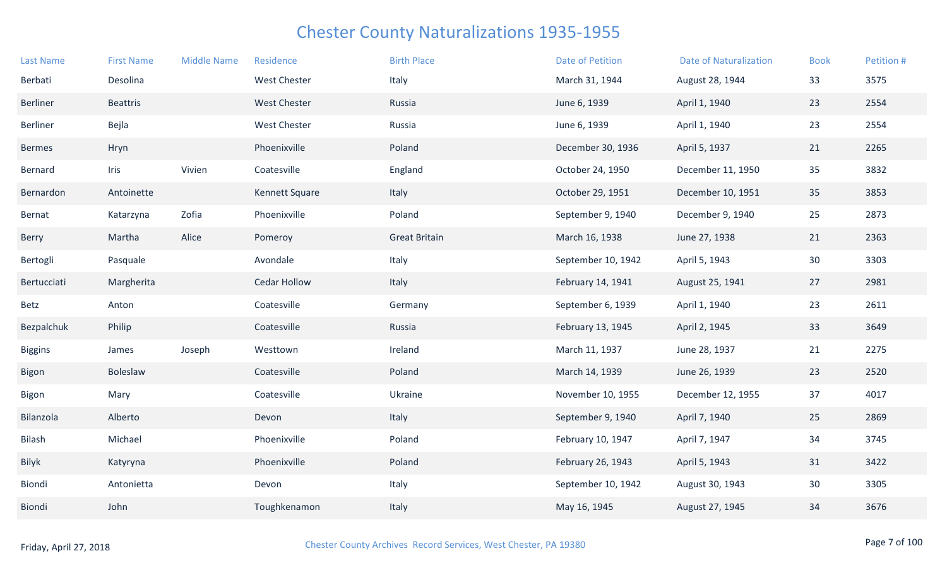| <b>Last Name</b> | <b>First Name</b> | <b>Middle Name</b> | Residence           | <b>Birth Place</b>   | Date of Petition   | <b>Date of Naturalization</b> | <b>Book</b> | Petition # |
|------------------|-------------------|--------------------|---------------------|----------------------|--------------------|-------------------------------|-------------|------------|
| Berbati          | Desolina          |                    | <b>West Chester</b> | Italy                | March 31, 1944     | August 28, 1944               | 33          | 3575       |
| <b>Berliner</b>  | <b>Beattris</b>   |                    | <b>West Chester</b> | Russia               | June 6, 1939       | April 1, 1940                 | 23          | 2554       |
| Berliner         | Bejla             |                    | <b>West Chester</b> | Russia               | June 6, 1939       | April 1, 1940                 | 23          | 2554       |
| <b>Bermes</b>    | Hryn              |                    | Phoenixville        | Poland               | December 30, 1936  | April 5, 1937                 | 21          | 2265       |
| Bernard          | Iris              | Vivien             | Coatesville         | England              | October 24, 1950   | December 11, 1950             | 35          | 3832       |
| Bernardon        | Antoinette        |                    | Kennett Square      | Italy                | October 29, 1951   | December 10, 1951             | 35          | 3853       |
| Bernat           | Katarzyna         | Zofia              | Phoenixville        | Poland               | September 9, 1940  | December 9, 1940              | 25          | 2873       |
| Berry            | Martha            | Alice              | Pomeroy             | <b>Great Britain</b> | March 16, 1938     | June 27, 1938                 | 21          | 2363       |
| Bertogli         | Pasquale          |                    | Avondale            | Italy                | September 10, 1942 | April 5, 1943                 | 30          | 3303       |
| Bertucciati      | Margherita        |                    | Cedar Hollow        | Italy                | February 14, 1941  | August 25, 1941               | 27          | 2981       |
| Betz             | Anton             |                    | Coatesville         | Germany              | September 6, 1939  | April 1, 1940                 | 23          | 2611       |
| Bezpalchuk       | Philip            |                    | Coatesville         | Russia               | February 13, 1945  | April 2, 1945                 | 33          | 3649       |
| <b>Biggins</b>   | James             | Joseph             | Westtown            | Ireland              | March 11, 1937     | June 28, 1937                 | 21          | 2275       |
| <b>Bigon</b>     | Boleslaw          |                    | Coatesville         | Poland               | March 14, 1939     | June 26, 1939                 | 23          | 2520       |
| Bigon            | Mary              |                    | Coatesville         | Ukraine              | November 10, 1955  | December 12, 1955             | 37          | 4017       |
| Bilanzola        | Alberto           |                    | Devon               | Italy                | September 9, 1940  | April 7, 1940                 | 25          | 2869       |
| Bilash           | Michael           |                    | Phoenixville        | Poland               | February 10, 1947  | April 7, 1947                 | 34          | 3745       |
| <b>Bilyk</b>     | Katyryna          |                    | Phoenixville        | Poland               | February 26, 1943  | April 5, 1943                 | 31          | 3422       |
| Biondi           | Antonietta        |                    | Devon               | Italy                | September 10, 1942 | August 30, 1943               | 30          | 3305       |
| Biondi           | John              |                    | Toughkenamon        | Italy                | May 16, 1945       | August 27, 1945               | 34          | 3676       |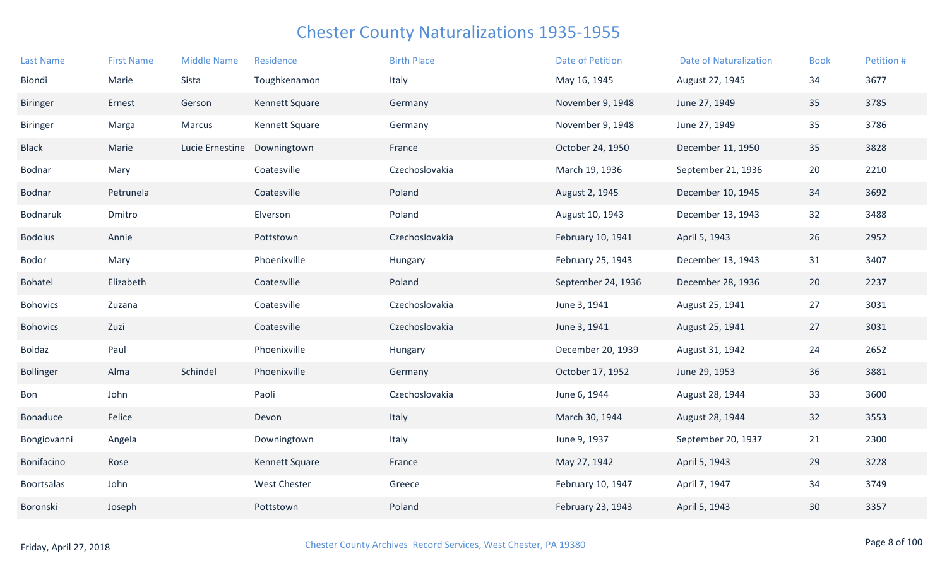| <b>Last Name</b> | <b>First Name</b> | <b>Middle Name</b> | Residence      | <b>Birth Place</b> | <b>Date of Petition</b> | <b>Date of Naturalization</b> | <b>Book</b> | Petition # |
|------------------|-------------------|--------------------|----------------|--------------------|-------------------------|-------------------------------|-------------|------------|
| Biondi           | Marie             | Sista              | Toughkenamon   | Italy              | May 16, 1945            | August 27, 1945               | 34          | 3677       |
| <b>Biringer</b>  | Ernest            | Gerson             | Kennett Square | Germany            | November 9, 1948        | June 27, 1949                 | 35          | 3785       |
| <b>Biringer</b>  | Marga             | Marcus             | Kennett Square | Germany            | November 9, 1948        | June 27, 1949                 | 35          | 3786       |
| <b>Black</b>     | Marie             | Lucie Ernestine    | Downingtown    | France             | October 24, 1950        | December 11, 1950             | 35          | 3828       |
| Bodnar           | Mary              |                    | Coatesville    | Czechoslovakia     | March 19, 1936          | September 21, 1936            | 20          | 2210       |
| Bodnar           | Petrunela         |                    | Coatesville    | Poland             | August 2, 1945          | December 10, 1945             | 34          | 3692       |
| Bodnaruk         | Dmitro            |                    | Elverson       | Poland             | August 10, 1943         | December 13, 1943             | 32          | 3488       |
| <b>Bodolus</b>   | Annie             |                    | Pottstown      | Czechoslovakia     | February 10, 1941       | April 5, 1943                 | 26          | 2952       |
| Bodor            | Mary              |                    | Phoenixville   | Hungary            | February 25, 1943       | December 13, 1943             | 31          | 3407       |
| Bohatel          | Elizabeth         |                    | Coatesville    | Poland             | September 24, 1936      | December 28, 1936             | 20          | 2237       |
| <b>Bohovics</b>  | Zuzana            |                    | Coatesville    | Czechoslovakia     | June 3, 1941            | August 25, 1941               | 27          | 3031       |
| <b>Bohovics</b>  | Zuzi              |                    | Coatesville    | Czechoslovakia     | June 3, 1941            | August 25, 1941               | 27          | 3031       |
| Boldaz           | Paul              |                    | Phoenixville   | Hungary            | December 20, 1939       | August 31, 1942               | 24          | 2652       |
| <b>Bollinger</b> | Alma              | Schindel           | Phoenixville   | Germany            | October 17, 1952        | June 29, 1953                 | 36          | 3881       |
| Bon              | John              |                    | Paoli          | Czechoslovakia     | June 6, 1944            | August 28, 1944               | 33          | 3600       |
| Bonaduce         | Felice            |                    | Devon          | Italy              | March 30, 1944          | August 28, 1944               | 32          | 3553       |
| Bongiovanni      | Angela            |                    | Downingtown    | Italy              | June 9, 1937            | September 20, 1937            | 21          | 2300       |
| Bonifacino       | Rose              |                    | Kennett Square | France             | May 27, 1942            | April 5, 1943                 | 29          | 3228       |
| Boortsalas       | John              |                    | West Chester   | Greece             | February 10, 1947       | April 7, 1947                 | 34          | 3749       |
| Boronski         | Joseph            |                    | Pottstown      | Poland             | February 23, 1943       | April 5, 1943                 | 30          | 3357       |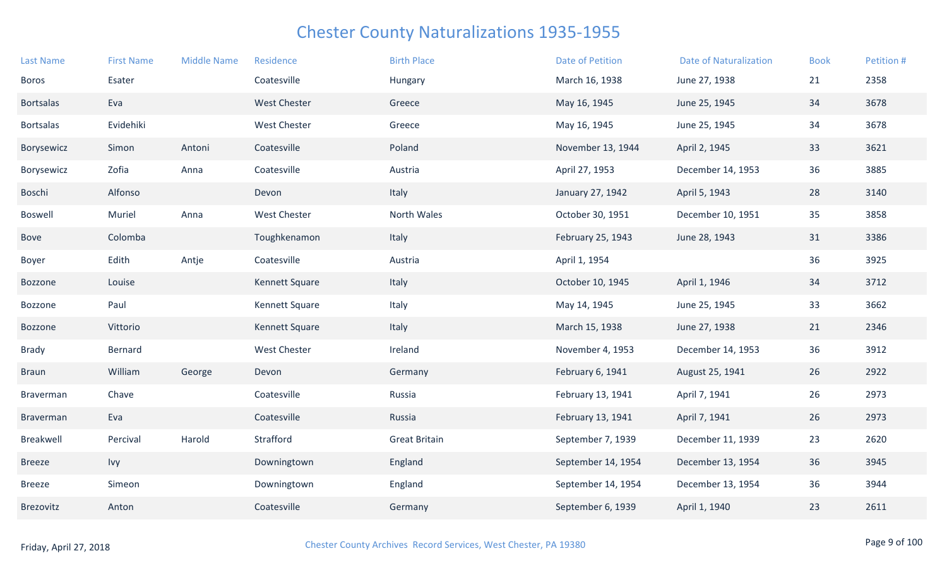| <b>Last Name</b> | <b>First Name</b> | <b>Middle Name</b> | Residence           | <b>Birth Place</b>   | <b>Date of Petition</b> | <b>Date of Naturalization</b> | <b>Book</b> | Petition # |
|------------------|-------------------|--------------------|---------------------|----------------------|-------------------------|-------------------------------|-------------|------------|
| Boros            | Esater            |                    | Coatesville         | Hungary              | March 16, 1938          | June 27, 1938                 | 21          | 2358       |
| <b>Bortsalas</b> | Eva               |                    | <b>West Chester</b> | Greece               | May 16, 1945            | June 25, 1945                 | 34          | 3678       |
| <b>Bortsalas</b> | Evidehiki         |                    | <b>West Chester</b> | Greece               | May 16, 1945            | June 25, 1945                 | 34          | 3678       |
| Borysewicz       | Simon             | Antoni             | Coatesville         | Poland               | November 13, 1944       | April 2, 1945                 | 33          | 3621       |
| Borysewicz       | Zofia             | Anna               | Coatesville         | Austria              | April 27, 1953          | December 14, 1953             | 36          | 3885       |
| Boschi           | Alfonso           |                    | Devon               | Italy                | January 27, 1942        | April 5, 1943                 | 28          | 3140       |
| <b>Boswell</b>   | Muriel            | Anna               | <b>West Chester</b> | North Wales          | October 30, 1951        | December 10, 1951             | 35          | 3858       |
| Bove             | Colomba           |                    | Toughkenamon        | Italy                | February 25, 1943       | June 28, 1943                 | 31          | 3386       |
| Boyer            | Edith             | Antje              | Coatesville         | Austria              | April 1, 1954           |                               | 36          | 3925       |
| Bozzone          | Louise            |                    | Kennett Square      | Italy                | October 10, 1945        | April 1, 1946                 | 34          | 3712       |
| Bozzone          | Paul              |                    | Kennett Square      | Italy                | May 14, 1945            | June 25, 1945                 | 33          | 3662       |
| Bozzone          | Vittorio          |                    | Kennett Square      | Italy                | March 15, 1938          | June 27, 1938                 | 21          | 2346       |
| <b>Brady</b>     | Bernard           |                    | West Chester        | Ireland              | November 4, 1953        | December 14, 1953             | 36          | 3912       |
| <b>Braun</b>     | William           | George             | Devon               | Germany              | February 6, 1941        | August 25, 1941               | 26          | 2922       |
| Braverman        | Chave             |                    | Coatesville         | Russia               | February 13, 1941       | April 7, 1941                 | 26          | 2973       |
| Braverman        | Eva               |                    | Coatesville         | Russia               | February 13, 1941       | April 7, 1941                 | 26          | 2973       |
| Breakwell        | Percival          | Harold             | Strafford           | <b>Great Britain</b> | September 7, 1939       | December 11, 1939             | 23          | 2620       |
| <b>Breeze</b>    | Ivy               |                    | Downingtown         | England              | September 14, 1954      | December 13, 1954             | 36          | 3945       |
| <b>Breeze</b>    | Simeon            |                    | Downingtown         | England              | September 14, 1954      | December 13, 1954             | 36          | 3944       |
| Brezovitz        | Anton             |                    | Coatesville         | Germany              | September 6, 1939       | April 1, 1940                 | 23          | 2611       |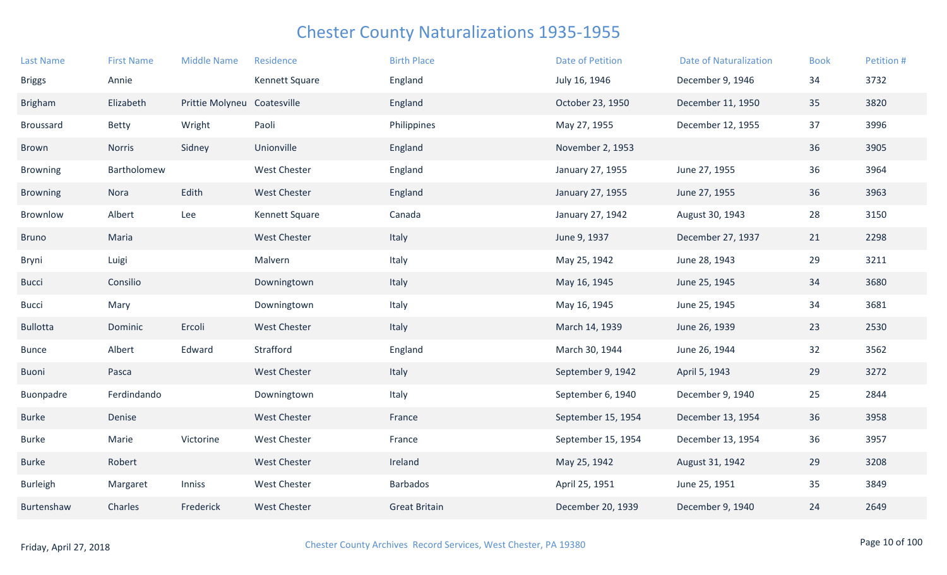| <b>Last Name</b> | <b>First Name</b> | <b>Middle Name</b>          | Residence           | <b>Birth Place</b>   | <b>Date of Petition</b> | <b>Date of Naturalization</b> | <b>Book</b> | Petition # |
|------------------|-------------------|-----------------------------|---------------------|----------------------|-------------------------|-------------------------------|-------------|------------|
| <b>Briggs</b>    | Annie             |                             | Kennett Square      | England              | July 16, 1946           | December 9, 1946              | 34          | 3732       |
| <b>Brigham</b>   | Elizabeth         | Prittie Molyneu Coatesville |                     | England              | October 23, 1950        | December 11, 1950             | 35          | 3820       |
| Broussard        | <b>Betty</b>      | Wright                      | Paoli               | Philippines          | May 27, 1955            | December 12, 1955             | 37          | 3996       |
| Brown            | Norris            | Sidney                      | Unionville          | England              | November 2, 1953        |                               | 36          | 3905       |
| <b>Browning</b>  | Bartholomew       |                             | <b>West Chester</b> | England              | January 27, 1955        | June 27, 1955                 | 36          | 3964       |
| <b>Browning</b>  | Nora              | Edith                       | <b>West Chester</b> | England              | January 27, 1955        | June 27, 1955                 | 36          | 3963       |
| Brownlow         | Albert            | Lee                         | Kennett Square      | Canada               | January 27, 1942        | August 30, 1943               | 28          | 3150       |
| <b>Bruno</b>     | Maria             |                             | <b>West Chester</b> | Italy                | June 9, 1937            | December 27, 1937             | 21          | 2298       |
| Bryni            | Luigi             |                             | Malvern             | Italy                | May 25, 1942            | June 28, 1943                 | 29          | 3211       |
| <b>Bucci</b>     | Consilio          |                             | Downingtown         | Italy                | May 16, 1945            | June 25, 1945                 | 34          | 3680       |
| <b>Bucci</b>     | Mary              |                             | Downingtown         | Italy                | May 16, 1945            | June 25, 1945                 | 34          | 3681       |
| <b>Bullotta</b>  | Dominic           | Ercoli                      | <b>West Chester</b> | Italy                | March 14, 1939          | June 26, 1939                 | 23          | 2530       |
| <b>Bunce</b>     | Albert            | Edward                      | Strafford           | England              | March 30, 1944          | June 26, 1944                 | 32          | 3562       |
| Buoni            | Pasca             |                             | <b>West Chester</b> | Italy                | September 9, 1942       | April 5, 1943                 | 29          | 3272       |
| Buonpadre        | Ferdindando       |                             | Downingtown         | Italy                | September 6, 1940       | December 9, 1940              | 25          | 2844       |
| <b>Burke</b>     | Denise            |                             | <b>West Chester</b> | France               | September 15, 1954      | December 13, 1954             | 36          | 3958       |
| <b>Burke</b>     | Marie             | Victorine                   | <b>West Chester</b> | France               | September 15, 1954      | December 13, 1954             | 36          | 3957       |
| <b>Burke</b>     | Robert            |                             | <b>West Chester</b> | Ireland              | May 25, 1942            | August 31, 1942               | 29          | 3208       |
| <b>Burleigh</b>  | Margaret          | Inniss                      | <b>West Chester</b> | <b>Barbados</b>      | April 25, 1951          | June 25, 1951                 | 35          | 3849       |
| Burtenshaw       | Charles           | Frederick                   | <b>West Chester</b> | <b>Great Britain</b> | December 20, 1939       | December 9, 1940              | 24          | 2649       |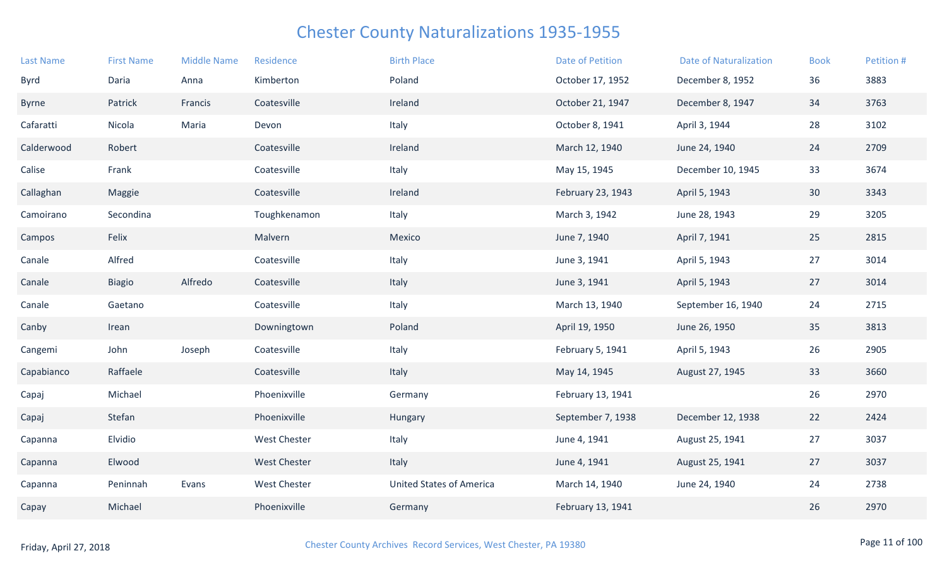| <b>Last Name</b> | <b>First Name</b> | <b>Middle Name</b> | Residence           | <b>Birth Place</b>              | Date of Petition  | <b>Date of Naturalization</b> | <b>Book</b>     | Petition # |
|------------------|-------------------|--------------------|---------------------|---------------------------------|-------------------|-------------------------------|-----------------|------------|
| <b>Byrd</b>      | Daria             | Anna               | Kimberton           | Poland                          | October 17, 1952  | December 8, 1952              | 36              | 3883       |
| Byrne            | Patrick           | Francis            | Coatesville         | Ireland                         | October 21, 1947  | December 8, 1947              | 34              | 3763       |
| Cafaratti        | Nicola            | Maria              | Devon               | Italy                           | October 8, 1941   | April 3, 1944                 | 28              | 3102       |
| Calderwood       | Robert            |                    | Coatesville         | Ireland                         | March 12, 1940    | June 24, 1940                 | 24              | 2709       |
| Calise           | Frank             |                    | Coatesville         | Italy                           | May 15, 1945      | December 10, 1945             | 33              | 3674       |
| Callaghan        | Maggie            |                    | Coatesville         | Ireland                         | February 23, 1943 | April 5, 1943                 | 30 <sup>°</sup> | 3343       |
| Camoirano        | Secondina         |                    | Toughkenamon        | Italy                           | March 3, 1942     | June 28, 1943                 | 29              | 3205       |
| Campos           | Felix             |                    | Malvern             | Mexico                          | June 7, 1940      | April 7, 1941                 | 25              | 2815       |
| Canale           | Alfred            |                    | Coatesville         | Italy                           | June 3, 1941      | April 5, 1943                 | 27              | 3014       |
| Canale           | <b>Biagio</b>     | Alfredo            | Coatesville         | Italy                           | June 3, 1941      | April 5, 1943                 | 27              | 3014       |
| Canale           | Gaetano           |                    | Coatesville         | Italy                           | March 13, 1940    | September 16, 1940            | 24              | 2715       |
| Canby            | Irean             |                    | Downingtown         | Poland                          | April 19, 1950    | June 26, 1950                 | 35              | 3813       |
| Cangemi          | John              | Joseph             | Coatesville         | Italy                           | February 5, 1941  | April 5, 1943                 | 26              | 2905       |
| Capabianco       | Raffaele          |                    | Coatesville         | Italy                           | May 14, 1945      | August 27, 1945               | 33              | 3660       |
| Capaj            | Michael           |                    | Phoenixville        | Germany                         | February 13, 1941 |                               | 26              | 2970       |
| Capaj            | Stefan            |                    | Phoenixville        | Hungary                         | September 7, 1938 | December 12, 1938             | 22              | 2424       |
| Capanna          | Elvidio           |                    | <b>West Chester</b> | Italy                           | June 4, 1941      | August 25, 1941               | 27              | 3037       |
| Capanna          | Elwood            |                    | <b>West Chester</b> | Italy                           | June 4, 1941      | August 25, 1941               | 27              | 3037       |
| Capanna          | Peninnah          | Evans              | West Chester        | <b>United States of America</b> | March 14, 1940    | June 24, 1940                 | 24              | 2738       |
| Capay            | Michael           |                    | Phoenixville        | Germany                         | February 13, 1941 |                               | 26              | 2970       |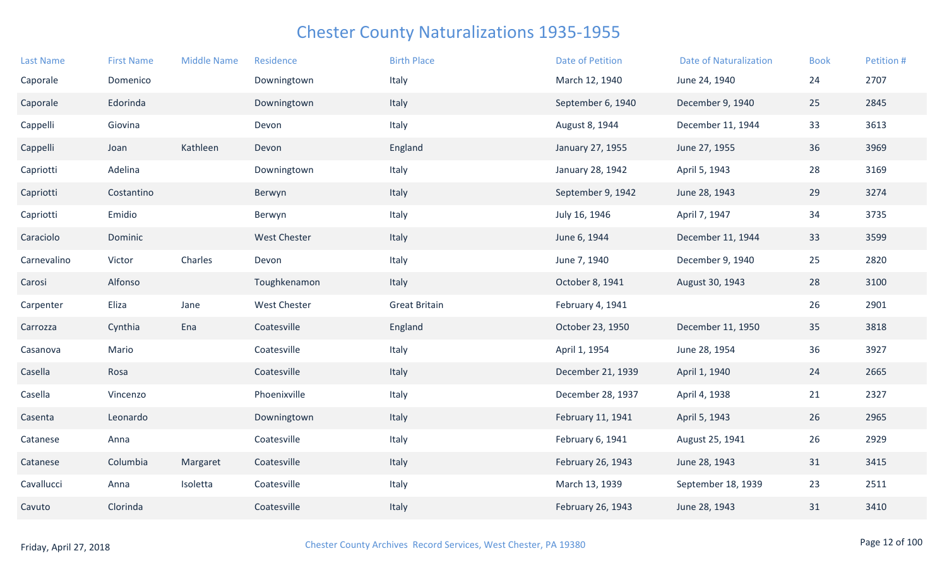| <b>Last Name</b> | <b>First Name</b> | <b>Middle Name</b> | Residence           | <b>Birth Place</b>   | <b>Date of Petition</b> | <b>Date of Naturalization</b> | <b>Book</b> | Petition # |
|------------------|-------------------|--------------------|---------------------|----------------------|-------------------------|-------------------------------|-------------|------------|
| Caporale         | Domenico          |                    | Downingtown         | Italy                | March 12, 1940          | June 24, 1940                 | 24          | 2707       |
| Caporale         | Edorinda          |                    | Downingtown         | Italy                | September 6, 1940       | December 9, 1940              | 25          | 2845       |
| Cappelli         | Giovina           |                    | Devon               | Italy                | August 8, 1944          | December 11, 1944             | 33          | 3613       |
| Cappelli         | Joan              | Kathleen           | Devon               | England              | January 27, 1955        | June 27, 1955                 | 36          | 3969       |
| Capriotti        | Adelina           |                    | Downingtown         | Italy                | January 28, 1942        | April 5, 1943                 | 28          | 3169       |
| Capriotti        | Costantino        |                    | Berwyn              | Italy                | September 9, 1942       | June 28, 1943                 | 29          | 3274       |
| Capriotti        | Emidio            |                    | Berwyn              | Italy                | July 16, 1946           | April 7, 1947                 | 34          | 3735       |
| Caraciolo        | Dominic           |                    | <b>West Chester</b> | Italy                | June 6, 1944            | December 11, 1944             | 33          | 3599       |
| Carnevalino      | Victor            | Charles            | Devon               | Italy                | June 7, 1940            | December 9, 1940              | 25          | 2820       |
| Carosi           | Alfonso           |                    | Toughkenamon        | Italy                | October 8, 1941         | August 30, 1943               | 28          | 3100       |
| Carpenter        | Eliza             | Jane               | <b>West Chester</b> | <b>Great Britain</b> | February 4, 1941        |                               | 26          | 2901       |
| Carrozza         | Cynthia           | Ena                | Coatesville         | England              | October 23, 1950        | December 11, 1950             | 35          | 3818       |
| Casanova         | Mario             |                    | Coatesville         | Italy                | April 1, 1954           | June 28, 1954                 | 36          | 3927       |
| Casella          | Rosa              |                    | Coatesville         | Italy                | December 21, 1939       | April 1, 1940                 | 24          | 2665       |
| Casella          | Vincenzo          |                    | Phoenixville        | Italy                | December 28, 1937       | April 4, 1938                 | 21          | 2327       |
| Casenta          | Leonardo          |                    | Downingtown         | Italy                | February 11, 1941       | April 5, 1943                 | 26          | 2965       |
| Catanese         | Anna              |                    | Coatesville         | Italy                | February 6, 1941        | August 25, 1941               | 26          | 2929       |
| Catanese         | Columbia          | Margaret           | Coatesville         | Italy                | February 26, 1943       | June 28, 1943                 | 31          | 3415       |
| Cavallucci       | Anna              | Isoletta           | Coatesville         | Italy                | March 13, 1939          | September 18, 1939            | 23          | 2511       |
| Cavuto           | Clorinda          |                    | Coatesville         | Italy                | February 26, 1943       | June 28, 1943                 | 31          | 3410       |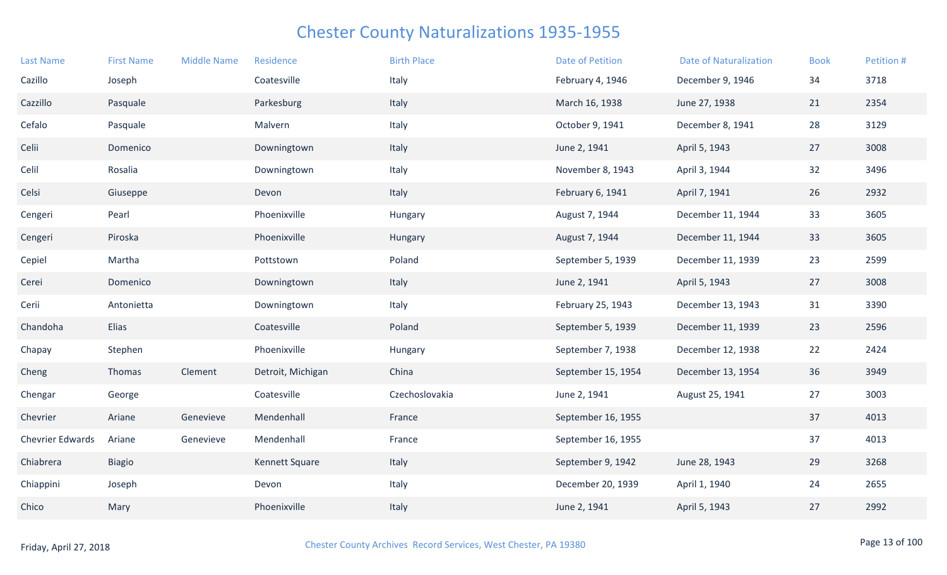| <b>Last Name</b>        | <b>First Name</b> | <b>Middle Name</b> | Residence         | <b>Birth Place</b> | <b>Date of Petition</b> | <b>Date of Naturalization</b> | <b>Book</b> | Petition # |
|-------------------------|-------------------|--------------------|-------------------|--------------------|-------------------------|-------------------------------|-------------|------------|
| Cazillo                 | Joseph            |                    | Coatesville       | Italy              | February 4, 1946        | December 9, 1946              | 34          | 3718       |
| Cazzillo                | Pasquale          |                    | Parkesburg        | Italy              | March 16, 1938          | June 27, 1938                 | 21          | 2354       |
| Cefalo                  | Pasquale          |                    | Malvern           | Italy              | October 9, 1941         | December 8, 1941              | 28          | 3129       |
| Celii                   | Domenico          |                    | Downingtown       | Italy              | June 2, 1941            | April 5, 1943                 | 27          | 3008       |
| Celil                   | Rosalia           |                    | Downingtown       | Italy              | November 8, 1943        | April 3, 1944                 | 32          | 3496       |
| Celsi                   | Giuseppe          |                    | Devon             | Italy              | February 6, 1941        | April 7, 1941                 | 26          | 2932       |
| Cengeri                 | Pearl             |                    | Phoenixville      | Hungary            | August 7, 1944          | December 11, 1944             | 33          | 3605       |
| Cengeri                 | Piroska           |                    | Phoenixville      | Hungary            | August 7, 1944          | December 11, 1944             | 33          | 3605       |
| Cepiel                  | Martha            |                    | Pottstown         | Poland             | September 5, 1939       | December 11, 1939             | 23          | 2599       |
| Cerei                   | Domenico          |                    | Downingtown       | Italy              | June 2, 1941            | April 5, 1943                 | 27          | 3008       |
| Cerii                   | Antonietta        |                    | Downingtown       | Italy              | February 25, 1943       | December 13, 1943             | 31          | 3390       |
| Chandoha                | Elias             |                    | Coatesville       | Poland             | September 5, 1939       | December 11, 1939             | 23          | 2596       |
| Chapay                  | Stephen           |                    | Phoenixville      | Hungary            | September 7, 1938       | December 12, 1938             | 22          | 2424       |
| Cheng                   | Thomas            | Clement            | Detroit, Michigan | China              | September 15, 1954      | December 13, 1954             | 36          | 3949       |
| Chengar                 | George            |                    | Coatesville       | Czechoslovakia     | June 2, 1941            | August 25, 1941               | 27          | 3003       |
| Chevrier                | Ariane            | Genevieve          | Mendenhall        | France             | September 16, 1955      |                               | 37          | 4013       |
| <b>Chevrier Edwards</b> | Ariane            | Genevieve          | Mendenhall        | France             | September 16, 1955      |                               | 37          | 4013       |
| Chiabrera               | <b>Biagio</b>     |                    | Kennett Square    | Italy              | September 9, 1942       | June 28, 1943                 | 29          | 3268       |
| Chiappini               | Joseph            |                    | Devon             | Italy              | December 20, 1939       | April 1, 1940                 | 24          | 2655       |
| Chico                   | Mary              |                    | Phoenixville      | Italy              | June 2, 1941            | April 5, 1943                 | 27          | 2992       |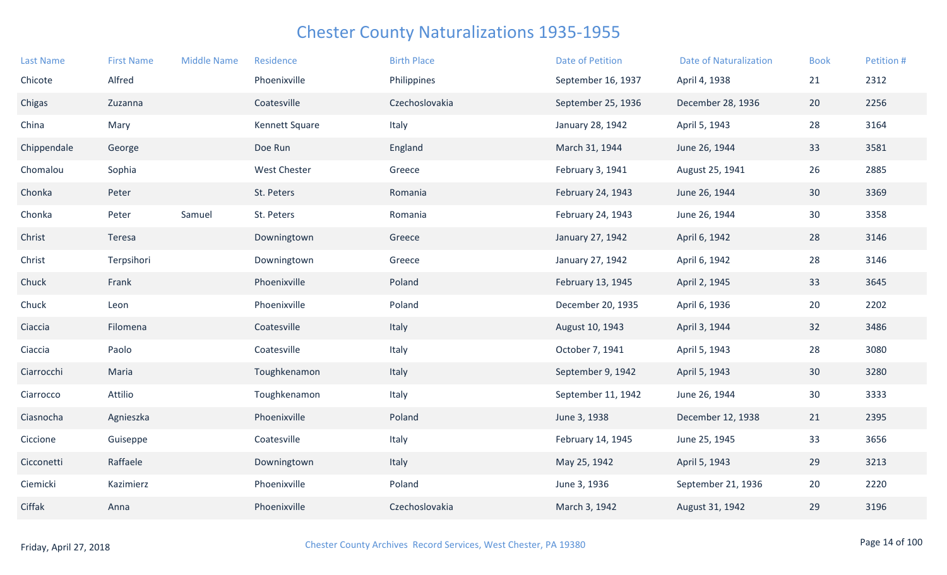| <b>Last Name</b> | <b>First Name</b> | <b>Middle Name</b> | Residence             | <b>Birth Place</b> | <b>Date of Petition</b> | <b>Date of Naturalization</b> | <b>Book</b>     | Petition # |
|------------------|-------------------|--------------------|-----------------------|--------------------|-------------------------|-------------------------------|-----------------|------------|
| Chicote          | Alfred            |                    | Phoenixville          | Philippines        | September 16, 1937      | April 4, 1938                 | 21              | 2312       |
| Chigas           | Zuzanna           |                    | Coatesville           | Czechoslovakia     | September 25, 1936      | December 28, 1936             | 20              | 2256       |
| China            | Mary              |                    | <b>Kennett Square</b> | Italy              | January 28, 1942        | April 5, 1943                 | 28              | 3164       |
| Chippendale      | George            |                    | Doe Run               | England            | March 31, 1944          | June 26, 1944                 | 33              | 3581       |
| Chomalou         | Sophia            |                    | <b>West Chester</b>   | Greece             | February 3, 1941        | August 25, 1941               | 26              | 2885       |
| Chonka           | Peter             |                    | St. Peters            | Romania            | February 24, 1943       | June 26, 1944                 | 30              | 3369       |
| Chonka           | Peter             | Samuel             | St. Peters            | Romania            | February 24, 1943       | June 26, 1944                 | 30 <sup>°</sup> | 3358       |
| Christ           | Teresa            |                    | Downingtown           | Greece             | January 27, 1942        | April 6, 1942                 | 28              | 3146       |
| Christ           | Terpsihori        |                    | Downingtown           | Greece             | January 27, 1942        | April 6, 1942                 | 28              | 3146       |
| Chuck            | Frank             |                    | Phoenixville          | Poland             | February 13, 1945       | April 2, 1945                 | 33              | 3645       |
| Chuck            | Leon              |                    | Phoenixville          | Poland             | December 20, 1935       | April 6, 1936                 | 20              | 2202       |
| Ciaccia          | Filomena          |                    | Coatesville           | Italy              | August 10, 1943         | April 3, 1944                 | 32              | 3486       |
| Ciaccia          | Paolo             |                    | Coatesville           | Italy              | October 7, 1941         | April 5, 1943                 | 28              | 3080       |
| Ciarrocchi       | Maria             |                    | Toughkenamon          | Italy              | September 9, 1942       | April 5, 1943                 | 30              | 3280       |
| Ciarrocco        | Attilio           |                    | Toughkenamon          | Italy              | September 11, 1942      | June 26, 1944                 | 30              | 3333       |
| Ciasnocha        | Agnieszka         |                    | Phoenixville          | Poland             | June 3, 1938            | December 12, 1938             | 21              | 2395       |
| Ciccione         | Guiseppe          |                    | Coatesville           | Italy              | February 14, 1945       | June 25, 1945                 | 33              | 3656       |
| Cicconetti       | Raffaele          |                    | Downingtown           | Italy              | May 25, 1942            | April 5, 1943                 | 29              | 3213       |
| Ciemicki         | Kazimierz         |                    | Phoenixville          | Poland             | June 3, 1936            | September 21, 1936            | 20              | 2220       |
| Ciffak           | Anna              |                    | Phoenixville          | Czechoslovakia     | March 3, 1942           | August 31, 1942               | 29              | 3196       |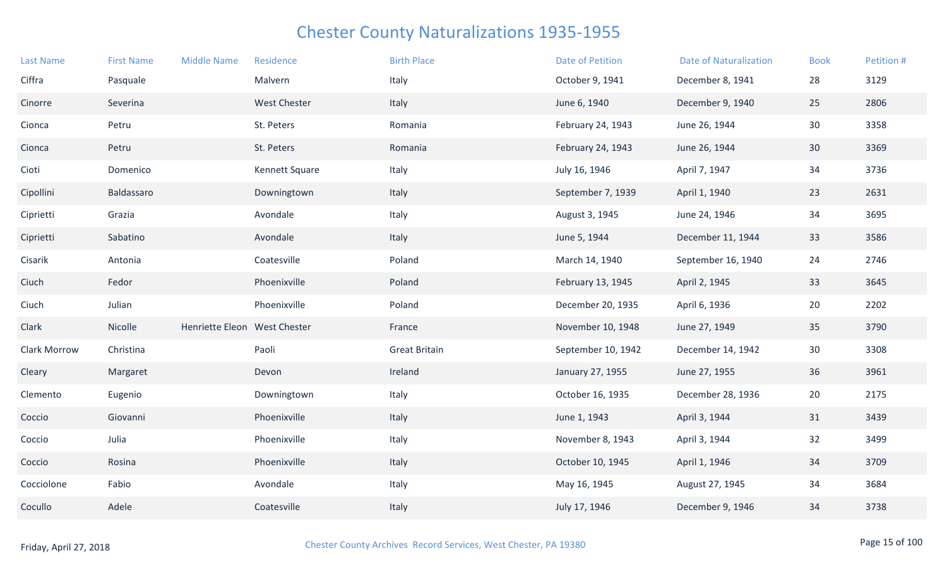| <b>Last Name</b> | <b>First Name</b> | <b>Middle Name</b>           | Residence             | <b>Birth Place</b>   | Date of Petition   | <b>Date of Naturalization</b> | <b>Book</b> | Petition # |
|------------------|-------------------|------------------------------|-----------------------|----------------------|--------------------|-------------------------------|-------------|------------|
| Ciffra           | Pasquale          |                              | Malvern               | Italy                | October 9, 1941    | December 8, 1941              | 28          | 3129       |
| Cinorre          | Severina          |                              | <b>West Chester</b>   | Italy                | June 6, 1940       | December 9, 1940              | 25          | 2806       |
| Cionca           | Petru             |                              | St. Peters            | Romania              | February 24, 1943  | June 26, 1944                 | 30          | 3358       |
| Cionca           | Petru             |                              | St. Peters            | Romania              | February 24, 1943  | June 26, 1944                 | 30          | 3369       |
| Cioti            | Domenico          |                              | <b>Kennett Square</b> | Italy                | July 16, 1946      | April 7, 1947                 | 34          | 3736       |
| Cipollini        | Baldassaro        |                              | Downingtown           | Italy                | September 7, 1939  | April 1, 1940                 | 23          | 2631       |
| Ciprietti        | Grazia            |                              | Avondale              | Italy                | August 3, 1945     | June 24, 1946                 | $34$        | 3695       |
| Ciprietti        | Sabatino          |                              | Avondale              | Italy                | June 5, 1944       | December 11, 1944             | 33          | 3586       |
| Cisarik          | Antonia           |                              | Coatesville           | Poland               | March 14, 1940     | September 16, 1940            | 24          | 2746       |
| Ciuch            | Fedor             |                              | Phoenixville          | Poland               | February 13, 1945  | April 2, 1945                 | 33          | 3645       |
| Ciuch            | Julian            |                              | Phoenixville          | Poland               | December 20, 1935  | April 6, 1936                 | 20          | 2202       |
| Clark            | Nicolle           | Henriette Eleon West Chester |                       | France               | November 10, 1948  | June 27, 1949                 | 35          | 3790       |
| Clark Morrow     | Christina         |                              | Paoli                 | <b>Great Britain</b> | September 10, 1942 | December 14, 1942             | 30          | 3308       |
| Cleary           | Margaret          |                              | Devon                 | Ireland              | January 27, 1955   | June 27, 1955                 | 36          | 3961       |
| Clemento         | Eugenio           |                              | Downingtown           | Italy                | October 16, 1935   | December 28, 1936             | 20          | 2175       |
| Coccio           | Giovanni          |                              | Phoenixville          | Italy                | June 1, 1943       | April 3, 1944                 | 31          | 3439       |
| Coccio           | Julia             |                              | Phoenixville          | Italy                | November 8, 1943   | April 3, 1944                 | 32          | 3499       |
| Coccio           | Rosina            |                              | Phoenixville          | Italy                | October 10, 1945   | April 1, 1946                 | 34          | 3709       |
| Cocciolone       | Fabio             |                              | Avondale              | Italy                | May 16, 1945       | August 27, 1945               | 34          | 3684       |
| Cocullo          | Adele             |                              | Coatesville           | Italy                | July 17, 1946      | December 9, 1946              | 34          | 3738       |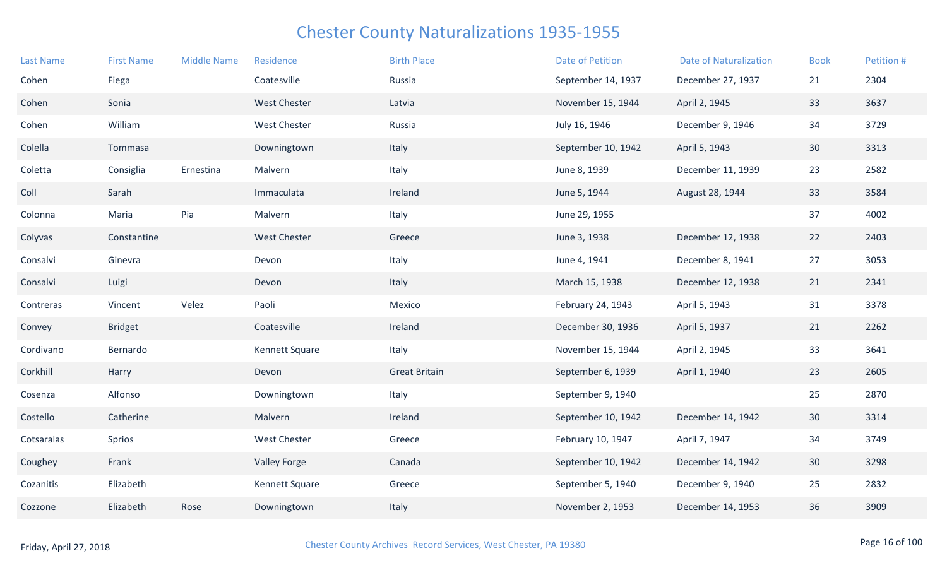| <b>Last Name</b> | <b>First Name</b> | <b>Middle Name</b> | Residence           | <b>Birth Place</b>   | <b>Date of Petition</b> | <b>Date of Naturalization</b> | <b>Book</b>     | Petition # |
|------------------|-------------------|--------------------|---------------------|----------------------|-------------------------|-------------------------------|-----------------|------------|
| Cohen            | Fiega             |                    | Coatesville         | Russia               | September 14, 1937      | December 27, 1937             | 21              | 2304       |
| Cohen            | Sonia             |                    | <b>West Chester</b> | Latvia               | November 15, 1944       | April 2, 1945                 | 33              | 3637       |
| Cohen            | William           |                    | <b>West Chester</b> | Russia               | July 16, 1946           | December 9, 1946              | 34              | 3729       |
| Colella          | Tommasa           |                    | Downingtown         | Italy                | September 10, 1942      | April 5, 1943                 | 30 <sup>°</sup> | 3313       |
| Coletta          | Consiglia         | Ernestina          | Malvern             | Italy                | June 8, 1939            | December 11, 1939             | 23              | 2582       |
| Coll             | Sarah             |                    | Immaculata          | Ireland              | June 5, 1944            | August 28, 1944               | 33              | 3584       |
| Colonna          | Maria             | Pia                | Malvern             | Italy                | June 29, 1955           |                               | 37              | 4002       |
| Colyvas          | Constantine       |                    | <b>West Chester</b> | Greece               | June 3, 1938            | December 12, 1938             | 22              | 2403       |
| Consalvi         | Ginevra           |                    | Devon               | Italy                | June 4, 1941            | December 8, 1941              | 27              | 3053       |
| Consalvi         | Luigi             |                    | Devon               | Italy                | March 15, 1938          | December 12, 1938             | 21              | 2341       |
| Contreras        | Vincent           | Velez              | Paoli               | Mexico               | February 24, 1943       | April 5, 1943                 | 31              | 3378       |
| Convey           | <b>Bridget</b>    |                    | Coatesville         | Ireland              | December 30, 1936       | April 5, 1937                 | 21              | 2262       |
| Cordivano        | Bernardo          |                    | Kennett Square      | Italy                | November 15, 1944       | April 2, 1945                 | 33              | 3641       |
| Corkhill         | Harry             |                    | Devon               | <b>Great Britain</b> | September 6, 1939       | April 1, 1940                 | 23              | 2605       |
| Cosenza          | Alfonso           |                    | Downingtown         | Italy                | September 9, 1940       |                               | 25              | 2870       |
| Costello         | Catherine         |                    | Malvern             | Ireland              | September 10, 1942      | December 14, 1942             | 30              | 3314       |
| Cotsaralas       | Sprios            |                    | <b>West Chester</b> | Greece               | February 10, 1947       | April 7, 1947                 | 34              | 3749       |
| Coughey          | Frank             |                    | <b>Valley Forge</b> | Canada               | September 10, 1942      | December 14, 1942             | 30              | 3298       |
| Cozanitis        | Elizabeth         |                    | Kennett Square      | Greece               | September 5, 1940       | December 9, 1940              | 25              | 2832       |
| Cozzone          | Elizabeth         | Rose               | Downingtown         | Italy                | November 2, 1953        | December 14, 1953             | 36              | 3909       |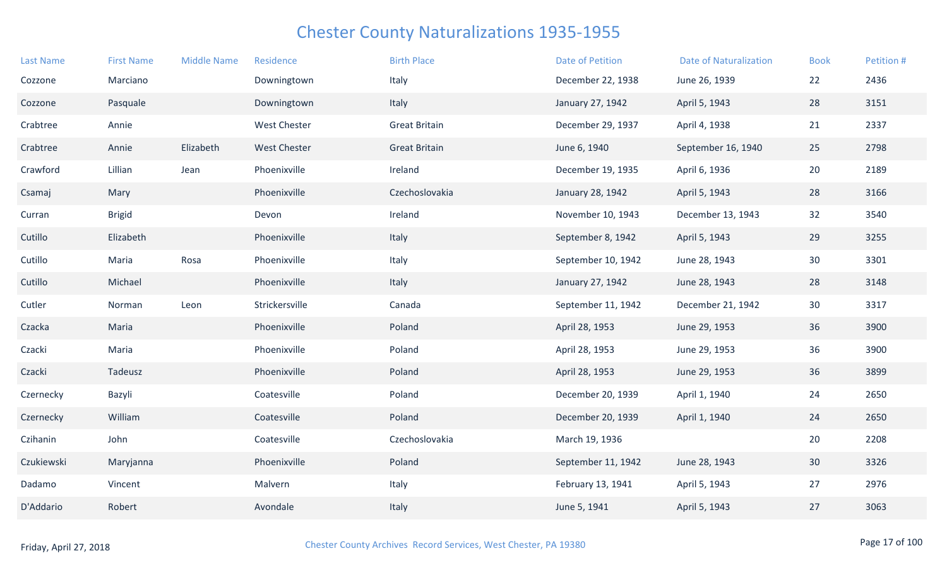| <b>Last Name</b> | <b>First Name</b> | <b>Middle Name</b> | Residence           | <b>Birth Place</b>   | <b>Date of Petition</b> | <b>Date of Naturalization</b> | <b>Book</b> | Petition # |
|------------------|-------------------|--------------------|---------------------|----------------------|-------------------------|-------------------------------|-------------|------------|
| Cozzone          | Marciano          |                    | Downingtown         | Italy                | December 22, 1938       | June 26, 1939                 | 22          | 2436       |
| Cozzone          | Pasquale          |                    | Downingtown         | Italy                | January 27, 1942        | April 5, 1943                 | 28          | 3151       |
| Crabtree         | Annie             |                    | <b>West Chester</b> | <b>Great Britain</b> | December 29, 1937       | April 4, 1938                 | 21          | 2337       |
| Crabtree         | Annie             | Elizabeth          | <b>West Chester</b> | <b>Great Britain</b> | June 6, 1940            | September 16, 1940            | 25          | 2798       |
| Crawford         | Lillian           | Jean               | Phoenixville        | Ireland              | December 19, 1935       | April 6, 1936                 | 20          | 2189       |
| Csamaj           | Mary              |                    | Phoenixville        | Czechoslovakia       | January 28, 1942        | April 5, 1943                 | 28          | 3166       |
| Curran           | <b>Brigid</b>     |                    | Devon               | Ireland              | November 10, 1943       | December 13, 1943             | 32          | 3540       |
| Cutillo          | Elizabeth         |                    | Phoenixville        | Italy                | September 8, 1942       | April 5, 1943                 | 29          | 3255       |
| Cutillo          | Maria             | Rosa               | Phoenixville        | Italy                | September 10, 1942      | June 28, 1943                 | 30          | 3301       |
| Cutillo          | Michael           |                    | Phoenixville        | Italy                | January 27, 1942        | June 28, 1943                 | 28          | 3148       |
| Cutler           | Norman            | Leon               | Strickersville      | Canada               | September 11, 1942      | December 21, 1942             | 30          | 3317       |
| Czacka           | Maria             |                    | Phoenixville        | Poland               | April 28, 1953          | June 29, 1953                 | 36          | 3900       |
| Czacki           | Maria             |                    | Phoenixville        | Poland               | April 28, 1953          | June 29, 1953                 | 36          | 3900       |
| Czacki           | Tadeusz           |                    | Phoenixville        | Poland               | April 28, 1953          | June 29, 1953                 | 36          | 3899       |
| Czernecky        | Bazyli            |                    | Coatesville         | Poland               | December 20, 1939       | April 1, 1940                 | 24          | 2650       |
| Czernecky        | William           |                    | Coatesville         | Poland               | December 20, 1939       | April 1, 1940                 | 24          | 2650       |
| Czihanin         | John              |                    | Coatesville         | Czechoslovakia       | March 19, 1936          |                               | 20          | 2208       |
| Czukiewski       | Maryjanna         |                    | Phoenixville        | Poland               | September 11, 1942      | June 28, 1943                 | 30          | 3326       |
| Dadamo           | Vincent           |                    | Malvern             | Italy                | February 13, 1941       | April 5, 1943                 | 27          | 2976       |
| D'Addario        | Robert            |                    | Avondale            | Italy                | June 5, 1941            | April 5, 1943                 | 27          | 3063       |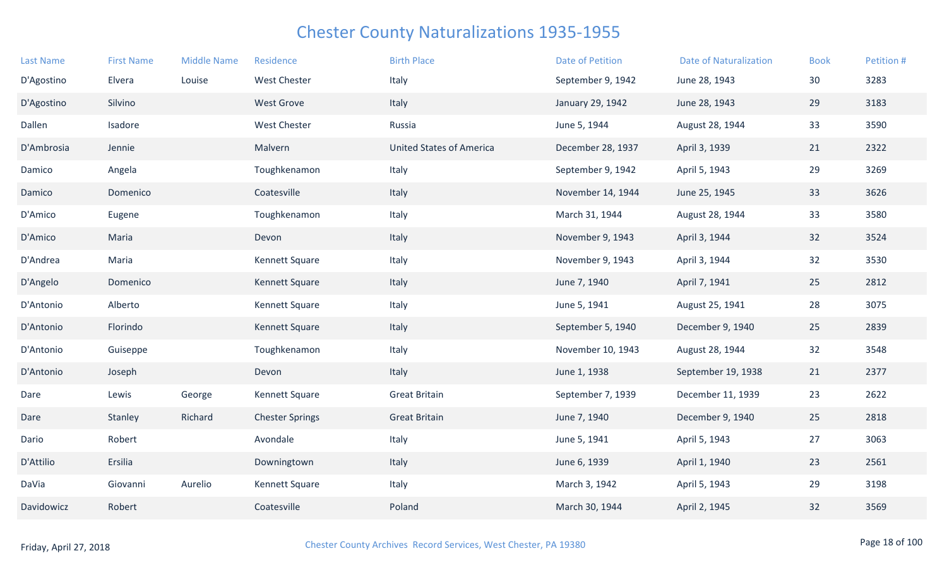| <b>Last Name</b> | <b>First Name</b> | <b>Middle Name</b> | Residence              | <b>Birth Place</b>              | <b>Date of Petition</b> | <b>Date of Naturalization</b> | <b>Book</b> | Petition # |
|------------------|-------------------|--------------------|------------------------|---------------------------------|-------------------------|-------------------------------|-------------|------------|
| D'Agostino       | Elvera            | Louise             | <b>West Chester</b>    | Italy                           | September 9, 1942       | June 28, 1943                 | 30          | 3283       |
| D'Agostino       | Silvino           |                    | <b>West Grove</b>      | Italy                           | January 29, 1942        | June 28, 1943                 | 29          | 3183       |
| Dallen           | Isadore           |                    | <b>West Chester</b>    | Russia                          | June 5, 1944            | August 28, 1944               | 33          | 3590       |
| D'Ambrosia       | Jennie            |                    | Malvern                | <b>United States of America</b> | December 28, 1937       | April 3, 1939                 | 21          | 2322       |
| Damico           | Angela            |                    | Toughkenamon           | Italy                           | September 9, 1942       | April 5, 1943                 | 29          | 3269       |
| Damico           | Domenico          |                    | Coatesville            | Italy                           | November 14, 1944       | June 25, 1945                 | 33          | 3626       |
| D'Amico          | Eugene            |                    | Toughkenamon           | Italy                           | March 31, 1944          | August 28, 1944               | 33          | 3580       |
| D'Amico          | Maria             |                    | Devon                  | Italy                           | November 9, 1943        | April 3, 1944                 | 32          | 3524       |
| D'Andrea         | Maria             |                    | Kennett Square         | Italy                           | November 9, 1943        | April 3, 1944                 | 32          | 3530       |
| D'Angelo         | Domenico          |                    | Kennett Square         | Italy                           | June 7, 1940            | April 7, 1941                 | 25          | 2812       |
| D'Antonio        | Alberto           |                    | Kennett Square         | Italy                           | June 5, 1941            | August 25, 1941               | 28          | 3075       |
| D'Antonio        | Florindo          |                    | Kennett Square         | Italy                           | September 5, 1940       | December 9, 1940              | 25          | 2839       |
| D'Antonio        | Guiseppe          |                    | Toughkenamon           | Italy                           | November 10, 1943       | August 28, 1944               | 32          | 3548       |
| D'Antonio        | Joseph            |                    | Devon                  | Italy                           | June 1, 1938            | September 19, 1938            | 21          | 2377       |
| Dare             | Lewis             | George             | Kennett Square         | <b>Great Britain</b>            | September 7, 1939       | December 11, 1939             | 23          | 2622       |
| Dare             | Stanley           | Richard            | <b>Chester Springs</b> | <b>Great Britain</b>            | June 7, 1940            | December 9, 1940              | 25          | 2818       |
| Dario            | Robert            |                    | Avondale               | Italy                           | June 5, 1941            | April 5, 1943                 | 27          | 3063       |
| D'Attilio        | Ersilia           |                    | Downingtown            | Italy                           | June 6, 1939            | April 1, 1940                 | 23          | 2561       |
| DaVia            | Giovanni          | Aurelio            | Kennett Square         | Italy                           | March 3, 1942           | April 5, 1943                 | 29          | 3198       |
| Davidowicz       | Robert            |                    | Coatesville            | Poland                          | March 30, 1944          | April 2, 1945                 | 32          | 3569       |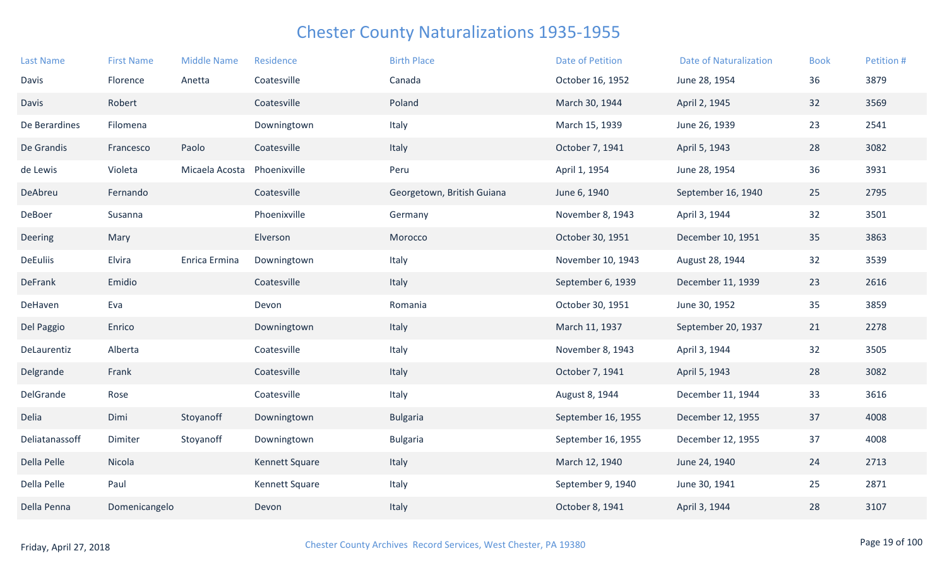| <b>Last Name</b> | <b>First Name</b> | <b>Middle Name</b> | Residence      | <b>Birth Place</b>         | <b>Date of Petition</b> | <b>Date of Naturalization</b> | <b>Book</b> | Petition # |
|------------------|-------------------|--------------------|----------------|----------------------------|-------------------------|-------------------------------|-------------|------------|
| Davis            | Florence          | Anetta             | Coatesville    | Canada                     | October 16, 1952        | June 28, 1954                 | 36          | 3879       |
| <b>Davis</b>     | Robert            |                    | Coatesville    | Poland                     | March 30, 1944          | April 2, 1945                 | 32          | 3569       |
| De Berardines    | Filomena          |                    | Downingtown    | Italy                      | March 15, 1939          | June 26, 1939                 | 23          | 2541       |
| De Grandis       | Francesco         | Paolo              | Coatesville    | Italy                      | October 7, 1941         | April 5, 1943                 | 28          | 3082       |
| de Lewis         | Violeta           | Micaela Acosta     | Phoenixville   | Peru                       | April 1, 1954           | June 28, 1954                 | 36          | 3931       |
| DeAbreu          | Fernando          |                    | Coatesville    | Georgetown, British Guiana | June 6, 1940            | September 16, 1940            | 25          | 2795       |
| DeBoer           | Susanna           |                    | Phoenixville   | Germany                    | November 8, 1943        | April 3, 1944                 | 32          | 3501       |
| Deering          | Mary              |                    | Elverson       | Morocco                    | October 30, 1951        | December 10, 1951             | 35          | 3863       |
| <b>DeEuliis</b>  | Elvira            | Enrica Ermina      | Downingtown    | Italy                      | November 10, 1943       | August 28, 1944               | 32          | 3539       |
| <b>DeFrank</b>   | Emidio            |                    | Coatesville    | Italy                      | September 6, 1939       | December 11, 1939             | 23          | 2616       |
| DeHaven          | Eva               |                    | Devon          | Romania                    | October 30, 1951        | June 30, 1952                 | 35          | 3859       |
| Del Paggio       | Enrico            |                    | Downingtown    | Italy                      | March 11, 1937          | September 20, 1937            | 21          | 2278       |
| DeLaurentiz      | Alberta           |                    | Coatesville    | Italy                      | November 8, 1943        | April 3, 1944                 | 32          | 3505       |
| Delgrande        | Frank             |                    | Coatesville    | Italy                      | October 7, 1941         | April 5, 1943                 | 28          | 3082       |
| DelGrande        | Rose              |                    | Coatesville    | Italy                      | August 8, 1944          | December 11, 1944             | 33          | 3616       |
| Delia            | Dimi              | Stoyanoff          | Downingtown    | <b>Bulgaria</b>            | September 16, 1955      | December 12, 1955             | 37          | 4008       |
| Deliatanassoff   | Dimiter           | Stoyanoff          | Downingtown    | <b>Bulgaria</b>            | September 16, 1955      | December 12, 1955             | 37          | 4008       |
| Della Pelle      | Nicola            |                    | Kennett Square | Italy                      | March 12, 1940          | June 24, 1940                 | 24          | 2713       |
| Della Pelle      | Paul              |                    | Kennett Square | Italy                      | September 9, 1940       | June 30, 1941                 | 25          | 2871       |
| Della Penna      | Domenicangelo     |                    | Devon          | Italy                      | October 8, 1941         | April 3, 1944                 | 28          | 3107       |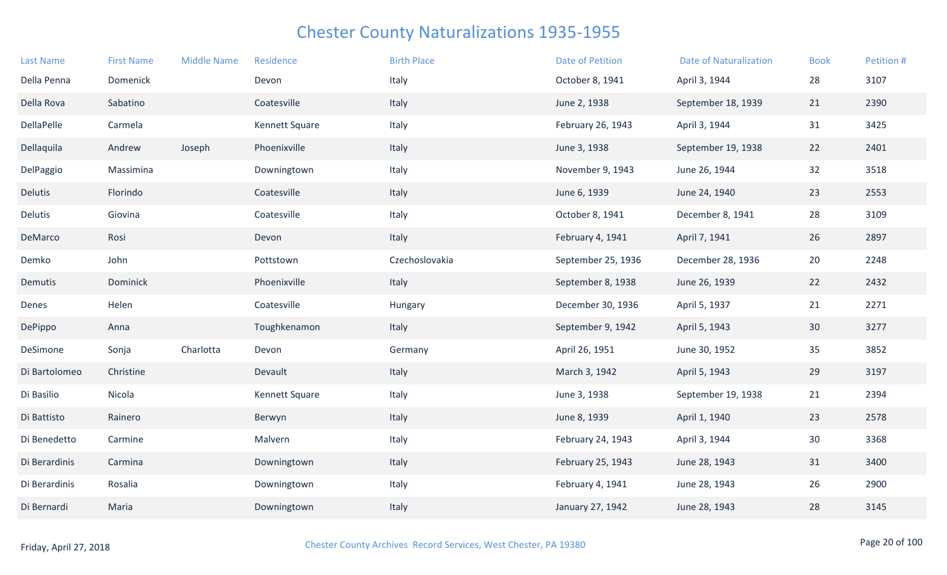| <b>Last Name</b> | <b>First Name</b> | <b>Middle Name</b> | Residence      | <b>Birth Place</b> | <b>Date of Petition</b> | <b>Date of Naturalization</b> | <b>Book</b> | Petition # |
|------------------|-------------------|--------------------|----------------|--------------------|-------------------------|-------------------------------|-------------|------------|
| Della Penna      | Domenick          |                    | Devon          | Italy              | October 8, 1941         | April 3, 1944                 | 28          | 3107       |
| Della Rova       | Sabatino          |                    | Coatesville    | Italy              | June 2, 1938            | September 18, 1939            | 21          | 2390       |
| DellaPelle       | Carmela           |                    | Kennett Square | Italy              | February 26, 1943       | April 3, 1944                 | 31          | 3425       |
| Dellaquila       | Andrew            | Joseph             | Phoenixville   | Italy              | June 3, 1938            | September 19, 1938            | 22          | 2401       |
| DelPaggio        | Massimina         |                    | Downingtown    | Italy              | November 9, 1943        | June 26, 1944                 | 32          | 3518       |
| Delutis          | Florindo          |                    | Coatesville    | Italy              | June 6, 1939            | June 24, 1940                 | 23          | 2553       |
| <b>Delutis</b>   | Giovina           |                    | Coatesville    | Italy              | October 8, 1941         | December 8, 1941              | 28          | 3109       |
| DeMarco          | Rosi              |                    | Devon          | Italy              | February 4, 1941        | April 7, 1941                 | 26          | 2897       |
| Demko            | John              |                    | Pottstown      | Czechoslovakia     | September 25, 1936      | December 28, 1936             | 20          | 2248       |
| Demutis          | Dominick          |                    | Phoenixville   | Italy              | September 8, 1938       | June 26, 1939                 | 22          | 2432       |
| Denes            | Helen             |                    | Coatesville    | Hungary            | December 30, 1936       | April 5, 1937                 | 21          | 2271       |
| DePippo          | Anna              |                    | Toughkenamon   | Italy              | September 9, 1942       | April 5, 1943                 | 30          | 3277       |
| DeSimone         | Sonja             | Charlotta          | Devon          | Germany            | April 26, 1951          | June 30, 1952                 | 35          | 3852       |
| Di Bartolomeo    | Christine         |                    | Devault        | Italy              | March 3, 1942           | April 5, 1943                 | 29          | 3197       |
| Di Basilio       | Nicola            |                    | Kennett Square | Italy              | June 3, 1938            | September 19, 1938            | 21          | 2394       |
| Di Battisto      | Rainero           |                    | Berwyn         | Italy              | June 8, 1939            | April 1, 1940                 | 23          | 2578       |
| Di Benedetto     | Carmine           |                    | Malvern        | Italy              | February 24, 1943       | April 3, 1944                 | 30          | 3368       |
| Di Berardinis    | Carmina           |                    | Downingtown    | Italy              | February 25, 1943       | June 28, 1943                 | 31          | 3400       |
| Di Berardinis    | Rosalia           |                    | Downingtown    | Italy              | February 4, 1941        | June 28, 1943                 | 26          | 2900       |
| Di Bernardi      | Maria             |                    | Downingtown    | Italy              | January 27, 1942        | June 28, 1943                 | 28          | 3145       |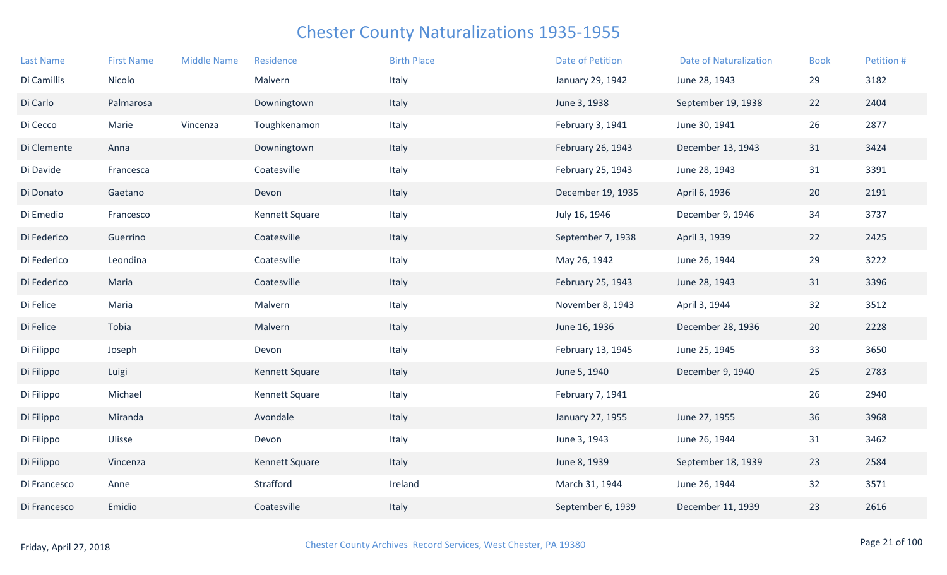| <b>Last Name</b> | <b>First Name</b> | <b>Middle Name</b> | Residence      | <b>Birth Place</b> | Date of Petition  | <b>Date of Naturalization</b> | <b>Book</b> | Petition # |
|------------------|-------------------|--------------------|----------------|--------------------|-------------------|-------------------------------|-------------|------------|
| Di Camillis      | Nicolo            |                    | Malvern        | Italy              | January 29, 1942  | June 28, 1943                 | 29          | 3182       |
| Di Carlo         | Palmarosa         |                    | Downingtown    | Italy              | June 3, 1938      | September 19, 1938            | 22          | 2404       |
| Di Cecco         | Marie             | Vincenza           | Toughkenamon   | Italy              | February 3, 1941  | June 30, 1941                 | 26          | 2877       |
| Di Clemente      | Anna              |                    | Downingtown    | Italy              | February 26, 1943 | December 13, 1943             | 31          | 3424       |
| Di Davide        | Francesca         |                    | Coatesville    | Italy              | February 25, 1943 | June 28, 1943                 | 31          | 3391       |
| Di Donato        | Gaetano           |                    | Devon          | Italy              | December 19, 1935 | April 6, 1936                 | 20          | 2191       |
| Di Emedio        | Francesco         |                    | Kennett Square | Italy              | July 16, 1946     | December 9, 1946              | 34          | 3737       |
| Di Federico      | Guerrino          |                    | Coatesville    | Italy              | September 7, 1938 | April 3, 1939                 | 22          | 2425       |
| Di Federico      | Leondina          |                    | Coatesville    | Italy              | May 26, 1942      | June 26, 1944                 | 29          | 3222       |
| Di Federico      | Maria             |                    | Coatesville    | Italy              | February 25, 1943 | June 28, 1943                 | 31          | 3396       |
| Di Felice        | Maria             |                    | Malvern        | Italy              | November 8, 1943  | April 3, 1944                 | 32          | 3512       |
| Di Felice        | Tobia             |                    | Malvern        | Italy              | June 16, 1936     | December 28, 1936             | 20          | 2228       |
| Di Filippo       | Joseph            |                    | Devon          | Italy              | February 13, 1945 | June 25, 1945                 | 33          | 3650       |
| Di Filippo       | Luigi             |                    | Kennett Square | Italy              | June 5, 1940      | December 9, 1940              | 25          | 2783       |
| Di Filippo       | Michael           |                    | Kennett Square | Italy              | February 7, 1941  |                               | 26          | 2940       |
| Di Filippo       | Miranda           |                    | Avondale       | Italy              | January 27, 1955  | June 27, 1955                 | 36          | 3968       |
| Di Filippo       | Ulisse            |                    | Devon          | Italy              | June 3, 1943      | June 26, 1944                 | 31          | 3462       |
| Di Filippo       | Vincenza          |                    | Kennett Square | Italy              | June 8, 1939      | September 18, 1939            | 23          | 2584       |
| Di Francesco     | Anne              |                    | Strafford      | Ireland            | March 31, 1944    | June 26, 1944                 | 32          | 3571       |
| Di Francesco     | Emidio            |                    | Coatesville    | Italy              | September 6, 1939 | December 11, 1939             | 23          | 2616       |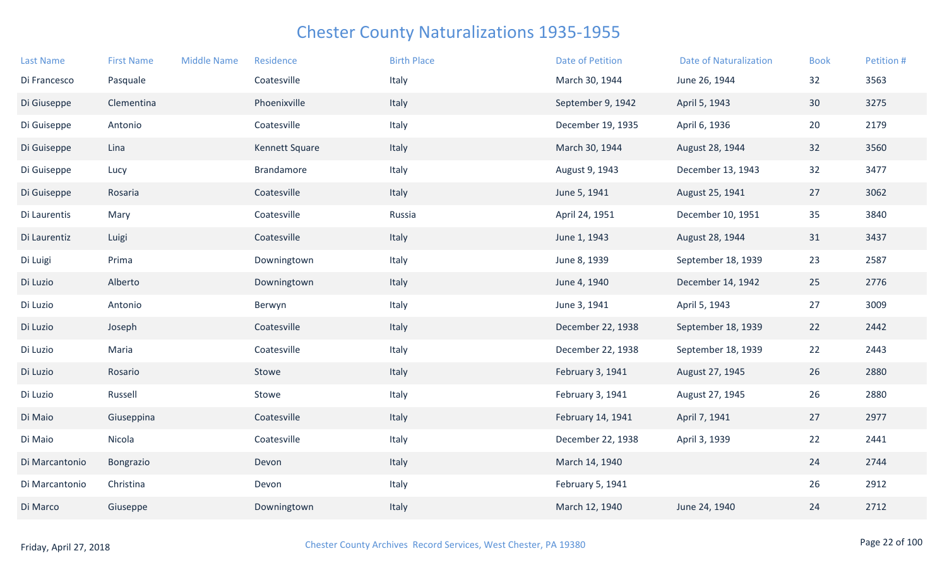| <b>Last Name</b> | <b>First Name</b> | <b>Middle Name</b> | Residence         | <b>Birth Place</b> | <b>Date of Petition</b> | <b>Date of Naturalization</b> | <b>Book</b> | Petition # |
|------------------|-------------------|--------------------|-------------------|--------------------|-------------------------|-------------------------------|-------------|------------|
| Di Francesco     | Pasquale          |                    | Coatesville       | Italy              | March 30, 1944          | June 26, 1944                 | 32          | 3563       |
| Di Giuseppe      | Clementina        |                    | Phoenixville      | Italy              | September 9, 1942       | April 5, 1943                 | 30          | 3275       |
| Di Guiseppe      | Antonio           |                    | Coatesville       | Italy              | December 19, 1935       | April 6, 1936                 | 20          | 2179       |
| Di Guiseppe      | Lina              |                    | Kennett Square    | Italy              | March 30, 1944          | August 28, 1944               | 32          | 3560       |
| Di Guiseppe      | Lucy              |                    | <b>Brandamore</b> | Italy              | August 9, 1943          | December 13, 1943             | 32          | 3477       |
| Di Guiseppe      | Rosaria           |                    | Coatesville       | Italy              | June 5, 1941            | August 25, 1941               | 27          | 3062       |
| Di Laurentis     | Mary              |                    | Coatesville       | Russia             | April 24, 1951          | December 10, 1951             | 35          | 3840       |
| Di Laurentiz     | Luigi             |                    | Coatesville       | Italy              | June 1, 1943            | August 28, 1944               | 31          | 3437       |
| Di Luigi         | Prima             |                    | Downingtown       | Italy              | June 8, 1939            | September 18, 1939            | 23          | 2587       |
| Di Luzio         | Alberto           |                    | Downingtown       | Italy              | June 4, 1940            | December 14, 1942             | 25          | 2776       |
| Di Luzio         | Antonio           |                    | Berwyn            | Italy              | June 3, 1941            | April 5, 1943                 | 27          | 3009       |
| Di Luzio         | Joseph            |                    | Coatesville       | Italy              | December 22, 1938       | September 18, 1939            | 22          | 2442       |
| Di Luzio         | Maria             |                    | Coatesville       | Italy              | December 22, 1938       | September 18, 1939            | 22          | 2443       |
| Di Luzio         | Rosario           |                    | Stowe             | Italy              | February 3, 1941        | August 27, 1945               | 26          | 2880       |
| Di Luzio         | Russell           |                    | Stowe             | Italy              | February 3, 1941        | August 27, 1945               | 26          | 2880       |
| Di Maio          | Giuseppina        |                    | Coatesville       | Italy              | February 14, 1941       | April 7, 1941                 | 27          | 2977       |
| Di Maio          | Nicola            |                    | Coatesville       | Italy              | December 22, 1938       | April 3, 1939                 | 22          | 2441       |
| Di Marcantonio   | Bongrazio         |                    | Devon             | Italy              | March 14, 1940          |                               | 24          | 2744       |
| Di Marcantonio   | Christina         |                    | Devon             | Italy              | February 5, 1941        |                               | 26          | 2912       |
| Di Marco         | Giuseppe          |                    | Downingtown       | Italy              | March 12, 1940          | June 24, 1940                 | 24          | 2712       |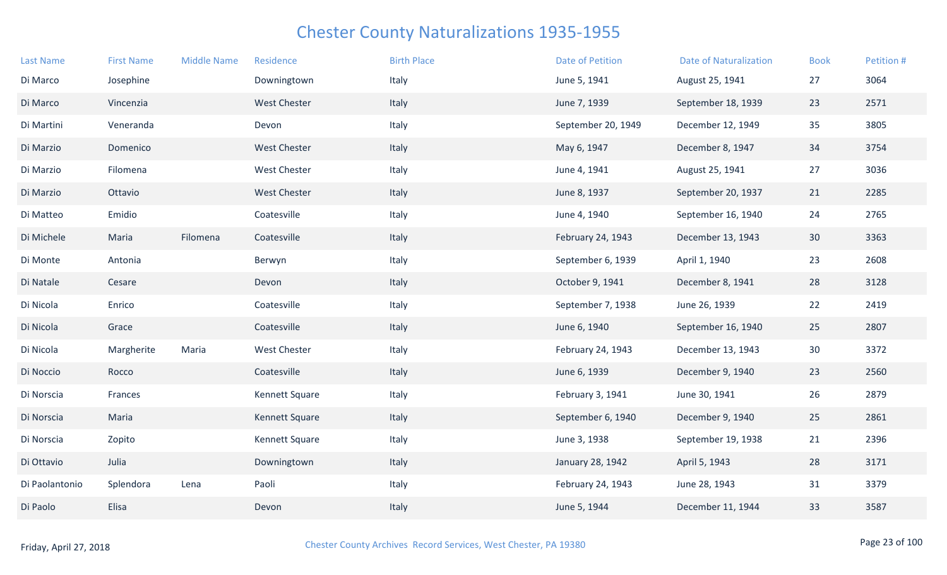| <b>Last Name</b> | <b>First Name</b> | <b>Middle Name</b> | Residence           | <b>Birth Place</b> | <b>Date of Petition</b> | <b>Date of Naturalization</b> | <b>Book</b> | Petition # |
|------------------|-------------------|--------------------|---------------------|--------------------|-------------------------|-------------------------------|-------------|------------|
| Di Marco         | Josephine         |                    | Downingtown         | Italy              | June 5, 1941            | August 25, 1941               | 27          | 3064       |
| Di Marco         | Vincenzia         |                    | <b>West Chester</b> | Italy              | June 7, 1939            | September 18, 1939            | 23          | 2571       |
| Di Martini       | Veneranda         |                    | Devon               | Italy              | September 20, 1949      | December 12, 1949             | 35          | 3805       |
| Di Marzio        | Domenico          |                    | <b>West Chester</b> | Italy              | May 6, 1947             | December 8, 1947              | 34          | 3754       |
| Di Marzio        | Filomena          |                    | <b>West Chester</b> | Italy              | June 4, 1941            | August 25, 1941               | 27          | 3036       |
| Di Marzio        | Ottavio           |                    | <b>West Chester</b> | Italy              | June 8, 1937            | September 20, 1937            | 21          | 2285       |
| Di Matteo        | Emidio            |                    | Coatesville         | Italy              | June 4, 1940            | September 16, 1940            | 24          | 2765       |
| Di Michele       | Maria             | Filomena           | Coatesville         | Italy              | February 24, 1943       | December 13, 1943             | 30          | 3363       |
| Di Monte         | Antonia           |                    | Berwyn              | Italy              | September 6, 1939       | April 1, 1940                 | 23          | 2608       |
| Di Natale        | Cesare            |                    | Devon               | Italy              | October 9, 1941         | December 8, 1941              | 28          | 3128       |
| Di Nicola        | Enrico            |                    | Coatesville         | Italy              | September 7, 1938       | June 26, 1939                 | 22          | 2419       |
| Di Nicola        | Grace             |                    | Coatesville         | Italy              | June 6, 1940            | September 16, 1940            | 25          | 2807       |
| Di Nicola        | Margherite        | Maria              | West Chester        | Italy              | February 24, 1943       | December 13, 1943             | 30          | 3372       |
| Di Noccio        | Rocco             |                    | Coatesville         | Italy              | June 6, 1939            | December 9, 1940              | 23          | 2560       |
| Di Norscia       | Frances           |                    | Kennett Square      | Italy              | February 3, 1941        | June 30, 1941                 | 26          | 2879       |
| Di Norscia       | Maria             |                    | Kennett Square      | Italy              | September 6, 1940       | December 9, 1940              | 25          | 2861       |
| Di Norscia       | Zopito            |                    | Kennett Square      | Italy              | June 3, 1938            | September 19, 1938            | 21          | 2396       |
| Di Ottavio       | Julia             |                    | Downingtown         | Italy              | January 28, 1942        | April 5, 1943                 | 28          | 3171       |
| Di Paolantonio   | Splendora         | Lena               | Paoli               | Italy              | February 24, 1943       | June 28, 1943                 | 31          | 3379       |
| Di Paolo         | Elisa             |                    | Devon               | Italy              | June 5, 1944            | December 11, 1944             | 33          | 3587       |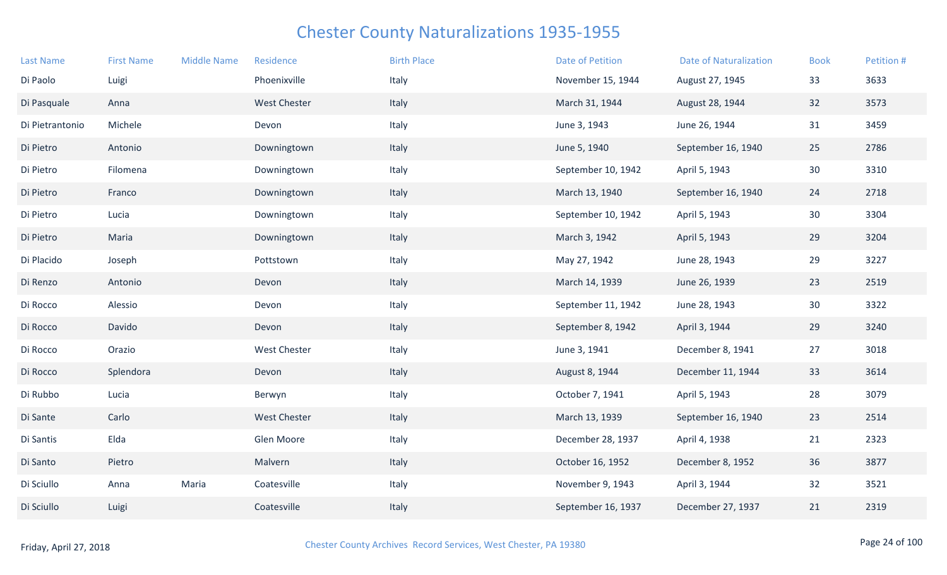| <b>Last Name</b> | <b>First Name</b> | <b>Middle Name</b> | Residence           | <b>Birth Place</b> | <b>Date of Petition</b> | <b>Date of Naturalization</b> | <b>Book</b>     | Petition # |
|------------------|-------------------|--------------------|---------------------|--------------------|-------------------------|-------------------------------|-----------------|------------|
| Di Paolo         | Luigi             |                    | Phoenixville        | Italy              | November 15, 1944       | August 27, 1945               | 33              | 3633       |
| Di Pasquale      | Anna              |                    | <b>West Chester</b> | Italy              | March 31, 1944          | August 28, 1944               | 32              | 3573       |
| Di Pietrantonio  | Michele           |                    | Devon               | Italy              | June 3, 1943            | June 26, 1944                 | 31              | 3459       |
| Di Pietro        | Antonio           |                    | Downingtown         | Italy              | June 5, 1940            | September 16, 1940            | 25              | 2786       |
| Di Pietro        | Filomena          |                    | Downingtown         | Italy              | September 10, 1942      | April 5, 1943                 | 30              | 3310       |
| Di Pietro        | Franco            |                    | Downingtown         | Italy              | March 13, 1940          | September 16, 1940            | 24              | 2718       |
| Di Pietro        | Lucia             |                    | Downingtown         | Italy              | September 10, 1942      | April 5, 1943                 | 30              | 3304       |
| Di Pietro        | Maria             |                    | Downingtown         | Italy              | March 3, 1942           | April 5, 1943                 | 29              | 3204       |
| Di Placido       | Joseph            |                    | Pottstown           | Italy              | May 27, 1942            | June 28, 1943                 | 29              | 3227       |
| Di Renzo         | Antonio           |                    | Devon               | Italy              | March 14, 1939          | June 26, 1939                 | 23              | 2519       |
| Di Rocco         | Alessio           |                    | Devon               | Italy              | September 11, 1942      | June 28, 1943                 | 30 <sup>°</sup> | 3322       |
| Di Rocco         | Davido            |                    | Devon               | Italy              | September 8, 1942       | April 3, 1944                 | 29              | 3240       |
| Di Rocco         | Orazio            |                    | <b>West Chester</b> | Italy              | June 3, 1941            | December 8, 1941              | 27              | 3018       |
| Di Rocco         | Splendora         |                    | Devon               | Italy              | August 8, 1944          | December 11, 1944             | 33              | 3614       |
| Di Rubbo         | Lucia             |                    | Berwyn              | Italy              | October 7, 1941         | April 5, 1943                 | 28              | 3079       |
| Di Sante         | Carlo             |                    | <b>West Chester</b> | Italy              | March 13, 1939          | September 16, 1940            | 23              | 2514       |
| Di Santis        | Elda              |                    | Glen Moore          | Italy              | December 28, 1937       | April 4, 1938                 | 21              | 2323       |
| Di Santo         | Pietro            |                    | Malvern             | Italy              | October 16, 1952        | December 8, 1952              | 36              | 3877       |
| Di Sciullo       | Anna              | Maria              | Coatesville         | Italy              | November 9, 1943        | April 3, 1944                 | 32              | 3521       |
| Di Sciullo       | Luigi             |                    | Coatesville         | Italy              | September 16, 1937      | December 27, 1937             | 21              | 2319       |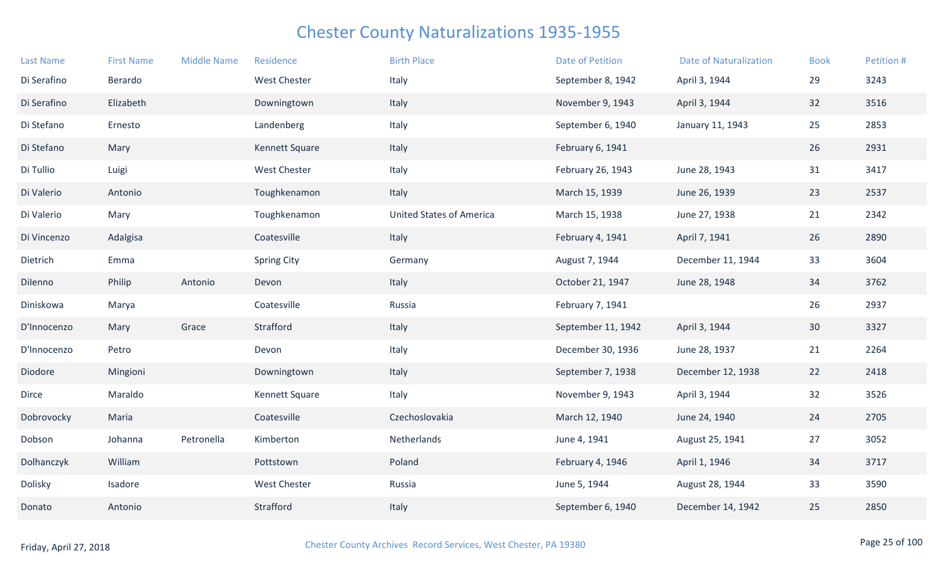| <b>Last Name</b> | <b>First Name</b> | <b>Middle Name</b> | Residence             | <b>Birth Place</b>              | <b>Date of Petition</b> | <b>Date of Naturalization</b> | <b>Book</b> | Petition # |
|------------------|-------------------|--------------------|-----------------------|---------------------------------|-------------------------|-------------------------------|-------------|------------|
| Di Serafino      | Berardo           |                    | <b>West Chester</b>   | Italy                           | September 8, 1942       | April 3, 1944                 | 29          | 3243       |
| Di Serafino      | Elizabeth         |                    | Downingtown           | Italy                           | November 9, 1943        | April 3, 1944                 | 32          | 3516       |
| Di Stefano       | Ernesto           |                    | Landenberg            | Italy                           | September 6, 1940       | January 11, 1943              | 25          | 2853       |
| Di Stefano       | Mary              |                    | Kennett Square        | Italy                           | February 6, 1941        |                               | 26          | 2931       |
| Di Tullio        | Luigi             |                    | <b>West Chester</b>   | Italy                           | February 26, 1943       | June 28, 1943                 | 31          | 3417       |
| Di Valerio       | Antonio           |                    | Toughkenamon          | Italy                           | March 15, 1939          | June 26, 1939                 | 23          | 2537       |
| Di Valerio       | Mary              |                    | Toughkenamon          | <b>United States of America</b> | March 15, 1938          | June 27, 1938                 | 21          | 2342       |
| Di Vincenzo      | Adalgisa          |                    | Coatesville           | Italy                           | February 4, 1941        | April 7, 1941                 | 26          | 2890       |
| Dietrich         | Emma              |                    | <b>Spring City</b>    | Germany                         | August 7, 1944          | December 11, 1944             | 33          | 3604       |
| Dilenno          | Philip            | Antonio            | Devon                 | Italy                           | October 21, 1947        | June 28, 1948                 | 34          | 3762       |
| Diniskowa        | Marya             |                    | Coatesville           | Russia                          | February 7, 1941        |                               | 26          | 2937       |
| D'Innocenzo      | Mary              | Grace              | Strafford             | Italy                           | September 11, 1942      | April 3, 1944                 | 30          | 3327       |
| D'Innocenzo      | Petro             |                    | Devon                 | Italy                           | December 30, 1936       | June 28, 1937                 | 21          | 2264       |
| Diodore          | Mingioni          |                    | Downingtown           | Italy                           | September 7, 1938       | December 12, 1938             | 22          | 2418       |
| Dirce            | Maraldo           |                    | <b>Kennett Square</b> | Italy                           | November 9, 1943        | April 3, 1944                 | 32          | 3526       |
| Dobrovocky       | Maria             |                    | Coatesville           | Czechoslovakia                  | March 12, 1940          | June 24, 1940                 | 24          | 2705       |
| Dobson           | Johanna           | Petronella         | Kimberton             | Netherlands                     | June 4, 1941            | August 25, 1941               | 27          | 3052       |
| Dolhanczyk       | William           |                    | Pottstown             | Poland                          | February 4, 1946        | April 1, 1946                 | 34          | 3717       |
| Dolisky          | Isadore           |                    | West Chester          | Russia                          | June 5, 1944            | August 28, 1944               | 33          | 3590       |
| Donato           | Antonio           |                    | Strafford             | Italy                           | September 6, 1940       | December 14, 1942             | 25          | 2850       |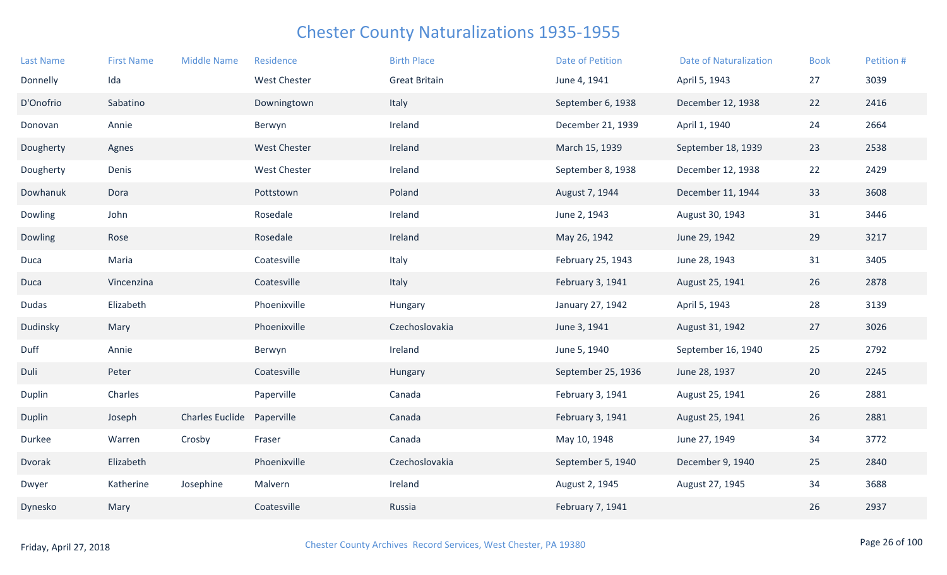| <b>Last Name</b> | <b>First Name</b> | <b>Middle Name</b>     | Residence           | <b>Birth Place</b>   | <b>Date of Petition</b> | <b>Date of Naturalization</b> | <b>Book</b> | Petition # |
|------------------|-------------------|------------------------|---------------------|----------------------|-------------------------|-------------------------------|-------------|------------|
| Donnelly         | Ida               |                        | <b>West Chester</b> | <b>Great Britain</b> | June 4, 1941            | April 5, 1943                 | 27          | 3039       |
| D'Onofrio        | Sabatino          |                        | Downingtown         | Italy                | September 6, 1938       | December 12, 1938             | 22          | 2416       |
| Donovan          | Annie             |                        | Berwyn              | Ireland              | December 21, 1939       | April 1, 1940                 | 24          | 2664       |
| Dougherty        | Agnes             |                        | <b>West Chester</b> | Ireland              | March 15, 1939          | September 18, 1939            | 23          | 2538       |
| Dougherty        | Denis             |                        | <b>West Chester</b> | Ireland              | September 8, 1938       | December 12, 1938             | 22          | 2429       |
| Dowhanuk         | Dora              |                        | Pottstown           | Poland               | August 7, 1944          | December 11, 1944             | 33          | 3608       |
| Dowling          | John              |                        | Rosedale            | Ireland              | June 2, 1943            | August 30, 1943               | 31          | 3446       |
| Dowling          | Rose              |                        | Rosedale            | Ireland              | May 26, 1942            | June 29, 1942                 | 29          | 3217       |
| Duca             | Maria             |                        | Coatesville         | Italy                | February 25, 1943       | June 28, 1943                 | 31          | 3405       |
| Duca             | Vincenzina        |                        | Coatesville         | Italy                | February 3, 1941        | August 25, 1941               | 26          | 2878       |
| <b>Dudas</b>     | Elizabeth         |                        | Phoenixville        | Hungary              | January 27, 1942        | April 5, 1943                 | 28          | 3139       |
| Dudinsky         | Mary              |                        | Phoenixville        | Czechoslovakia       | June 3, 1941            | August 31, 1942               | 27          | 3026       |
| Duff             | Annie             |                        | Berwyn              | Ireland              | June 5, 1940            | September 16, 1940            | 25          | 2792       |
| Duli             | Peter             |                        | Coatesville         | Hungary              | September 25, 1936      | June 28, 1937                 | 20          | 2245       |
| Duplin           | Charles           |                        | Paperville          | Canada               | February 3, 1941        | August 25, 1941               | 26          | 2881       |
| Duplin           | Joseph            | <b>Charles Euclide</b> | Paperville          | Canada               | February 3, 1941        | August 25, 1941               | 26          | 2881       |
| Durkee           | Warren            | Crosby                 | Fraser              | Canada               | May 10, 1948            | June 27, 1949                 | 34          | 3772       |
| Dvorak           | Elizabeth         |                        | Phoenixville        | Czechoslovakia       | September 5, 1940       | December 9, 1940              | 25          | 2840       |
| Dwyer            | Katherine         | Josephine              | Malvern             | Ireland              | August 2, 1945          | August 27, 1945               | 34          | 3688       |
| Dynesko          | Mary              |                        | Coatesville         | Russia               | February 7, 1941        |                               | 26          | 2937       |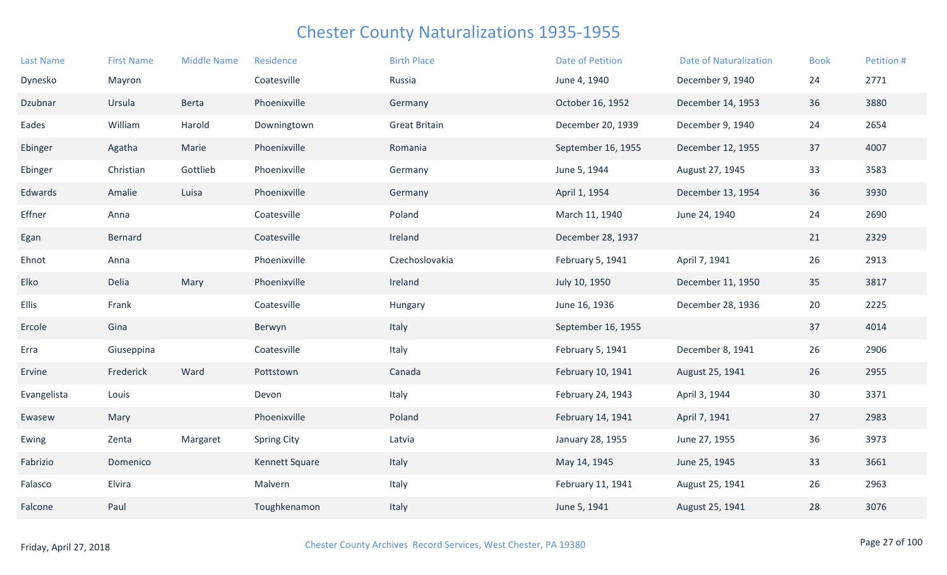| <b>Last Name</b> | <b>First Name</b> | <b>Middle Name</b> | Residence          | <b>Birth Place</b>   | <b>Date of Petition</b> | <b>Date of Naturalization</b> | <b>Book</b> | Petition # |
|------------------|-------------------|--------------------|--------------------|----------------------|-------------------------|-------------------------------|-------------|------------|
| Dynesko          | Mayron            |                    | Coatesville        | Russia               | June 4, 1940            | December 9, 1940              | 24          | 2771       |
| Dzubnar          | Ursula            | Berta              | Phoenixville       | Germany              | October 16, 1952        | December 14, 1953             | 36          | 3880       |
| Eades            | William           | Harold             | Downingtown        | <b>Great Britain</b> | December 20, 1939       | December 9, 1940              | 24          | 2654       |
| Ebinger          | Agatha            | Marie              | Phoenixville       | Romania              | September 16, 1955      | December 12, 1955             | 37          | 4007       |
| Ebinger          | Christian         | Gottlieb           | Phoenixville       | Germany              | June 5, 1944            | August 27, 1945               | 33          | 3583       |
| Edwards          | Amalie            | Luisa              | Phoenixville       | Germany              | April 1, 1954           | December 13, 1954             | 36          | 3930       |
| Effner           | Anna              |                    | Coatesville        | Poland               | March 11, 1940          | June 24, 1940                 | 24          | 2690       |
| Egan             | Bernard           |                    | Coatesville        | Ireland              | December 28, 1937       |                               | 21          | 2329       |
| Ehnot            | Anna              |                    | Phoenixville       | Czechoslovakia       | February 5, 1941        | April 7, 1941                 | 26          | 2913       |
| Elko             | Delia             | Mary               | Phoenixville       | Ireland              | July 10, 1950           | December 11, 1950             | 35          | 3817       |
| Ellis            | Frank             |                    | Coatesville        | Hungary              | June 16, 1936           | December 28, 1936             | 20          | 2225       |
| Ercole           | Gina              |                    | Berwyn             | Italy                | September 16, 1955      |                               | 37          | 4014       |
| Erra             | Giuseppina        |                    | Coatesville        | Italy                | February 5, 1941        | December 8, 1941              | 26          | 2906       |
| Ervine           | Frederick         | Ward               | Pottstown          | Canada               | February 10, 1941       | August 25, 1941               | 26          | 2955       |
| Evangelista      | Louis             |                    | Devon              | Italy                | February 24, 1943       | April 3, 1944                 | 30          | 3371       |
| Ewasew           | Mary              |                    | Phoenixville       | Poland               | February 14, 1941       | April 7, 1941                 | 27          | 2983       |
| Ewing            | Zenta             | Margaret           | <b>Spring City</b> | Latvia               | January 28, 1955        | June 27, 1955                 | 36          | 3973       |
| Fabrizio         | Domenico          |                    | Kennett Square     | Italy                | May 14, 1945            | June 25, 1945                 | 33          | 3661       |
| Falasco          | Elvira            |                    | Malvern            | Italy                | February 11, 1941       | August 25, 1941               | 26          | 2963       |
| Falcone          | Paul              |                    | Toughkenamon       | Italy                | June 5, 1941            | August 25, 1941               | 28          | 3076       |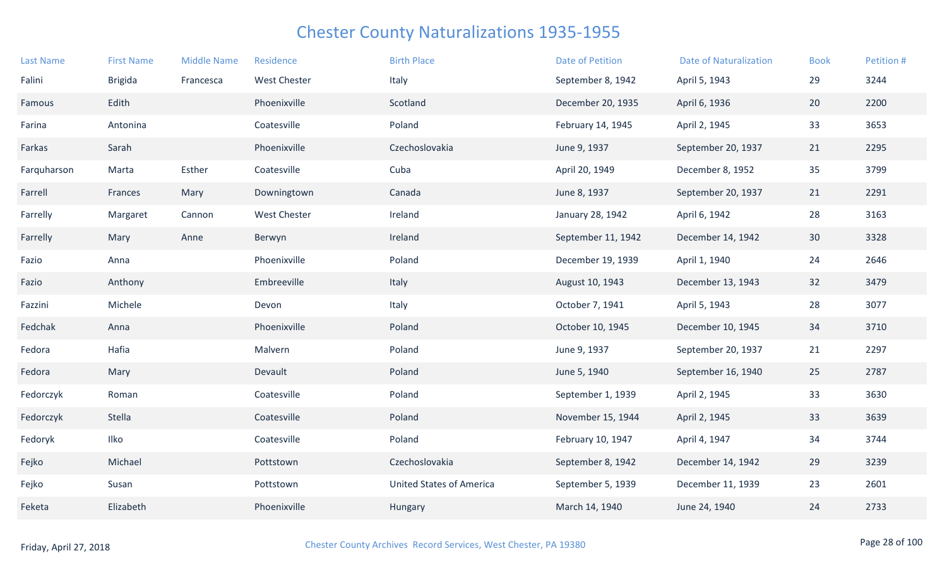| <b>Last Name</b> | <b>First Name</b> | <b>Middle Name</b> | Residence           | <b>Birth Place</b>              | Date of Petition   | <b>Date of Naturalization</b> | <b>Book</b>     | Petition # |
|------------------|-------------------|--------------------|---------------------|---------------------------------|--------------------|-------------------------------|-----------------|------------|
| Falini           | <b>Brigida</b>    | Francesca          | <b>West Chester</b> | Italy                           | September 8, 1942  | April 5, 1943                 | 29              | 3244       |
| Famous           | Edith             |                    | Phoenixville        | Scotland                        | December 20, 1935  | April 6, 1936                 | 20              | 2200       |
| Farina           | Antonina          |                    | Coatesville         | Poland                          | February 14, 1945  | April 2, 1945                 | 33              | 3653       |
| Farkas           | Sarah             |                    | Phoenixville        | Czechoslovakia                  | June 9, 1937       | September 20, 1937            | 21              | 2295       |
| Farquharson      | Marta             | Esther             | Coatesville         | Cuba                            | April 20, 1949     | December 8, 1952              | 35              | 3799       |
| Farrell          | Frances           | Mary               | Downingtown         | Canada                          | June 8, 1937       | September 20, 1937            | 21              | 2291       |
| Farrelly         | Margaret          | Cannon             | <b>West Chester</b> | Ireland                         | January 28, 1942   | April 6, 1942                 | 28              | 3163       |
| Farrelly         | Mary              | Anne               | Berwyn              | Ireland                         | September 11, 1942 | December 14, 1942             | 30 <sup>°</sup> | 3328       |
| Fazio            | Anna              |                    | Phoenixville        | Poland                          | December 19, 1939  | April 1, 1940                 | 24              | 2646       |
| Fazio            | Anthony           |                    | Embreeville         | Italy                           | August 10, 1943    | December 13, 1943             | 32              | 3479       |
| Fazzini          | Michele           |                    | Devon               | Italy                           | October 7, 1941    | April 5, 1943                 | 28              | 3077       |
| Fedchak          | Anna              |                    | Phoenixville        | Poland                          | October 10, 1945   | December 10, 1945             | 34              | 3710       |
| Fedora           | Hafia             |                    | Malvern             | Poland                          | June 9, 1937       | September 20, 1937            | 21              | 2297       |
| Fedora           | Mary              |                    | Devault             | Poland                          | June 5, 1940       | September 16, 1940            | 25              | 2787       |
| Fedorczyk        | Roman             |                    | Coatesville         | Poland                          | September 1, 1939  | April 2, 1945                 | 33              | 3630       |
| Fedorczyk        | Stella            |                    | Coatesville         | Poland                          | November 15, 1944  | April 2, 1945                 | 33              | 3639       |
| Fedoryk          | Ilko              |                    | Coatesville         | Poland                          | February 10, 1947  | April 4, 1947                 | 34              | 3744       |
| Fejko            | Michael           |                    | Pottstown           | Czechoslovakia                  | September 8, 1942  | December 14, 1942             | 29              | 3239       |
| Fejko            | Susan             |                    | Pottstown           | <b>United States of America</b> | September 5, 1939  | December 11, 1939             | 23              | 2601       |
| Feketa           | Elizabeth         |                    | Phoenixville        | Hungary                         | March 14, 1940     | June 24, 1940                 | 24              | 2733       |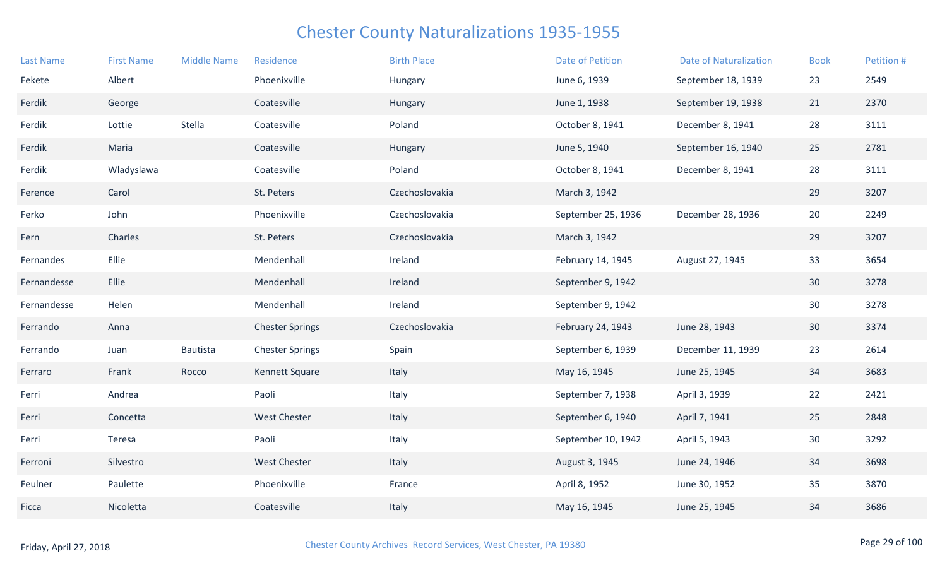| <b>Last Name</b> | <b>First Name</b> | <b>Middle Name</b> | Residence              | <b>Birth Place</b> | <b>Date of Petition</b> | <b>Date of Naturalization</b> | <b>Book</b> | Petition # |
|------------------|-------------------|--------------------|------------------------|--------------------|-------------------------|-------------------------------|-------------|------------|
| Fekete           | Albert            |                    | Phoenixville           | Hungary            | June 6, 1939            | September 18, 1939            | 23          | 2549       |
| Ferdik           | George            |                    | Coatesville            | Hungary            | June 1, 1938            | September 19, 1938            | 21          | 2370       |
| Ferdik           | Lottie            | Stella             | Coatesville            | Poland             | October 8, 1941         | December 8, 1941              | 28          | 3111       |
| Ferdik           | Maria             |                    | Coatesville            | Hungary            | June 5, 1940            | September 16, 1940            | 25          | 2781       |
| Ferdik           | Wladyslawa        |                    | Coatesville            | Poland             | October 8, 1941         | December 8, 1941              | 28          | 3111       |
| Ference          | Carol             |                    | St. Peters             | Czechoslovakia     | March 3, 1942           |                               | 29          | 3207       |
| Ferko            | John              |                    | Phoenixville           | Czechoslovakia     | September 25, 1936      | December 28, 1936             | 20          | 2249       |
| Fern             | Charles           |                    | St. Peters             | Czechoslovakia     | March 3, 1942           |                               | 29          | 3207       |
| Fernandes        | Ellie             |                    | Mendenhall             | Ireland            | February 14, 1945       | August 27, 1945               | 33          | 3654       |
| Fernandesse      | Ellie             |                    | Mendenhall             | Ireland            | September 9, 1942       |                               | 30          | 3278       |
| Fernandesse      | Helen             |                    | Mendenhall             | Ireland            | September 9, 1942       |                               | 30          | 3278       |
| Ferrando         | Anna              |                    | <b>Chester Springs</b> | Czechoslovakia     | February 24, 1943       | June 28, 1943                 | 30          | 3374       |
| Ferrando         | Juan              | Bautista           | <b>Chester Springs</b> | Spain              | September 6, 1939       | December 11, 1939             | 23          | 2614       |
| Ferraro          | Frank             | Rocco              | Kennett Square         | Italy              | May 16, 1945            | June 25, 1945                 | 34          | 3683       |
| Ferri            | Andrea            |                    | Paoli                  | Italy              | September 7, 1938       | April 3, 1939                 | 22          | 2421       |
| Ferri            | Concetta          |                    | West Chester           | Italy              | September 6, 1940       | April 7, 1941                 | 25          | 2848       |
| Ferri            | Teresa            |                    | Paoli                  | Italy              | September 10, 1942      | April 5, 1943                 | 30          | 3292       |
| Ferroni          | Silvestro         |                    | <b>West Chester</b>    | Italy              | August 3, 1945          | June 24, 1946                 | 34          | 3698       |
| Feulner          | Paulette          |                    | Phoenixville           | France             | April 8, 1952           | June 30, 1952                 | 35          | 3870       |
| Ficca            | Nicoletta         |                    | Coatesville            | Italy              | May 16, 1945            | June 25, 1945                 | 34          | 3686       |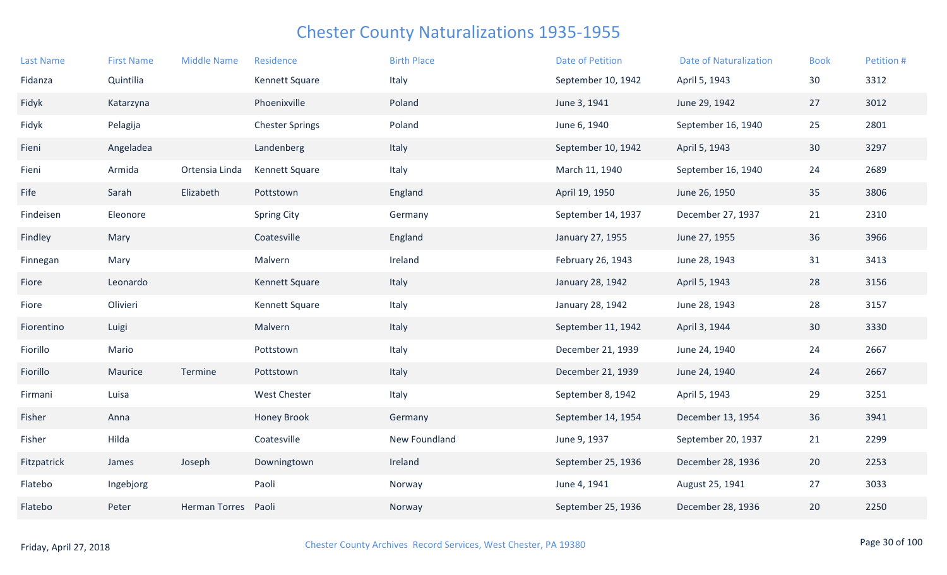| <b>Last Name</b> | <b>First Name</b> | <b>Middle Name</b>   | Residence              | <b>Birth Place</b> | <b>Date of Petition</b> | <b>Date of Naturalization</b> | <b>Book</b> | Petition # |
|------------------|-------------------|----------------------|------------------------|--------------------|-------------------------|-------------------------------|-------------|------------|
| Fidanza          | Quintilia         |                      | Kennett Square         | Italy              | September 10, 1942      | April 5, 1943                 | 30          | 3312       |
| Fidyk            | Katarzyna         |                      | Phoenixville           | Poland             | June 3, 1941            | June 29, 1942                 | 27          | 3012       |
| Fidyk            | Pelagija          |                      | <b>Chester Springs</b> | Poland             | June 6, 1940            | September 16, 1940            | 25          | 2801       |
| Fieni            | Angeladea         |                      | Landenberg             | Italy              | September 10, 1942      | April 5, 1943                 | 30          | 3297       |
| Fieni            | Armida            | Ortensia Linda       | Kennett Square         | Italy              | March 11, 1940          | September 16, 1940            | 24          | 2689       |
| Fife             | Sarah             | Elizabeth            | Pottstown              | England            | April 19, 1950          | June 26, 1950                 | 35          | 3806       |
| Findeisen        | Eleonore          |                      | <b>Spring City</b>     | Germany            | September 14, 1937      | December 27, 1937             | 21          | 2310       |
| Findley          | Mary              |                      | Coatesville            | England            | January 27, 1955        | June 27, 1955                 | 36          | 3966       |
| Finnegan         | Mary              |                      | Malvern                | Ireland            | February 26, 1943       | June 28, 1943                 | 31          | 3413       |
| Fiore            | Leonardo          |                      | Kennett Square         | Italy              | January 28, 1942        | April 5, 1943                 | 28          | 3156       |
| Fiore            | Olivieri          |                      | Kennett Square         | Italy              | January 28, 1942        | June 28, 1943                 | 28          | 3157       |
| Fiorentino       | Luigi             |                      | Malvern                | Italy              | September 11, 1942      | April 3, 1944                 | 30          | 3330       |
| Fiorillo         | Mario             |                      | Pottstown              | Italy              | December 21, 1939       | June 24, 1940                 | 24          | 2667       |
| Fiorillo         | Maurice           | Termine              | Pottstown              | Italy              | December 21, 1939       | June 24, 1940                 | 24          | 2667       |
| Firmani          | Luisa             |                      | <b>West Chester</b>    | Italy              | September 8, 1942       | April 5, 1943                 | 29          | 3251       |
| Fisher           | Anna              |                      | <b>Honey Brook</b>     | Germany            | September 14, 1954      | December 13, 1954             | 36          | 3941       |
| Fisher           | Hilda             |                      | Coatesville            | New Foundland      | June 9, 1937            | September 20, 1937            | 21          | 2299       |
| Fitzpatrick      | James             | Joseph               | Downingtown            | Ireland            | September 25, 1936      | December 28, 1936             | 20          | 2253       |
| Flatebo          | Ingebjorg         |                      | Paoli                  | Norway             | June 4, 1941            | August 25, 1941               | 27          | 3033       |
| Flatebo          | Peter             | <b>Herman Torres</b> | Paoli                  | Norway             | September 25, 1936      | December 28, 1936             | 20          | 2250       |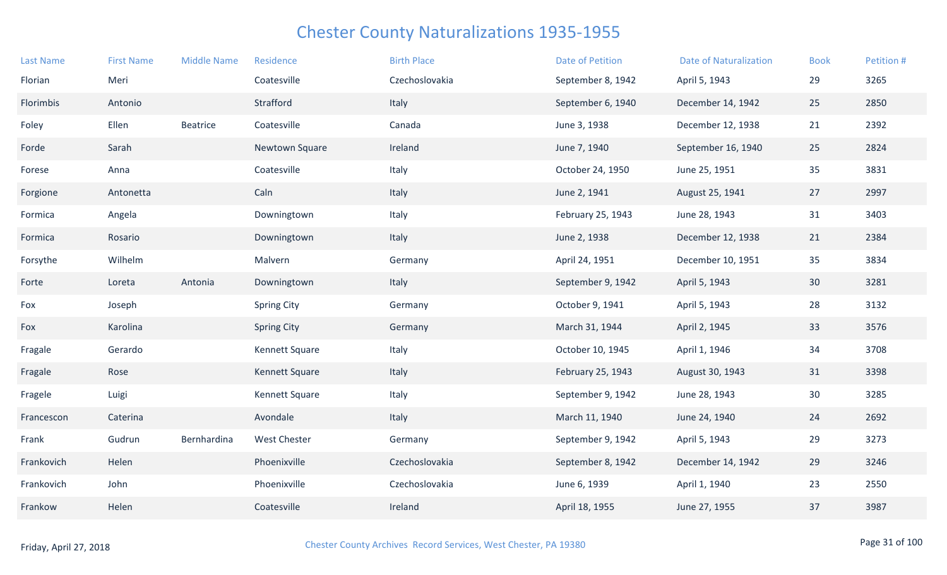| <b>Last Name</b> | <b>First Name</b> | <b>Middle Name</b> | Residence           | <b>Birth Place</b> | <b>Date of Petition</b> | <b>Date of Naturalization</b> | <b>Book</b> | Petition # |
|------------------|-------------------|--------------------|---------------------|--------------------|-------------------------|-------------------------------|-------------|------------|
| Florian          | Meri              |                    | Coatesville         | Czechoslovakia     | September 8, 1942       | April 5, 1943                 | 29          | 3265       |
| Florimbis        | Antonio           |                    | Strafford           | Italy              | September 6, 1940       | December 14, 1942             | 25          | 2850       |
| Foley            | Ellen             | <b>Beatrice</b>    | Coatesville         | Canada             | June 3, 1938            | December 12, 1938             | 21          | 2392       |
| Forde            | Sarah             |                    | Newtown Square      | Ireland            | June 7, 1940            | September 16, 1940            | 25          | 2824       |
| Forese           | Anna              |                    | Coatesville         | Italy              | October 24, 1950        | June 25, 1951                 | 35          | 3831       |
| Forgione         | Antonetta         |                    | Caln                | Italy              | June 2, 1941            | August 25, 1941               | 27          | 2997       |
| Formica          | Angela            |                    | Downingtown         | Italy              | February 25, 1943       | June 28, 1943                 | 31          | 3403       |
| Formica          | Rosario           |                    | Downingtown         | Italy              | June 2, 1938            | December 12, 1938             | 21          | 2384       |
| Forsythe         | Wilhelm           |                    | Malvern             | Germany            | April 24, 1951          | December 10, 1951             | 35          | 3834       |
| Forte            | Loreta            | Antonia            | Downingtown         | Italy              | September 9, 1942       | April 5, 1943                 | 30          | 3281       |
| Fox              | Joseph            |                    | <b>Spring City</b>  | Germany            | October 9, 1941         | April 5, 1943                 | 28          | 3132       |
| Fox              | Karolina          |                    | <b>Spring City</b>  | Germany            | March 31, 1944          | April 2, 1945                 | 33          | 3576       |
| Fragale          | Gerardo           |                    | Kennett Square      | Italy              | October 10, 1945        | April 1, 1946                 | 34          | 3708       |
| Fragale          | Rose              |                    | Kennett Square      | Italy              | February 25, 1943       | August 30, 1943               | 31          | 3398       |
| Fragele          | Luigi             |                    | Kennett Square      | Italy              | September 9, 1942       | June 28, 1943                 | 30          | 3285       |
| Francescon       | Caterina          |                    | Avondale            | Italy              | March 11, 1940          | June 24, 1940                 | 24          | 2692       |
| Frank            | Gudrun            | Bernhardina        | <b>West Chester</b> | Germany            | September 9, 1942       | April 5, 1943                 | 29          | 3273       |
| Frankovich       | Helen             |                    | Phoenixville        | Czechoslovakia     | September 8, 1942       | December 14, 1942             | 29          | 3246       |
| Frankovich       | John              |                    | Phoenixville        | Czechoslovakia     | June 6, 1939            | April 1, 1940                 | 23          | 2550       |
| Frankow          | Helen             |                    | Coatesville         | Ireland            | April 18, 1955          | June 27, 1955                 | 37          | 3987       |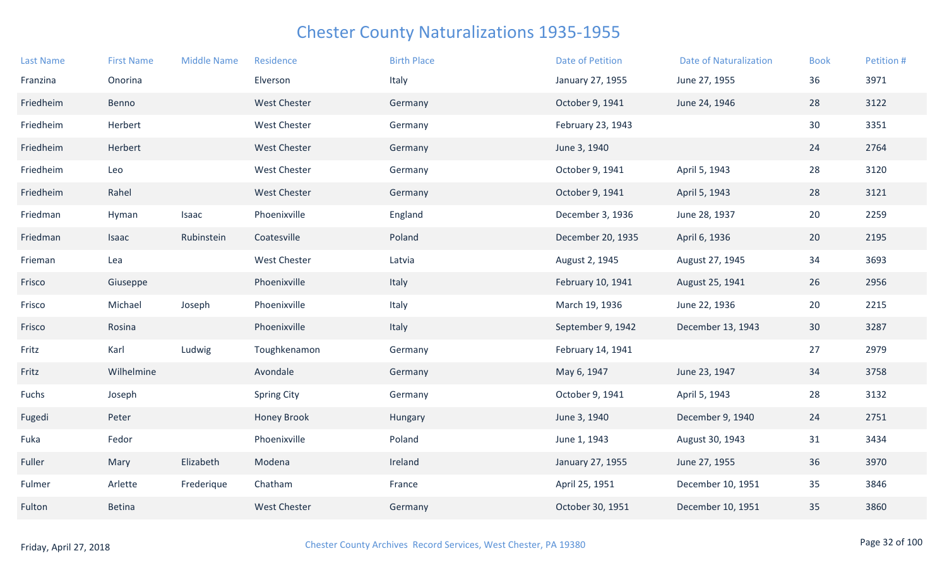| <b>Last Name</b> | <b>First Name</b> | <b>Middle Name</b> | Residence           | <b>Birth Place</b> | <b>Date of Petition</b> | <b>Date of Naturalization</b> | <b>Book</b> | Petition # |
|------------------|-------------------|--------------------|---------------------|--------------------|-------------------------|-------------------------------|-------------|------------|
| Franzina         | Onorina           |                    | Elverson            | Italy              | January 27, 1955        | June 27, 1955                 | 36          | 3971       |
| Friedheim        | Benno             |                    | <b>West Chester</b> | Germany            | October 9, 1941         | June 24, 1946                 | 28          | 3122       |
| Friedheim        | Herbert           |                    | <b>West Chester</b> | Germany            | February 23, 1943       |                               | 30          | 3351       |
| Friedheim        | Herbert           |                    | <b>West Chester</b> | Germany            | June 3, 1940            |                               | 24          | 2764       |
| Friedheim        | Leo               |                    | <b>West Chester</b> | Germany            | October 9, 1941         | April 5, 1943                 | 28          | 3120       |
| Friedheim        | Rahel             |                    | <b>West Chester</b> | Germany            | October 9, 1941         | April 5, 1943                 | 28          | 3121       |
| Friedman         | Hyman             | Isaac              | Phoenixville        | England            | December 3, 1936        | June 28, 1937                 | 20          | 2259       |
| Friedman         | Isaac             | Rubinstein         | Coatesville         | Poland             | December 20, 1935       | April 6, 1936                 | 20          | 2195       |
| Frieman          | Lea               |                    | <b>West Chester</b> | Latvia             | August 2, 1945          | August 27, 1945               | 34          | 3693       |
| Frisco           | Giuseppe          |                    | Phoenixville        | Italy              | February 10, 1941       | August 25, 1941               | 26          | 2956       |
| Frisco           | Michael           | Joseph             | Phoenixville        | Italy              | March 19, 1936          | June 22, 1936                 | 20          | 2215       |
| Frisco           | Rosina            |                    | Phoenixville        | Italy              | September 9, 1942       | December 13, 1943             | 30          | 3287       |
| Fritz            | Karl              | Ludwig             | Toughkenamon        | Germany            | February 14, 1941       |                               | 27          | 2979       |
| Fritz            | Wilhelmine        |                    | Avondale            | Germany            | May 6, 1947             | June 23, 1947                 | 34          | 3758       |
| Fuchs            | Joseph            |                    | <b>Spring City</b>  | Germany            | October 9, 1941         | April 5, 1943                 | 28          | 3132       |
| Fugedi           | Peter             |                    | <b>Honey Brook</b>  | Hungary            | June 3, 1940            | December 9, 1940              | 24          | 2751       |
| Fuka             | Fedor             |                    | Phoenixville        | Poland             | June 1, 1943            | August 30, 1943               | 31          | 3434       |
| Fuller           | Mary              | Elizabeth          | Modena              | Ireland            | January 27, 1955        | June 27, 1955                 | 36          | 3970       |
| Fulmer           | Arlette           | Frederique         | Chatham             | France             | April 25, 1951          | December 10, 1951             | 35          | 3846       |
| Fulton           | <b>Betina</b>     |                    | <b>West Chester</b> | Germany            | October 30, 1951        | December 10, 1951             | 35          | 3860       |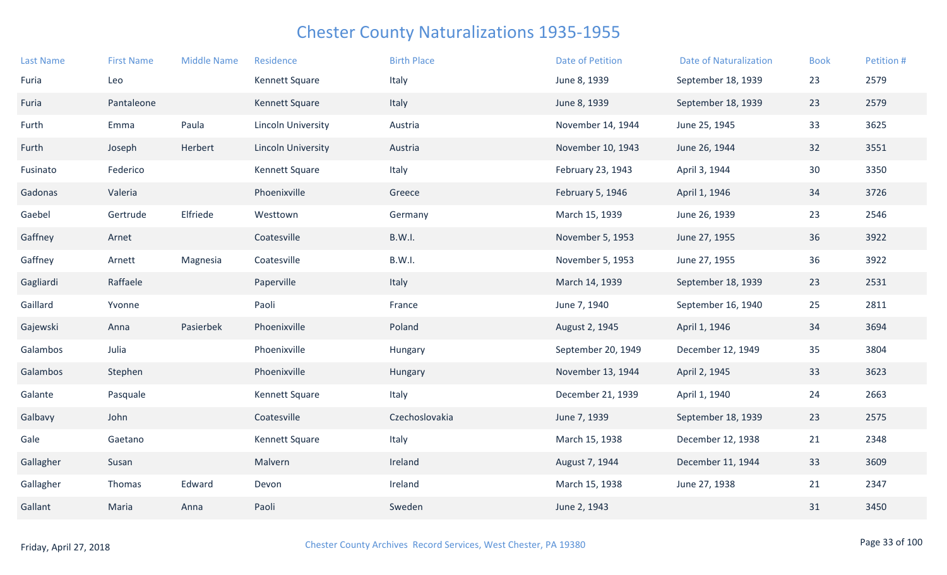| <b>Last Name</b> | <b>First Name</b> | <b>Middle Name</b> | Residence                 | <b>Birth Place</b> | <b>Date of Petition</b> | <b>Date of Naturalization</b> | <b>Book</b> | Petition # |
|------------------|-------------------|--------------------|---------------------------|--------------------|-------------------------|-------------------------------|-------------|------------|
| Furia            | Leo               |                    | Kennett Square            | Italy              | June 8, 1939            | September 18, 1939            | 23          | 2579       |
| Furia            | Pantaleone        |                    | Kennett Square            | Italy              | June 8, 1939            | September 18, 1939            | 23          | 2579       |
| Furth            | Emma              | Paula              | <b>Lincoln University</b> | Austria            | November 14, 1944       | June 25, 1945                 | 33          | 3625       |
| Furth            | Joseph            | Herbert            | <b>Lincoln University</b> | Austria            | November 10, 1943       | June 26, 1944                 | 32          | 3551       |
| Fusinato         | Federico          |                    | <b>Kennett Square</b>     | Italy              | February 23, 1943       | April 3, 1944                 | 30          | 3350       |
| Gadonas          | Valeria           |                    | Phoenixville              | Greece             | February 5, 1946        | April 1, 1946                 | 34          | 3726       |
| Gaebel           | Gertrude          | Elfriede           | Westtown                  | Germany            | March 15, 1939          | June 26, 1939                 | 23          | 2546       |
| Gaffney          | Arnet             |                    | Coatesville               | B.W.I.             | November 5, 1953        | June 27, 1955                 | 36          | 3922       |
| Gaffney          | Arnett            | Magnesia           | Coatesville               | B.W.I.             | November 5, 1953        | June 27, 1955                 | 36          | 3922       |
| Gagliardi        | Raffaele          |                    | Paperville                | Italy              | March 14, 1939          | September 18, 1939            | 23          | 2531       |
| Gaillard         | Yvonne            |                    | Paoli                     | France             | June 7, 1940            | September 16, 1940            | 25          | 2811       |
| Gajewski         | Anna              | Pasierbek          | Phoenixville              | Poland             | August 2, 1945          | April 1, 1946                 | 34          | 3694       |
| Galambos         | Julia             |                    | Phoenixville              | Hungary            | September 20, 1949      | December 12, 1949             | 35          | 3804       |
| Galambos         | Stephen           |                    | Phoenixville              | Hungary            | November 13, 1944       | April 2, 1945                 | 33          | 3623       |
| Galante          | Pasquale          |                    | Kennett Square            | Italy              | December 21, 1939       | April 1, 1940                 | 24          | 2663       |
| Galbavy          | John              |                    | Coatesville               | Czechoslovakia     | June 7, 1939            | September 18, 1939            | 23          | 2575       |
| Gale             | Gaetano           |                    | Kennett Square            | Italy              | March 15, 1938          | December 12, 1938             | 21          | 2348       |
| Gallagher        | Susan             |                    | Malvern                   | Ireland            | August 7, 1944          | December 11, 1944             | 33          | 3609       |
| Gallagher        | Thomas            | Edward             | Devon                     | Ireland            | March 15, 1938          | June 27, 1938                 | 21          | 2347       |
| Gallant          | Maria             | Anna               | Paoli                     | Sweden             | June 2, 1943            |                               | 31          | 3450       |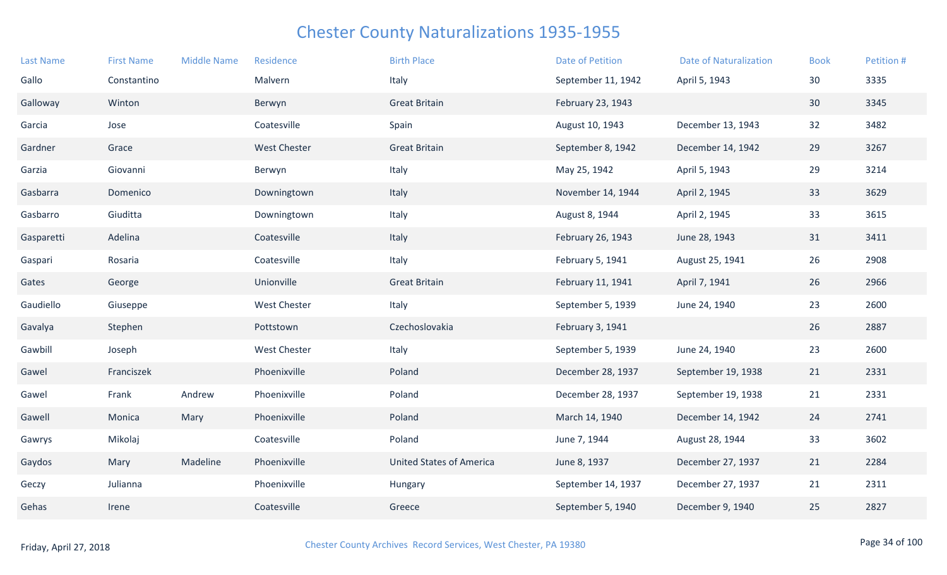| <b>Last Name</b> | <b>First Name</b> | <b>Middle Name</b> | Residence           | <b>Birth Place</b>              | <b>Date of Petition</b> | <b>Date of Naturalization</b> | <b>Book</b> | Petition # |
|------------------|-------------------|--------------------|---------------------|---------------------------------|-------------------------|-------------------------------|-------------|------------|
| Gallo            | Constantino       |                    | Malvern             | Italy                           | September 11, 1942      | April 5, 1943                 | 30          | 3335       |
| Galloway         | Winton            |                    | Berwyn              | <b>Great Britain</b>            | February 23, 1943       |                               | 30          | 3345       |
| Garcia           | Jose              |                    | Coatesville         | Spain                           | August 10, 1943         | December 13, 1943             | 32          | 3482       |
| Gardner          | Grace             |                    | <b>West Chester</b> | <b>Great Britain</b>            | September 8, 1942       | December 14, 1942             | 29          | 3267       |
| Garzia           | Giovanni          |                    | Berwyn              | Italy                           | May 25, 1942            | April 5, 1943                 | 29          | 3214       |
| Gasbarra         | Domenico          |                    | Downingtown         | Italy                           | November 14, 1944       | April 2, 1945                 | 33          | 3629       |
| Gasbarro         | Giuditta          |                    | Downingtown         | Italy                           | August 8, 1944          | April 2, 1945                 | 33          | 3615       |
| Gasparetti       | Adelina           |                    | Coatesville         | Italy                           | February 26, 1943       | June 28, 1943                 | 31          | 3411       |
| Gaspari          | Rosaria           |                    | Coatesville         | Italy                           | February 5, 1941        | August 25, 1941               | 26          | 2908       |
| Gates            | George            |                    | Unionville          | <b>Great Britain</b>            | February 11, 1941       | April 7, 1941                 | 26          | 2966       |
| Gaudiello        | Giuseppe          |                    | <b>West Chester</b> | Italy                           | September 5, 1939       | June 24, 1940                 | 23          | 2600       |
| Gavalya          | Stephen           |                    | Pottstown           | Czechoslovakia                  | February 3, 1941        |                               | 26          | 2887       |
| Gawbill          | Joseph            |                    | <b>West Chester</b> | Italy                           | September 5, 1939       | June 24, 1940                 | 23          | 2600       |
| Gawel            | Franciszek        |                    | Phoenixville        | Poland                          | December 28, 1937       | September 19, 1938            | 21          | 2331       |
| Gawel            | Frank             | Andrew             | Phoenixville        | Poland                          | December 28, 1937       | September 19, 1938            | 21          | 2331       |
| Gawell           | Monica            | Mary               | Phoenixville        | Poland                          | March 14, 1940          | December 14, 1942             | 24          | 2741       |
| Gawrys           | Mikolaj           |                    | Coatesville         | Poland                          | June 7, 1944            | August 28, 1944               | 33          | 3602       |
| Gaydos           | Mary              | Madeline           | Phoenixville        | <b>United States of America</b> | June 8, 1937            | December 27, 1937             | 21          | 2284       |
| Geczy            | Julianna          |                    | Phoenixville        | Hungary                         | September 14, 1937      | December 27, 1937             | 21          | 2311       |
| Gehas            | Irene             |                    | Coatesville         | Greece                          | September 5, 1940       | December 9, 1940              | 25          | 2827       |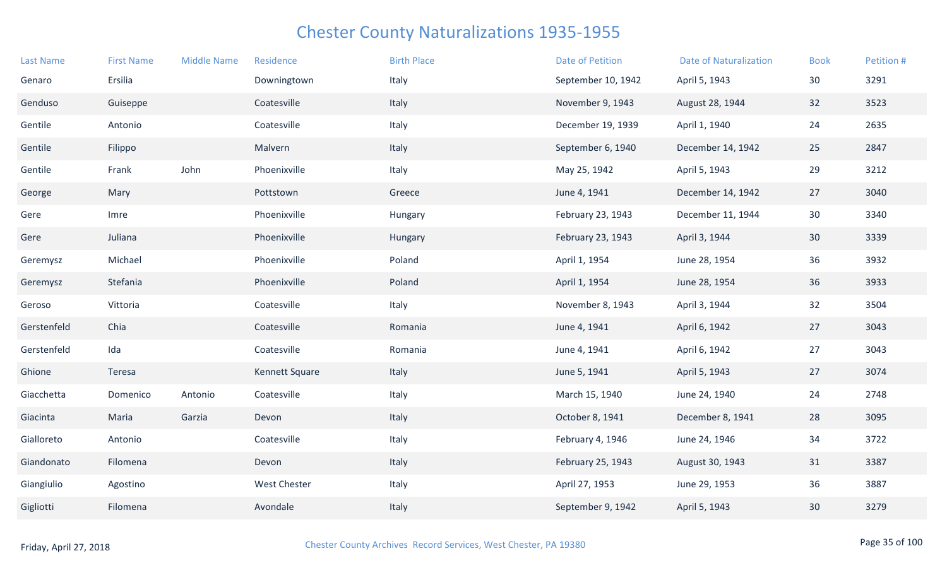| <b>Last Name</b> | <b>First Name</b> | <b>Middle Name</b> | Residence      | <b>Birth Place</b> | Date of Petition   | <b>Date of Naturalization</b> | <b>Book</b>     | Petition # |
|------------------|-------------------|--------------------|----------------|--------------------|--------------------|-------------------------------|-----------------|------------|
| Genaro           | Ersilia           |                    | Downingtown    | Italy              | September 10, 1942 | April 5, 1943                 | 30              | 3291       |
| Genduso          | Guiseppe          |                    | Coatesville    | Italy              | November 9, 1943   | August 28, 1944               | 32              | 3523       |
| Gentile          | Antonio           |                    | Coatesville    | Italy              | December 19, 1939  | April 1, 1940                 | 24              | 2635       |
| Gentile          | Filippo           |                    | Malvern        | Italy              | September 6, 1940  | December 14, 1942             | 25              | 2847       |
| Gentile          | Frank             | John               | Phoenixville   | Italy              | May 25, 1942       | April 5, 1943                 | 29              | 3212       |
| George           | Mary              |                    | Pottstown      | Greece             | June 4, 1941       | December 14, 1942             | 27              | 3040       |
| Gere             | Imre              |                    | Phoenixville   | Hungary            | February 23, 1943  | December 11, 1944             | 30              | 3340       |
| Gere             | Juliana           |                    | Phoenixville   | Hungary            | February 23, 1943  | April 3, 1944                 | 30 <sup>°</sup> | 3339       |
| Geremysz         | Michael           |                    | Phoenixville   | Poland             | April 1, 1954      | June 28, 1954                 | 36              | 3932       |
| Geremysz         | Stefania          |                    | Phoenixville   | Poland             | April 1, 1954      | June 28, 1954                 | 36              | 3933       |
| Geroso           | Vittoria          |                    | Coatesville    | Italy              | November 8, 1943   | April 3, 1944                 | 32              | 3504       |
| Gerstenfeld      | Chia              |                    | Coatesville    | Romania            | June 4, 1941       | April 6, 1942                 | 27              | 3043       |
| Gerstenfeld      | Ida               |                    | Coatesville    | Romania            | June 4, 1941       | April 6, 1942                 | 27              | 3043       |
| Ghione           | Teresa            |                    | Kennett Square | Italy              | June 5, 1941       | April 5, 1943                 | 27              | 3074       |
| Giacchetta       | Domenico          | Antonio            | Coatesville    | Italy              | March 15, 1940     | June 24, 1940                 | 24              | 2748       |
| Giacinta         | Maria             | Garzia             | Devon          | Italy              | October 8, 1941    | December 8, 1941              | 28              | 3095       |
| Gialloreto       | Antonio           |                    | Coatesville    | Italy              | February 4, 1946   | June 24, 1946                 | 34              | 3722       |
| Giandonato       | Filomena          |                    | Devon          | Italy              | February 25, 1943  | August 30, 1943               | 31              | 3387       |
| Giangiulio       | Agostino          |                    | West Chester   | Italy              | April 27, 1953     | June 29, 1953                 | 36              | 3887       |
| Gigliotti        | Filomena          |                    | Avondale       | Italy              | September 9, 1942  | April 5, 1943                 | 30              | 3279       |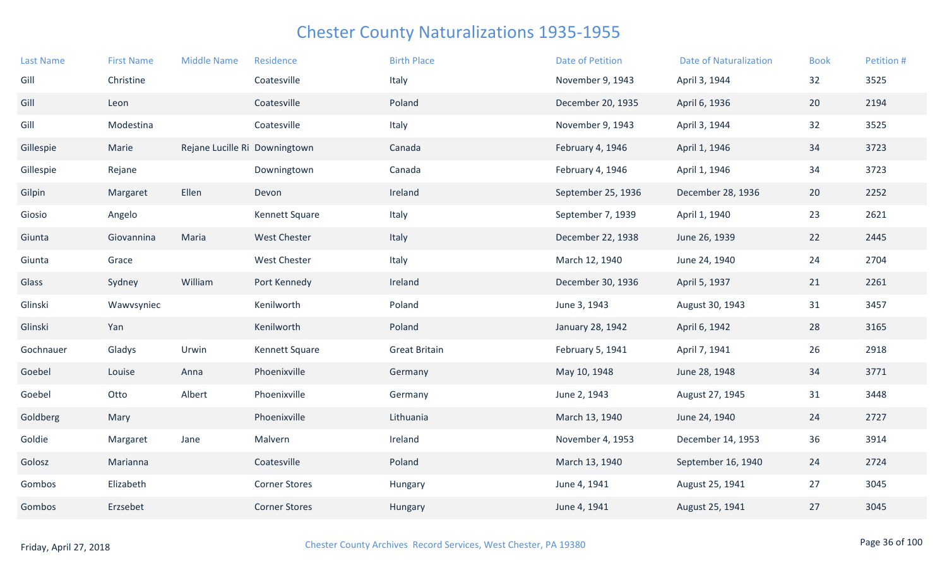| <b>Last Name</b> | <b>First Name</b> | <b>Middle Name</b>            | Residence            | <b>Birth Place</b>   | <b>Date of Petition</b> | <b>Date of Naturalization</b> | <b>Book</b> | Petition # |
|------------------|-------------------|-------------------------------|----------------------|----------------------|-------------------------|-------------------------------|-------------|------------|
| Gill             | Christine         |                               | Coatesville          | Italy                | November 9, 1943        | April 3, 1944                 | 32          | 3525       |
| Gill             | Leon              |                               | Coatesville          | Poland               | December 20, 1935       | April 6, 1936                 | 20          | 2194       |
| Gill             | Modestina         |                               | Coatesville          | Italy                | November 9, 1943        | April 3, 1944                 | 32          | 3525       |
| Gillespie        | Marie             | Rejane Lucille Ri Downingtown |                      | Canada               | February 4, 1946        | April 1, 1946                 | 34          | 3723       |
| Gillespie        | Rejane            |                               | Downingtown          | Canada               | February 4, 1946        | April 1, 1946                 | 34          | 3723       |
| Gilpin           | Margaret          | Ellen                         | Devon                | Ireland              | September 25, 1936      | December 28, 1936             | 20          | 2252       |
| Giosio           | Angelo            |                               | Kennett Square       | Italy                | September 7, 1939       | April 1, 1940                 | 23          | 2621       |
| Giunta           | Giovannina        | Maria                         | <b>West Chester</b>  | Italy                | December 22, 1938       | June 26, 1939                 | 22          | 2445       |
| Giunta           | Grace             |                               | <b>West Chester</b>  | Italy                | March 12, 1940          | June 24, 1940                 | 24          | 2704       |
| Glass            | Sydney            | William                       | Port Kennedy         | Ireland              | December 30, 1936       | April 5, 1937                 | 21          | 2261       |
| Glinski          | Wawvsyniec        |                               | Kenilworth           | Poland               | June 3, 1943            | August 30, 1943               | 31          | 3457       |
| Glinski          | Yan               |                               | Kenilworth           | Poland               | January 28, 1942        | April 6, 1942                 | 28          | 3165       |
| Gochnauer        | Gladys            | Urwin                         | Kennett Square       | <b>Great Britain</b> | February 5, 1941        | April 7, 1941                 | 26          | 2918       |
| Goebel           | Louise            | Anna                          | Phoenixville         | Germany              | May 10, 1948            | June 28, 1948                 | 34          | 3771       |
| Goebel           | Otto              | Albert                        | Phoenixville         | Germany              | June 2, 1943            | August 27, 1945               | 31          | 3448       |
| Goldberg         | Mary              |                               | Phoenixville         | Lithuania            | March 13, 1940          | June 24, 1940                 | 24          | 2727       |
| Goldie           | Margaret          | Jane                          | Malvern              | Ireland              | November 4, 1953        | December 14, 1953             | 36          | 3914       |
| Golosz           | Marianna          |                               | Coatesville          | Poland               | March 13, 1940          | September 16, 1940            | 24          | 2724       |
| Gombos           | Elizabeth         |                               | <b>Corner Stores</b> | Hungary              | June 4, 1941            | August 25, 1941               | 27          | 3045       |
| Gombos           | Erzsebet          |                               | <b>Corner Stores</b> | Hungary              | June 4, 1941            | August 25, 1941               | 27          | 3045       |
|                  |                   |                               |                      |                      |                         |                               |             |            |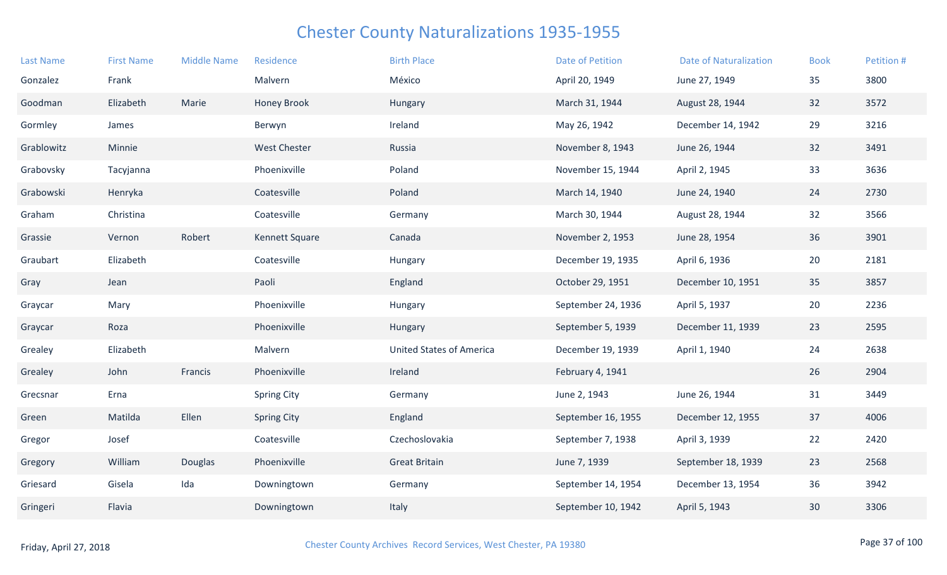| <b>Last Name</b> | <b>First Name</b> | <b>Middle Name</b> | Residence           | <b>Birth Place</b>              | <b>Date of Petition</b> | <b>Date of Naturalization</b> | <b>Book</b> | Petition # |
|------------------|-------------------|--------------------|---------------------|---------------------------------|-------------------------|-------------------------------|-------------|------------|
| Gonzalez         | Frank             |                    | Malvern             | México                          | April 20, 1949          | June 27, 1949                 | 35          | 3800       |
| Goodman          | Elizabeth         | Marie              | <b>Honey Brook</b>  | Hungary                         | March 31, 1944          | August 28, 1944               | 32          | 3572       |
| Gormley          | James             |                    | Berwyn              | Ireland                         | May 26, 1942            | December 14, 1942             | 29          | 3216       |
| Grablowitz       | Minnie            |                    | <b>West Chester</b> | Russia                          | November 8, 1943        | June 26, 1944                 | 32          | 3491       |
| Grabovsky        | Tacyjanna         |                    | Phoenixville        | Poland                          | November 15, 1944       | April 2, 1945                 | 33          | 3636       |
| Grabowski        | Henryka           |                    | Coatesville         | Poland                          | March 14, 1940          | June 24, 1940                 | 24          | 2730       |
| Graham           | Christina         |                    | Coatesville         | Germany                         | March 30, 1944          | August 28, 1944               | 32          | 3566       |
| Grassie          | Vernon            | Robert             | Kennett Square      | Canada                          | November 2, 1953        | June 28, 1954                 | 36          | 3901       |
| Graubart         | Elizabeth         |                    | Coatesville         | Hungary                         | December 19, 1935       | April 6, 1936                 | 20          | 2181       |
| Gray             | Jean              |                    | Paoli               | England                         | October 29, 1951        | December 10, 1951             | 35          | 3857       |
| Graycar          | Mary              |                    | Phoenixville        | Hungary                         | September 24, 1936      | April 5, 1937                 | 20          | 2236       |
| Graycar          | Roza              |                    | Phoenixville        | Hungary                         | September 5, 1939       | December 11, 1939             | 23          | 2595       |
| Grealey          | Elizabeth         |                    | Malvern             | <b>United States of America</b> | December 19, 1939       | April 1, 1940                 | 24          | 2638       |
| Grealey          | John              | Francis            | Phoenixville        | Ireland                         | February 4, 1941        |                               | 26          | 2904       |
| Grecsnar         | Erna              |                    | <b>Spring City</b>  | Germany                         | June 2, 1943            | June 26, 1944                 | 31          | 3449       |
| Green            | Matilda           | Ellen              | <b>Spring City</b>  | England                         | September 16, 1955      | December 12, 1955             | 37          | 4006       |
| Gregor           | Josef             |                    | Coatesville         | Czechoslovakia                  | September 7, 1938       | April 3, 1939                 | 22          | 2420       |
| Gregory          | William           | Douglas            | Phoenixville        | <b>Great Britain</b>            | June 7, 1939            | September 18, 1939            | 23          | 2568       |
| Griesard         | Gisela            | Ida                | Downingtown         | Germany                         | September 14, 1954      | December 13, 1954             | 36          | 3942       |
| Gringeri         | Flavia            |                    | Downingtown         | Italy                           | September 10, 1942      | April 5, 1943                 | 30          | 3306       |
|                  |                   |                    |                     |                                 |                         |                               |             |            |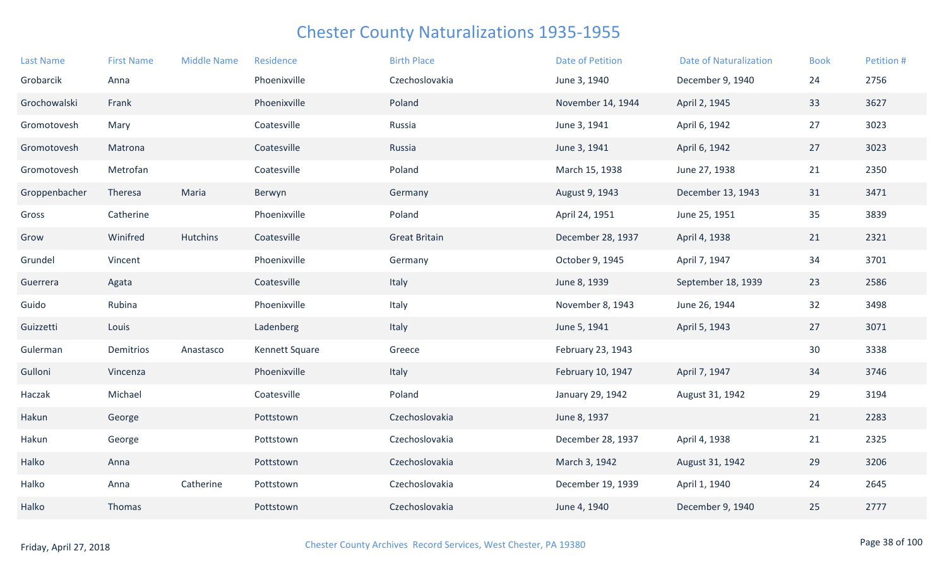| <b>Last Name</b> | <b>First Name</b> | <b>Middle Name</b> | Residence      | <b>Birth Place</b>   | <b>Date of Petition</b> | <b>Date of Naturalization</b> | <b>Book</b> | Petition # |
|------------------|-------------------|--------------------|----------------|----------------------|-------------------------|-------------------------------|-------------|------------|
| Grobarcik        | Anna              |                    | Phoenixville   | Czechoslovakia       | June 3, 1940            | December 9, 1940              | 24          | 2756       |
| Grochowalski     | Frank             |                    | Phoenixville   | Poland               | November 14, 1944       | April 2, 1945                 | 33          | 3627       |
| Gromotovesh      | Mary              |                    | Coatesville    | Russia               | June 3, 1941            | April 6, 1942                 | 27          | 3023       |
| Gromotovesh      | Matrona           |                    | Coatesville    | Russia               | June 3, 1941            | April 6, 1942                 | 27          | 3023       |
| Gromotovesh      | Metrofan          |                    | Coatesville    | Poland               | March 15, 1938          | June 27, 1938                 | 21          | 2350       |
| Groppenbacher    | Theresa           | Maria              | Berwyn         | Germany              | August 9, 1943          | December 13, 1943             | 31          | 3471       |
| Gross            | Catherine         |                    | Phoenixville   | Poland               | April 24, 1951          | June 25, 1951                 | 35          | 3839       |
| Grow             | Winifred          | Hutchins           | Coatesville    | <b>Great Britain</b> | December 28, 1937       | April 4, 1938                 | 21          | 2321       |
| Grundel          | Vincent           |                    | Phoenixville   | Germany              | October 9, 1945         | April 7, 1947                 | 34          | 3701       |
| Guerrera         | Agata             |                    | Coatesville    | Italy                | June 8, 1939            | September 18, 1939            | 23          | 2586       |
| Guido            | Rubina            |                    | Phoenixville   | Italy                | November 8, 1943        | June 26, 1944                 | 32          | 3498       |
| Guizzetti        | Louis             |                    | Ladenberg      | Italy                | June 5, 1941            | April 5, 1943                 | 27          | 3071       |
| Gulerman         | Demitrios         | Anastasco          | Kennett Square | Greece               | February 23, 1943       |                               | 30          | 3338       |
| Gulloni          | Vincenza          |                    | Phoenixville   | Italy                | February 10, 1947       | April 7, 1947                 | 34          | 3746       |
| Haczak           | Michael           |                    | Coatesville    | Poland               | January 29, 1942        | August 31, 1942               | 29          | 3194       |
| Hakun            | George            |                    | Pottstown      | Czechoslovakia       | June 8, 1937            |                               | 21          | 2283       |
| Hakun            | George            |                    | Pottstown      | Czechoslovakia       | December 28, 1937       | April 4, 1938                 | 21          | 2325       |
| Halko            | Anna              |                    | Pottstown      | Czechoslovakia       | March 3, 1942           | August 31, 1942               | 29          | 3206       |
| Halko            | Anna              | Catherine          | Pottstown      | Czechoslovakia       | December 19, 1939       | April 1, 1940                 | 24          | 2645       |
| Halko            | Thomas            |                    | Pottstown      | Czechoslovakia       | June 4, 1940            | December 9, 1940              | 25          | 2777       |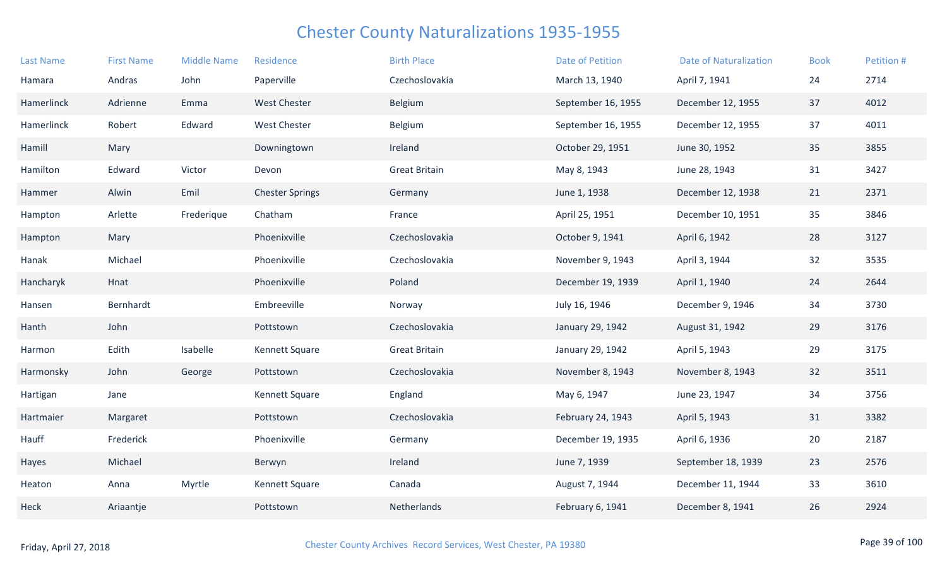| <b>Last Name</b> | <b>First Name</b> | <b>Middle Name</b> | Residence              | <b>Birth Place</b>   | <b>Date of Petition</b> | <b>Date of Naturalization</b> | <b>Book</b> | Petition # |
|------------------|-------------------|--------------------|------------------------|----------------------|-------------------------|-------------------------------|-------------|------------|
| Hamara           | Andras            | John               | Paperville             | Czechoslovakia       | March 13, 1940          | April 7, 1941                 | 24          | 2714       |
| Hamerlinck       | Adrienne          | Emma               | <b>West Chester</b>    | Belgium              | September 16, 1955      | December 12, 1955             | 37          | 4012       |
| Hamerlinck       | Robert            | Edward             | <b>West Chester</b>    | Belgium              | September 16, 1955      | December 12, 1955             | 37          | 4011       |
| Hamill           | Mary              |                    | Downingtown            | Ireland              | October 29, 1951        | June 30, 1952                 | 35          | 3855       |
| Hamilton         | Edward            | Victor             | Devon                  | <b>Great Britain</b> | May 8, 1943             | June 28, 1943                 | 31          | 3427       |
| Hammer           | Alwin             | Emil               | <b>Chester Springs</b> | Germany              | June 1, 1938            | December 12, 1938             | 21          | 2371       |
| Hampton          | Arlette           | Frederique         | Chatham                | France               | April 25, 1951          | December 10, 1951             | 35          | 3846       |
| Hampton          | Mary              |                    | Phoenixville           | Czechoslovakia       | October 9, 1941         | April 6, 1942                 | 28          | 3127       |
| Hanak            | Michael           |                    | Phoenixville           | Czechoslovakia       | November 9, 1943        | April 3, 1944                 | 32          | 3535       |
| Hancharyk        | Hnat              |                    | Phoenixville           | Poland               | December 19, 1939       | April 1, 1940                 | 24          | 2644       |
| Hansen           | Bernhardt         |                    | Embreeville            | Norway               | July 16, 1946           | December 9, 1946              | 34          | 3730       |
| Hanth            | John              |                    | Pottstown              | Czechoslovakia       | January 29, 1942        | August 31, 1942               | 29          | 3176       |
| Harmon           | Edith             | Isabelle           | Kennett Square         | <b>Great Britain</b> | January 29, 1942        | April 5, 1943                 | 29          | 3175       |
| Harmonsky        | John              | George             | Pottstown              | Czechoslovakia       | November 8, 1943        | November 8, 1943              | 32          | 3511       |
| Hartigan         | Jane              |                    | Kennett Square         | England              | May 6, 1947             | June 23, 1947                 | 34          | 3756       |
| Hartmaier        | Margaret          |                    | Pottstown              | Czechoslovakia       | February 24, 1943       | April 5, 1943                 | 31          | 3382       |
| Hauff            | Frederick         |                    | Phoenixville           | Germany              | December 19, 1935       | April 6, 1936                 | 20          | 2187       |
| Hayes            | Michael           |                    | Berwyn                 | Ireland              | June 7, 1939            | September 18, 1939            | 23          | 2576       |
| Heaton           | Anna              | Myrtle             | Kennett Square         | Canada               | August 7, 1944          | December 11, 1944             | 33          | 3610       |
| Heck             | Ariaantje         |                    | Pottstown              | Netherlands          | February 6, 1941        | December 8, 1941              | 26          | 2924       |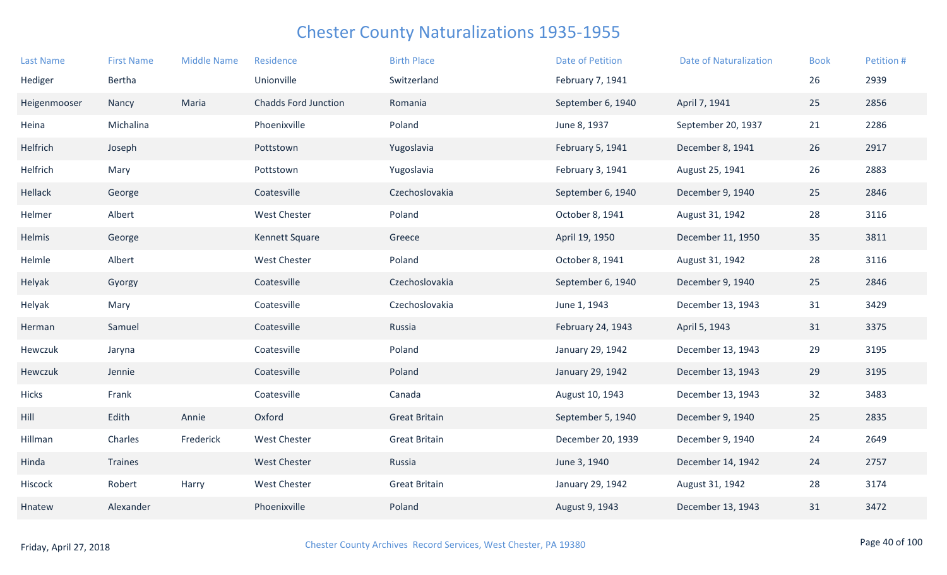| <b>Last Name</b> | <b>First Name</b> | <b>Middle Name</b> | Residence                   | <b>Birth Place</b>   | <b>Date of Petition</b> | <b>Date of Naturalization</b> | <b>Book</b> | Petition # |
|------------------|-------------------|--------------------|-----------------------------|----------------------|-------------------------|-------------------------------|-------------|------------|
| Hediger          | Bertha            |                    | Unionville                  | Switzerland          | February 7, 1941        |                               | 26          | 2939       |
| Heigenmooser     | Nancy             | Maria              | <b>Chadds Ford Junction</b> | Romania              | September 6, 1940       | April 7, 1941                 | 25          | 2856       |
| Heina            | Michalina         |                    | Phoenixville                | Poland               | June 8, 1937            | September 20, 1937            | 21          | 2286       |
| Helfrich         | Joseph            |                    | Pottstown                   | Yugoslavia           | February 5, 1941        | December 8, 1941              | 26          | 2917       |
| Helfrich         | Mary              |                    | Pottstown                   | Yugoslavia           | February 3, 1941        | August 25, 1941               | 26          | 2883       |
| Hellack          | George            |                    | Coatesville                 | Czechoslovakia       | September 6, 1940       | December 9, 1940              | 25          | 2846       |
| Helmer           | Albert            |                    | <b>West Chester</b>         | Poland               | October 8, 1941         | August 31, 1942               | 28          | 3116       |
| Helmis           | George            |                    | Kennett Square              | Greece               | April 19, 1950          | December 11, 1950             | 35          | 3811       |
| Helmle           | Albert            |                    | West Chester                | Poland               | October 8, 1941         | August 31, 1942               | 28          | 3116       |
| Helyak           | Gyorgy            |                    | Coatesville                 | Czechoslovakia       | September 6, 1940       | December 9, 1940              | 25          | 2846       |
| Helyak           | Mary              |                    | Coatesville                 | Czechoslovakia       | June 1, 1943            | December 13, 1943             | 31          | 3429       |
| Herman           | Samuel            |                    | Coatesville                 | Russia               | February 24, 1943       | April 5, 1943                 | 31          | 3375       |
| Hewczuk          | Jaryna            |                    | Coatesville                 | Poland               | January 29, 1942        | December 13, 1943             | 29          | 3195       |
| Hewczuk          | Jennie            |                    | Coatesville                 | Poland               | January 29, 1942        | December 13, 1943             | 29          | 3195       |
| Hicks            | Frank             |                    | Coatesville                 | Canada               | August 10, 1943         | December 13, 1943             | 32          | 3483       |
| Hill             | Edith             | Annie              | Oxford                      | <b>Great Britain</b> | September 5, 1940       | December 9, 1940              | 25          | 2835       |
| Hillman          | Charles           | Frederick          | <b>West Chester</b>         | <b>Great Britain</b> | December 20, 1939       | December 9, 1940              | 24          | 2649       |
| Hinda            | Traines           |                    | <b>West Chester</b>         | Russia               | June 3, 1940            | December 14, 1942             | 24          | 2757       |
| Hiscock          | Robert            | Harry              | West Chester                | <b>Great Britain</b> | January 29, 1942        | August 31, 1942               | 28          | 3174       |
| Hnatew           | Alexander         |                    | Phoenixville                | Poland               | August 9, 1943          | December 13, 1943             | 31          | 3472       |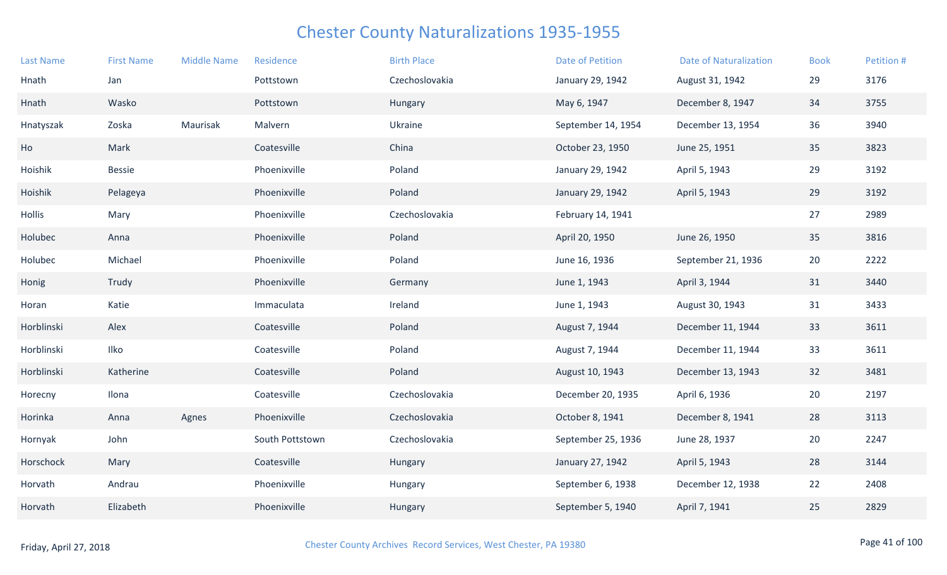| <b>Last Name</b> | <b>First Name</b> | <b>Middle Name</b> | Residence       | <b>Birth Place</b> | <b>Date of Petition</b> | <b>Date of Naturalization</b> | <b>Book</b> | Petition # |
|------------------|-------------------|--------------------|-----------------|--------------------|-------------------------|-------------------------------|-------------|------------|
| Hnath            | Jan               |                    | Pottstown       | Czechoslovakia     | January 29, 1942        | August 31, 1942               | 29          | 3176       |
| Hnath            | Wasko             |                    | Pottstown       | Hungary            | May 6, 1947             | December 8, 1947              | 34          | 3755       |
| Hnatyszak        | Zoska             | Maurisak           | Malvern         | Ukraine            | September 14, 1954      | December 13, 1954             | 36          | 3940       |
| Ho               | Mark              |                    | Coatesville     | China              | October 23, 1950        | June 25, 1951                 | 35          | 3823       |
| Hoishik          | <b>Bessie</b>     |                    | Phoenixville    | Poland             | January 29, 1942        | April 5, 1943                 | 29          | 3192       |
| Hoishik          | Pelageya          |                    | Phoenixville    | Poland             | January 29, 1942        | April 5, 1943                 | 29          | 3192       |
| Hollis           | Mary              |                    | Phoenixville    | Czechoslovakia     | February 14, 1941       |                               | 27          | 2989       |
| Holubec          | Anna              |                    | Phoenixville    | Poland             | April 20, 1950          | June 26, 1950                 | 35          | 3816       |
| Holubec          | Michael           |                    | Phoenixville    | Poland             | June 16, 1936           | September 21, 1936            | 20          | 2222       |
| Honig            | Trudy             |                    | Phoenixville    | Germany            | June 1, 1943            | April 3, 1944                 | 31          | 3440       |
| Horan            | Katie             |                    | Immaculata      | Ireland            | June 1, 1943            | August 30, 1943               | 31          | 3433       |
| Horblinski       | Alex              |                    | Coatesville     | Poland             | August 7, 1944          | December 11, 1944             | 33          | 3611       |
| Horblinski       | Ilko              |                    | Coatesville     | Poland             | August 7, 1944          | December 11, 1944             | 33          | 3611       |
| Horblinski       | Katherine         |                    | Coatesville     | Poland             | August 10, 1943         | December 13, 1943             | 32          | 3481       |
| Horecny          | Ilona             |                    | Coatesville     | Czechoslovakia     | December 20, 1935       | April 6, 1936                 | 20          | 2197       |
| Horinka          | Anna              | Agnes              | Phoenixville    | Czechoslovakia     | October 8, 1941         | December 8, 1941              | 28          | 3113       |
| Hornyak          | John              |                    | South Pottstown | Czechoslovakia     | September 25, 1936      | June 28, 1937                 | 20          | 2247       |
| Horschock        | Mary              |                    | Coatesville     | Hungary            | January 27, 1942        | April 5, 1943                 | 28          | 3144       |
| Horvath          | Andrau            |                    | Phoenixville    | Hungary            | September 6, 1938       | December 12, 1938             | 22          | 2408       |
| Horvath          | Elizabeth         |                    | Phoenixville    | Hungary            | September 5, 1940       | April 7, 1941                 | 25          | 2829       |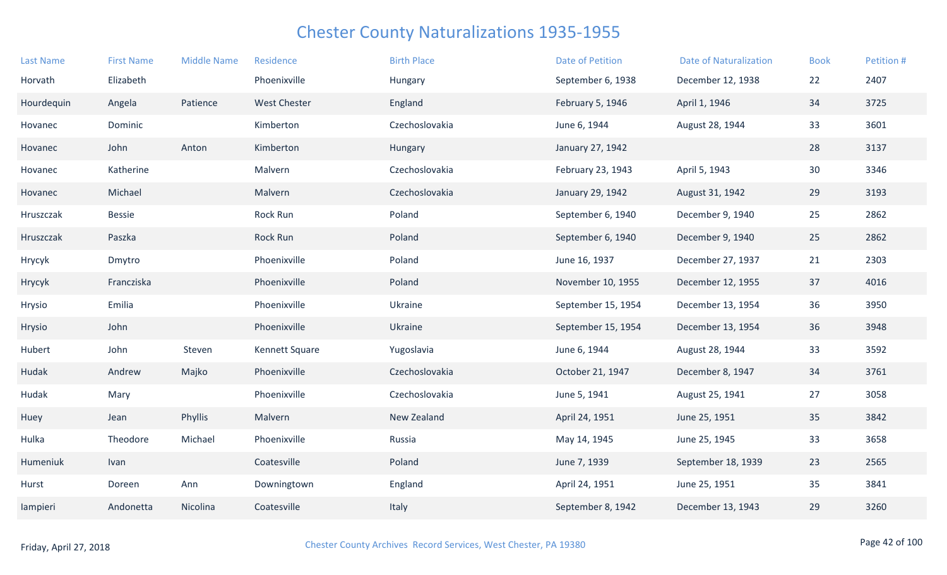| <b>Last Name</b> | <b>First Name</b> | <b>Middle Name</b> | Residence           | <b>Birth Place</b> | <b>Date of Petition</b> | <b>Date of Naturalization</b> | <b>Book</b> | Petition # |
|------------------|-------------------|--------------------|---------------------|--------------------|-------------------------|-------------------------------|-------------|------------|
| Horvath          | Elizabeth         |                    | Phoenixville        | Hungary            | September 6, 1938       | December 12, 1938             | 22          | 2407       |
| Hourdequin       | Angela            | Patience           | <b>West Chester</b> | England            | February 5, 1946        | April 1, 1946                 | 34          | 3725       |
| Hovanec          | Dominic           |                    | Kimberton           | Czechoslovakia     | June 6, 1944            | August 28, 1944               | 33          | 3601       |
| Hovanec          | John              | Anton              | Kimberton           | Hungary            | January 27, 1942        |                               | 28          | 3137       |
| Hovanec          | Katherine         |                    | Malvern             | Czechoslovakia     | February 23, 1943       | April 5, 1943                 | 30          | 3346       |
| Hovanec          | Michael           |                    | Malvern             | Czechoslovakia     | January 29, 1942        | August 31, 1942               | 29          | 3193       |
| Hruszczak        | <b>Bessie</b>     |                    | Rock Run            | Poland             | September 6, 1940       | December 9, 1940              | 25          | 2862       |
| Hruszczak        | Paszka            |                    | Rock Run            | Poland             | September 6, 1940       | December 9, 1940              | 25          | 2862       |
| Hrycyk           | Dmytro            |                    | Phoenixville        | Poland             | June 16, 1937           | December 27, 1937             | 21          | 2303       |
| Hrycyk           | Francziska        |                    | Phoenixville        | Poland             | November 10, 1955       | December 12, 1955             | 37          | 4016       |
| Hrysio           | Emilia            |                    | Phoenixville        | Ukraine            | September 15, 1954      | December 13, 1954             | 36          | 3950       |
| Hrysio           | John              |                    | Phoenixville        | Ukraine            | September 15, 1954      | December 13, 1954             | 36          | 3948       |
| Hubert           | John              | Steven             | Kennett Square      | Yugoslavia         | June 6, 1944            | August 28, 1944               | 33          | 3592       |
| Hudak            | Andrew            | Majko              | Phoenixville        | Czechoslovakia     | October 21, 1947        | December 8, 1947              | 34          | 3761       |
| Hudak            | Mary              |                    | Phoenixville        | Czechoslovakia     | June 5, 1941            | August 25, 1941               | 27          | 3058       |
| Huey             | Jean              | Phyllis            | Malvern             | New Zealand        | April 24, 1951          | June 25, 1951                 | 35          | 3842       |
| Hulka            | Theodore          | Michael            | Phoenixville        | Russia             | May 14, 1945            | June 25, 1945                 | 33          | 3658       |
| Humeniuk         | Ivan              |                    | Coatesville         | Poland             | June 7, 1939            | September 18, 1939            | 23          | 2565       |
| Hurst            | Doreen            | Ann                | Downingtown         | England            | April 24, 1951          | June 25, 1951                 | 35          | 3841       |
| lampieri         | Andonetta         | Nicolina           | Coatesville         | Italy              | September 8, 1942       | December 13, 1943             | 29          | 3260       |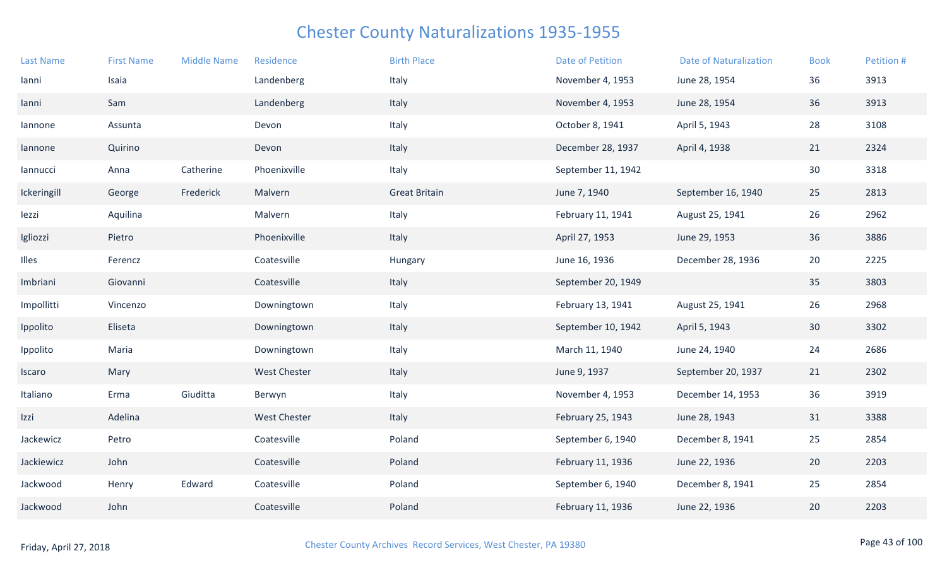| <b>Last Name</b> | <b>First Name</b> | <b>Middle Name</b> | Residence           | <b>Birth Place</b>   | Date of Petition   | <b>Date of Naturalization</b> | <b>Book</b> | Petition # |
|------------------|-------------------|--------------------|---------------------|----------------------|--------------------|-------------------------------|-------------|------------|
| lanni            | Isaia             |                    | Landenberg          | Italy                | November 4, 1953   | June 28, 1954                 | 36          | 3913       |
| lanni            | Sam               |                    | Landenberg          | Italy                | November 4, 1953   | June 28, 1954                 | 36          | 3913       |
| lannone          | Assunta           |                    | Devon               | Italy                | October 8, 1941    | April 5, 1943                 | 28          | 3108       |
| lannone          | Quirino           |                    | Devon               | Italy                | December 28, 1937  | April 4, 1938                 | 21          | 2324       |
| lannucci         | Anna              | Catherine          | Phoenixville        | Italy                | September 11, 1942 |                               | 30          | 3318       |
| Ickeringill      | George            | Frederick          | Malvern             | <b>Great Britain</b> | June 7, 1940       | September 16, 1940            | 25          | 2813       |
| lezzi            | Aquilina          |                    | Malvern             | Italy                | February 11, 1941  | August 25, 1941               | 26          | 2962       |
| Igliozzi         | Pietro            |                    | Phoenixville        | Italy                | April 27, 1953     | June 29, 1953                 | 36          | 3886       |
| Illes            | Ferencz           |                    | Coatesville         | Hungary              | June 16, 1936      | December 28, 1936             | 20          | 2225       |
| Imbriani         | Giovanni          |                    | Coatesville         | Italy                | September 20, 1949 |                               | 35          | 3803       |
| Impollitti       | Vincenzo          |                    | Downingtown         | Italy                | February 13, 1941  | August 25, 1941               | 26          | 2968       |
| Ippolito         | Eliseta           |                    | Downingtown         | Italy                | September 10, 1942 | April 5, 1943                 | 30          | 3302       |
| Ippolito         | Maria             |                    | Downingtown         | Italy                | March 11, 1940     | June 24, 1940                 | 24          | 2686       |
| Iscaro           | Mary              |                    | <b>West Chester</b> | Italy                | June 9, 1937       | September 20, 1937            | 21          | 2302       |
| Italiano         | Erma              | Giuditta           | Berwyn              | Italy                | November 4, 1953   | December 14, 1953             | 36          | 3919       |
| Izzi             | Adelina           |                    | <b>West Chester</b> | Italy                | February 25, 1943  | June 28, 1943                 | 31          | 3388       |
| Jackewicz        | Petro             |                    | Coatesville         | Poland               | September 6, 1940  | December 8, 1941              | 25          | 2854       |
| Jackiewicz       | John              |                    | Coatesville         | Poland               | February 11, 1936  | June 22, 1936                 | 20          | 2203       |
| Jackwood         | Henry             | Edward             | Coatesville         | Poland               | September 6, 1940  | December 8, 1941              | 25          | 2854       |
| Jackwood         | John              |                    | Coatesville         | Poland               | February 11, 1936  | June 22, 1936                 | 20          | 2203       |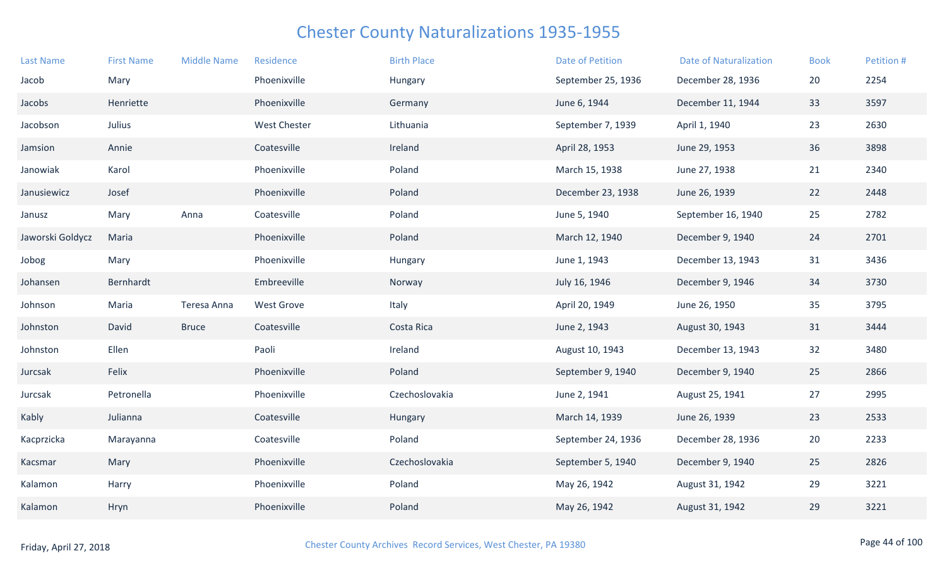| <b>Last Name</b> | <b>First Name</b> | <b>Middle Name</b> | Residence           | <b>Birth Place</b> | Date of Petition   | <b>Date of Naturalization</b> | <b>Book</b> | Petition # |
|------------------|-------------------|--------------------|---------------------|--------------------|--------------------|-------------------------------|-------------|------------|
| Jacob            | Mary              |                    | Phoenixville        | Hungary            | September 25, 1936 | December 28, 1936             | 20          | 2254       |
| Jacobs           | Henriette         |                    | Phoenixville        | Germany            | June 6, 1944       | December 11, 1944             | 33          | 3597       |
| Jacobson         | Julius            |                    | <b>West Chester</b> | Lithuania          | September 7, 1939  | April 1, 1940                 | 23          | 2630       |
| Jamsion          | Annie             |                    | Coatesville         | Ireland            | April 28, 1953     | June 29, 1953                 | 36          | 3898       |
| Janowiak         | Karol             |                    | Phoenixville        | Poland             | March 15, 1938     | June 27, 1938                 | 21          | 2340       |
| Janusiewicz      | Josef             |                    | Phoenixville        | Poland             | December 23, 1938  | June 26, 1939                 | 22          | 2448       |
| Janusz           | Mary              | Anna               | Coatesville         | Poland             | June 5, 1940       | September 16, 1940            | 25          | 2782       |
| Jaworski Goldycz | Maria             |                    | Phoenixville        | Poland             | March 12, 1940     | December 9, 1940              | 24          | 2701       |
| Jobog            | Mary              |                    | Phoenixville        | Hungary            | June 1, 1943       | December 13, 1943             | 31          | 3436       |
| Johansen         | Bernhardt         |                    | Embreeville         | Norway             | July 16, 1946      | December 9, 1946              | 34          | 3730       |
| Johnson          | Maria             | Teresa Anna        | <b>West Grove</b>   | Italy              | April 20, 1949     | June 26, 1950                 | 35          | 3795       |
| Johnston         | David             | <b>Bruce</b>       | Coatesville         | Costa Rica         | June 2, 1943       | August 30, 1943               | 31          | 3444       |
| Johnston         | Ellen             |                    | Paoli               | Ireland            | August 10, 1943    | December 13, 1943             | 32          | 3480       |
| Jurcsak          | Felix             |                    | Phoenixville        | Poland             | September 9, 1940  | December 9, 1940              | 25          | 2866       |
| Jurcsak          | Petronella        |                    | Phoenixville        | Czechoslovakia     | June 2, 1941       | August 25, 1941               | 27          | 2995       |
| Kably            | Julianna          |                    | Coatesville         | Hungary            | March 14, 1939     | June 26, 1939                 | 23          | 2533       |
| Kacprzicka       | Marayanna         |                    | Coatesville         | Poland             | September 24, 1936 | December 28, 1936             | 20          | 2233       |
| Kacsmar          | Mary              |                    | Phoenixville        | Czechoslovakia     | September 5, 1940  | December 9, 1940              | 25          | 2826       |
| Kalamon          | Harry             |                    | Phoenixville        | Poland             | May 26, 1942       | August 31, 1942               | 29          | 3221       |
| Kalamon          | Hryn              |                    | Phoenixville        | Poland             | May 26, 1942       | August 31, 1942               | 29          | 3221       |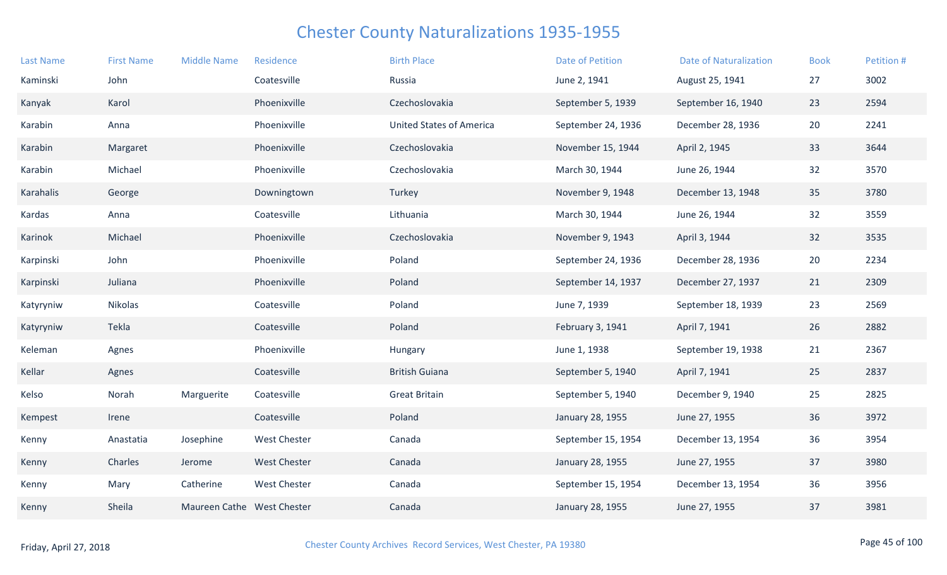| <b>Last Name</b> | <b>First Name</b> | <b>Middle Name</b>         | Residence           | <b>Birth Place</b>              | <b>Date of Petition</b> | <b>Date of Naturalization</b> | <b>Book</b> | Petition # |
|------------------|-------------------|----------------------------|---------------------|---------------------------------|-------------------------|-------------------------------|-------------|------------|
| Kaminski         | John              |                            | Coatesville         | Russia                          | June 2, 1941            | August 25, 1941               | 27          | 3002       |
| Kanyak           | Karol             |                            | Phoenixville        | Czechoslovakia                  | September 5, 1939       | September 16, 1940            | 23          | 2594       |
| Karabin          | Anna              |                            | Phoenixville        | <b>United States of America</b> | September 24, 1936      | December 28, 1936             | 20          | 2241       |
| Karabin          | Margaret          |                            | Phoenixville        | Czechoslovakia                  | November 15, 1944       | April 2, 1945                 | 33          | 3644       |
| Karabin          | Michael           |                            | Phoenixville        | Czechoslovakia                  | March 30, 1944          | June 26, 1944                 | 32          | 3570       |
| Karahalis        | George            |                            | Downingtown         | Turkey                          | November 9, 1948        | December 13, 1948             | 35          | 3780       |
| Kardas           | Anna              |                            | Coatesville         | Lithuania                       | March 30, 1944          | June 26, 1944                 | 32          | 3559       |
| Karinok          | Michael           |                            | Phoenixville        | Czechoslovakia                  | November 9, 1943        | April 3, 1944                 | 32          | 3535       |
| Karpinski        | John              |                            | Phoenixville        | Poland                          | September 24, 1936      | December 28, 1936             | 20          | 2234       |
| Karpinski        | Juliana           |                            | Phoenixville        | Poland                          | September 14, 1937      | December 27, 1937             | 21          | 2309       |
| Katyryniw        | Nikolas           |                            | Coatesville         | Poland                          | June 7, 1939            | September 18, 1939            | 23          | 2569       |
| Katyryniw        | Tekla             |                            | Coatesville         | Poland                          | February 3, 1941        | April 7, 1941                 | 26          | 2882       |
| Keleman          | Agnes             |                            | Phoenixville        | Hungary                         | June 1, 1938            | September 19, 1938            | 21          | 2367       |
| Kellar           | Agnes             |                            | Coatesville         | <b>British Guiana</b>           | September 5, 1940       | April 7, 1941                 | 25          | 2837       |
| Kelso            | Norah             | Marguerite                 | Coatesville         | <b>Great Britain</b>            | September 5, 1940       | December 9, 1940              | 25          | 2825       |
| Kempest          | Irene             |                            | Coatesville         | Poland                          | January 28, 1955        | June 27, 1955                 | 36          | 3972       |
| Kenny            | Anastatia         | Josephine                  | <b>West Chester</b> | Canada                          | September 15, 1954      | December 13, 1954             | 36          | 3954       |
| Kenny            | Charles           | Jerome                     | <b>West Chester</b> | Canada                          | January 28, 1955        | June 27, 1955                 | 37          | 3980       |
| Kenny            | Mary              | Catherine                  | <b>West Chester</b> | Canada                          | September 15, 1954      | December 13, 1954             | 36          | 3956       |
| Kenny            | Sheila            | Maureen Cathe West Chester |                     | Canada                          | January 28, 1955        | June 27, 1955                 | 37          | 3981       |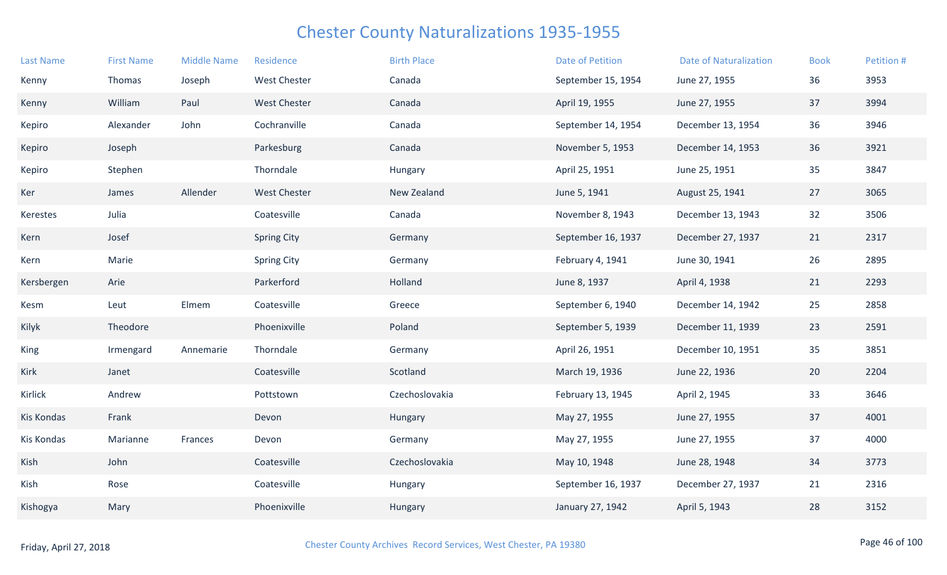| <b>Last Name</b> | <b>First Name</b> | <b>Middle Name</b> | Residence           | <b>Birth Place</b> | <b>Date of Petition</b> | <b>Date of Naturalization</b> | <b>Book</b> | Petition # |
|------------------|-------------------|--------------------|---------------------|--------------------|-------------------------|-------------------------------|-------------|------------|
| Kenny            | Thomas            | Joseph             | <b>West Chester</b> | Canada             | September 15, 1954      | June 27, 1955                 | 36          | 3953       |
| Kenny            | William           | Paul               | <b>West Chester</b> | Canada             | April 19, 1955          | June 27, 1955                 | 37          | 3994       |
| Kepiro           | Alexander         | John               | Cochranville        | Canada             | September 14, 1954      | December 13, 1954             | 36          | 3946       |
| Kepiro           | Joseph            |                    | Parkesburg          | Canada             | November 5, 1953        | December 14, 1953             | 36          | 3921       |
| Kepiro           | Stephen           |                    | Thorndale           | Hungary            | April 25, 1951          | June 25, 1951                 | 35          | 3847       |
| Ker              | James             | Allender           | <b>West Chester</b> | New Zealand        | June 5, 1941            | August 25, 1941               | 27          | 3065       |
| Kerestes         | Julia             |                    | Coatesville         | Canada             | November 8, 1943        | December 13, 1943             | 32          | 3506       |
| Kern             | Josef             |                    | <b>Spring City</b>  | Germany            | September 16, 1937      | December 27, 1937             | 21          | 2317       |
| Kern             | Marie             |                    | <b>Spring City</b>  | Germany            | February 4, 1941        | June 30, 1941                 | 26          | 2895       |
| Kersbergen       | Arie              |                    | Parkerford          | Holland            | June 8, 1937            | April 4, 1938                 | 21          | 2293       |
| Kesm             | Leut              | Elmem              | Coatesville         | Greece             | September 6, 1940       | December 14, 1942             | 25          | 2858       |
| Kilyk            | Theodore          |                    | Phoenixville        | Poland             | September 5, 1939       | December 11, 1939             | 23          | 2591       |
| King             | Irmengard         | Annemarie          | Thorndale           | Germany            | April 26, 1951          | December 10, 1951             | 35          | 3851       |
| Kirk             | Janet             |                    | Coatesville         | Scotland           | March 19, 1936          | June 22, 1936                 | 20          | 2204       |
| <b>Kirlick</b>   | Andrew            |                    | Pottstown           | Czechoslovakia     | February 13, 1945       | April 2, 1945                 | 33          | 3646       |
| Kis Kondas       | Frank             |                    | Devon               | Hungary            | May 27, 1955            | June 27, 1955                 | 37          | 4001       |
| Kis Kondas       | Marianne          | Frances            | Devon               | Germany            | May 27, 1955            | June 27, 1955                 | 37          | 4000       |
| Kish             | John              |                    | Coatesville         | Czechoslovakia     | May 10, 1948            | June 28, 1948                 | 34          | 3773       |
| Kish             | Rose              |                    | Coatesville         | Hungary            | September 16, 1937      | December 27, 1937             | 21          | 2316       |
| Kishogya         | Mary              |                    | Phoenixville        | Hungary            | January 27, 1942        | April 5, 1943                 | 28          | 3152       |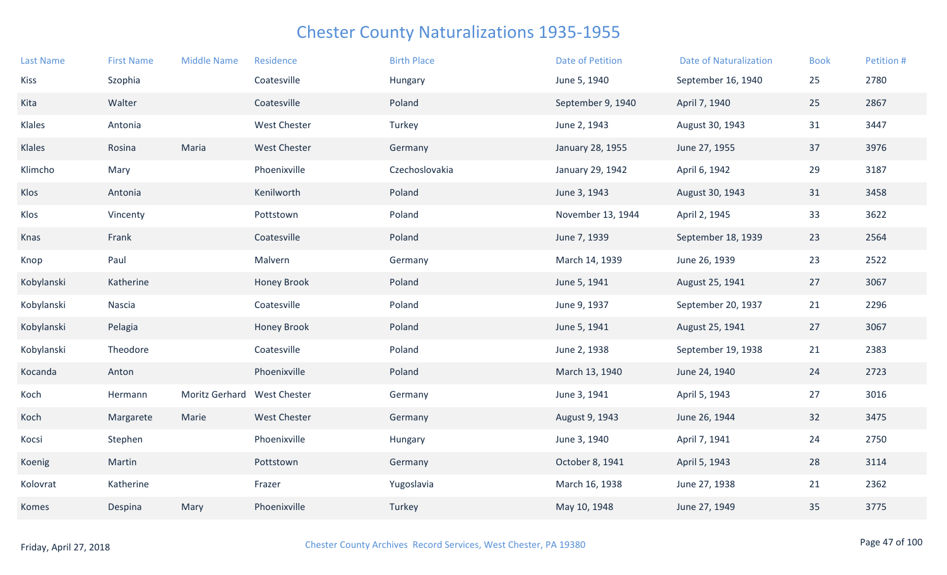| <b>Last Name</b> | <b>First Name</b> | <b>Middle Name</b>          | Residence           | <b>Birth Place</b> | <b>Date of Petition</b> | <b>Date of Naturalization</b> | <b>Book</b> | Petition # |
|------------------|-------------------|-----------------------------|---------------------|--------------------|-------------------------|-------------------------------|-------------|------------|
| Kiss             | Szophia           |                             | Coatesville         | Hungary            | June 5, 1940            | September 16, 1940            | 25          | 2780       |
| Kita             | Walter            |                             | Coatesville         | Poland             | September 9, 1940       | April 7, 1940                 | 25          | 2867       |
| Klales           | Antonia           |                             | <b>West Chester</b> | Turkey             | June 2, 1943            | August 30, 1943               | 31          | 3447       |
| Klales           | Rosina            | Maria                       | <b>West Chester</b> | Germany            | January 28, 1955        | June 27, 1955                 | 37          | 3976       |
| Klimcho          | Mary              |                             | Phoenixville        | Czechoslovakia     | January 29, 1942        | April 6, 1942                 | 29          | 3187       |
| Klos             | Antonia           |                             | Kenilworth          | Poland             | June 3, 1943            | August 30, 1943               | 31          | 3458       |
| Klos             | Vincenty          |                             | Pottstown           | Poland             | November 13, 1944       | April 2, 1945                 | 33          | 3622       |
| Knas             | Frank             |                             | Coatesville         | Poland             | June 7, 1939            | September 18, 1939            | 23          | 2564       |
| Knop             | Paul              |                             | Malvern             | Germany            | March 14, 1939          | June 26, 1939                 | 23          | 2522       |
| Kobylanski       | Katherine         |                             | Honey Brook         | Poland             | June 5, 1941            | August 25, 1941               | 27          | 3067       |
| Kobylanski       | Nascia            |                             | Coatesville         | Poland             | June 9, 1937            | September 20, 1937            | 21          | 2296       |
| Kobylanski       | Pelagia           |                             | Honey Brook         | Poland             | June 5, 1941            | August 25, 1941               | 27          | 3067       |
| Kobylanski       | Theodore          |                             | Coatesville         | Poland             | June 2, 1938            | September 19, 1938            | 21          | 2383       |
| Kocanda          | Anton             |                             | Phoenixville        | Poland             | March 13, 1940          | June 24, 1940                 | 24          | 2723       |
| Koch             | Hermann           | Moritz Gerhard West Chester |                     | Germany            | June 3, 1941            | April 5, 1943                 | 27          | 3016       |
| Koch             | Margarete         | Marie                       | <b>West Chester</b> | Germany            | August 9, 1943          | June 26, 1944                 | 32          | 3475       |
| Kocsi            | Stephen           |                             | Phoenixville        | Hungary            | June 3, 1940            | April 7, 1941                 | 24          | 2750       |
| Koenig           | Martin            |                             | Pottstown           | Germany            | October 8, 1941         | April 5, 1943                 | 28          | 3114       |
| Kolovrat         | Katherine         |                             | Frazer              | Yugoslavia         | March 16, 1938          | June 27, 1938                 | 21          | 2362       |
| Komes            | Despina           | Mary                        | Phoenixville        | Turkey             | May 10, 1948            | June 27, 1949                 | 35          | 3775       |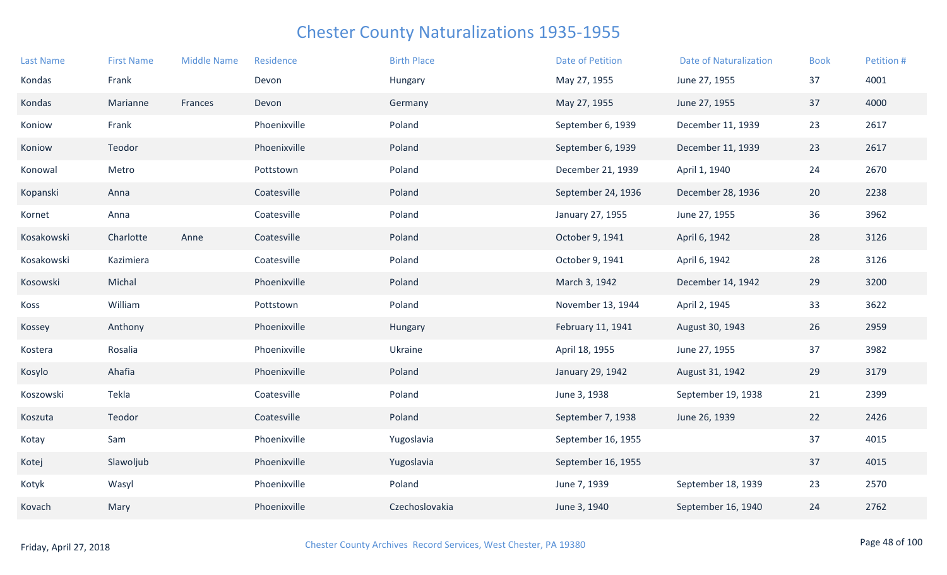| <b>Last Name</b> | <b>First Name</b> | <b>Middle Name</b> | Residence    | <b>Birth Place</b> | <b>Date of Petition</b> | <b>Date of Naturalization</b> | <b>Book</b> | Petition # |
|------------------|-------------------|--------------------|--------------|--------------------|-------------------------|-------------------------------|-------------|------------|
| Kondas           | Frank             |                    | Devon        | Hungary            | May 27, 1955            | June 27, 1955                 | 37          | 4001       |
| Kondas           | Marianne          | Frances            | Devon        | Germany            | May 27, 1955            | June 27, 1955                 | 37          | 4000       |
| Koniow           | Frank             |                    | Phoenixville | Poland             | September 6, 1939       | December 11, 1939             | 23          | 2617       |
| Koniow           | Teodor            |                    | Phoenixville | Poland             | September 6, 1939       | December 11, 1939             | 23          | 2617       |
| Konowal          | Metro             |                    | Pottstown    | Poland             | December 21, 1939       | April 1, 1940                 | 24          | 2670       |
| Kopanski         | Anna              |                    | Coatesville  | Poland             | September 24, 1936      | December 28, 1936             | 20          | 2238       |
| Kornet           | Anna              |                    | Coatesville  | Poland             | January 27, 1955        | June 27, 1955                 | 36          | 3962       |
| Kosakowski       | Charlotte         | Anne               | Coatesville  | Poland             | October 9, 1941         | April 6, 1942                 | 28          | 3126       |
| Kosakowski       | Kazimiera         |                    | Coatesville  | Poland             | October 9, 1941         | April 6, 1942                 | 28          | 3126       |
| Kosowski         | Michal            |                    | Phoenixville | Poland             | March 3, 1942           | December 14, 1942             | 29          | 3200       |
| Koss             | William           |                    | Pottstown    | Poland             | November 13, 1944       | April 2, 1945                 | 33          | 3622       |
| Kossey           | Anthony           |                    | Phoenixville | Hungary            | February 11, 1941       | August 30, 1943               | 26          | 2959       |
| Kostera          | Rosalia           |                    | Phoenixville | Ukraine            | April 18, 1955          | June 27, 1955                 | 37          | 3982       |
| Kosylo           | Ahafia            |                    | Phoenixville | Poland             | January 29, 1942        | August 31, 1942               | 29          | 3179       |
| Koszowski        | Tekla             |                    | Coatesville  | Poland             | June 3, 1938            | September 19, 1938            | 21          | 2399       |
| Koszuta          | Teodor            |                    | Coatesville  | Poland             | September 7, 1938       | June 26, 1939                 | 22          | 2426       |
| Kotay            | Sam               |                    | Phoenixville | Yugoslavia         | September 16, 1955      |                               | 37          | 4015       |
| Kotej            | Slawoljub         |                    | Phoenixville | Yugoslavia         | September 16, 1955      |                               | 37          | 4015       |
| Kotyk            | Wasyl             |                    | Phoenixville | Poland             | June 7, 1939            | September 18, 1939            | 23          | 2570       |
| Kovach           | Mary              |                    | Phoenixville | Czechoslovakia     | June 3, 1940            | September 16, 1940            | 24          | 2762       |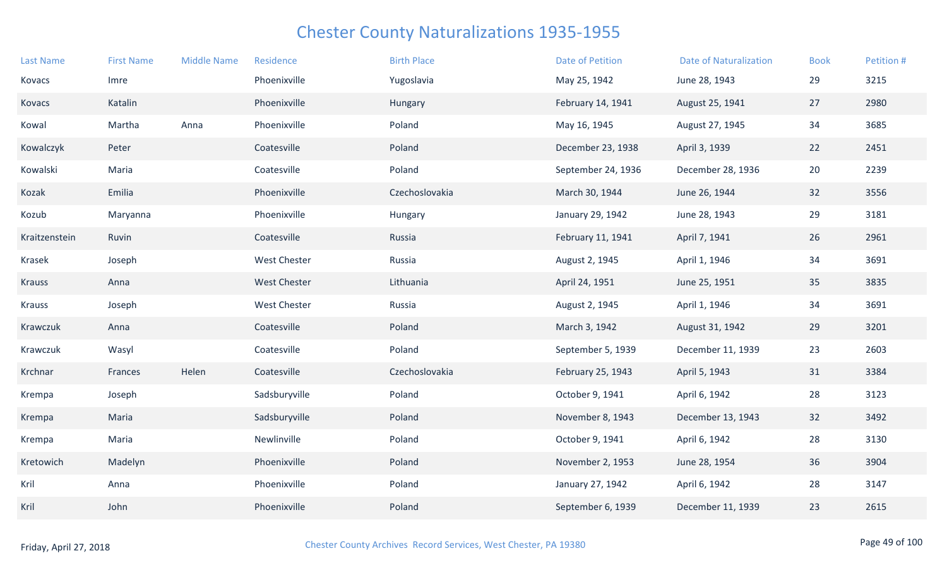| <b>Last Name</b> | <b>First Name</b> | <b>Middle Name</b> | Residence           | <b>Birth Place</b> | <b>Date of Petition</b> | <b>Date of Naturalization</b> | <b>Book</b> | Petition # |
|------------------|-------------------|--------------------|---------------------|--------------------|-------------------------|-------------------------------|-------------|------------|
| Kovacs           | Imre              |                    | Phoenixville        | Yugoslavia         | May 25, 1942            | June 28, 1943                 | 29          | 3215       |
| Kovacs           | Katalin           |                    | Phoenixville        | Hungary            | February 14, 1941       | August 25, 1941               | 27          | 2980       |
| Kowal            | Martha            | Anna               | Phoenixville        | Poland             | May 16, 1945            | August 27, 1945               | 34          | 3685       |
| Kowalczyk        | Peter             |                    | Coatesville         | Poland             | December 23, 1938       | April 3, 1939                 | 22          | 2451       |
| Kowalski         | Maria             |                    | Coatesville         | Poland             | September 24, 1936      | December 28, 1936             | 20          | 2239       |
| Kozak            | Emilia            |                    | Phoenixville        | Czechoslovakia     | March 30, 1944          | June 26, 1944                 | 32          | 3556       |
| Kozub            | Maryanna          |                    | Phoenixville        | Hungary            | January 29, 1942        | June 28, 1943                 | 29          | 3181       |
| Kraitzenstein    | Ruvin             |                    | Coatesville         | Russia             | February 11, 1941       | April 7, 1941                 | 26          | 2961       |
| Krasek           | Joseph            |                    | <b>West Chester</b> | Russia             | August 2, 1945          | April 1, 1946                 | 34          | 3691       |
| <b>Krauss</b>    | Anna              |                    | <b>West Chester</b> | Lithuania          | April 24, 1951          | June 25, 1951                 | 35          | 3835       |
| <b>Krauss</b>    | Joseph            |                    | <b>West Chester</b> | Russia             | August 2, 1945          | April 1, 1946                 | 34          | 3691       |
| Krawczuk         | Anna              |                    | Coatesville         | Poland             | March 3, 1942           | August 31, 1942               | 29          | 3201       |
| Krawczuk         | Wasyl             |                    | Coatesville         | Poland             | September 5, 1939       | December 11, 1939             | 23          | 2603       |
| Krchnar          | Frances           | Helen              | Coatesville         | Czechoslovakia     | February 25, 1943       | April 5, 1943                 | 31          | 3384       |
| Krempa           | Joseph            |                    | Sadsburyville       | Poland             | October 9, 1941         | April 6, 1942                 | 28          | 3123       |
| Krempa           | Maria             |                    | Sadsburyville       | Poland             | November 8, 1943        | December 13, 1943             | 32          | 3492       |
| Krempa           | Maria             |                    | Newlinville         | Poland             | October 9, 1941         | April 6, 1942                 | 28          | 3130       |
| Kretowich        | Madelyn           |                    | Phoenixville        | Poland             | November 2, 1953        | June 28, 1954                 | 36          | 3904       |
| Kril             | Anna              |                    | Phoenixville        | Poland             | January 27, 1942        | April 6, 1942                 | 28          | 3147       |
| Kril             | John              |                    | Phoenixville        | Poland             | September 6, 1939       | December 11, 1939             | 23          | 2615       |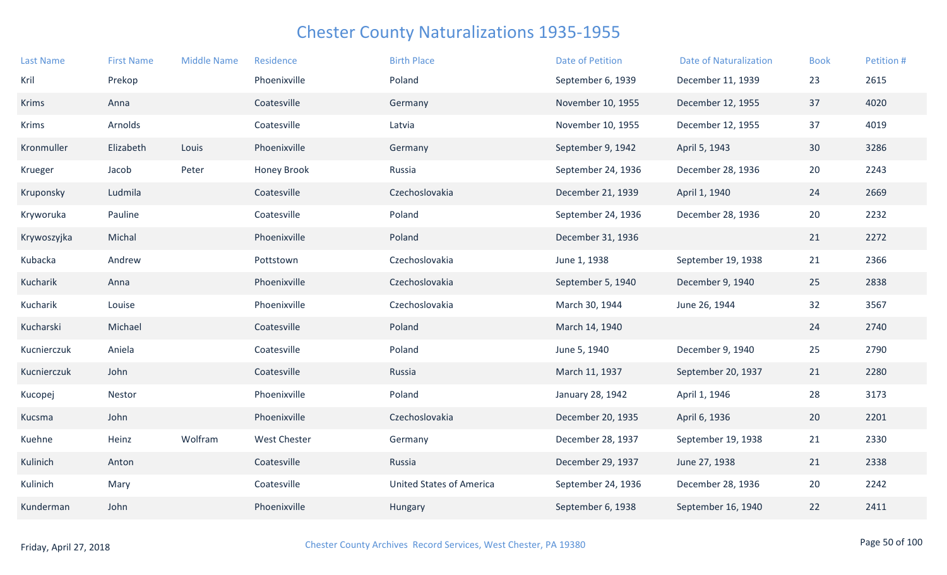| <b>Last Name</b> | <b>First Name</b> | <b>Middle Name</b> | Residence           | <b>Birth Place</b>              | <b>Date of Petition</b> | <b>Date of Naturalization</b> | <b>Book</b> | Petition # |
|------------------|-------------------|--------------------|---------------------|---------------------------------|-------------------------|-------------------------------|-------------|------------|
| Kril             | Prekop            |                    | Phoenixville        | Poland                          | September 6, 1939       | December 11, 1939             | 23          | 2615       |
| <b>Krims</b>     | Anna              |                    | Coatesville         | Germany                         | November 10, 1955       | December 12, 1955             | 37          | 4020       |
| Krims            | Arnolds           |                    | Coatesville         | Latvia                          | November 10, 1955       | December 12, 1955             | 37          | 4019       |
| Kronmuller       | Elizabeth         | Louis              | Phoenixville        | Germany                         | September 9, 1942       | April 5, 1943                 | 30          | 3286       |
| Krueger          | Jacob             | Peter              | <b>Honey Brook</b>  | Russia                          | September 24, 1936      | December 28, 1936             | 20          | 2243       |
| Kruponsky        | Ludmila           |                    | Coatesville         | Czechoslovakia                  | December 21, 1939       | April 1, 1940                 | 24          | 2669       |
| Kryworuka        | Pauline           |                    | Coatesville         | Poland                          | September 24, 1936      | December 28, 1936             | 20          | 2232       |
| Krywoszyjka      | Michal            |                    | Phoenixville        | Poland                          | December 31, 1936       |                               | 21          | 2272       |
| Kubacka          | Andrew            |                    | Pottstown           | Czechoslovakia                  | June 1, 1938            | September 19, 1938            | 21          | 2366       |
| Kucharik         | Anna              |                    | Phoenixville        | Czechoslovakia                  | September 5, 1940       | December 9, 1940              | 25          | 2838       |
| Kucharik         | Louise            |                    | Phoenixville        | Czechoslovakia                  | March 30, 1944          | June 26, 1944                 | 32          | 3567       |
| Kucharski        | Michael           |                    | Coatesville         | Poland                          | March 14, 1940          |                               | 24          | 2740       |
| Kucnierczuk      | Aniela            |                    | Coatesville         | Poland                          | June 5, 1940            | December 9, 1940              | 25          | 2790       |
| Kucnierczuk      | John              |                    | Coatesville         | Russia                          | March 11, 1937          | September 20, 1937            | 21          | 2280       |
| Kucopej          | Nestor            |                    | Phoenixville        | Poland                          | January 28, 1942        | April 1, 1946                 | 28          | 3173       |
| Kucsma           | John              |                    | Phoenixville        | Czechoslovakia                  | December 20, 1935       | April 6, 1936                 | 20          | 2201       |
| Kuehne           | Heinz             | Wolfram            | <b>West Chester</b> | Germany                         | December 28, 1937       | September 19, 1938            | 21          | 2330       |
| Kulinich         | Anton             |                    | Coatesville         | Russia                          | December 29, 1937       | June 27, 1938                 | 21          | 2338       |
| Kulinich         | Mary              |                    | Coatesville         | <b>United States of America</b> | September 24, 1936      | December 28, 1936             | 20          | 2242       |
| Kunderman        | John              |                    | Phoenixville        | Hungary                         | September 6, 1938       | September 16, 1940            | 22          | 2411       |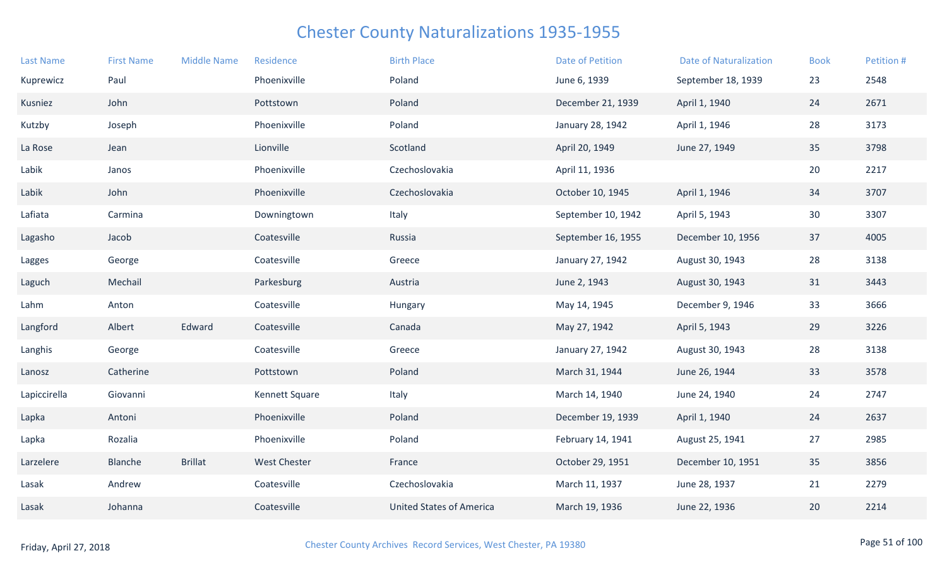| <b>Last Name</b> | <b>First Name</b> | <b>Middle Name</b> | Residence           | <b>Birth Place</b>              | <b>Date of Petition</b> | <b>Date of Naturalization</b> | <b>Book</b> | Petition # |
|------------------|-------------------|--------------------|---------------------|---------------------------------|-------------------------|-------------------------------|-------------|------------|
| Kuprewicz        | Paul              |                    | Phoenixville        | Poland                          | June 6, 1939            | September 18, 1939            | 23          | 2548       |
| Kusniez          | John              |                    | Pottstown           | Poland                          | December 21, 1939       | April 1, 1940                 | 24          | 2671       |
| Kutzby           | Joseph            |                    | Phoenixville        | Poland                          | January 28, 1942        | April 1, 1946                 | 28          | 3173       |
| La Rose          | Jean              |                    | Lionville           | Scotland                        | April 20, 1949          | June 27, 1949                 | 35          | 3798       |
| Labik            | Janos             |                    | Phoenixville        | Czechoslovakia                  | April 11, 1936          |                               | 20          | 2217       |
| Labik            | John              |                    | Phoenixville        | Czechoslovakia                  | October 10, 1945        | April 1, 1946                 | 34          | 3707       |
| Lafiata          | Carmina           |                    | Downingtown         | Italy                           | September 10, 1942      | April 5, 1943                 | 30          | 3307       |
| Lagasho          | Jacob             |                    | Coatesville         | Russia                          | September 16, 1955      | December 10, 1956             | 37          | 4005       |
| Lagges           | George            |                    | Coatesville         | Greece                          | January 27, 1942        | August 30, 1943               | 28          | 3138       |
| Laguch           | Mechail           |                    | Parkesburg          | Austria                         | June 2, 1943            | August 30, 1943               | 31          | 3443       |
| Lahm             | Anton             |                    | Coatesville         | Hungary                         | May 14, 1945            | December 9, 1946              | 33          | 3666       |
| Langford         | Albert            | Edward             | Coatesville         | Canada                          | May 27, 1942            | April 5, 1943                 | 29          | 3226       |
| Langhis          | George            |                    | Coatesville         | Greece                          | January 27, 1942        | August 30, 1943               | 28          | 3138       |
| Lanosz           | Catherine         |                    | Pottstown           | Poland                          | March 31, 1944          | June 26, 1944                 | 33          | 3578       |
| Lapiccirella     | Giovanni          |                    | Kennett Square      | Italy                           | March 14, 1940          | June 24, 1940                 | 24          | 2747       |
| Lapka            | Antoni            |                    | Phoenixville        | Poland                          | December 19, 1939       | April 1, 1940                 | 24          | 2637       |
| Lapka            | Rozalia           |                    | Phoenixville        | Poland                          | February 14, 1941       | August 25, 1941               | 27          | 2985       |
| Larzelere        | Blanche           | <b>Brillat</b>     | <b>West Chester</b> | France                          | October 29, 1951        | December 10, 1951             | 35          | 3856       |
| Lasak            | Andrew            |                    | Coatesville         | Czechoslovakia                  | March 11, 1937          | June 28, 1937                 | 21          | 2279       |
| Lasak            | Johanna           |                    | Coatesville         | <b>United States of America</b> | March 19, 1936          | June 22, 1936                 | 20          | 2214       |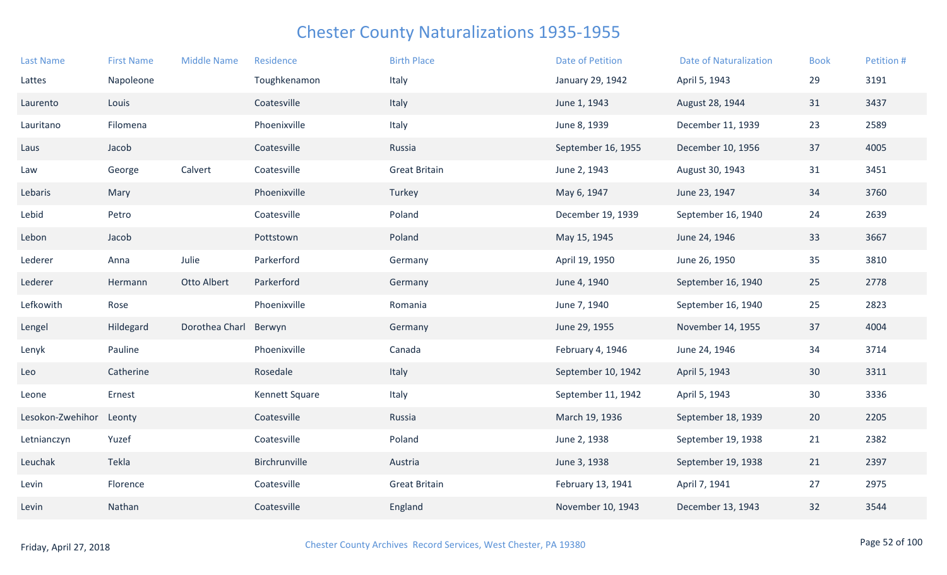| <b>Last Name</b> | <b>First Name</b> | <b>Middle Name</b> | Residence      | <b>Birth Place</b>   | <b>Date of Petition</b> | <b>Date of Naturalization</b> | <b>Book</b>     | Petition # |
|------------------|-------------------|--------------------|----------------|----------------------|-------------------------|-------------------------------|-----------------|------------|
| Lattes           | Napoleone         |                    | Toughkenamon   | Italy                | January 29, 1942        | April 5, 1943                 | 29              | 3191       |
| Laurento         | Louis             |                    | Coatesville    | Italy                | June 1, 1943            | August 28, 1944               | 31              | 3437       |
| Lauritano        | Filomena          |                    | Phoenixville   | Italy                | June 8, 1939            | December 11, 1939             | 23              | 2589       |
| Laus             | Jacob             |                    | Coatesville    | Russia               | September 16, 1955      | December 10, 1956             | 37              | 4005       |
| Law              | George            | Calvert            | Coatesville    | <b>Great Britain</b> | June 2, 1943            | August 30, 1943               | 31              | 3451       |
| Lebaris          | Mary              |                    | Phoenixville   | Turkey               | May 6, 1947             | June 23, 1947                 | 34              | 3760       |
| Lebid            | Petro             |                    | Coatesville    | Poland               | December 19, 1939       | September 16, 1940            | 24              | 2639       |
| Lebon            | Jacob             |                    | Pottstown      | Poland               | May 15, 1945            | June 24, 1946                 | 33              | 3667       |
| Lederer          | Anna              | Julie              | Parkerford     | Germany              | April 19, 1950          | June 26, 1950                 | 35              | 3810       |
| Lederer          | Hermann           | Otto Albert        | Parkerford     | Germany              | June 4, 1940            | September 16, 1940            | 25              | 2778       |
| Lefkowith        | Rose              |                    | Phoenixville   | Romania              | June 7, 1940            | September 16, 1940            | 25              | 2823       |
| Lengel           | Hildegard         | Dorothea Charl     | Berwyn         | Germany              | June 29, 1955           | November 14, 1955             | 37              | 4004       |
| Lenyk            | Pauline           |                    | Phoenixville   | Canada               | February 4, 1946        | June 24, 1946                 | 34              | 3714       |
| Leo              | Catherine         |                    | Rosedale       | Italy                | September 10, 1942      | April 5, 1943                 | 30              | 3311       |
| Leone            | Ernest            |                    | Kennett Square | Italy                | September 11, 1942      | April 5, 1943                 | 30              | 3336       |
| Lesokon-Zwehihor | Leonty            |                    | Coatesville    | Russia               | March 19, 1936          | September 18, 1939            | 20 <sup>°</sup> | 2205       |
| Letnianczyn      | Yuzef             |                    | Coatesville    | Poland               | June 2, 1938            | September 19, 1938            | 21              | 2382       |
| Leuchak          | Tekla             |                    | Birchrunville  | Austria              | June 3, 1938            | September 19, 1938            | 21              | 2397       |
| Levin            | Florence          |                    | Coatesville    | <b>Great Britain</b> | February 13, 1941       | April 7, 1941                 | 27              | 2975       |
| Levin            | Nathan            |                    | Coatesville    | England              | November 10, 1943       | December 13, 1943             | 32              | 3544       |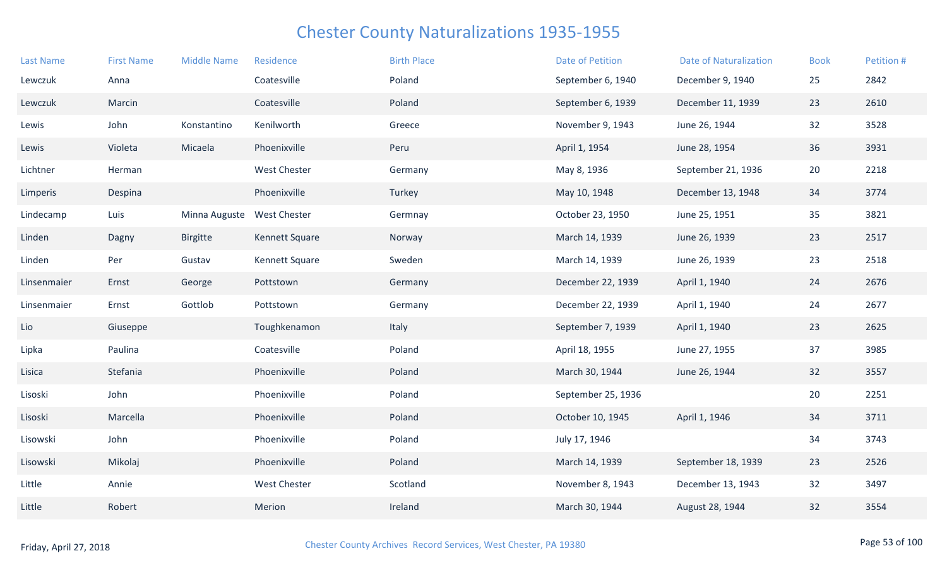| <b>Last Name</b> | <b>First Name</b> | <b>Middle Name</b> | Residence           | <b>Birth Place</b> | <b>Date of Petition</b> | <b>Date of Naturalization</b> | <b>Book</b> | Petition # |
|------------------|-------------------|--------------------|---------------------|--------------------|-------------------------|-------------------------------|-------------|------------|
| Lewczuk          | Anna              |                    | Coatesville         | Poland             | September 6, 1940       | December 9, 1940              | 25          | 2842       |
| Lewczuk          | Marcin            |                    | Coatesville         | Poland             | September 6, 1939       | December 11, 1939             | 23          | 2610       |
| Lewis            | John              | Konstantino        | Kenilworth          | Greece             | November 9, 1943        | June 26, 1944                 | 32          | 3528       |
| Lewis            | Violeta           | Micaela            | Phoenixville        | Peru               | April 1, 1954           | June 28, 1954                 | 36          | 3931       |
| Lichtner         | Herman            |                    | <b>West Chester</b> | Germany            | May 8, 1936             | September 21, 1936            | 20          | 2218       |
| Limperis         | Despina           |                    | Phoenixville        | Turkey             | May 10, 1948            | December 13, 1948             | 34          | 3774       |
| Lindecamp        | Luis              | Minna Auguste      | <b>West Chester</b> | Germnay            | October 23, 1950        | June 25, 1951                 | 35          | 3821       |
| Linden           | Dagny             | <b>Birgitte</b>    | Kennett Square      | Norway             | March 14, 1939          | June 26, 1939                 | 23          | 2517       |
| Linden           | Per               | Gustav             | Kennett Square      | Sweden             | March 14, 1939          | June 26, 1939                 | 23          | 2518       |
| Linsenmaier      | Ernst             | George             | Pottstown           | Germany            | December 22, 1939       | April 1, 1940                 | 24          | 2676       |
| Linsenmaier      | Ernst             | Gottlob            | Pottstown           | Germany            | December 22, 1939       | April 1, 1940                 | 24          | 2677       |
| Lio              | Giuseppe          |                    | Toughkenamon        | Italy              | September 7, 1939       | April 1, 1940                 | 23          | 2625       |
| Lipka            | Paulina           |                    | Coatesville         | Poland             | April 18, 1955          | June 27, 1955                 | 37          | 3985       |
| Lisica           | Stefania          |                    | Phoenixville        | Poland             | March 30, 1944          | June 26, 1944                 | 32          | 3557       |
| Lisoski          | John              |                    | Phoenixville        | Poland             | September 25, 1936      |                               | 20          | 2251       |
| Lisoski          | Marcella          |                    | Phoenixville        | Poland             | October 10, 1945        | April 1, 1946                 | 34          | 3711       |
| Lisowski         | John              |                    | Phoenixville        | Poland             | July 17, 1946           |                               | 34          | 3743       |
| Lisowski         | Mikolaj           |                    | Phoenixville        | Poland             | March 14, 1939          | September 18, 1939            | 23          | 2526       |
| Little           | Annie             |                    | <b>West Chester</b> | Scotland           | November 8, 1943        | December 13, 1943             | 32          | 3497       |
| Little           | Robert            |                    | Merion              | Ireland            | March 30, 1944          | August 28, 1944               | 32          | 3554       |
|                  |                   |                    |                     |                    |                         |                               |             |            |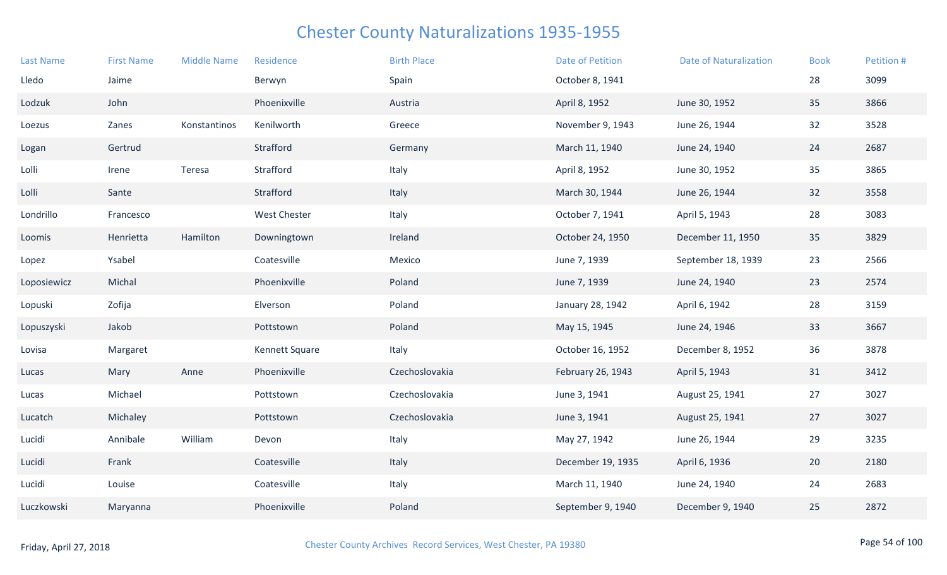| <b>Last Name</b> | <b>First Name</b> | <b>Middle Name</b> | Residence           | <b>Birth Place</b> | Date of Petition  | <b>Date of Naturalization</b> | <b>Book</b> | Petition # |
|------------------|-------------------|--------------------|---------------------|--------------------|-------------------|-------------------------------|-------------|------------|
| Lledo            | Jaime             |                    | Berwyn              | Spain              | October 8, 1941   |                               | 28          | 3099       |
| Lodzuk           | John              |                    | Phoenixville        | Austria            | April 8, 1952     | June 30, 1952                 | 35          | 3866       |
| Loezus           | Zanes             | Konstantinos       | Kenilworth          | Greece             | November 9, 1943  | June 26, 1944                 | 32          | 3528       |
| Logan            | Gertrud           |                    | Strafford           | Germany            | March 11, 1940    | June 24, 1940                 | 24          | 2687       |
| Lolli            | Irene             | Teresa             | Strafford           | Italy              | April 8, 1952     | June 30, 1952                 | 35          | 3865       |
| Lolli            | Sante             |                    | Strafford           | Italy              | March 30, 1944    | June 26, 1944                 | 32          | 3558       |
| Londrillo        | Francesco         |                    | <b>West Chester</b> | Italy              | October 7, 1941   | April 5, 1943                 | 28          | 3083       |
| Loomis           | Henrietta         | Hamilton           | Downingtown         | Ireland            | October 24, 1950  | December 11, 1950             | 35          | 3829       |
| Lopez            | Ysabel            |                    | Coatesville         | Mexico             | June 7, 1939      | September 18, 1939            | 23          | 2566       |
| Loposiewicz      | Michal            |                    | Phoenixville        | Poland             | June 7, 1939      | June 24, 1940                 | 23          | 2574       |
| Lopuski          | Zofija            |                    | Elverson            | Poland             | January 28, 1942  | April 6, 1942                 | 28          | 3159       |
| Lopuszyski       | Jakob             |                    | Pottstown           | Poland             | May 15, 1945      | June 24, 1946                 | 33          | 3667       |
| Lovisa           | Margaret          |                    | Kennett Square      | Italy              | October 16, 1952  | December 8, 1952              | 36          | 3878       |
| Lucas            | Mary              | Anne               | Phoenixville        | Czechoslovakia     | February 26, 1943 | April 5, 1943                 | 31          | 3412       |
| Lucas            | Michael           |                    | Pottstown           | Czechoslovakia     | June 3, 1941      | August 25, 1941               | 27          | 3027       |
| Lucatch          | Michaley          |                    | Pottstown           | Czechoslovakia     | June 3, 1941      | August 25, 1941               | 27          | 3027       |
| Lucidi           | Annibale          | William            | Devon               | Italy              | May 27, 1942      | June 26, 1944                 | 29          | 3235       |
| Lucidi           | Frank             |                    | Coatesville         | Italy              | December 19, 1935 | April 6, 1936                 | 20          | 2180       |
| Lucidi           | Louise            |                    | Coatesville         | Italy              | March 11, 1940    | June 24, 1940                 | 24          | 2683       |
| Luczkowski       | Maryanna          |                    | Phoenixville        | Poland             | September 9, 1940 | December 9, 1940              | 25          | 2872       |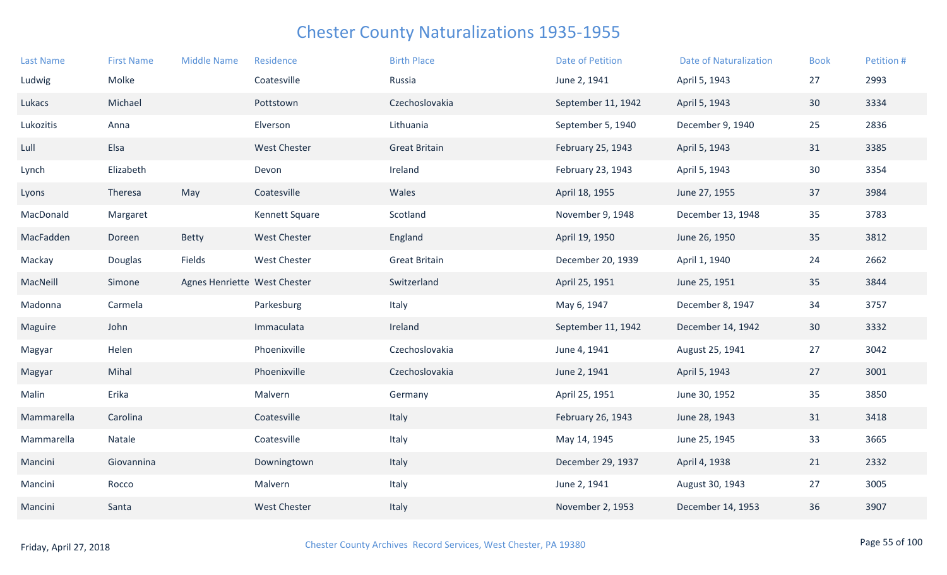| <b>Last Name</b> | <b>First Name</b> | <b>Middle Name</b>           | Residence           | <b>Birth Place</b>   | <b>Date of Petition</b> | <b>Date of Naturalization</b> | <b>Book</b> | Petition # |
|------------------|-------------------|------------------------------|---------------------|----------------------|-------------------------|-------------------------------|-------------|------------|
| Ludwig           | Molke             |                              | Coatesville         | Russia               | June 2, 1941            | April 5, 1943                 | 27          | 2993       |
| Lukacs           | Michael           |                              | Pottstown           | Czechoslovakia       | September 11, 1942      | April 5, 1943                 | 30          | 3334       |
| Lukozitis        | Anna              |                              | Elverson            | Lithuania            | September 5, 1940       | December 9, 1940              | 25          | 2836       |
| Lull             | Elsa              |                              | <b>West Chester</b> | <b>Great Britain</b> | February 25, 1943       | April 5, 1943                 | 31          | 3385       |
| Lynch            | Elizabeth         |                              | Devon               | Ireland              | February 23, 1943       | April 5, 1943                 | 30          | 3354       |
| Lyons            | Theresa           | May                          | Coatesville         | Wales                | April 18, 1955          | June 27, 1955                 | 37          | 3984       |
| MacDonald        | Margaret          |                              | Kennett Square      | Scotland             | November 9, 1948        | December 13, 1948             | 35          | 3783       |
| MacFadden        | Doreen            | <b>Betty</b>                 | <b>West Chester</b> | England              | April 19, 1950          | June 26, 1950                 | 35          | 3812       |
| Mackay           | Douglas           | Fields                       | <b>West Chester</b> | <b>Great Britain</b> | December 20, 1939       | April 1, 1940                 | 24          | 2662       |
| MacNeill         | Simone            | Agnes Henriette West Chester |                     | Switzerland          | April 25, 1951          | June 25, 1951                 | 35          | 3844       |
| Madonna          | Carmela           |                              | Parkesburg          | Italy                | May 6, 1947             | December 8, 1947              | 34          | 3757       |
| Maguire          | John              |                              | Immaculata          | Ireland              | September 11, 1942      | December 14, 1942             | 30          | 3332       |
| Magyar           | Helen             |                              | Phoenixville        | Czechoslovakia       | June 4, 1941            | August 25, 1941               | 27          | 3042       |
| Magyar           | Mihal             |                              | Phoenixville        | Czechoslovakia       | June 2, 1941            | April 5, 1943                 | 27          | 3001       |
| Malin            | Erika             |                              | Malvern             | Germany              | April 25, 1951          | June 30, 1952                 | 35          | 3850       |
| Mammarella       | Carolina          |                              | Coatesville         | Italy                | February 26, 1943       | June 28, 1943                 | 31          | 3418       |
| Mammarella       | Natale            |                              | Coatesville         | Italy                | May 14, 1945            | June 25, 1945                 | 33          | 3665       |
| Mancini          | Giovannina        |                              | Downingtown         | Italy                | December 29, 1937       | April 4, 1938                 | 21          | 2332       |
| Mancini          | Rocco             |                              | Malvern             | Italy                | June 2, 1941            | August 30, 1943               | 27          | 3005       |
| Mancini          | Santa             |                              | <b>West Chester</b> | Italy                | November 2, 1953        | December 14, 1953             | 36          | 3907       |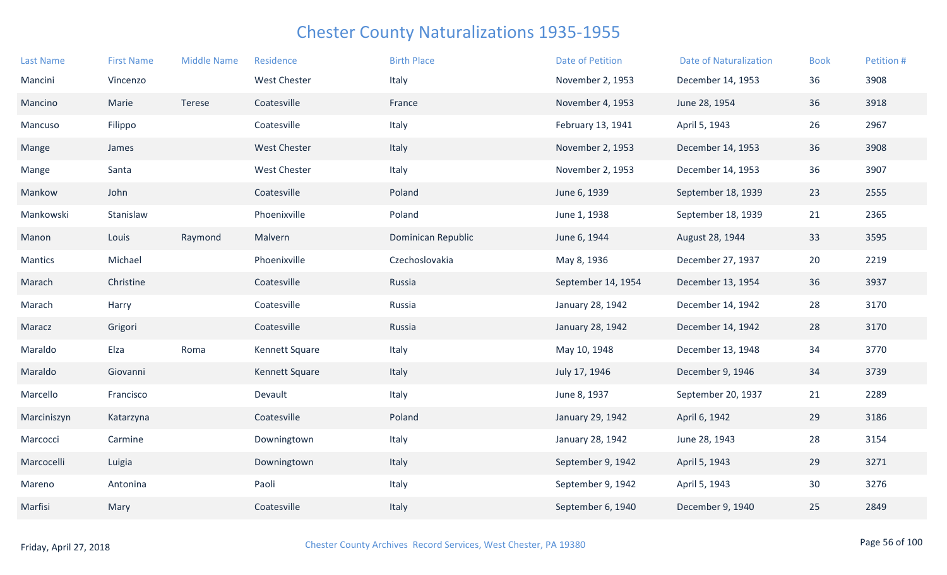| <b>Last Name</b> | <b>First Name</b> | <b>Middle Name</b> | Residence             | <b>Birth Place</b> | <b>Date of Petition</b> | <b>Date of Naturalization</b> | <b>Book</b> | Petition # |
|------------------|-------------------|--------------------|-----------------------|--------------------|-------------------------|-------------------------------|-------------|------------|
| Mancini          | Vincenzo          |                    | <b>West Chester</b>   | Italy              | November 2, 1953        | December 14, 1953             | 36          | 3908       |
| Mancino          | Marie             | Terese             | Coatesville           | France             | November 4, 1953        | June 28, 1954                 | 36          | 3918       |
| Mancuso          | Filippo           |                    | Coatesville           | Italy              | February 13, 1941       | April 5, 1943                 | 26          | 2967       |
| Mange            | James             |                    | <b>West Chester</b>   | Italy              | November 2, 1953        | December 14, 1953             | 36          | 3908       |
| Mange            | Santa             |                    | <b>West Chester</b>   | Italy              | November 2, 1953        | December 14, 1953             | 36          | 3907       |
| Mankow           | John              |                    | Coatesville           | Poland             | June 6, 1939            | September 18, 1939            | 23          | 2555       |
| Mankowski        | Stanislaw         |                    | Phoenixville          | Poland             | June 1, 1938            | September 18, 1939            | 21          | 2365       |
| Manon            | Louis             | Raymond            | Malvern               | Dominican Republic | June 6, 1944            | August 28, 1944               | 33          | 3595       |
| <b>Mantics</b>   | Michael           |                    | Phoenixville          | Czechoslovakia     | May 8, 1936             | December 27, 1937             | 20          | 2219       |
| Marach           | Christine         |                    | Coatesville           | Russia             | September 14, 1954      | December 13, 1954             | 36          | 3937       |
| Marach           | Harry             |                    | Coatesville           | Russia             | January 28, 1942        | December 14, 1942             | 28          | 3170       |
| Maracz           | Grigori           |                    | Coatesville           | Russia             | January 28, 1942        | December 14, 1942             | 28          | 3170       |
| Maraldo          | Elza              | Roma               | Kennett Square        | Italy              | May 10, 1948            | December 13, 1948             | 34          | 3770       |
| Maraldo          | Giovanni          |                    | <b>Kennett Square</b> | Italy              | July 17, 1946           | December 9, 1946              | 34          | 3739       |
| Marcello         | Francisco         |                    | Devault               | Italy              | June 8, 1937            | September 20, 1937            | 21          | 2289       |
| Marciniszyn      | Katarzyna         |                    | Coatesville           | Poland             | January 29, 1942        | April 6, 1942                 | 29          | 3186       |
| Marcocci         | Carmine           |                    | Downingtown           | Italy              | January 28, 1942        | June 28, 1943                 | 28          | 3154       |
| Marcocelli       | Luigia            |                    | Downingtown           | Italy              | September 9, 1942       | April 5, 1943                 | 29          | 3271       |
| Mareno           | Antonina          |                    | Paoli                 | Italy              | September 9, 1942       | April 5, 1943                 | 30          | 3276       |
| Marfisi          | Mary              |                    | Coatesville           | Italy              | September 6, 1940       | December 9, 1940              | 25          | 2849       |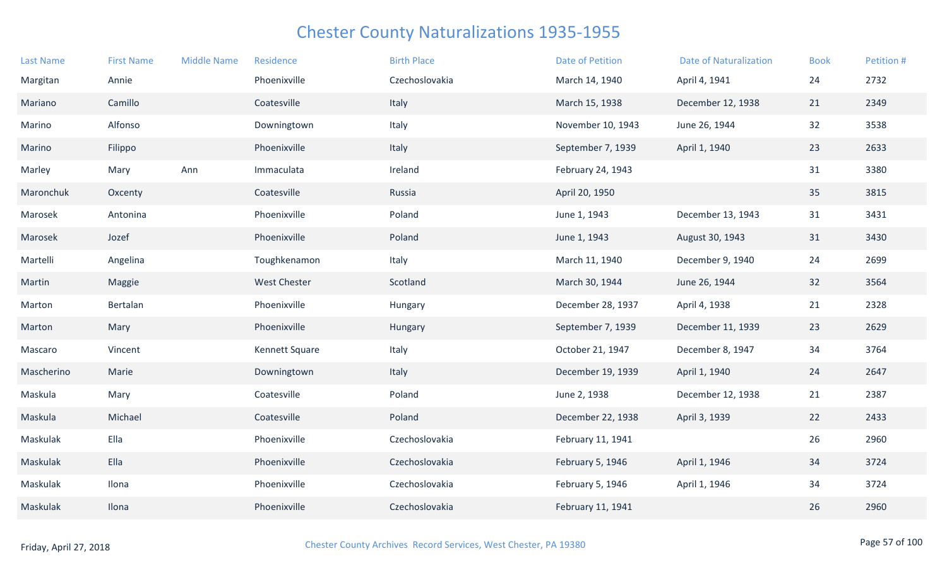| <b>Last Name</b> | <b>First Name</b> | <b>Middle Name</b> | Residence           | <b>Birth Place</b> | <b>Date of Petition</b> | <b>Date of Naturalization</b> | <b>Book</b> | Petition # |
|------------------|-------------------|--------------------|---------------------|--------------------|-------------------------|-------------------------------|-------------|------------|
| Margitan         | Annie             |                    | Phoenixville        | Czechoslovakia     | March 14, 1940          | April 4, 1941                 | 24          | 2732       |
| Mariano          | Camillo           |                    | Coatesville         | Italy              | March 15, 1938          | December 12, 1938             | 21          | 2349       |
| Marino           | Alfonso           |                    | Downingtown         | Italy              | November 10, 1943       | June 26, 1944                 | 32          | 3538       |
| Marino           | Filippo           |                    | Phoenixville        | Italy              | September 7, 1939       | April 1, 1940                 | 23          | 2633       |
| Marley           | Mary              | Ann                | Immaculata          | Ireland            | February 24, 1943       |                               | 31          | 3380       |
| Maronchuk        | Oxcenty           |                    | Coatesville         | Russia             | April 20, 1950          |                               | 35          | 3815       |
| Marosek          | Antonina          |                    | Phoenixville        | Poland             | June 1, 1943            | December 13, 1943             | 31          | 3431       |
| Marosek          | Jozef             |                    | Phoenixville        | Poland             | June 1, 1943            | August 30, 1943               | 31          | 3430       |
| Martelli         | Angelina          |                    | Toughkenamon        | Italy              | March 11, 1940          | December 9, 1940              | 24          | 2699       |
| Martin           | Maggie            |                    | <b>West Chester</b> | Scotland           | March 30, 1944          | June 26, 1944                 | 32          | 3564       |
| Marton           | Bertalan          |                    | Phoenixville        | Hungary            | December 28, 1937       | April 4, 1938                 | 21          | 2328       |
| Marton           | Mary              |                    | Phoenixville        | Hungary            | September 7, 1939       | December 11, 1939             | 23          | 2629       |
| Mascaro          | Vincent           |                    | Kennett Square      | Italy              | October 21, 1947        | December 8, 1947              | 34          | 3764       |
| Mascherino       | Marie             |                    | Downingtown         | Italy              | December 19, 1939       | April 1, 1940                 | 24          | 2647       |
| Maskula          | Mary              |                    | Coatesville         | Poland             | June 2, 1938            | December 12, 1938             | 21          | 2387       |
| Maskula          | Michael           |                    | Coatesville         | Poland             | December 22, 1938       | April 3, 1939                 | 22          | 2433       |
| Maskulak         | Ella              |                    | Phoenixville        | Czechoslovakia     | February 11, 1941       |                               | 26          | 2960       |
| Maskulak         | Ella              |                    | Phoenixville        | Czechoslovakia     | February 5, 1946        | April 1, 1946                 | 34          | 3724       |
| Maskulak         | Ilona             |                    | Phoenixville        | Czechoslovakia     | February 5, 1946        | April 1, 1946                 | 34          | 3724       |
| Maskulak         | Ilona             |                    | Phoenixville        | Czechoslovakia     | February 11, 1941       |                               | 26          | 2960       |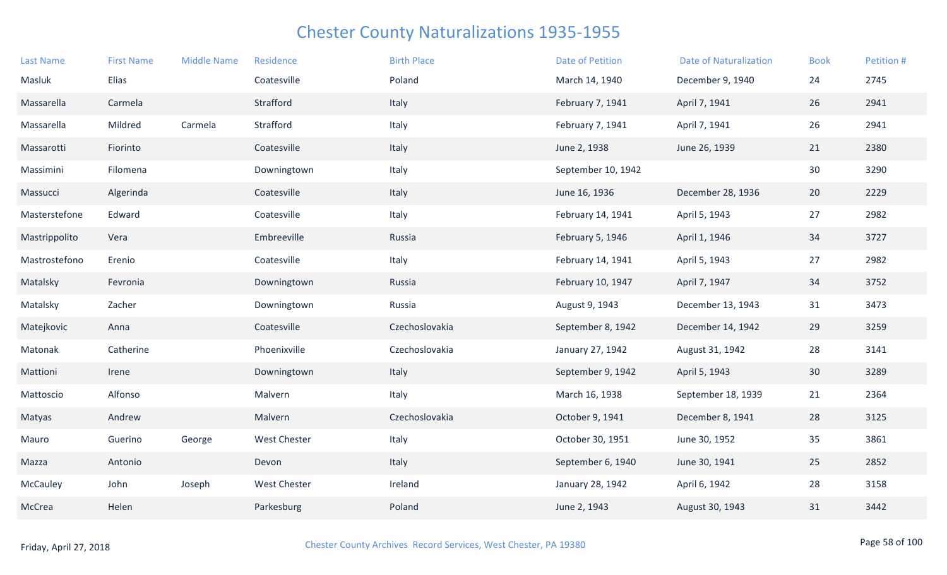| <b>Last Name</b> | <b>First Name</b> | <b>Middle Name</b> | Residence    | <b>Birth Place</b> | <b>Date of Petition</b> | <b>Date of Naturalization</b> | <b>Book</b> | Petition # |
|------------------|-------------------|--------------------|--------------|--------------------|-------------------------|-------------------------------|-------------|------------|
| Masluk           | Elias             |                    | Coatesville  | Poland             | March 14, 1940          | December 9, 1940              | 24          | 2745       |
| Massarella       | Carmela           |                    | Strafford    | Italy              | February 7, 1941        | April 7, 1941                 | 26          | 2941       |
| Massarella       | Mildred           | Carmela            | Strafford    | Italy              | February 7, 1941        | April 7, 1941                 | 26          | 2941       |
| Massarotti       | Fiorinto          |                    | Coatesville  | Italy              | June 2, 1938            | June 26, 1939                 | 21          | 2380       |
| Massimini        | Filomena          |                    | Downingtown  | Italy              | September 10, 1942      |                               | 30          | 3290       |
| Massucci         | Algerinda         |                    | Coatesville  | Italy              | June 16, 1936           | December 28, 1936             | 20          | 2229       |
| Masterstefone    | Edward            |                    | Coatesville  | Italy              | February 14, 1941       | April 5, 1943                 | 27          | 2982       |
| Mastrippolito    | Vera              |                    | Embreeville  | Russia             | February 5, 1946        | April 1, 1946                 | 34          | 3727       |
| Mastrostefono    | Erenio            |                    | Coatesville  | Italy              | February 14, 1941       | April 5, 1943                 | 27          | 2982       |
| Matalsky         | Fevronia          |                    | Downingtown  | Russia             | February 10, 1947       | April 7, 1947                 | 34          | 3752       |
| Matalsky         | Zacher            |                    | Downingtown  | Russia             | August 9, 1943          | December 13, 1943             | 31          | 3473       |
| Matejkovic       | Anna              |                    | Coatesville  | Czechoslovakia     | September 8, 1942       | December 14, 1942             | 29          | 3259       |
| Matonak          | Catherine         |                    | Phoenixville | Czechoslovakia     | January 27, 1942        | August 31, 1942               | 28          | 3141       |
| Mattioni         | Irene             |                    | Downingtown  | Italy              | September 9, 1942       | April 5, 1943                 | 30          | 3289       |
| Mattoscio        | Alfonso           |                    | Malvern      | Italy              | March 16, 1938          | September 18, 1939            | 21          | 2364       |
| Matyas           | Andrew            |                    | Malvern      | Czechoslovakia     | October 9, 1941         | December 8, 1941              | 28          | 3125       |
| Mauro            | Guerino           | George             | West Chester | Italy              | October 30, 1951        | June 30, 1952                 | 35          | 3861       |
| Mazza            | Antonio           |                    | Devon        | Italy              | September 6, 1940       | June 30, 1941                 | 25          | 2852       |
| McCauley         | John              | Joseph             | West Chester | Ireland            | January 28, 1942        | April 6, 1942                 | 28          | 3158       |
| McCrea           | Helen             |                    | Parkesburg   | Poland             | June 2, 1943            | August 30, 1943               | 31          | 3442       |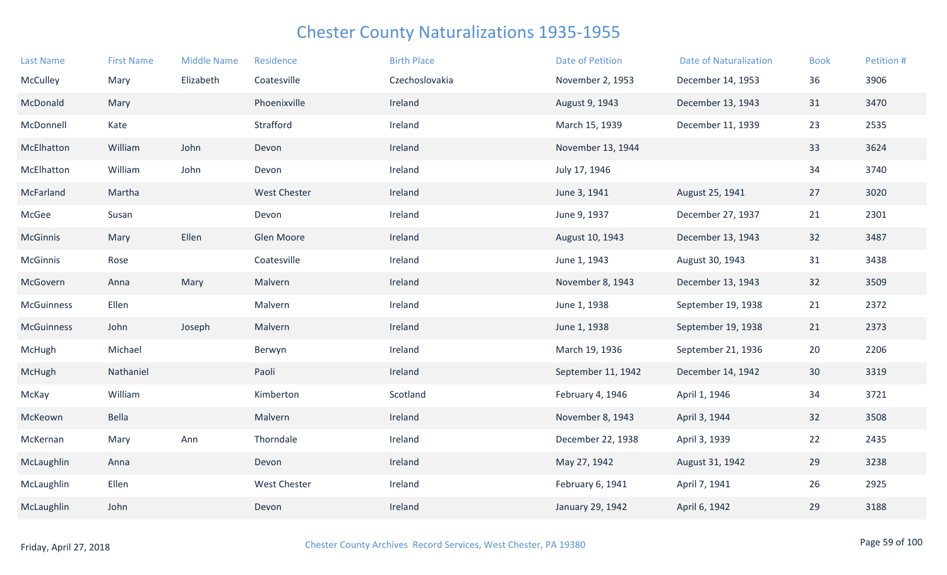| <b>Last Name</b>  | <b>First Name</b> | <b>Middle Name</b> | Residence           | <b>Birth Place</b> | <b>Date of Petition</b> | <b>Date of Naturalization</b> | <b>Book</b> | Petition # |
|-------------------|-------------------|--------------------|---------------------|--------------------|-------------------------|-------------------------------|-------------|------------|
| McCulley          | Mary              | Elizabeth          | Coatesville         | Czechoslovakia     | November 2, 1953        | December 14, 1953             | 36          | 3906       |
| McDonald          | Mary              |                    | Phoenixville        | Ireland            | August 9, 1943          | December 13, 1943             | 31          | 3470       |
| McDonnell         | Kate              |                    | Strafford           | Ireland            | March 15, 1939          | December 11, 1939             | 23          | 2535       |
| McElhatton        | William           | John               | Devon               | Ireland            | November 13, 1944       |                               | 33          | 3624       |
| McElhatton        | William           | John               | Devon               | Ireland            | July 17, 1946           |                               | 34          | 3740       |
| McFarland         | Martha            |                    | <b>West Chester</b> | Ireland            | June 3, 1941            | August 25, 1941               | 27          | 3020       |
| McGee             | Susan             |                    | Devon               | Ireland            | June 9, 1937            | December 27, 1937             | 21          | 2301       |
| McGinnis          | Mary              | Ellen              | Glen Moore          | Ireland            | August 10, 1943         | December 13, 1943             | 32          | 3487       |
| McGinnis          | Rose              |                    | Coatesville         | Ireland            | June 1, 1943            | August 30, 1943               | 31          | 3438       |
| McGovern          | Anna              | Mary               | Malvern             | Ireland            | November 8, 1943        | December 13, 1943             | 32          | 3509       |
| <b>McGuinness</b> | Ellen             |                    | Malvern             | Ireland            | June 1, 1938            | September 19, 1938            | 21          | 2372       |
| <b>McGuinness</b> | John              | Joseph             | Malvern             | Ireland            | June 1, 1938            | September 19, 1938            | 21          | 2373       |
| McHugh            | Michael           |                    | Berwyn              | Ireland            | March 19, 1936          | September 21, 1936            | 20          | 2206       |
| McHugh            | Nathaniel         |                    | Paoli               | Ireland            | September 11, 1942      | December 14, 1942             | 30          | 3319       |
| McKay             | William           |                    | Kimberton           | Scotland           | February 4, 1946        | April 1, 1946                 | 34          | 3721       |
| McKeown           | Bella             |                    | Malvern             | Ireland            | November 8, 1943        | April 3, 1944                 | 32          | 3508       |
| McKernan          | Mary              | Ann                | Thorndale           | Ireland            | December 22, 1938       | April 3, 1939                 | 22          | 2435       |
| McLaughlin        | Anna              |                    | Devon               | Ireland            | May 27, 1942            | August 31, 1942               | 29          | 3238       |
| McLaughlin        | Ellen             |                    | West Chester        | Ireland            | February 6, 1941        | April 7, 1941                 | 26          | 2925       |
| McLaughlin        | John              |                    | Devon               | Ireland            | January 29, 1942        | April 6, 1942                 | 29          | 3188       |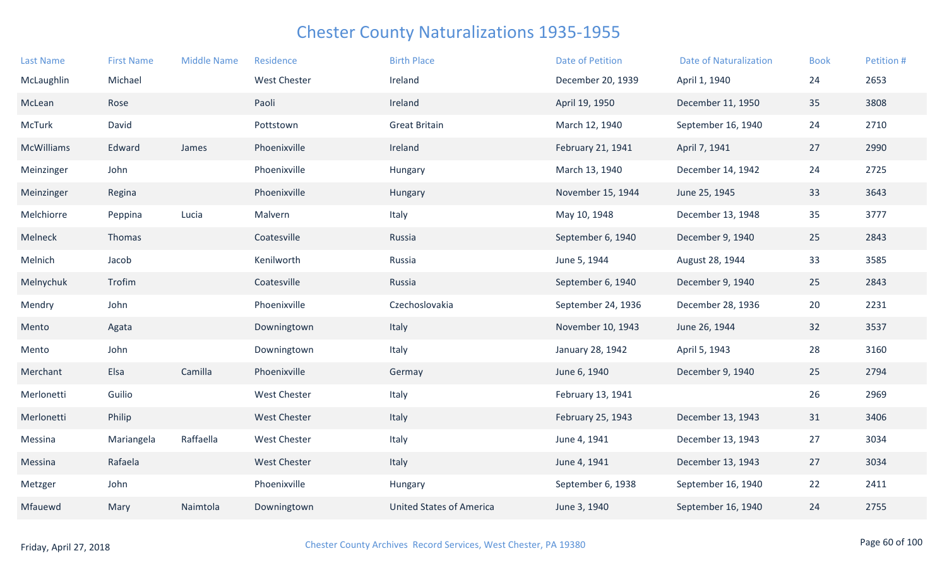| <b>Last Name</b> | <b>First Name</b> | <b>Middle Name</b> | Residence           | <b>Birth Place</b>              | <b>Date of Petition</b> | <b>Date of Naturalization</b> | <b>Book</b> | Petition # |
|------------------|-------------------|--------------------|---------------------|---------------------------------|-------------------------|-------------------------------|-------------|------------|
| McLaughlin       | Michael           |                    | <b>West Chester</b> | Ireland                         | December 20, 1939       | April 1, 1940                 | 24          | 2653       |
| McLean           | Rose              |                    | Paoli               | Ireland                         | April 19, 1950          | December 11, 1950             | 35          | 3808       |
| McTurk           | David             |                    | Pottstown           | <b>Great Britain</b>            | March 12, 1940          | September 16, 1940            | 24          | 2710       |
| McWilliams       | Edward            | James              | Phoenixville        | Ireland                         | February 21, 1941       | April 7, 1941                 | 27          | 2990       |
| Meinzinger       | John              |                    | Phoenixville        | Hungary                         | March 13, 1940          | December 14, 1942             | 24          | 2725       |
| Meinzinger       | Regina            |                    | Phoenixville        | Hungary                         | November 15, 1944       | June 25, 1945                 | 33          | 3643       |
| Melchiorre       | Peppina           | Lucia              | Malvern             | Italy                           | May 10, 1948            | December 13, 1948             | 35          | 3777       |
| Melneck          | Thomas            |                    | Coatesville         | Russia                          | September 6, 1940       | December 9, 1940              | 25          | 2843       |
| Melnich          | Jacob             |                    | Kenilworth          | Russia                          | June 5, 1944            | August 28, 1944               | 33          | 3585       |
| Melnychuk        | Trofim            |                    | Coatesville         | Russia                          | September 6, 1940       | December 9, 1940              | 25          | 2843       |
| Mendry           | John              |                    | Phoenixville        | Czechoslovakia                  | September 24, 1936      | December 28, 1936             | 20          | 2231       |
| Mento            | Agata             |                    | Downingtown         | Italy                           | November 10, 1943       | June 26, 1944                 | 32          | 3537       |
| Mento            | John              |                    | Downingtown         | Italy                           | January 28, 1942        | April 5, 1943                 | 28          | 3160       |
| Merchant         | Elsa              | Camilla            | Phoenixville        | Germay                          | June 6, 1940            | December 9, 1940              | 25          | 2794       |
| Merlonetti       | Guilio            |                    | <b>West Chester</b> | Italy                           | February 13, 1941       |                               | 26          | 2969       |
| Merlonetti       | Philip            |                    | <b>West Chester</b> | Italy                           | February 25, 1943       | December 13, 1943             | 31          | 3406       |
| Messina          | Mariangela        | Raffaella          | West Chester        | Italy                           | June 4, 1941            | December 13, 1943             | 27          | 3034       |
| Messina          | Rafaela           |                    | <b>West Chester</b> | Italy                           | June 4, 1941            | December 13, 1943             | 27          | 3034       |
| Metzger          | John              |                    | Phoenixville        | Hungary                         | September 6, 1938       | September 16, 1940            | 22          | 2411       |
| Mfauewd          | Mary              | Naimtola           | Downingtown         | <b>United States of America</b> | June 3, 1940            | September 16, 1940            | 24          | 2755       |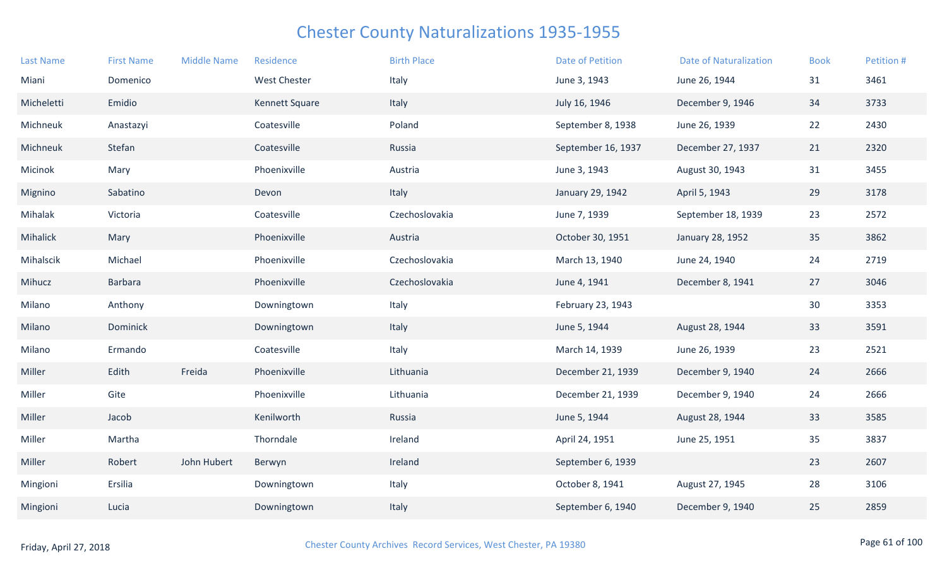| <b>Last Name</b> | <b>First Name</b> | <b>Middle Name</b> | Residence           | <b>Birth Place</b> | <b>Date of Petition</b> | <b>Date of Naturalization</b> | <b>Book</b> | Petition # |
|------------------|-------------------|--------------------|---------------------|--------------------|-------------------------|-------------------------------|-------------|------------|
| Miani            | Domenico          |                    | <b>West Chester</b> | Italy              | June 3, 1943            | June 26, 1944                 | 31          | 3461       |
| Micheletti       | Emidio            |                    | Kennett Square      | Italy              | July 16, 1946           | December 9, 1946              | 34          | 3733       |
| Michneuk         | Anastazyi         |                    | Coatesville         | Poland             | September 8, 1938       | June 26, 1939                 | 22          | 2430       |
| Michneuk         | Stefan            |                    | Coatesville         | Russia             | September 16, 1937      | December 27, 1937             | 21          | 2320       |
| Micinok          | Mary              |                    | Phoenixville        | Austria            | June 3, 1943            | August 30, 1943               | 31          | 3455       |
| Mignino          | Sabatino          |                    | Devon               | Italy              | January 29, 1942        | April 5, 1943                 | 29          | 3178       |
| Mihalak          | Victoria          |                    | Coatesville         | Czechoslovakia     | June 7, 1939            | September 18, 1939            | 23          | 2572       |
| Mihalick         | Mary              |                    | Phoenixville        | Austria            | October 30, 1951        | January 28, 1952              | 35          | 3862       |
| Mihalscik        | Michael           |                    | Phoenixville        | Czechoslovakia     | March 13, 1940          | June 24, 1940                 | 24          | 2719       |
| Mihucz           | <b>Barbara</b>    |                    | Phoenixville        | Czechoslovakia     | June 4, 1941            | December 8, 1941              | 27          | 3046       |
| Milano           | Anthony           |                    | Downingtown         | Italy              | February 23, 1943       |                               | 30          | 3353       |
| Milano           | Dominick          |                    | Downingtown         | Italy              | June 5, 1944            | August 28, 1944               | 33          | 3591       |
| Milano           | Ermando           |                    | Coatesville         | Italy              | March 14, 1939          | June 26, 1939                 | 23          | 2521       |
| Miller           | Edith             | Freida             | Phoenixville        | Lithuania          | December 21, 1939       | December 9, 1940              | 24          | 2666       |
| Miller           | Gite              |                    | Phoenixville        | Lithuania          | December 21, 1939       | December 9, 1940              | 24          | 2666       |
| Miller           | Jacob             |                    | Kenilworth          | Russia             | June 5, 1944            | August 28, 1944               | 33          | 3585       |
| Miller           | Martha            |                    | Thorndale           | Ireland            | April 24, 1951          | June 25, 1951                 | 35          | 3837       |
| Miller           | Robert            | John Hubert        | Berwyn              | Ireland            | September 6, 1939       |                               | 23          | 2607       |
| Mingioni         | Ersilia           |                    | Downingtown         | Italy              | October 8, 1941         | August 27, 1945               | 28          | 3106       |
| Mingioni         | Lucia             |                    | Downingtown         | Italy              | September 6, 1940       | December 9, 1940              | 25          | 2859       |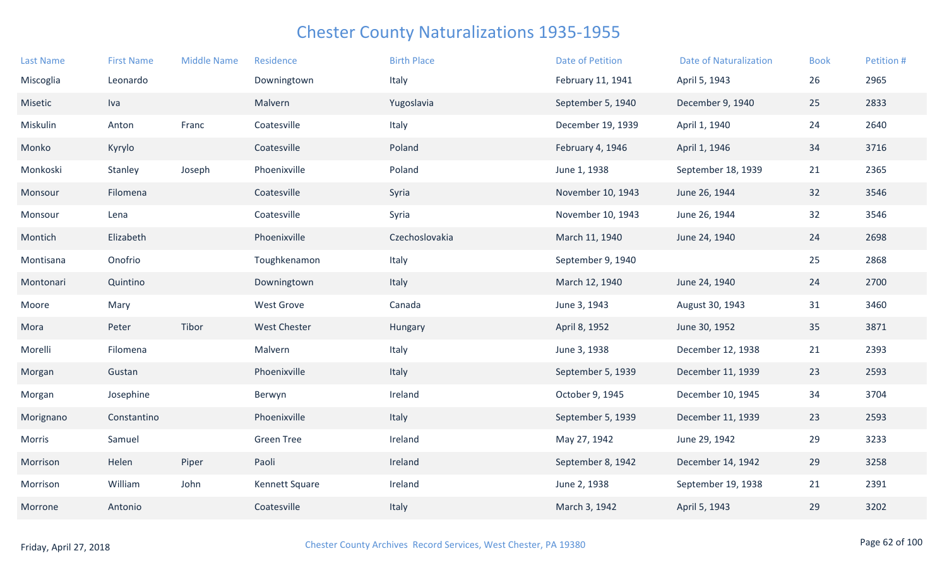| <b>Last Name</b> | <b>First Name</b> | <b>Middle Name</b> | Residence           | <b>Birth Place</b> | Date of Petition  | <b>Date of Naturalization</b> | <b>Book</b> | Petition # |
|------------------|-------------------|--------------------|---------------------|--------------------|-------------------|-------------------------------|-------------|------------|
| Miscoglia        | Leonardo          |                    | Downingtown         | Italy              | February 11, 1941 | April 5, 1943                 | 26          | 2965       |
| Misetic          | Iva               |                    | Malvern             | Yugoslavia         | September 5, 1940 | December 9, 1940              | 25          | 2833       |
| Miskulin         | Anton             | Franc              | Coatesville         | Italy              | December 19, 1939 | April 1, 1940                 | 24          | 2640       |
| Monko            | Kyrylo            |                    | Coatesville         | Poland             | February 4, 1946  | April 1, 1946                 | 34          | 3716       |
| Monkoski         | Stanley           | Joseph             | Phoenixville        | Poland             | June 1, 1938      | September 18, 1939            | 21          | 2365       |
| Monsour          | Filomena          |                    | Coatesville         | Syria              | November 10, 1943 | June 26, 1944                 | 32          | 3546       |
| Monsour          | Lena              |                    | Coatesville         | Syria              | November 10, 1943 | June 26, 1944                 | 32          | 3546       |
| Montich          | Elizabeth         |                    | Phoenixville        | Czechoslovakia     | March 11, 1940    | June 24, 1940                 | 24          | 2698       |
| Montisana        | Onofrio           |                    | Toughkenamon        | Italy              | September 9, 1940 |                               | 25          | 2868       |
| Montonari        | Quintino          |                    | Downingtown         | Italy              | March 12, 1940    | June 24, 1940                 | 24          | 2700       |
| Moore            | Mary              |                    | <b>West Grove</b>   | Canada             | June 3, 1943      | August 30, 1943               | 31          | 3460       |
| Mora             | Peter             | Tibor              | <b>West Chester</b> | Hungary            | April 8, 1952     | June 30, 1952                 | 35          | 3871       |
| Morelli          | Filomena          |                    | Malvern             | Italy              | June 3, 1938      | December 12, 1938             | 21          | 2393       |
| Morgan           | Gustan            |                    | Phoenixville        | Italy              | September 5, 1939 | December 11, 1939             | 23          | 2593       |
| Morgan           | Josephine         |                    | Berwyn              | Ireland            | October 9, 1945   | December 10, 1945             | 34          | 3704       |
| Morignano        | Constantino       |                    | Phoenixville        | Italy              | September 5, 1939 | December 11, 1939             | 23          | 2593       |
| Morris           | Samuel            |                    | <b>Green Tree</b>   | Ireland            | May 27, 1942      | June 29, 1942                 | 29          | 3233       |
| Morrison         | Helen             | Piper              | Paoli               | Ireland            | September 8, 1942 | December 14, 1942             | 29          | 3258       |
| Morrison         | William           | John               | Kennett Square      | Ireland            | June 2, 1938      | September 19, 1938            | 21          | 2391       |
| Morrone          | Antonio           |                    | Coatesville         | Italy              | March 3, 1942     | April 5, 1943                 | 29          | 3202       |
|                  |                   |                    |                     |                    |                   |                               |             |            |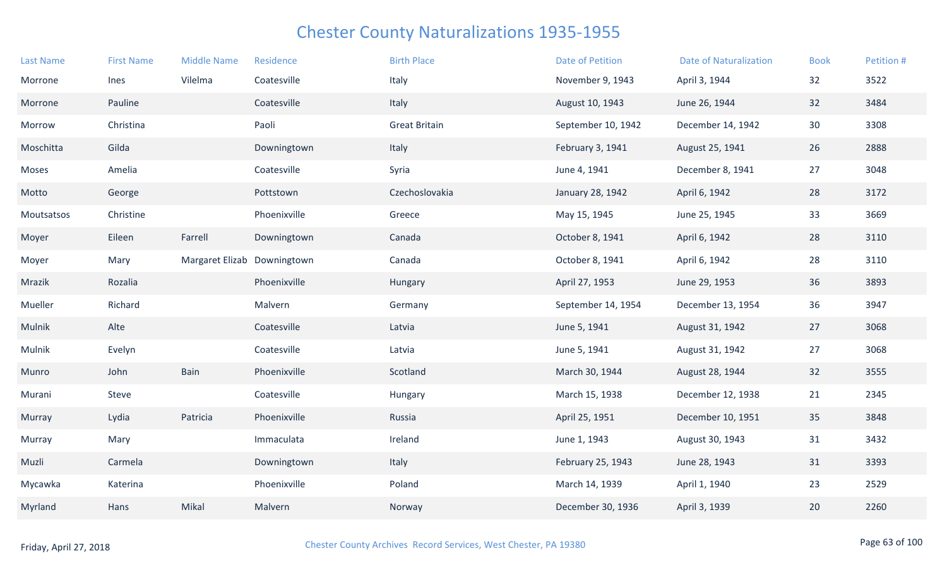| <b>Last Name</b> | <b>First Name</b> | <b>Middle Name</b>          | Residence    | <b>Birth Place</b>   | <b>Date of Petition</b> | <b>Date of Naturalization</b> | <b>Book</b> | Petition # |
|------------------|-------------------|-----------------------------|--------------|----------------------|-------------------------|-------------------------------|-------------|------------|
| Morrone          | Ines              | Vilelma                     | Coatesville  | Italy                | November 9, 1943        | April 3, 1944                 | 32          | 3522       |
| Morrone          | Pauline           |                             | Coatesville  | Italy                | August 10, 1943         | June 26, 1944                 | 32          | 3484       |
| Morrow           | Christina         |                             | Paoli        | <b>Great Britain</b> | September 10, 1942      | December 14, 1942             | 30          | 3308       |
| Moschitta        | Gilda             |                             | Downingtown  | Italy                | February 3, 1941        | August 25, 1941               | 26          | 2888       |
| Moses            | Amelia            |                             | Coatesville  | Syria                | June 4, 1941            | December 8, 1941              | 27          | 3048       |
| Motto            | George            |                             | Pottstown    | Czechoslovakia       | January 28, 1942        | April 6, 1942                 | 28          | 3172       |
| Moutsatsos       | Christine         |                             | Phoenixville | Greece               | May 15, 1945            | June 25, 1945                 | 33          | 3669       |
| Moyer            | Eileen            | Farrell                     | Downingtown  | Canada               | October 8, 1941         | April 6, 1942                 | 28          | 3110       |
| Moyer            | Mary              | Margaret Elizab Downingtown |              | Canada               | October 8, 1941         | April 6, 1942                 | 28          | 3110       |
| Mrazik           | Rozalia           |                             | Phoenixville | Hungary              | April 27, 1953          | June 29, 1953                 | 36          | 3893       |
| Mueller          | Richard           |                             | Malvern      | Germany              | September 14, 1954      | December 13, 1954             | 36          | 3947       |
| Mulnik           | Alte              |                             | Coatesville  | Latvia               | June 5, 1941            | August 31, 1942               | 27          | 3068       |
| Mulnik           | Evelyn            |                             | Coatesville  | Latvia               | June 5, 1941            | August 31, 1942               | 27          | 3068       |
| Munro            | John              | Bain                        | Phoenixville | Scotland             | March 30, 1944          | August 28, 1944               | 32          | 3555       |
| Murani           | Steve             |                             | Coatesville  | Hungary              | March 15, 1938          | December 12, 1938             | 21          | 2345       |
| Murray           | Lydia             | Patricia                    | Phoenixville | Russia               | April 25, 1951          | December 10, 1951             | 35          | 3848       |
| Murray           | Mary              |                             | Immaculata   | Ireland              | June 1, 1943            | August 30, 1943               | 31          | 3432       |
| Muzli            | Carmela           |                             | Downingtown  | Italy                | February 25, 1943       | June 28, 1943                 | 31          | 3393       |
| Mycawka          | Katerina          |                             | Phoenixville | Poland               | March 14, 1939          | April 1, 1940                 | 23          | 2529       |
| Myrland          | Hans              | Mikal                       | Malvern      | Norway               | December 30, 1936       | April 3, 1939                 | 20          | 2260       |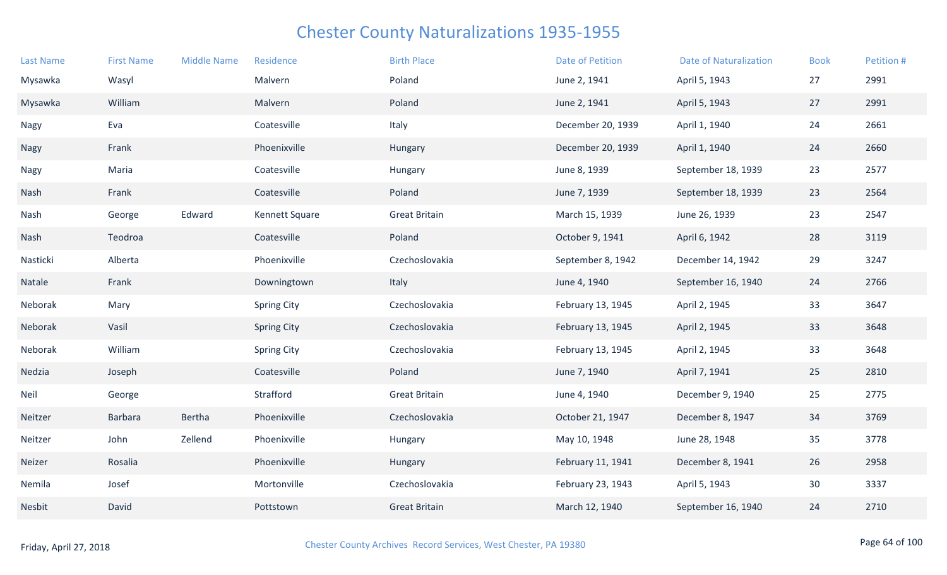| <b>Last Name</b> | <b>First Name</b> | <b>Middle Name</b> | Residence          | <b>Birth Place</b>   | <b>Date of Petition</b> | <b>Date of Naturalization</b> | <b>Book</b> | Petition # |
|------------------|-------------------|--------------------|--------------------|----------------------|-------------------------|-------------------------------|-------------|------------|
| Mysawka          | Wasyl             |                    | Malvern            | Poland               | June 2, 1941            | April 5, 1943                 | 27          | 2991       |
| Mysawka          | William           |                    | Malvern            | Poland               | June 2, 1941            | April 5, 1943                 | 27          | 2991       |
| Nagy             | Eva               |                    | Coatesville        | Italy                | December 20, 1939       | April 1, 1940                 | 24          | 2661       |
| Nagy             | Frank             |                    | Phoenixville       | Hungary              | December 20, 1939       | April 1, 1940                 | 24          | 2660       |
| Nagy             | Maria             |                    | Coatesville        | Hungary              | June 8, 1939            | September 18, 1939            | 23          | 2577       |
| Nash             | Frank             |                    | Coatesville        | Poland               | June 7, 1939            | September 18, 1939            | 23          | 2564       |
| Nash             | George            | Edward             | Kennett Square     | <b>Great Britain</b> | March 15, 1939          | June 26, 1939                 | 23          | 2547       |
| Nash             | Teodroa           |                    | Coatesville        | Poland               | October 9, 1941         | April 6, 1942                 | 28          | 3119       |
| Nasticki         | Alberta           |                    | Phoenixville       | Czechoslovakia       | September 8, 1942       | December 14, 1942             | 29          | 3247       |
| Natale           | Frank             |                    | Downingtown        | Italy                | June 4, 1940            | September 16, 1940            | 24          | 2766       |
| Neborak          | Mary              |                    | <b>Spring City</b> | Czechoslovakia       | February 13, 1945       | April 2, 1945                 | 33          | 3647       |
| Neborak          | Vasil             |                    | <b>Spring City</b> | Czechoslovakia       | February 13, 1945       | April 2, 1945                 | 33          | 3648       |
| Neborak          | William           |                    | <b>Spring City</b> | Czechoslovakia       | February 13, 1945       | April 2, 1945                 | 33          | 3648       |
| Nedzia           | Joseph            |                    | Coatesville        | Poland               | June 7, 1940            | April 7, 1941                 | 25          | 2810       |
| <b>Neil</b>      | George            |                    | Strafford          | <b>Great Britain</b> | June 4, 1940            | December 9, 1940              | 25          | 2775       |
| Neitzer          | <b>Barbara</b>    | Bertha             | Phoenixville       | Czechoslovakia       | October 21, 1947        | December 8, 1947              | 34          | 3769       |
| Neitzer          | John              | Zellend            | Phoenixville       | Hungary              | May 10, 1948            | June 28, 1948                 | 35          | 3778       |
| Neizer           | Rosalia           |                    | Phoenixville       | Hungary              | February 11, 1941       | December 8, 1941              | 26          | 2958       |
| Nemila           | Josef             |                    | Mortonville        | Czechoslovakia       | February 23, 1943       | April 5, 1943                 | 30          | 3337       |
| Nesbit           | David             |                    | Pottstown          | <b>Great Britain</b> | March 12, 1940          | September 16, 1940            | 24          | 2710       |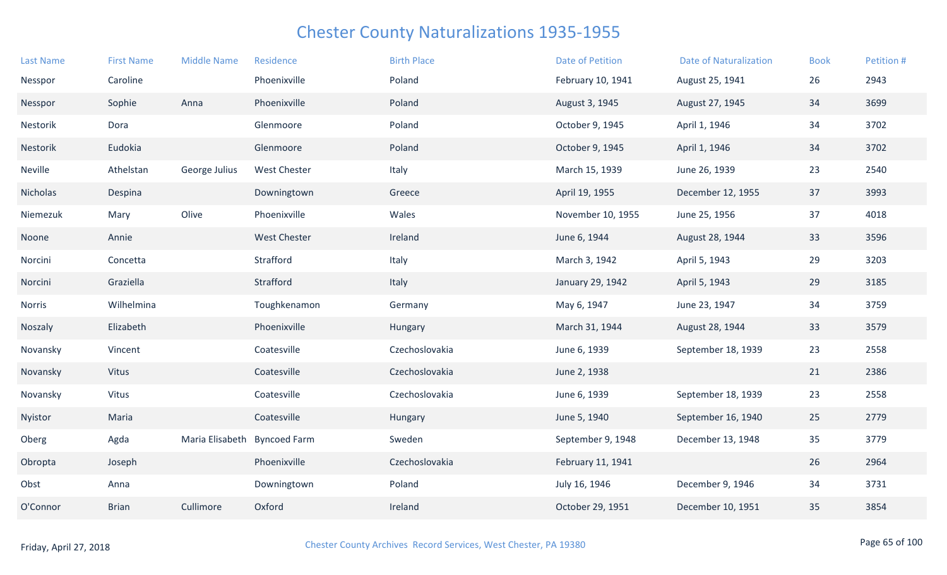| <b>Last Name</b> | <b>First Name</b> | <b>Middle Name</b> | Residence           | <b>Birth Place</b> | Date of Petition  | <b>Date of Naturalization</b> | <b>Book</b> | Petition # |
|------------------|-------------------|--------------------|---------------------|--------------------|-------------------|-------------------------------|-------------|------------|
| Nesspor          | Caroline          |                    | Phoenixville        | Poland             | February 10, 1941 | August 25, 1941               | 26          | 2943       |
| Nesspor          | Sophie            | Anna               | Phoenixville        | Poland             | August 3, 1945    | August 27, 1945               | 34          | 3699       |
| Nestorik         | Dora              |                    | Glenmoore           | Poland             | October 9, 1945   | April 1, 1946                 | 34          | 3702       |
| Nestorik         | Eudokia           |                    | Glenmoore           | Poland             | October 9, 1945   | April 1, 1946                 | 34          | 3702       |
| Neville          | Athelstan         | George Julius      | <b>West Chester</b> | Italy              | March 15, 1939    | June 26, 1939                 | 23          | 2540       |
| Nicholas         | Despina           |                    | Downingtown         | Greece             | April 19, 1955    | December 12, 1955             | 37          | 3993       |
| Niemezuk         | Mary              | Olive              | Phoenixville        | Wales              | November 10, 1955 | June 25, 1956                 | 37          | 4018       |
| Noone            | Annie             |                    | <b>West Chester</b> | Ireland            | June 6, 1944      | August 28, 1944               | 33          | 3596       |
| Norcini          | Concetta          |                    | Strafford           | Italy              | March 3, 1942     | April 5, 1943                 | 29          | 3203       |
| Norcini          | Graziella         |                    | Strafford           | Italy              | January 29, 1942  | April 5, 1943                 | 29          | 3185       |
| Norris           | Wilhelmina        |                    | Toughkenamon        | Germany            | May 6, 1947       | June 23, 1947                 | 34          | 3759       |
| Noszaly          | Elizabeth         |                    | Phoenixville        | Hungary            | March 31, 1944    | August 28, 1944               | 33          | 3579       |
| Novansky         | Vincent           |                    | Coatesville         | Czechoslovakia     | June 6, 1939      | September 18, 1939            | 23          | 2558       |
| Novansky         | Vitus             |                    | Coatesville         | Czechoslovakia     | June 2, 1938      |                               | 21          | 2386       |
| Novansky         | Vitus             |                    | Coatesville         | Czechoslovakia     | June 6, 1939      | September 18, 1939            | 23          | 2558       |
| Nyistor          | Maria             |                    | Coatesville         | Hungary            | June 5, 1940      | September 16, 1940            | 25          | 2779       |
| Oberg            | Agda              | Maria Elisabeth    | <b>Byncoed Farm</b> | Sweden             | September 9, 1948 | December 13, 1948             | 35          | 3779       |
| Obropta          | Joseph            |                    | Phoenixville        | Czechoslovakia     | February 11, 1941 |                               | 26          | 2964       |
| Obst             | Anna              |                    | Downingtown         | Poland             | July 16, 1946     | December 9, 1946              | 34          | 3731       |
| O'Connor         | <b>Brian</b>      | Cullimore          | Oxford              | Ireland            | October 29, 1951  | December 10, 1951             | 35          | 3854       |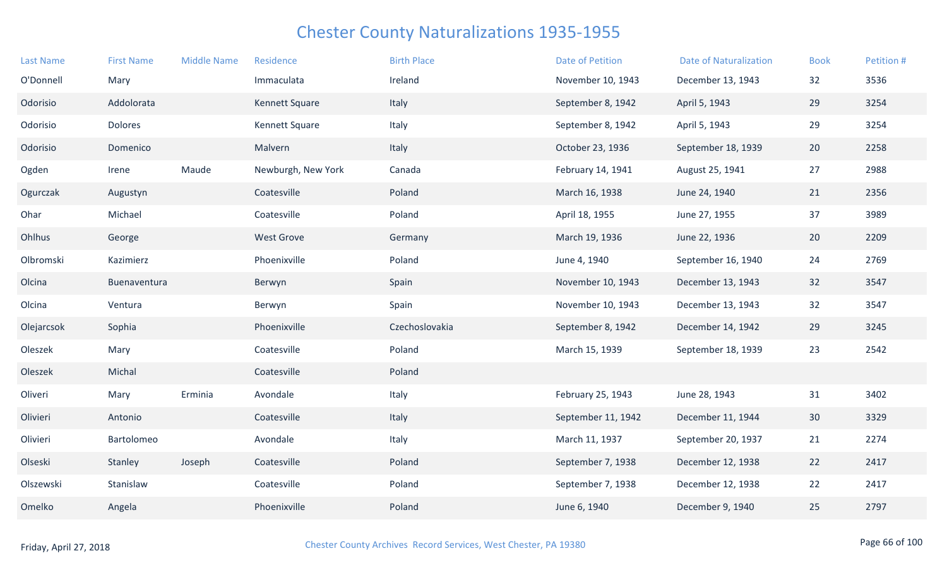| <b>Last Name</b> | <b>First Name</b> | <b>Middle Name</b> | Residence             | <b>Birth Place</b> | <b>Date of Petition</b> | <b>Date of Naturalization</b> | <b>Book</b> | Petition # |
|------------------|-------------------|--------------------|-----------------------|--------------------|-------------------------|-------------------------------|-------------|------------|
| O'Donnell        | Mary              |                    | Immaculata            | Ireland            | November 10, 1943       | December 13, 1943             | 32          | 3536       |
| Odorisio         | Addolorata        |                    | Kennett Square        | Italy              | September 8, 1942       | April 5, 1943                 | 29          | 3254       |
| Odorisio         | Dolores           |                    | <b>Kennett Square</b> | Italy              | September 8, 1942       | April 5, 1943                 | 29          | 3254       |
| Odorisio         | Domenico          |                    | Malvern               | Italy              | October 23, 1936        | September 18, 1939            | 20          | 2258       |
| Ogden            | Irene             | Maude              | Newburgh, New York    | Canada             | February 14, 1941       | August 25, 1941               | 27          | 2988       |
| Ogurczak         | Augustyn          |                    | Coatesville           | Poland             | March 16, 1938          | June 24, 1940                 | 21          | 2356       |
| Ohar             | Michael           |                    | Coatesville           | Poland             | April 18, 1955          | June 27, 1955                 | 37          | 3989       |
| Ohlhus           | George            |                    | <b>West Grove</b>     | Germany            | March 19, 1936          | June 22, 1936                 | 20          | 2209       |
| Olbromski        | Kazimierz         |                    | Phoenixville          | Poland             | June 4, 1940            | September 16, 1940            | 24          | 2769       |
| Olcina           | Buenaventura      |                    | Berwyn                | Spain              | November 10, 1943       | December 13, 1943             | 32          | 3547       |
| Olcina           | Ventura           |                    | Berwyn                | Spain              | November 10, 1943       | December 13, 1943             | 32          | 3547       |
| Olejarcsok       | Sophia            |                    | Phoenixville          | Czechoslovakia     | September 8, 1942       | December 14, 1942             | 29          | 3245       |
| Oleszek          | Mary              |                    | Coatesville           | Poland             | March 15, 1939          | September 18, 1939            | 23          | 2542       |
| Oleszek          | Michal            |                    | Coatesville           | Poland             |                         |                               |             |            |
| Oliveri          | Mary              | Erminia            | Avondale              | Italy              | February 25, 1943       | June 28, 1943                 | 31          | 3402       |
| Olivieri         | Antonio           |                    | Coatesville           | Italy              | September 11, 1942      | December 11, 1944             | 30          | 3329       |
| Olivieri         | Bartolomeo        |                    | Avondale              | Italy              | March 11, 1937          | September 20, 1937            | 21          | 2274       |
| Olseski          | Stanley           | Joseph             | Coatesville           | Poland             | September 7, 1938       | December 12, 1938             | 22          | 2417       |
| Olszewski        | Stanislaw         |                    | Coatesville           | Poland             | September 7, 1938       | December 12, 1938             | 22          | 2417       |
| Omelko           | Angela            |                    | Phoenixville          | Poland             | June 6, 1940            | December 9, 1940              | 25          | 2797       |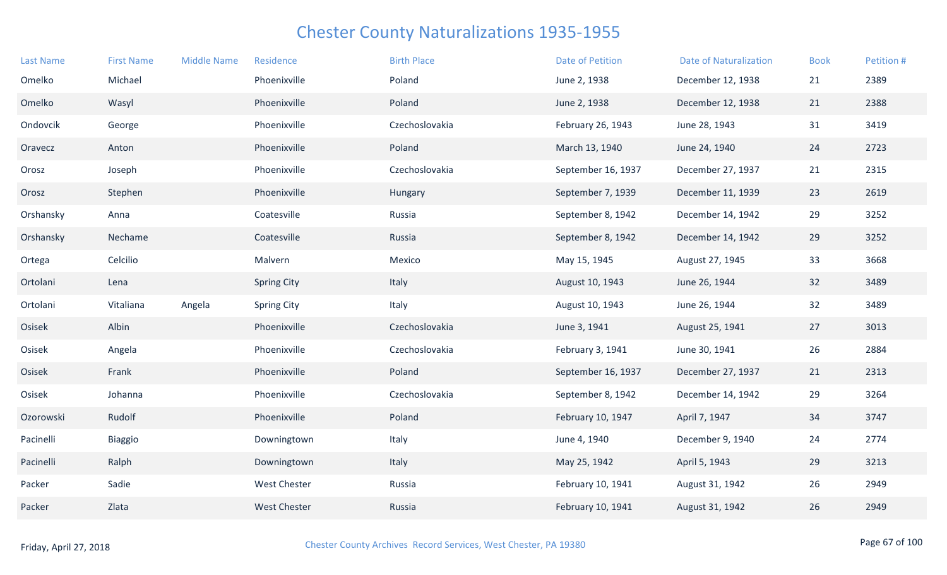| <b>Last Name</b> | <b>First Name</b> | <b>Middle Name</b> | Residence           | <b>Birth Place</b> | <b>Date of Petition</b> | <b>Date of Naturalization</b> | <b>Book</b> | Petition # |
|------------------|-------------------|--------------------|---------------------|--------------------|-------------------------|-------------------------------|-------------|------------|
| Omelko           | Michael           |                    | Phoenixville        | Poland             | June 2, 1938            | December 12, 1938             | 21          | 2389       |
| Omelko           | Wasyl             |                    | Phoenixville        | Poland             | June 2, 1938            | December 12, 1938             | 21          | 2388       |
| Ondovcik         | George            |                    | Phoenixville        | Czechoslovakia     | February 26, 1943       | June 28, 1943                 | 31          | 3419       |
| Oravecz          | Anton             |                    | Phoenixville        | Poland             | March 13, 1940          | June 24, 1940                 | 24          | 2723       |
| Orosz            | Joseph            |                    | Phoenixville        | Czechoslovakia     | September 16, 1937      | December 27, 1937             | 21          | 2315       |
| Orosz            | Stephen           |                    | Phoenixville        | Hungary            | September 7, 1939       | December 11, 1939             | 23          | 2619       |
| Orshansky        | Anna              |                    | Coatesville         | Russia             | September 8, 1942       | December 14, 1942             | 29          | 3252       |
| Orshansky        | Nechame           |                    | Coatesville         | Russia             | September 8, 1942       | December 14, 1942             | 29          | 3252       |
| Ortega           | Celcilio          |                    | Malvern             | Mexico             | May 15, 1945            | August 27, 1945               | 33          | 3668       |
| Ortolani         | Lena              |                    | <b>Spring City</b>  | Italy              | August 10, 1943         | June 26, 1944                 | 32          | 3489       |
| Ortolani         | Vitaliana         | Angela             | <b>Spring City</b>  | Italy              | August 10, 1943         | June 26, 1944                 | 32          | 3489       |
| Osisek           | Albin             |                    | Phoenixville        | Czechoslovakia     | June 3, 1941            | August 25, 1941               | 27          | 3013       |
| Osisek           | Angela            |                    | Phoenixville        | Czechoslovakia     | February 3, 1941        | June 30, 1941                 | 26          | 2884       |
| Osisek           | Frank             |                    | Phoenixville        | Poland             | September 16, 1937      | December 27, 1937             | 21          | 2313       |
| Osisek           | Johanna           |                    | Phoenixville        | Czechoslovakia     | September 8, 1942       | December 14, 1942             | 29          | 3264       |
| Ozorowski        | Rudolf            |                    | Phoenixville        | Poland             | February 10, 1947       | April 7, 1947                 | 34          | 3747       |
| Pacinelli        | Biaggio           |                    | Downingtown         | Italy              | June 4, 1940            | December 9, 1940              | 24          | 2774       |
| Pacinelli        | Ralph             |                    | Downingtown         | Italy              | May 25, 1942            | April 5, 1943                 | 29          | 3213       |
| Packer           | Sadie             |                    | <b>West Chester</b> | Russia             | February 10, 1941       | August 31, 1942               | 26          | 2949       |
| Packer           | Zlata             |                    | <b>West Chester</b> | Russia             | February 10, 1941       | August 31, 1942               | 26          | 2949       |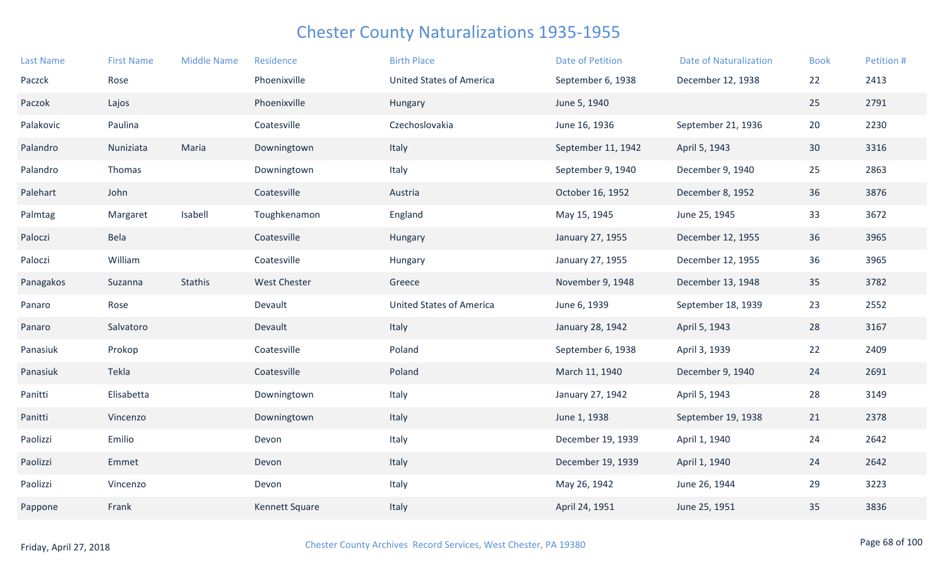| <b>Last Name</b> | <b>First Name</b> | <b>Middle Name</b> | Residence             | <b>Birth Place</b>              | <b>Date of Petition</b> | <b>Date of Naturalization</b> | <b>Book</b>     | Petition # |
|------------------|-------------------|--------------------|-----------------------|---------------------------------|-------------------------|-------------------------------|-----------------|------------|
| Paczck           | Rose              |                    | Phoenixville          | <b>United States of America</b> | September 6, 1938       | December 12, 1938             | 22              | 2413       |
| Paczok           | Lajos             |                    | Phoenixville          | Hungary                         | June 5, 1940            |                               | 25              | 2791       |
| Palakovic        | Paulina           |                    | Coatesville           | Czechoslovakia                  | June 16, 1936           | September 21, 1936            | 20              | 2230       |
| Palandro         | Nuniziata         | Maria              | Downingtown           | Italy                           | September 11, 1942      | April 5, 1943                 | 30 <sup>°</sup> | 3316       |
| Palandro         | Thomas            |                    | Downingtown           | Italy                           | September 9, 1940       | December 9, 1940              | 25              | 2863       |
| Palehart         | John              |                    | Coatesville           | Austria                         | October 16, 1952        | December 8, 1952              | 36              | 3876       |
| Palmtag          | Margaret          | Isabell            | Toughkenamon          | England                         | May 15, 1945            | June 25, 1945                 | 33              | 3672       |
| Paloczi          | Bela              |                    | Coatesville           | Hungary                         | January 27, 1955        | December 12, 1955             | 36              | 3965       |
| Paloczi          | William           |                    | Coatesville           | Hungary                         | January 27, 1955        | December 12, 1955             | 36              | 3965       |
| Panagakos        | Suzanna           | Stathis            | <b>West Chester</b>   | Greece                          | November 9, 1948        | December 13, 1948             | 35              | 3782       |
| Panaro           | Rose              |                    | Devault               | <b>United States of America</b> | June 6, 1939            | September 18, 1939            | 23              | 2552       |
| Panaro           | Salvatoro         |                    | Devault               | Italy                           | January 28, 1942        | April 5, 1943                 | 28              | 3167       |
| Panasiuk         | Prokop            |                    | Coatesville           | Poland                          | September 6, 1938       | April 3, 1939                 | 22              | 2409       |
| Panasiuk         | Tekla             |                    | Coatesville           | Poland                          | March 11, 1940          | December 9, 1940              | 24              | 2691       |
| Panitti          | Elisabetta        |                    | Downingtown           | Italy                           | January 27, 1942        | April 5, 1943                 | 28              | 3149       |
| Panitti          | Vincenzo          |                    | Downingtown           | Italy                           | June 1, 1938            | September 19, 1938            | 21              | 2378       |
| Paolizzi         | Emilio            |                    | Devon                 | Italy                           | December 19, 1939       | April 1, 1940                 | 24              | 2642       |
| Paolizzi         | Emmet             |                    | Devon                 | Italy                           | December 19, 1939       | April 1, 1940                 | 24              | 2642       |
| Paolizzi         | Vincenzo          |                    | Devon                 | Italy                           | May 26, 1942            | June 26, 1944                 | 29              | 3223       |
| Pappone          | Frank             |                    | <b>Kennett Square</b> | Italy                           | April 24, 1951          | June 25, 1951                 | 35              | 3836       |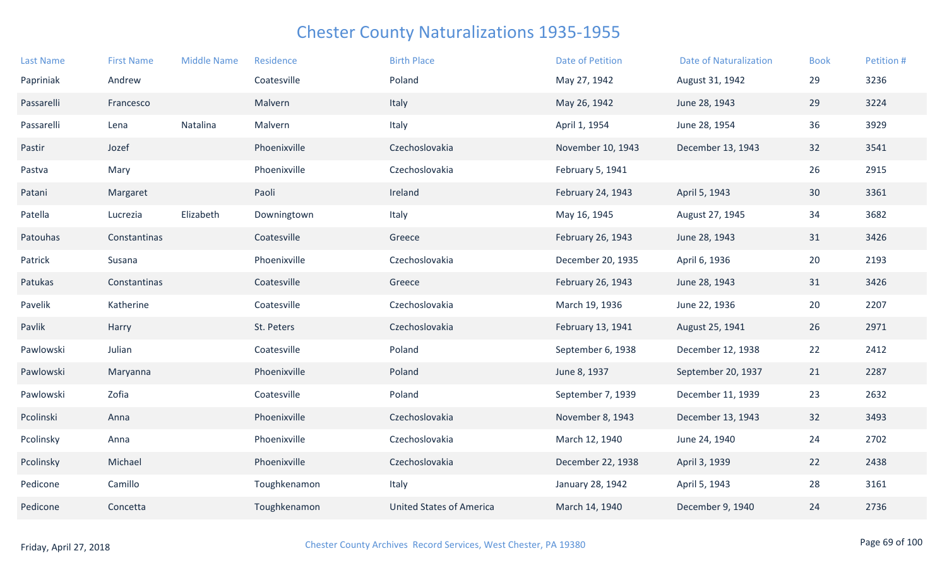| <b>Last Name</b> | <b>First Name</b> | <b>Middle Name</b> | Residence    | <b>Birth Place</b>              | <b>Date of Petition</b> | <b>Date of Naturalization</b> | <b>Book</b> | Petition # |
|------------------|-------------------|--------------------|--------------|---------------------------------|-------------------------|-------------------------------|-------------|------------|
| Papriniak        | Andrew            |                    | Coatesville  | Poland                          | May 27, 1942            | August 31, 1942               | 29          | 3236       |
| Passarelli       | Francesco         |                    | Malvern      | Italy                           | May 26, 1942            | June 28, 1943                 | 29          | 3224       |
| Passarelli       | Lena              | Natalina           | Malvern      | Italy                           | April 1, 1954           | June 28, 1954                 | 36          | 3929       |
| Pastir           | Jozef             |                    | Phoenixville | Czechoslovakia                  | November 10, 1943       | December 13, 1943             | 32          | 3541       |
| Pastva           | Mary              |                    | Phoenixville | Czechoslovakia                  | February 5, 1941        |                               | 26          | 2915       |
| Patani           | Margaret          |                    | Paoli        | Ireland                         | February 24, 1943       | April 5, 1943                 | 30          | 3361       |
| Patella          | Lucrezia          | Elizabeth          | Downingtown  | Italy                           | May 16, 1945            | August 27, 1945               | 34          | 3682       |
| Patouhas         | Constantinas      |                    | Coatesville  | Greece                          | February 26, 1943       | June 28, 1943                 | 31          | 3426       |
| Patrick          | Susana            |                    | Phoenixville | Czechoslovakia                  | December 20, 1935       | April 6, 1936                 | 20          | 2193       |
| Patukas          | Constantinas      |                    | Coatesville  | Greece                          | February 26, 1943       | June 28, 1943                 | 31          | 3426       |
| Pavelik          | Katherine         |                    | Coatesville  | Czechoslovakia                  | March 19, 1936          | June 22, 1936                 | 20          | 2207       |
| Pavlik           | Harry             |                    | St. Peters   | Czechoslovakia                  | February 13, 1941       | August 25, 1941               | 26          | 2971       |
| Pawlowski        | Julian            |                    | Coatesville  | Poland                          | September 6, 1938       | December 12, 1938             | 22          | 2412       |
| Pawlowski        | Maryanna          |                    | Phoenixville | Poland                          | June 8, 1937            | September 20, 1937            | 21          | 2287       |
| Pawlowski        | Zofia             |                    | Coatesville  | Poland                          | September 7, 1939       | December 11, 1939             | 23          | 2632       |
| Pcolinski        | Anna              |                    | Phoenixville | Czechoslovakia                  | November 8, 1943        | December 13, 1943             | 32          | 3493       |
| Pcolinsky        | Anna              |                    | Phoenixville | Czechoslovakia                  | March 12, 1940          | June 24, 1940                 | 24          | 2702       |
| Pcolinsky        | Michael           |                    | Phoenixville | Czechoslovakia                  | December 22, 1938       | April 3, 1939                 | 22          | 2438       |
| Pedicone         | Camillo           |                    | Toughkenamon | Italy                           | January 28, 1942        | April 5, 1943                 | 28          | 3161       |
| Pedicone         | Concetta          |                    | Toughkenamon | <b>United States of America</b> | March 14, 1940          | December 9, 1940              | 24          | 2736       |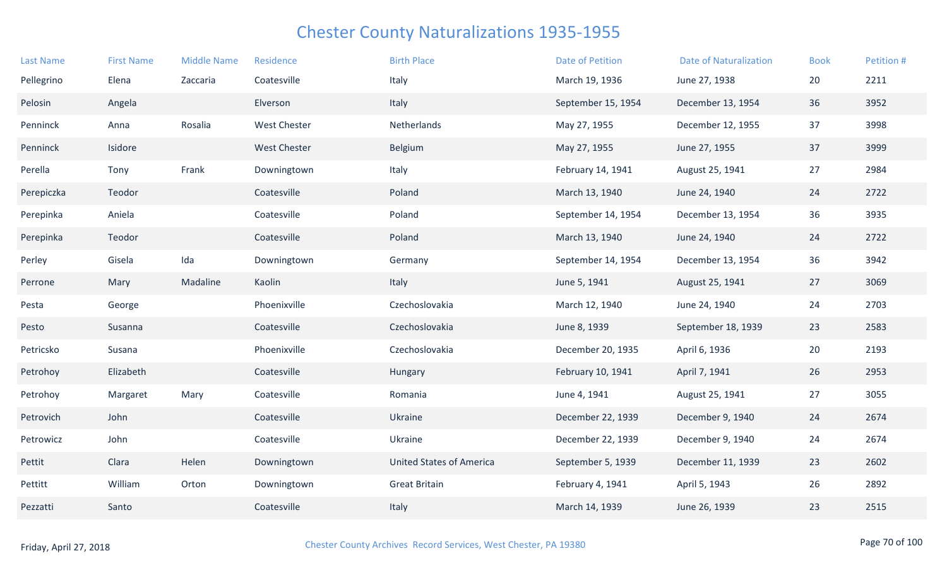| <b>Last Name</b> | <b>First Name</b> | <b>Middle Name</b> | Residence           | <b>Birth Place</b>              | <b>Date of Petition</b> | <b>Date of Naturalization</b> | <b>Book</b> | Petition # |
|------------------|-------------------|--------------------|---------------------|---------------------------------|-------------------------|-------------------------------|-------------|------------|
| Pellegrino       | Elena             | Zaccaria           | Coatesville         | Italy                           | March 19, 1936          | June 27, 1938                 | 20          | 2211       |
| Pelosin          | Angela            |                    | Elverson            | Italy                           | September 15, 1954      | December 13, 1954             | 36          | 3952       |
| Penninck         | Anna              | Rosalia            | <b>West Chester</b> | Netherlands                     | May 27, 1955            | December 12, 1955             | 37          | 3998       |
| Penninck         | Isidore           |                    | <b>West Chester</b> | Belgium                         | May 27, 1955            | June 27, 1955                 | 37          | 3999       |
| Perella          | Tony              | Frank              | Downingtown         | Italy                           | February 14, 1941       | August 25, 1941               | 27          | 2984       |
| Perepiczka       | Teodor            |                    | Coatesville         | Poland                          | March 13, 1940          | June 24, 1940                 | 24          | 2722       |
| Perepinka        | Aniela            |                    | Coatesville         | Poland                          | September 14, 1954      | December 13, 1954             | 36          | 3935       |
| Perepinka        | Teodor            |                    | Coatesville         | Poland                          | March 13, 1940          | June 24, 1940                 | 24          | 2722       |
| Perley           | Gisela            | Ida                | Downingtown         | Germany                         | September 14, 1954      | December 13, 1954             | 36          | 3942       |
| Perrone          | Mary              | Madaline           | Kaolin              | Italy                           | June 5, 1941            | August 25, 1941               | 27          | 3069       |
| Pesta            | George            |                    | Phoenixville        | Czechoslovakia                  | March 12, 1940          | June 24, 1940                 | 24          | 2703       |
| Pesto            | Susanna           |                    | Coatesville         | Czechoslovakia                  | June 8, 1939            | September 18, 1939            | 23          | 2583       |
| Petricsko        | Susana            |                    | Phoenixville        | Czechoslovakia                  | December 20, 1935       | April 6, 1936                 | 20          | 2193       |
| Petrohoy         | Elizabeth         |                    | Coatesville         | Hungary                         | February 10, 1941       | April 7, 1941                 | 26          | 2953       |
| Petrohoy         | Margaret          | Mary               | Coatesville         | Romania                         | June 4, 1941            | August 25, 1941               | 27          | 3055       |
| Petrovich        | John              |                    | Coatesville         | Ukraine                         | December 22, 1939       | December 9, 1940              | 24          | 2674       |
| Petrowicz        | John              |                    | Coatesville         | Ukraine                         | December 22, 1939       | December 9, 1940              | 24          | 2674       |
| Pettit           | Clara             | Helen              | Downingtown         | <b>United States of America</b> | September 5, 1939       | December 11, 1939             | 23          | 2602       |
| Pettitt          | William           | Orton              | Downingtown         | <b>Great Britain</b>            | February 4, 1941        | April 5, 1943                 | 26          | 2892       |
| Pezzatti         | Santo             |                    | Coatesville         | Italy                           | March 14, 1939          | June 26, 1939                 | 23          | 2515       |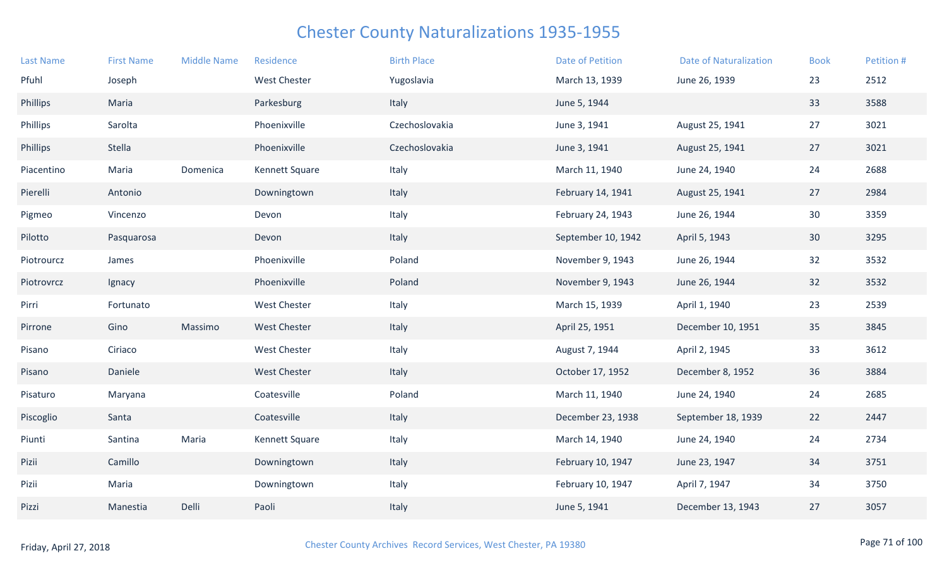| <b>Last Name</b> | <b>First Name</b> | <b>Middle Name</b> | Residence           | <b>Birth Place</b> | <b>Date of Petition</b> | <b>Date of Naturalization</b> | <b>Book</b>     | Petition # |
|------------------|-------------------|--------------------|---------------------|--------------------|-------------------------|-------------------------------|-----------------|------------|
| Pfuhl            | Joseph            |                    | <b>West Chester</b> | Yugoslavia         | March 13, 1939          | June 26, 1939                 | 23              | 2512       |
| Phillips         | Maria             |                    | Parkesburg          | Italy              | June 5, 1944            |                               | 33              | 3588       |
| Phillips         | Sarolta           |                    | Phoenixville        | Czechoslovakia     | June 3, 1941            | August 25, 1941               | 27              | 3021       |
| Phillips         | Stella            |                    | Phoenixville        | Czechoslovakia     | June 3, 1941            | August 25, 1941               | 27              | 3021       |
| Piacentino       | Maria             | Domenica           | Kennett Square      | Italy              | March 11, 1940          | June 24, 1940                 | 24              | 2688       |
| Pierelli         | Antonio           |                    | Downingtown         | Italy              | February 14, 1941       | August 25, 1941               | 27              | 2984       |
| Pigmeo           | Vincenzo          |                    | Devon               | Italy              | February 24, 1943       | June 26, 1944                 | 30              | 3359       |
| Pilotto          | Pasquarosa        |                    | Devon               | Italy              | September 10, 1942      | April 5, 1943                 | 30 <sup>°</sup> | 3295       |
| Piotrourcz       | James             |                    | Phoenixville        | Poland             | November 9, 1943        | June 26, 1944                 | 32              | 3532       |
| Piotrovrcz       | Ignacy            |                    | Phoenixville        | Poland             | November 9, 1943        | June 26, 1944                 | 32              | 3532       |
| Pirri            | Fortunato         |                    | <b>West Chester</b> | Italy              | March 15, 1939          | April 1, 1940                 | 23              | 2539       |
| Pirrone          | Gino              | Massimo            | <b>West Chester</b> | Italy              | April 25, 1951          | December 10, 1951             | 35              | 3845       |
| Pisano           | Ciriaco           |                    | <b>West Chester</b> | Italy              | August 7, 1944          | April 2, 1945                 | 33              | 3612       |
| Pisano           | Daniele           |                    | West Chester        | Italy              | October 17, 1952        | December 8, 1952              | 36              | 3884       |
| Pisaturo         | Maryana           |                    | Coatesville         | Poland             | March 11, 1940          | June 24, 1940                 | 24              | 2685       |
| Piscoglio        | Santa             |                    | Coatesville         | Italy              | December 23, 1938       | September 18, 1939            | 22              | 2447       |
| Piunti           | Santina           | Maria              | Kennett Square      | Italy              | March 14, 1940          | June 24, 1940                 | 24              | 2734       |
| Pizii            | Camillo           |                    | Downingtown         | Italy              | February 10, 1947       | June 23, 1947                 | 34              | 3751       |
| Pizii            | Maria             |                    | Downingtown         | Italy              | February 10, 1947       | April 7, 1947                 | 34              | 3750       |
| Pizzi            | Manestia          | Delli              | Paoli               | Italy              | June 5, 1941            | December 13, 1943             | 27              | 3057       |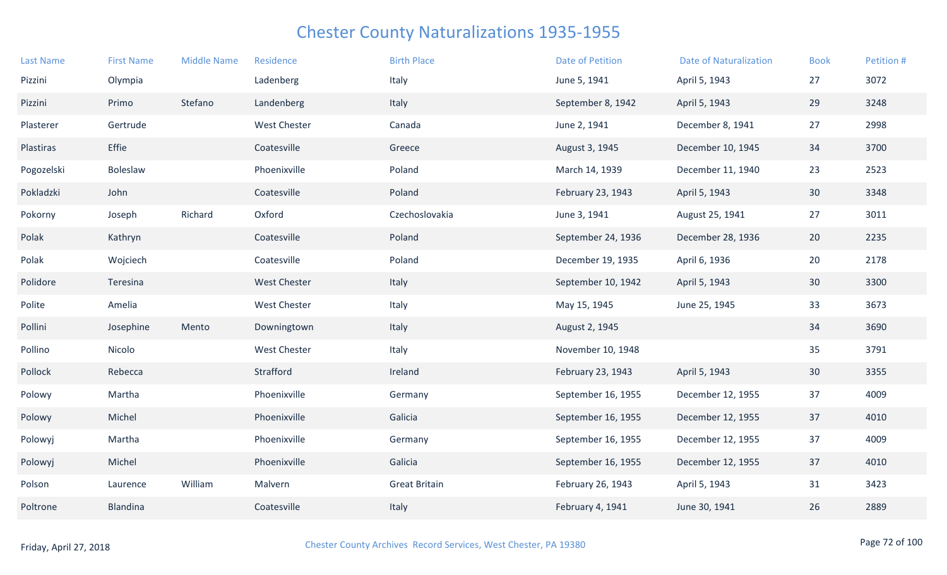| <b>Last Name</b> | <b>First Name</b> | <b>Middle Name</b> | Residence           | <b>Birth Place</b>   | <b>Date of Petition</b> | <b>Date of Naturalization</b> | <b>Book</b>     | Petition # |
|------------------|-------------------|--------------------|---------------------|----------------------|-------------------------|-------------------------------|-----------------|------------|
| Pizzini          | Olympia           |                    | Ladenberg           | Italy                | June 5, 1941            | April 5, 1943                 | 27              | 3072       |
| Pizzini          | Primo             | Stefano            | Landenberg          | Italy                | September 8, 1942       | April 5, 1943                 | 29              | 3248       |
| Plasterer        | Gertrude          |                    | <b>West Chester</b> | Canada               | June 2, 1941            | December 8, 1941              | 27              | 2998       |
| Plastiras        | Effie             |                    | Coatesville         | Greece               | August 3, 1945          | December 10, 1945             | 34              | 3700       |
| Pogozelski       | Boleslaw          |                    | Phoenixville        | Poland               | March 14, 1939          | December 11, 1940             | 23              | 2523       |
| Pokladzki        | John              |                    | Coatesville         | Poland               | February 23, 1943       | April 5, 1943                 | 30 <sup>°</sup> | 3348       |
| Pokorny          | Joseph            | Richard            | Oxford              | Czechoslovakia       | June 3, 1941            | August 25, 1941               | 27              | 3011       |
| Polak            | Kathryn           |                    | Coatesville         | Poland               | September 24, 1936      | December 28, 1936             | 20              | 2235       |
| Polak            | Wojciech          |                    | Coatesville         | Poland               | December 19, 1935       | April 6, 1936                 | 20              | 2178       |
| Polidore         | Teresina          |                    | West Chester        | Italy                | September 10, 1942      | April 5, 1943                 | 30              | 3300       |
| Polite           | Amelia            |                    | <b>West Chester</b> | Italy                | May 15, 1945            | June 25, 1945                 | 33              | 3673       |
| Pollini          | Josephine         | Mento              | Downingtown         | Italy                | August 2, 1945          |                               | 34              | 3690       |
| Pollino          | Nicolo            |                    | <b>West Chester</b> | Italy                | November 10, 1948       |                               | 35              | 3791       |
| Pollock          | Rebecca           |                    | Strafford           | Ireland              | February 23, 1943       | April 5, 1943                 | 30 <sup>°</sup> | 3355       |
| Polowy           | Martha            |                    | Phoenixville        | Germany              | September 16, 1955      | December 12, 1955             | 37              | 4009       |
| Polowy           | Michel            |                    | Phoenixville        | Galicia              | September 16, 1955      | December 12, 1955             | 37              | 4010       |
| Polowyj          | Martha            |                    | Phoenixville        | Germany              | September 16, 1955      | December 12, 1955             | 37              | 4009       |
| Polowyj          | Michel            |                    | Phoenixville        | Galicia              | September 16, 1955      | December 12, 1955             | 37              | 4010       |
| Polson           | Laurence          | William            | Malvern             | <b>Great Britain</b> | February 26, 1943       | April 5, 1943                 | 31              | 3423       |
| Poltrone         | Blandina          |                    | Coatesville         | Italy                | February 4, 1941        | June 30, 1941                 | 26              | 2889       |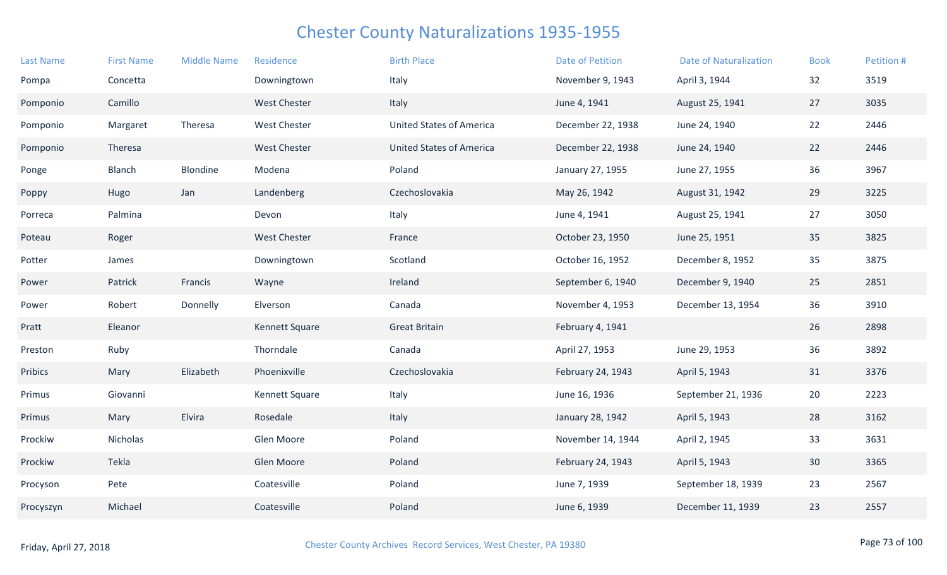| <b>Last Name</b> | <b>First Name</b> | <b>Middle Name</b> | Residence           | <b>Birth Place</b>              | <b>Date of Petition</b> | <b>Date of Naturalization</b> | <b>Book</b> | Petition # |
|------------------|-------------------|--------------------|---------------------|---------------------------------|-------------------------|-------------------------------|-------------|------------|
| Pompa            | Concetta          |                    | Downingtown         | Italy                           | November 9, 1943        | April 3, 1944                 | 32          | 3519       |
| Pomponio         | Camillo           |                    | <b>West Chester</b> | Italy                           | June 4, 1941            | August 25, 1941               | 27          | 3035       |
| Pomponio         | Margaret          | Theresa            | <b>West Chester</b> | <b>United States of America</b> | December 22, 1938       | June 24, 1940                 | 22          | 2446       |
| Pomponio         | Theresa           |                    | <b>West Chester</b> | <b>United States of America</b> | December 22, 1938       | June 24, 1940                 | 22          | 2446       |
| Ponge            | <b>Blanch</b>     | Blondine           | Modena              | Poland                          | January 27, 1955        | June 27, 1955                 | 36          | 3967       |
| Poppy            | Hugo              | Jan                | Landenberg          | Czechoslovakia                  | May 26, 1942            | August 31, 1942               | 29          | 3225       |
| Porreca          | Palmina           |                    | Devon               | Italy                           | June 4, 1941            | August 25, 1941               | 27          | 3050       |
| Poteau           | Roger             |                    | <b>West Chester</b> | France                          | October 23, 1950        | June 25, 1951                 | 35          | 3825       |
| Potter           | James             |                    | Downingtown         | Scotland                        | October 16, 1952        | December 8, 1952              | 35          | 3875       |
| Power            | Patrick           | Francis            | Wayne               | Ireland                         | September 6, 1940       | December 9, 1940              | 25          | 2851       |
| Power            | Robert            | Donnelly           | Elverson            | Canada                          | November 4, 1953        | December 13, 1954             | 36          | 3910       |
| Pratt            | Eleanor           |                    | Kennett Square      | <b>Great Britain</b>            | February 4, 1941        |                               | 26          | 2898       |
| Preston          | Ruby              |                    | Thorndale           | Canada                          | April 27, 1953          | June 29, 1953                 | 36          | 3892       |
| Pribics          | Mary              | Elizabeth          | Phoenixville        | Czechoslovakia                  | February 24, 1943       | April 5, 1943                 | 31          | 3376       |
| Primus           | Giovanni          |                    | Kennett Square      | Italy                           | June 16, 1936           | September 21, 1936            | 20          | 2223       |
| Primus           | Mary              | Elvira             | Rosedale            | Italy                           | January 28, 1942        | April 5, 1943                 | 28          | 3162       |
| Prockiw          | Nicholas          |                    | Glen Moore          | Poland                          | November 14, 1944       | April 2, 1945                 | 33          | 3631       |
| Prockiw          | Tekla             |                    | Glen Moore          | Poland                          | February 24, 1943       | April 5, 1943                 | 30          | 3365       |
| Procyson         | Pete              |                    | Coatesville         | Poland                          | June 7, 1939            | September 18, 1939            | 23          | 2567       |
| Procyszyn        | Michael           |                    | Coatesville         | Poland                          | June 6, 1939            | December 11, 1939             | 23          | 2557       |
|                  |                   |                    |                     |                                 |                         |                               |             |            |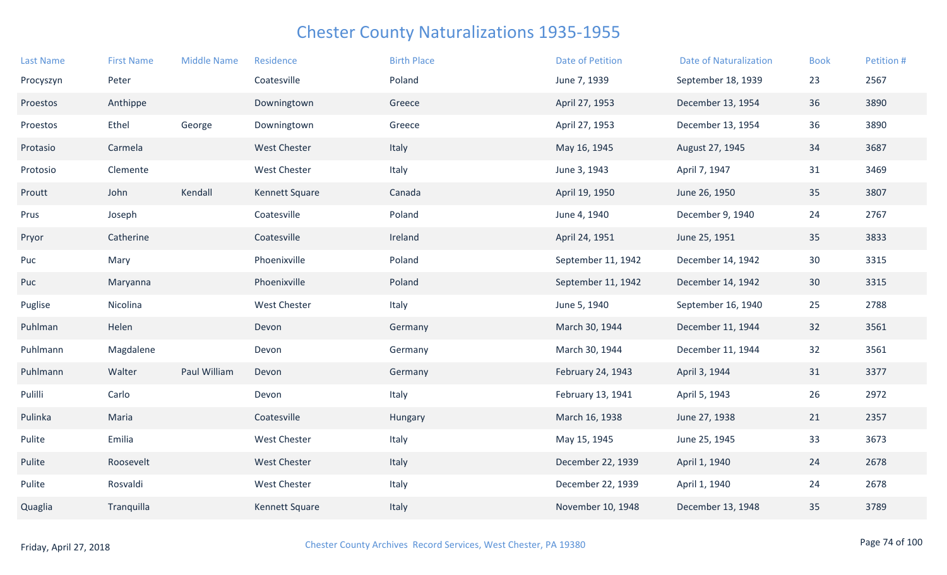| <b>Last Name</b> | <b>First Name</b> | <b>Middle Name</b> | Residence           | <b>Birth Place</b> | <b>Date of Petition</b> | <b>Date of Naturalization</b> | <b>Book</b>     | Petition # |
|------------------|-------------------|--------------------|---------------------|--------------------|-------------------------|-------------------------------|-----------------|------------|
| Procyszyn        | Peter             |                    | Coatesville         | Poland             | June 7, 1939            | September 18, 1939            | 23              | 2567       |
| Proestos         | Anthippe          |                    | Downingtown         | Greece             | April 27, 1953          | December 13, 1954             | 36              | 3890       |
| Proestos         | Ethel             | George             | Downingtown         | Greece             | April 27, 1953          | December 13, 1954             | 36              | 3890       |
| Protasio         | Carmela           |                    | <b>West Chester</b> | Italy              | May 16, 1945            | August 27, 1945               | 34              | 3687       |
| Protosio         | Clemente          |                    | <b>West Chester</b> | Italy              | June 3, 1943            | April 7, 1947                 | 31              | 3469       |
| Proutt           | John              | Kendall            | Kennett Square      | Canada             | April 19, 1950          | June 26, 1950                 | 35              | 3807       |
| Prus             | Joseph            |                    | Coatesville         | Poland             | June 4, 1940            | December 9, 1940              | 24              | 2767       |
| Pryor            | Catherine         |                    | Coatesville         | Ireland            | April 24, 1951          | June 25, 1951                 | 35              | 3833       |
| Puc              | Mary              |                    | Phoenixville        | Poland             | September 11, 1942      | December 14, 1942             | 30              | 3315       |
| Puc              | Maryanna          |                    | Phoenixville        | Poland             | September 11, 1942      | December 14, 1942             | 30 <sup>°</sup> | 3315       |
| Puglise          | Nicolina          |                    | <b>West Chester</b> | Italy              | June 5, 1940            | September 16, 1940            | 25              | 2788       |
| Puhlman          | Helen             |                    | Devon               | Germany            | March 30, 1944          | December 11, 1944             | 32              | 3561       |
| Puhlmann         | Magdalene         |                    | Devon               | Germany            | March 30, 1944          | December 11, 1944             | 32              | 3561       |
| Puhlmann         | Walter            | Paul William       | Devon               | Germany            | February 24, 1943       | April 3, 1944                 | 31              | 3377       |
| Pulilli          | Carlo             |                    | Devon               | Italy              | February 13, 1941       | April 5, 1943                 | 26              | 2972       |
| Pulinka          | Maria             |                    | Coatesville         | Hungary            | March 16, 1938          | June 27, 1938                 | 21              | 2357       |
| Pulite           | Emilia            |                    | <b>West Chester</b> | Italy              | May 15, 1945            | June 25, 1945                 | 33              | 3673       |
| Pulite           | Roosevelt         |                    | <b>West Chester</b> | Italy              | December 22, 1939       | April 1, 1940                 | 24              | 2678       |
| Pulite           | Rosvaldi          |                    | <b>West Chester</b> | Italy              | December 22, 1939       | April 1, 1940                 | 24              | 2678       |
| Quaglia          | Tranquilla        |                    | Kennett Square      | Italy              | November 10, 1948       | December 13, 1948             | 35              | 3789       |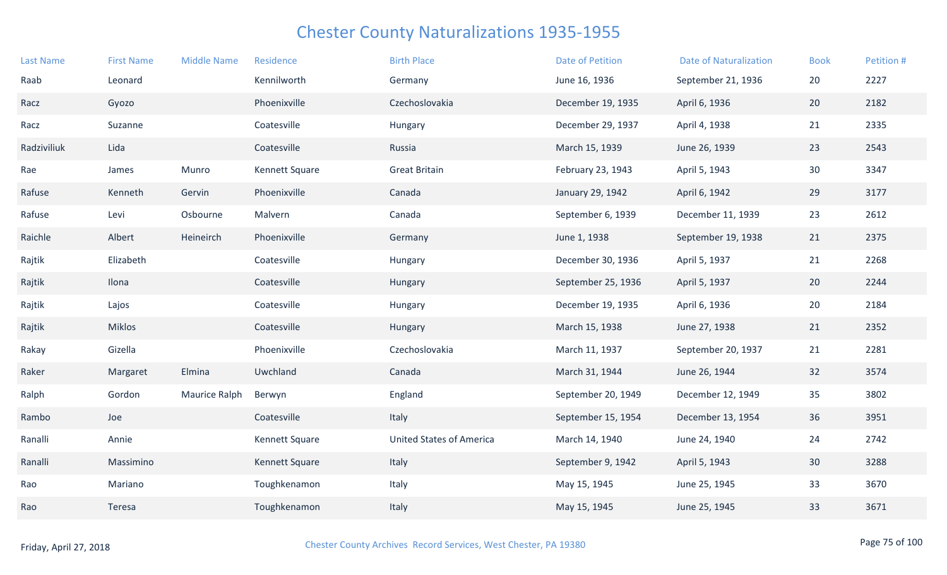| <b>Last Name</b> | <b>First Name</b> | <b>Middle Name</b> | Residence      | <b>Birth Place</b>              | <b>Date of Petition</b> | <b>Date of Naturalization</b> | <b>Book</b> | Petition # |
|------------------|-------------------|--------------------|----------------|---------------------------------|-------------------------|-------------------------------|-------------|------------|
| Raab             | Leonard           |                    | Kennilworth    | Germany                         | June 16, 1936           | September 21, 1936            | 20          | 2227       |
| Racz             | Gyozo             |                    | Phoenixville   | Czechoslovakia                  | December 19, 1935       | April 6, 1936                 | 20          | 2182       |
| Racz             | Suzanne           |                    | Coatesville    | Hungary                         | December 29, 1937       | April 4, 1938                 | 21          | 2335       |
| Radziviliuk      | Lida              |                    | Coatesville    | Russia                          | March 15, 1939          | June 26, 1939                 | 23          | 2543       |
| Rae              | James             | Munro              | Kennett Square | <b>Great Britain</b>            | February 23, 1943       | April 5, 1943                 | 30          | 3347       |
| Rafuse           | Kenneth           | Gervin             | Phoenixville   | Canada                          | January 29, 1942        | April 6, 1942                 | 29          | 3177       |
| Rafuse           | Levi              | Osbourne           | Malvern        | Canada                          | September 6, 1939       | December 11, 1939             | 23          | 2612       |
| Raichle          | Albert            | Heineirch          | Phoenixville   | Germany                         | June 1, 1938            | September 19, 1938            | 21          | 2375       |
| Rajtik           | Elizabeth         |                    | Coatesville    | Hungary                         | December 30, 1936       | April 5, 1937                 | 21          | 2268       |
| Rajtik           | Ilona             |                    | Coatesville    | Hungary                         | September 25, 1936      | April 5, 1937                 | 20          | 2244       |
| Rajtik           | Lajos             |                    | Coatesville    | Hungary                         | December 19, 1935       | April 6, 1936                 | 20          | 2184       |
| Rajtik           | <b>Miklos</b>     |                    | Coatesville    | Hungary                         | March 15, 1938          | June 27, 1938                 | 21          | 2352       |
| Rakay            | Gizella           |                    | Phoenixville   | Czechoslovakia                  | March 11, 1937          | September 20, 1937            | 21          | 2281       |
| Raker            | Margaret          | Elmina             | Uwchland       | Canada                          | March 31, 1944          | June 26, 1944                 | 32          | 3574       |
| Ralph            | Gordon            | Maurice Ralph      | Berwyn         | England                         | September 20, 1949      | December 12, 1949             | 35          | 3802       |
| Rambo            | Joe               |                    | Coatesville    | Italy                           | September 15, 1954      | December 13, 1954             | 36          | 3951       |
| Ranalli          | Annie             |                    | Kennett Square | <b>United States of America</b> | March 14, 1940          | June 24, 1940                 | 24          | 2742       |
| Ranalli          | Massimino         |                    | Kennett Square | Italy                           | September 9, 1942       | April 5, 1943                 | 30          | 3288       |
| Rao              | Mariano           |                    | Toughkenamon   | Italy                           | May 15, 1945            | June 25, 1945                 | 33          | 3670       |
| Rao              | Teresa            |                    | Toughkenamon   | Italy                           | May 15, 1945            | June 25, 1945                 | 33          | 3671       |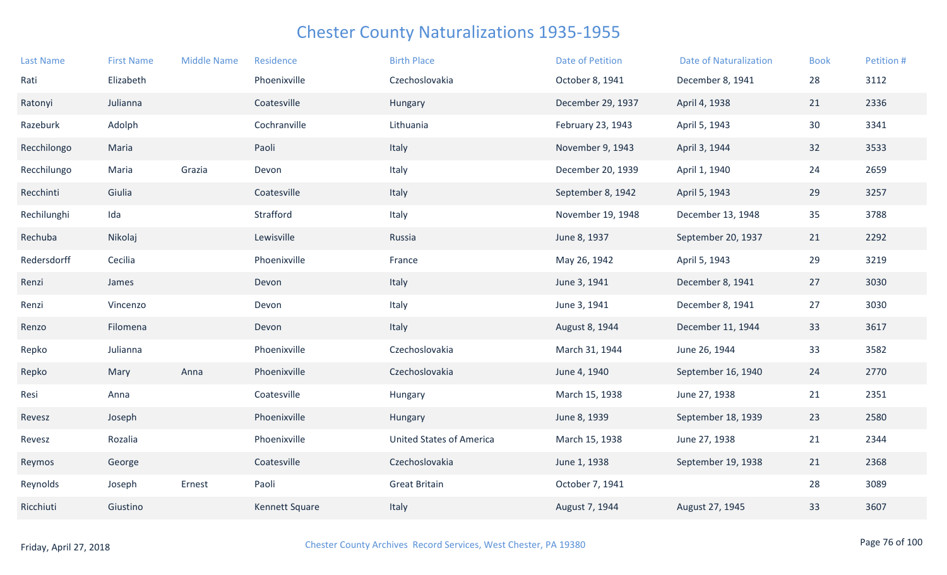| <b>Last Name</b> | <b>First Name</b> | <b>Middle Name</b> | Residence             | <b>Birth Place</b>              | <b>Date of Petition</b> | <b>Date of Naturalization</b> | <b>Book</b> | Petition # |
|------------------|-------------------|--------------------|-----------------------|---------------------------------|-------------------------|-------------------------------|-------------|------------|
| Rati             | Elizabeth         |                    | Phoenixville          | Czechoslovakia                  | October 8, 1941         | December 8, 1941              | 28          | 3112       |
| Ratonyi          | Julianna          |                    | Coatesville           | Hungary                         | December 29, 1937       | April 4, 1938                 | 21          | 2336       |
| Razeburk         | Adolph            |                    | Cochranville          | Lithuania                       | February 23, 1943       | April 5, 1943                 | 30          | 3341       |
| Recchilongo      | Maria             |                    | Paoli                 | Italy                           | November 9, 1943        | April 3, 1944                 | 32          | 3533       |
| Recchilungo      | Maria             | Grazia             | Devon                 | Italy                           | December 20, 1939       | April 1, 1940                 | 24          | 2659       |
| Recchinti        | Giulia            |                    | Coatesville           | Italy                           | September 8, 1942       | April 5, 1943                 | 29          | 3257       |
| Rechilunghi      | Ida               |                    | Strafford             | Italy                           | November 19, 1948       | December 13, 1948             | 35          | 3788       |
| Rechuba          | Nikolaj           |                    | Lewisville            | Russia                          | June 8, 1937            | September 20, 1937            | 21          | 2292       |
| Redersdorff      | Cecilia           |                    | Phoenixville          | France                          | May 26, 1942            | April 5, 1943                 | 29          | 3219       |
| Renzi            | James             |                    | Devon                 | Italy                           | June 3, 1941            | December 8, 1941              | 27          | 3030       |
| Renzi            | Vincenzo          |                    | Devon                 | Italy                           | June 3, 1941            | December 8, 1941              | 27          | 3030       |
| Renzo            | Filomena          |                    | Devon                 | Italy                           | August 8, 1944          | December 11, 1944             | 33          | 3617       |
| Repko            | Julianna          |                    | Phoenixville          | Czechoslovakia                  | March 31, 1944          | June 26, 1944                 | 33          | 3582       |
| Repko            | Mary              | Anna               | Phoenixville          | Czechoslovakia                  | June 4, 1940            | September 16, 1940            | 24          | 2770       |
| Resi             | Anna              |                    | Coatesville           | Hungary                         | March 15, 1938          | June 27, 1938                 | 21          | 2351       |
| Revesz           | Joseph            |                    | Phoenixville          | Hungary                         | June 8, 1939            | September 18, 1939            | 23          | 2580       |
| Revesz           | Rozalia           |                    | Phoenixville          | <b>United States of America</b> | March 15, 1938          | June 27, 1938                 | 21          | 2344       |
| Reymos           | George            |                    | Coatesville           | Czechoslovakia                  | June 1, 1938            | September 19, 1938            | 21          | 2368       |
| Reynolds         | Joseph            | Ernest             | Paoli                 | <b>Great Britain</b>            | October 7, 1941         |                               | 28          | 3089       |
| Ricchiuti        | Giustino          |                    | <b>Kennett Square</b> | Italy                           | August 7, 1944          | August 27, 1945               | 33          | 3607       |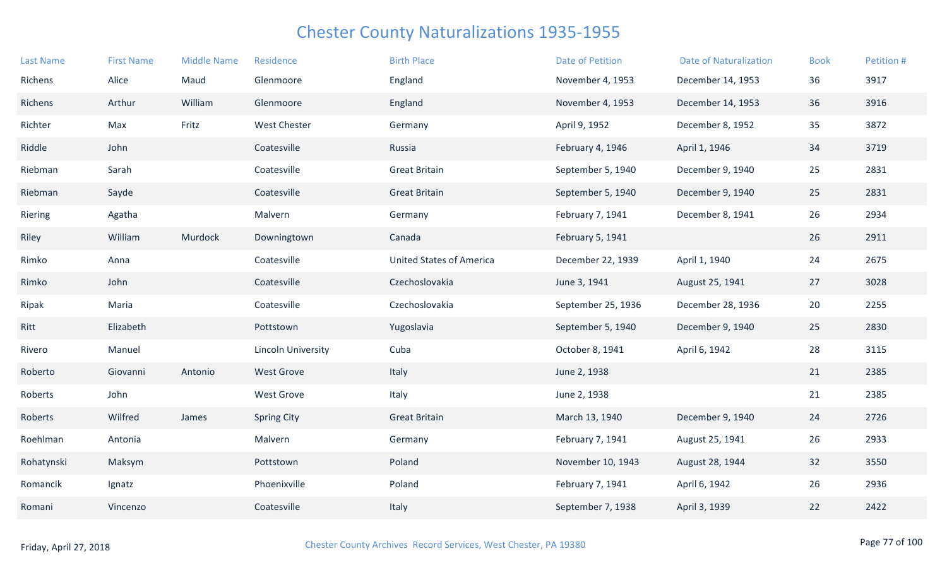| <b>Last Name</b> | <b>First Name</b> | <b>Middle Name</b> | Residence                 | <b>Birth Place</b>              | <b>Date of Petition</b> | <b>Date of Naturalization</b> | <b>Book</b> | Petition # |
|------------------|-------------------|--------------------|---------------------------|---------------------------------|-------------------------|-------------------------------|-------------|------------|
| Richens          | Alice             | Maud               | Glenmoore                 | England                         | November 4, 1953        | December 14, 1953             | 36          | 3917       |
| Richens          | Arthur            | William            | Glenmoore                 | England                         | November 4, 1953        | December 14, 1953             | 36          | 3916       |
| Richter          | Max               | Fritz              | <b>West Chester</b>       | Germany                         | April 9, 1952           | December 8, 1952              | 35          | 3872       |
| Riddle           | John              |                    | Coatesville               | Russia                          | February 4, 1946        | April 1, 1946                 | 34          | 3719       |
| Riebman          | Sarah             |                    | Coatesville               | <b>Great Britain</b>            | September 5, 1940       | December 9, 1940              | 25          | 2831       |
| Riebman          | Sayde             |                    | Coatesville               | <b>Great Britain</b>            | September 5, 1940       | December 9, 1940              | 25          | 2831       |
| Riering          | Agatha            |                    | Malvern                   | Germany                         | February 7, 1941        | December 8, 1941              | 26          | 2934       |
| Riley            | William           | Murdock            | Downingtown               | Canada                          | February 5, 1941        |                               | 26          | 2911       |
| Rimko            | Anna              |                    | Coatesville               | <b>United States of America</b> | December 22, 1939       | April 1, 1940                 | 24          | 2675       |
| Rimko            | John              |                    | Coatesville               | Czechoslovakia                  | June 3, 1941            | August 25, 1941               | 27          | 3028       |
| Ripak            | Maria             |                    | Coatesville               | Czechoslovakia                  | September 25, 1936      | December 28, 1936             | 20          | 2255       |
| Ritt             | Elizabeth         |                    | Pottstown                 | Yugoslavia                      | September 5, 1940       | December 9, 1940              | 25          | 2830       |
| Rivero           | Manuel            |                    | <b>Lincoln University</b> | Cuba                            | October 8, 1941         | April 6, 1942                 | 28          | 3115       |
| Roberto          | Giovanni          | Antonio            | <b>West Grove</b>         | Italy                           | June 2, 1938            |                               | 21          | 2385       |
| Roberts          | John              |                    | <b>West Grove</b>         | Italy                           | June 2, 1938            |                               | 21          | 2385       |
| Roberts          | Wilfred           | James              | <b>Spring City</b>        | <b>Great Britain</b>            | March 13, 1940          | December 9, 1940              | 24          | 2726       |
| Roehlman         | Antonia           |                    | Malvern                   | Germany                         | February 7, 1941        | August 25, 1941               | 26          | 2933       |
| Rohatynski       | Maksym            |                    | Pottstown                 | Poland                          | November 10, 1943       | August 28, 1944               | 32          | 3550       |
| Romancik         | Ignatz            |                    | Phoenixville              | Poland                          | February 7, 1941        | April 6, 1942                 | 26          | 2936       |
| Romani           | Vincenzo          |                    | Coatesville               | Italy                           | September 7, 1938       | April 3, 1939                 | 22          | 2422       |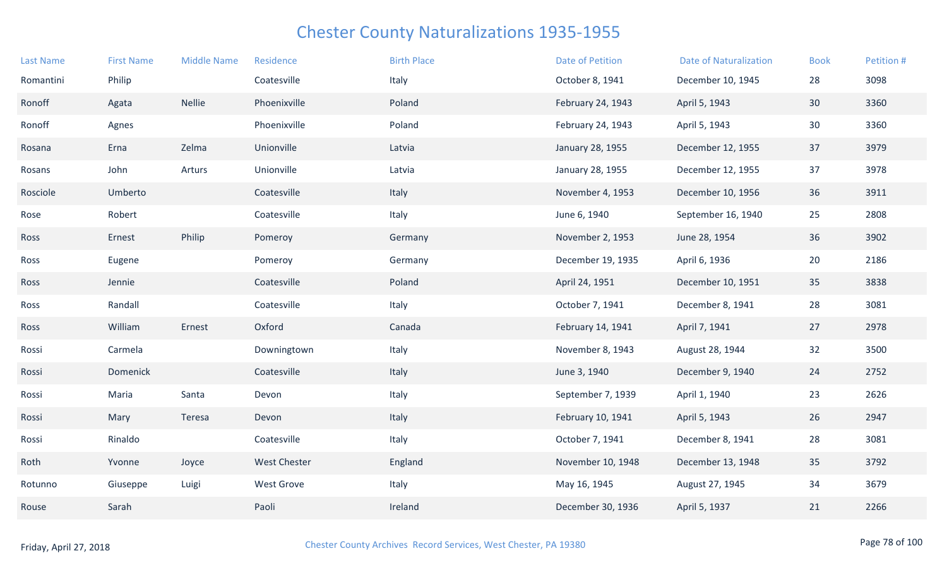| <b>Last Name</b> | <b>First Name</b> | <b>Middle Name</b> | Residence           | <b>Birth Place</b> | <b>Date of Petition</b> | <b>Date of Naturalization</b> | <b>Book</b>     | Petition # |
|------------------|-------------------|--------------------|---------------------|--------------------|-------------------------|-------------------------------|-----------------|------------|
| Romantini        | Philip            |                    | Coatesville         | Italy              | October 8, 1941         | December 10, 1945             | 28              | 3098       |
| Ronoff           | Agata             | <b>Nellie</b>      | Phoenixville        | Poland             | February 24, 1943       | April 5, 1943                 | 30 <sup>°</sup> | 3360       |
| Ronoff           | Agnes             |                    | Phoenixville        | Poland             | February 24, 1943       | April 5, 1943                 | 30 <sup>°</sup> | 3360       |
| Rosana           | Erna              | Zelma              | Unionville          | Latvia             | January 28, 1955        | December 12, 1955             | 37              | 3979       |
| Rosans           | John              | Arturs             | Unionville          | Latvia             | January 28, 1955        | December 12, 1955             | 37              | 3978       |
| Rosciole         | Umberto           |                    | Coatesville         | Italy              | November 4, 1953        | December 10, 1956             | 36              | 3911       |
| Rose             | Robert            |                    | Coatesville         | Italy              | June 6, 1940            | September 16, 1940            | 25              | 2808       |
| Ross             | Ernest            | Philip             | Pomeroy             | Germany            | November 2, 1953        | June 28, 1954                 | 36              | 3902       |
| Ross             | Eugene            |                    | Pomeroy             | Germany            | December 19, 1935       | April 6, 1936                 | 20              | 2186       |
| Ross             | Jennie            |                    | Coatesville         | Poland             | April 24, 1951          | December 10, 1951             | 35              | 3838       |
| Ross             | Randall           |                    | Coatesville         | Italy              | October 7, 1941         | December 8, 1941              | 28              | 3081       |
| Ross             | William           | Ernest             | Oxford              | Canada             | February 14, 1941       | April 7, 1941                 | 27              | 2978       |
| Rossi            | Carmela           |                    | Downingtown         | Italy              | November 8, 1943        | August 28, 1944               | 32              | 3500       |
| Rossi            | Domenick          |                    | Coatesville         | Italy              | June 3, 1940            | December 9, 1940              | 24              | 2752       |
| Rossi            | Maria             | Santa              | Devon               | Italy              | September 7, 1939       | April 1, 1940                 | 23              | 2626       |
| Rossi            | Mary              | Teresa             | Devon               | Italy              | February 10, 1941       | April 5, 1943                 | 26              | 2947       |
| Rossi            | Rinaldo           |                    | Coatesville         | Italy              | October 7, 1941         | December 8, 1941              | 28              | 3081       |
| Roth             | Yvonne            | Joyce              | <b>West Chester</b> | England            | November 10, 1948       | December 13, 1948             | 35              | 3792       |
| Rotunno          | Giuseppe          | Luigi              | West Grove          | Italy              | May 16, 1945            | August 27, 1945               | 34              | 3679       |
| Rouse            | Sarah             |                    | Paoli               | Ireland            | December 30, 1936       | April 5, 1937                 | 21              | 2266       |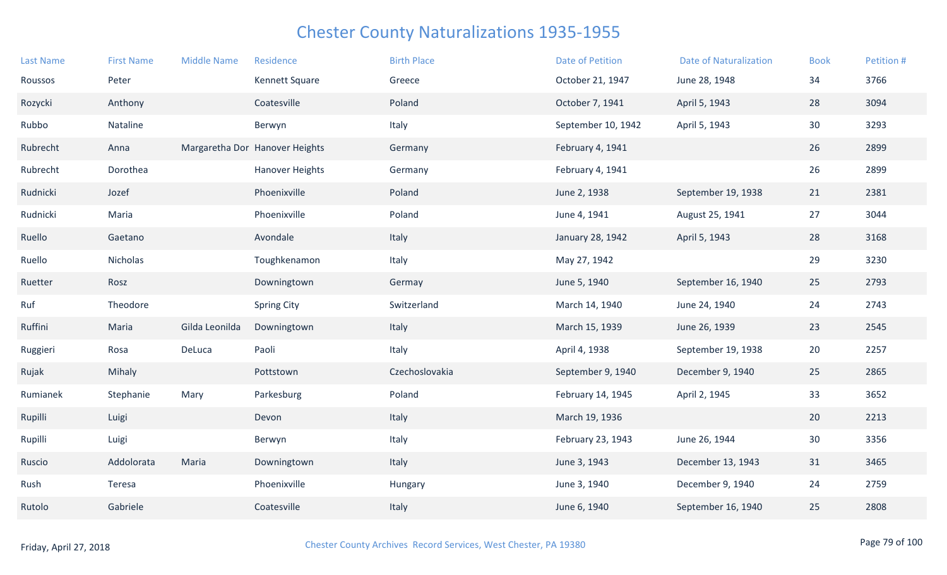| Roussos  | Peter      |                | Kennett Square                 | Greece         | October 21, 1947   | June 28, 1948      | 34              | 3766 |
|----------|------------|----------------|--------------------------------|----------------|--------------------|--------------------|-----------------|------|
| Rozycki  | Anthony    |                | Coatesville                    | Poland         | October 7, 1941    | April 5, 1943      | 28              | 3094 |
| Rubbo    | Nataline   |                | Berwyn                         | Italy          | September 10, 1942 | April 5, 1943      | 30              | 3293 |
| Rubrecht | Anna       |                | Margaretha Dor Hanover Heights | Germany        | February 4, 1941   |                    | 26              | 2899 |
| Rubrecht | Dorothea   |                | <b>Hanover Heights</b>         | Germany        | February 4, 1941   |                    | 26              | 2899 |
| Rudnicki | Jozef      |                | Phoenixville                   | Poland         | June 2, 1938       | September 19, 1938 | 21              | 2381 |
| Rudnicki | Maria      |                | Phoenixville                   | Poland         | June 4, 1941       | August 25, 1941    | 27              | 3044 |
| Ruello   | Gaetano    |                | Avondale                       | Italy          | January 28, 1942   | April 5, 1943      | 28              | 3168 |
| Ruello   | Nicholas   |                | Toughkenamon                   | Italy          | May 27, 1942       |                    | 29              | 3230 |
| Ruetter  | Rosz       |                | Downingtown                    | Germay         | June 5, 1940       | September 16, 1940 | 25              | 2793 |
| Ruf      | Theodore   |                | <b>Spring City</b>             | Switzerland    | March 14, 1940     | June 24, 1940      | 24              | 2743 |
| Ruffini  | Maria      | Gilda Leonilda | Downingtown                    | Italy          | March 15, 1939     | June 26, 1939      | 23              | 2545 |
| Ruggieri | Rosa       | DeLuca         | Paoli                          | Italy          | April 4, 1938      | September 19, 1938 | 20              | 2257 |
| Rujak    | Mihaly     |                | Pottstown                      | Czechoslovakia | September 9, 1940  | December 9, 1940   | 25              | 2865 |
| Rumianek | Stephanie  | Mary           | Parkesburg                     | Poland         | February 14, 1945  | April 2, 1945      | 33              | 3652 |
| Rupilli  | Luigi      |                | Devon                          | Italy          | March 19, 1936     |                    | 20              | 2213 |
| Rupilli  | Luigi      |                | Berwyn                         | Italy          | February 23, 1943  | June 26, 1944      | 30 <sup>°</sup> | 3356 |
| Ruscio   | Addolorata | Maria          | Downingtown                    | Italy          | June 3, 1943       | December 13, 1943  | 31              | 3465 |
| Rush     | Teresa     |                | Phoenixville                   | Hungary        | June 3, 1940       | December 9, 1940   | 24              | 2759 |
| Rutolo   | Gabriele   |                | Coatesville                    | Italy          | June 6, 1940       | September 16, 1940 | 25              | 2808 |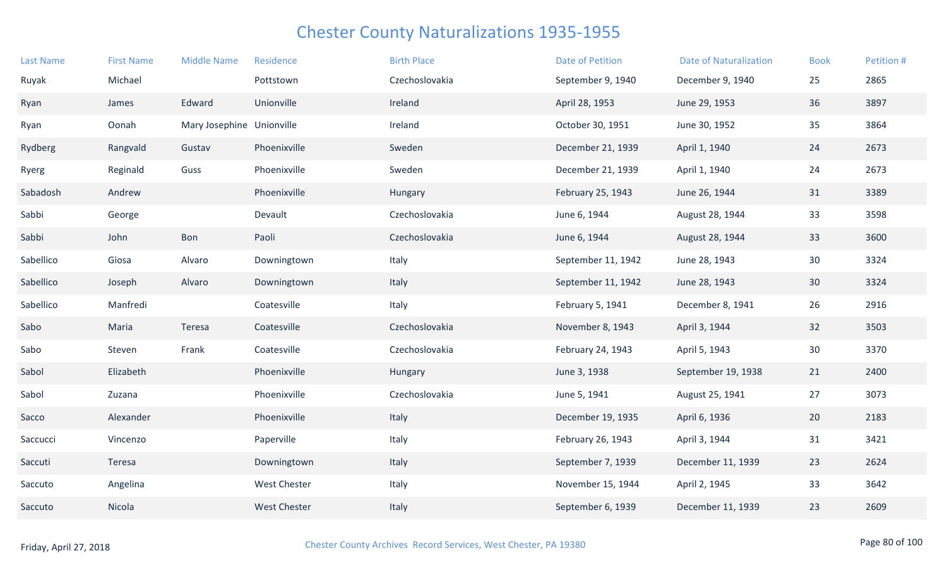| <b>Last Name</b> | <b>First Name</b> | <b>Middle Name</b>        | Residence           | <b>Birth Place</b> | <b>Date of Petition</b> | <b>Date of Naturalization</b> | <b>Book</b> | Petition # |
|------------------|-------------------|---------------------------|---------------------|--------------------|-------------------------|-------------------------------|-------------|------------|
| Ruyak            | Michael           |                           | Pottstown           | Czechoslovakia     | September 9, 1940       | December 9, 1940              | 25          | 2865       |
| Ryan             | James             | Edward                    | Unionville          | Ireland            | April 28, 1953          | June 29, 1953                 | 36          | 3897       |
| Ryan             | Oonah             | Mary Josephine Unionville |                     | Ireland            | October 30, 1951        | June 30, 1952                 | 35          | 3864       |
| Rydberg          | Rangvald          | Gustav                    | Phoenixville        | Sweden             | December 21, 1939       | April 1, 1940                 | 24          | 2673       |
| Ryerg            | Reginald          | Guss                      | Phoenixville        | Sweden             | December 21, 1939       | April 1, 1940                 | 24          | 2673       |
| Sabadosh         | Andrew            |                           | Phoenixville        | Hungary            | February 25, 1943       | June 26, 1944                 | 31          | 3389       |
| Sabbi            | George            |                           | Devault             | Czechoslovakia     | June 6, 1944            | August 28, 1944               | 33          | 3598       |
| Sabbi            | John              | Bon                       | Paoli               | Czechoslovakia     | June 6, 1944            | August 28, 1944               | 33          | 3600       |
| Sabellico        | Giosa             | Alvaro                    | Downingtown         | Italy              | September 11, 1942      | June 28, 1943                 | 30          | 3324       |
| Sabellico        | Joseph            | Alvaro                    | Downingtown         | Italy              | September 11, 1942      | June 28, 1943                 | 30          | 3324       |
| Sabellico        | Manfredi          |                           | Coatesville         | Italy              | February 5, 1941        | December 8, 1941              | 26          | 2916       |
| Sabo             | Maria             | Teresa                    | Coatesville         | Czechoslovakia     | November 8, 1943        | April 3, 1944                 | 32          | 3503       |
| Sabo             | Steven            | Frank                     | Coatesville         | Czechoslovakia     | February 24, 1943       | April 5, 1943                 | 30          | 3370       |
| Sabol            | Elizabeth         |                           | Phoenixville        | Hungary            | June 3, 1938            | September 19, 1938            | 21          | 2400       |
| Sabol            | Zuzana            |                           | Phoenixville        | Czechoslovakia     | June 5, 1941            | August 25, 1941               | 27          | 3073       |
| Sacco            | Alexander         |                           | Phoenixville        | Italy              | December 19, 1935       | April 6, 1936                 | 20          | 2183       |
| Saccucci         | Vincenzo          |                           | Paperville          | Italy              | February 26, 1943       | April 3, 1944                 | 31          | 3421       |
| Saccuti          | Teresa            |                           | Downingtown         | Italy              | September 7, 1939       | December 11, 1939             | 23          | 2624       |
| Saccuto          | Angelina          |                           | <b>West Chester</b> | Italy              | November 15, 1944       | April 2, 1945                 | 33          | 3642       |
| Saccuto          | Nicola            |                           | <b>West Chester</b> | Italy              | September 6, 1939       | December 11, 1939             | 23          | 2609       |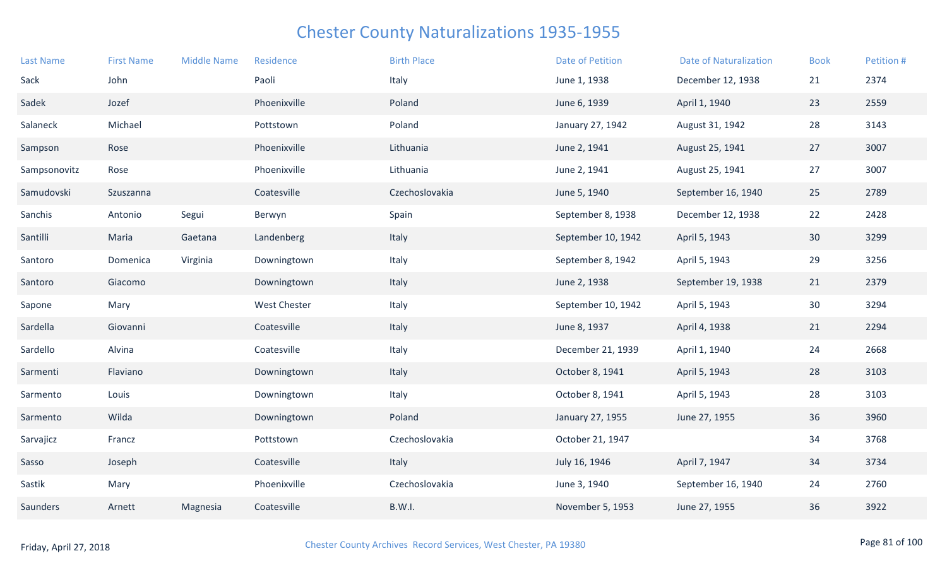| <b>Last Name</b> | <b>First Name</b> | <b>Middle Name</b> | Residence           | <b>Birth Place</b> | <b>Date of Petition</b> | <b>Date of Naturalization</b> | <b>Book</b> | Petition # |
|------------------|-------------------|--------------------|---------------------|--------------------|-------------------------|-------------------------------|-------------|------------|
| Sack             | John              |                    | Paoli               | Italy              | June 1, 1938            | December 12, 1938             | 21          | 2374       |
| Sadek            | Jozef             |                    | Phoenixville        | Poland             | June 6, 1939            | April 1, 1940                 | 23          | 2559       |
| Salaneck         | Michael           |                    | Pottstown           | Poland             | January 27, 1942        | August 31, 1942               | 28          | 3143       |
| Sampson          | Rose              |                    | Phoenixville        | Lithuania          | June 2, 1941            | August 25, 1941               | 27          | 3007       |
| Sampsonovitz     | Rose              |                    | Phoenixville        | Lithuania          | June 2, 1941            | August 25, 1941               | 27          | 3007       |
| Samudovski       | Szuszanna         |                    | Coatesville         | Czechoslovakia     | June 5, 1940            | September 16, 1940            | 25          | 2789       |
| Sanchis          | Antonio           | Segui              | Berwyn              | Spain              | September 8, 1938       | December 12, 1938             | 22          | 2428       |
| Santilli         | Maria             | Gaetana            | Landenberg          | Italy              | September 10, 1942      | April 5, 1943                 | 30          | 3299       |
| Santoro          | Domenica          | Virginia           | Downingtown         | Italy              | September 8, 1942       | April 5, 1943                 | 29          | 3256       |
| Santoro          | Giacomo           |                    | Downingtown         | Italy              | June 2, 1938            | September 19, 1938            | 21          | 2379       |
| Sapone           | Mary              |                    | <b>West Chester</b> | Italy              | September 10, 1942      | April 5, 1943                 | 30          | 3294       |
| Sardella         | Giovanni          |                    | Coatesville         | Italy              | June 8, 1937            | April 4, 1938                 | 21          | 2294       |
| Sardello         | Alvina            |                    | Coatesville         | Italy              | December 21, 1939       | April 1, 1940                 | 24          | 2668       |
| Sarmenti         | Flaviano          |                    | Downingtown         | Italy              | October 8, 1941         | April 5, 1943                 | 28          | 3103       |
| Sarmento         | Louis             |                    | Downingtown         | Italy              | October 8, 1941         | April 5, 1943                 | 28          | 3103       |
| Sarmento         | Wilda             |                    | Downingtown         | Poland             | January 27, 1955        | June 27, 1955                 | 36          | 3960       |
| Sarvajicz        | Francz            |                    | Pottstown           | Czechoslovakia     | October 21, 1947        |                               | 34          | 3768       |
| Sasso            | Joseph            |                    | Coatesville         | Italy              | July 16, 1946           | April 7, 1947                 | 34          | 3734       |
| Sastik           | Mary              |                    | Phoenixville        | Czechoslovakia     | June 3, 1940            | September 16, 1940            | 24          | 2760       |
| Saunders         | Arnett            | Magnesia           | Coatesville         | B.W.I.             | November 5, 1953        | June 27, 1955                 | 36          | 3922       |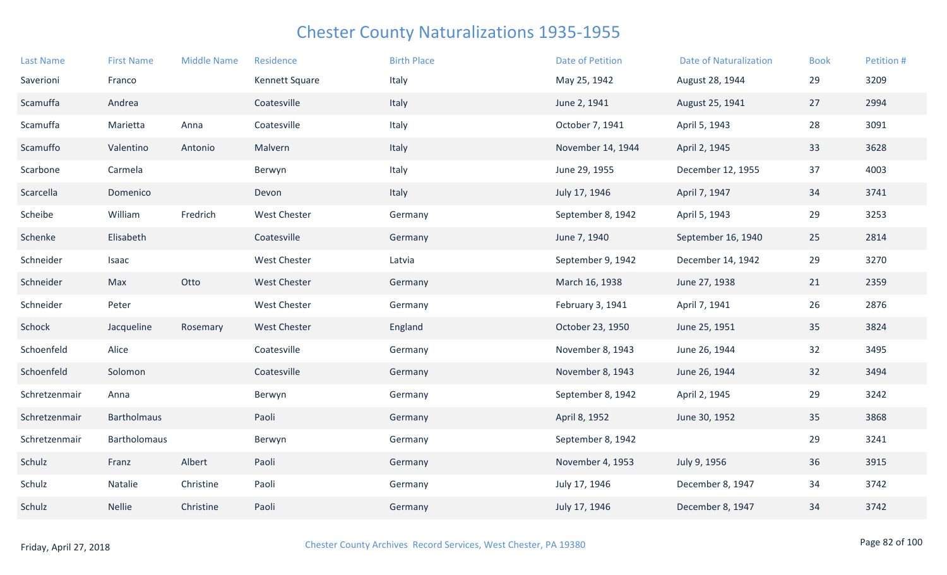| <b>First Name</b> | <b>Middle Name</b> | Residence           | <b>Birth Place</b> | <b>Date of Petition</b> | <b>Date of Naturalization</b> | <b>Book</b> | Petition # |
|-------------------|--------------------|---------------------|--------------------|-------------------------|-------------------------------|-------------|------------|
| Franco            |                    | Kennett Square      | Italy              | May 25, 1942            | August 28, 1944               | 29          | 3209       |
| Andrea            |                    | Coatesville         | Italy              | June 2, 1941            | August 25, 1941               | 27          | 2994       |
| Marietta          | Anna               | Coatesville         | Italy              | October 7, 1941         | April 5, 1943                 | 28          | 3091       |
| Valentino         | Antonio            | Malvern             | Italy              | November 14, 1944       | April 2, 1945                 | 33          | 3628       |
| Carmela           |                    | Berwyn              | Italy              | June 29, 1955           | December 12, 1955             | 37          | 4003       |
| Domenico          |                    | Devon               | Italy              | July 17, 1946           | April 7, 1947                 | 34          | 3741       |
| William           | Fredrich           | <b>West Chester</b> | Germany            | September 8, 1942       | April 5, 1943                 | 29          | 3253       |
| Elisabeth         |                    | Coatesville         | Germany            | June 7, 1940            | September 16, 1940            | 25          | 2814       |
| Isaac             |                    | <b>West Chester</b> | Latvia             | September 9, 1942       | December 14, 1942             | 29          | 3270       |
| Max               | Otto               | <b>West Chester</b> | Germany            | March 16, 1938          | June 27, 1938                 | 21          | 2359       |
| Peter             |                    | <b>West Chester</b> | Germany            | February 3, 1941        | April 7, 1941                 | 26          | 2876       |
| Jacqueline        | Rosemary           | <b>West Chester</b> | England            | October 23, 1950        | June 25, 1951                 | 35          | 3824       |
| Alice             |                    | Coatesville         | Germany            | November 8, 1943        | June 26, 1944                 | 32          | 3495       |
| Solomon           |                    | Coatesville         | Germany            | November 8, 1943        | June 26, 1944                 | 32          | 3494       |
| Anna              |                    | Berwyn              | Germany            | September 8, 1942       | April 2, 1945                 | 29          | 3242       |
| Bartholmaus       |                    | Paoli               | Germany            | April 8, 1952           | June 30, 1952                 | 35          | 3868       |
| Bartholomaus      |                    | Berwyn              | Germany            | September 8, 1942       |                               | 29          | 3241       |
| Franz             | Albert             | Paoli               | Germany            | November 4, 1953        | July 9, 1956                  | 36          | 3915       |
| Natalie           | Christine          | Paoli               | Germany            | July 17, 1946           | December 8, 1947              | 34          | 3742       |
| <b>Nellie</b>     | Christine          | Paoli               | Germany            | July 17, 1946           | December 8, 1947              | 34          | 3742       |
|                   |                    |                     |                    |                         |                               |             |            |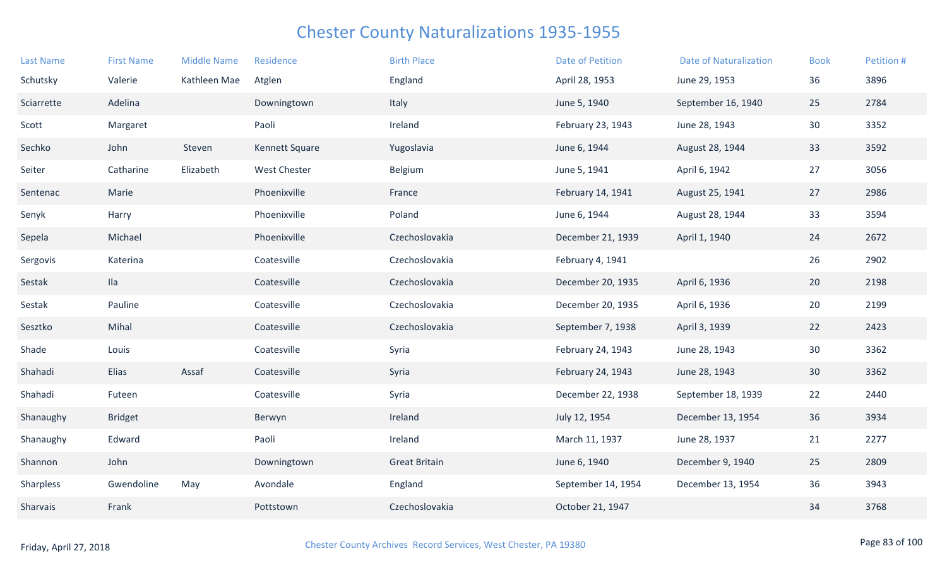| <b>Last Name</b> | <b>First Name</b> | <b>Middle Name</b> | Residence           | <b>Birth Place</b>   | <b>Date of Petition</b> | <b>Date of Naturalization</b> | <b>Book</b>     | Petition # |
|------------------|-------------------|--------------------|---------------------|----------------------|-------------------------|-------------------------------|-----------------|------------|
| Schutsky         | Valerie           | Kathleen Mae       | Atglen              | England              | April 28, 1953          | June 29, 1953                 | 36              | 3896       |
| Sciarrette       | Adelina           |                    | Downingtown         | Italy                | June 5, 1940            | September 16, 1940            | 25              | 2784       |
| Scott            | Margaret          |                    | Paoli               | Ireland              | February 23, 1943       | June 28, 1943                 | 30              | 3352       |
| Sechko           | John              | Steven             | Kennett Square      | Yugoslavia           | June 6, 1944            | August 28, 1944               | 33              | 3592       |
| Seiter           | Catharine         | Elizabeth          | <b>West Chester</b> | Belgium              | June 5, 1941            | April 6, 1942                 | 27              | 3056       |
| Sentenac         | Marie             |                    | Phoenixville        | France               | February 14, 1941       | August 25, 1941               | 27              | 2986       |
| Senyk            | Harry             |                    | Phoenixville        | Poland               | June 6, 1944            | August 28, 1944               | 33              | 3594       |
| Sepela           | Michael           |                    | Phoenixville        | Czechoslovakia       | December 21, 1939       | April 1, 1940                 | 24              | 2672       |
| Sergovis         | Katerina          |                    | Coatesville         | Czechoslovakia       | February 4, 1941        |                               | 26              | 2902       |
| Sestak           | $I$ la            |                    | Coatesville         | Czechoslovakia       | December 20, 1935       | April 6, 1936                 | 20              | 2198       |
| Sestak           | Pauline           |                    | Coatesville         | Czechoslovakia       | December 20, 1935       | April 6, 1936                 | 20              | 2199       |
| Sesztko          | Mihal             |                    | Coatesville         | Czechoslovakia       | September 7, 1938       | April 3, 1939                 | 22              | 2423       |
| Shade            | Louis             |                    | Coatesville         | Syria                | February 24, 1943       | June 28, 1943                 | 30              | 3362       |
| Shahadi          | Elias             | Assaf              | Coatesville         | Syria                | February 24, 1943       | June 28, 1943                 | 30 <sup>°</sup> | 3362       |
| Shahadi          | Futeen            |                    | Coatesville         | Syria                | December 22, 1938       | September 18, 1939            | 22              | 2440       |
| Shanaughy        | <b>Bridget</b>    |                    | Berwyn              | Ireland              | July 12, 1954           | December 13, 1954             | 36              | 3934       |
| Shanaughy        | Edward            |                    | Paoli               | Ireland              | March 11, 1937          | June 28, 1937                 | 21              | 2277       |
| Shannon          | John              |                    | Downingtown         | <b>Great Britain</b> | June 6, 1940            | December 9, 1940              | 25              | 2809       |
| Sharpless        | Gwendoline        | May                | Avondale            | England              | September 14, 1954      | December 13, 1954             | 36              | 3943       |
| Sharvais         | Frank             |                    | Pottstown           | Czechoslovakia       | October 21, 1947        |                               | 34              | 3768       |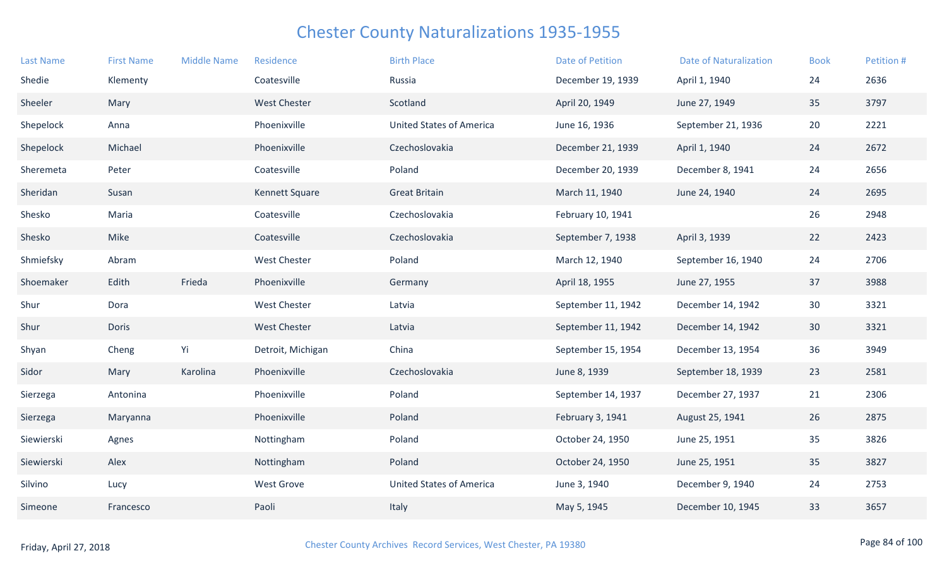| <b>Last Name</b> | <b>First Name</b> | <b>Middle Name</b> | Residence           | <b>Birth Place</b>              | <b>Date of Petition</b> | <b>Date of Naturalization</b> | <b>Book</b> | Petition # |
|------------------|-------------------|--------------------|---------------------|---------------------------------|-------------------------|-------------------------------|-------------|------------|
| Shedie           | Klementy          |                    | Coatesville         | Russia                          | December 19, 1939       | April 1, 1940                 | 24          | 2636       |
| Sheeler          | Mary              |                    | <b>West Chester</b> | Scotland                        | April 20, 1949          | June 27, 1949                 | 35          | 3797       |
| Shepelock        | Anna              |                    | Phoenixville        | <b>United States of America</b> | June 16, 1936           | September 21, 1936            | 20          | 2221       |
| Shepelock        | Michael           |                    | Phoenixville        | Czechoslovakia                  | December 21, 1939       | April 1, 1940                 | 24          | 2672       |
| Sheremeta        | Peter             |                    | Coatesville         | Poland                          | December 20, 1939       | December 8, 1941              | 24          | 2656       |
| Sheridan         | Susan             |                    | Kennett Square      | <b>Great Britain</b>            | March 11, 1940          | June 24, 1940                 | 24          | 2695       |
| Shesko           | Maria             |                    | Coatesville         | Czechoslovakia                  | February 10, 1941       |                               | 26          | 2948       |
| Shesko           | Mike              |                    | Coatesville         | Czechoslovakia                  | September 7, 1938       | April 3, 1939                 | 22          | 2423       |
| Shmiefsky        | Abram             |                    | <b>West Chester</b> | Poland                          | March 12, 1940          | September 16, 1940            | 24          | 2706       |
| Shoemaker        | Edith             | Frieda             | Phoenixville        | Germany                         | April 18, 1955          | June 27, 1955                 | 37          | 3988       |
| Shur             | Dora              |                    | <b>West Chester</b> | Latvia                          | September 11, 1942      | December 14, 1942             | 30          | 3321       |
| Shur             | Doris             |                    | <b>West Chester</b> | Latvia                          | September 11, 1942      | December 14, 1942             | 30          | 3321       |
| Shyan            | Cheng             | Yi                 | Detroit, Michigan   | China                           | September 15, 1954      | December 13, 1954             | 36          | 3949       |
| Sidor            | Mary              | Karolina           | Phoenixville        | Czechoslovakia                  | June 8, 1939            | September 18, 1939            | 23          | 2581       |
| Sierzega         | Antonina          |                    | Phoenixville        | Poland                          | September 14, 1937      | December 27, 1937             | 21          | 2306       |
| Sierzega         | Maryanna          |                    | Phoenixville        | Poland                          | February 3, 1941        | August 25, 1941               | 26          | 2875       |
| Siewierski       | Agnes             |                    | Nottingham          | Poland                          | October 24, 1950        | June 25, 1951                 | 35          | 3826       |
| Siewierski       | Alex              |                    | Nottingham          | Poland                          | October 24, 1950        | June 25, 1951                 | 35          | 3827       |
| Silvino          | Lucy              |                    | <b>West Grove</b>   | <b>United States of America</b> | June 3, 1940            | December 9, 1940              | 24          | 2753       |
| Simeone          | Francesco         |                    | Paoli               | Italy                           | May 5, 1945             | December 10, 1945             | 33          | 3657       |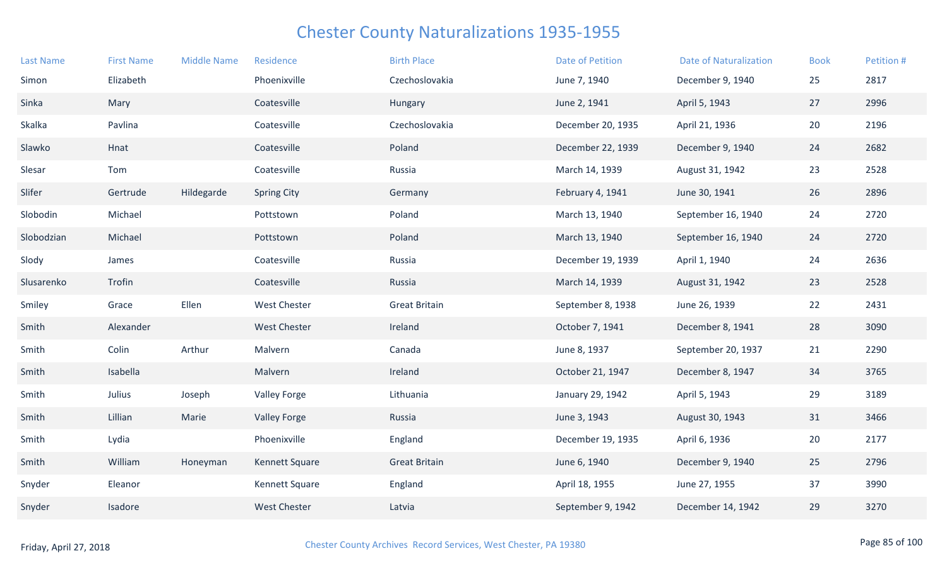| <b>Last Name</b> | <b>First Name</b> | <b>Middle Name</b> | Residence           | <b>Birth Place</b>   | Date of Petition  | <b>Date of Naturalization</b> | <b>Book</b> | Petition # |
|------------------|-------------------|--------------------|---------------------|----------------------|-------------------|-------------------------------|-------------|------------|
| Simon            | Elizabeth         |                    | Phoenixville        | Czechoslovakia       | June 7, 1940      | December 9, 1940              | 25          | 2817       |
| Sinka            | Mary              |                    | Coatesville         | Hungary              | June 2, 1941      | April 5, 1943                 | 27          | 2996       |
| Skalka           | Pavlina           |                    | Coatesville         | Czechoslovakia       | December 20, 1935 | April 21, 1936                | 20          | 2196       |
| Slawko           | Hnat              |                    | Coatesville         | Poland               | December 22, 1939 | December 9, 1940              | 24          | 2682       |
| Slesar           | Tom               |                    | Coatesville         | Russia               | March 14, 1939    | August 31, 1942               | 23          | 2528       |
| Slifer           | Gertrude          | Hildegarde         | <b>Spring City</b>  | Germany              | February 4, 1941  | June 30, 1941                 | 26          | 2896       |
| Slobodin         | Michael           |                    | Pottstown           | Poland               | March 13, 1940    | September 16, 1940            | 24          | 2720       |
| Slobodzian       | Michael           |                    | Pottstown           | Poland               | March 13, 1940    | September 16, 1940            | 24          | 2720       |
| Slody            | James             |                    | Coatesville         | Russia               | December 19, 1939 | April 1, 1940                 | 24          | 2636       |
| Slusarenko       | Trofin            |                    | Coatesville         | Russia               | March 14, 1939    | August 31, 1942               | 23          | 2528       |
| Smiley           | Grace             | Ellen              | <b>West Chester</b> | <b>Great Britain</b> | September 8, 1938 | June 26, 1939                 | 22          | 2431       |
| Smith            | Alexander         |                    | <b>West Chester</b> | Ireland              | October 7, 1941   | December 8, 1941              | 28          | 3090       |
| Smith            | Colin             | Arthur             | Malvern             | Canada               | June 8, 1937      | September 20, 1937            | 21          | 2290       |
| Smith            | Isabella          |                    | Malvern             | Ireland              | October 21, 1947  | December 8, 1947              | 34          | 3765       |
| Smith            | Julius            | Joseph             | <b>Valley Forge</b> | Lithuania            | January 29, 1942  | April 5, 1943                 | 29          | 3189       |
| Smith            | Lillian           | Marie              | <b>Valley Forge</b> | Russia               | June 3, 1943      | August 30, 1943               | 31          | 3466       |
| Smith            | Lydia             |                    | Phoenixville        | England              | December 19, 1935 | April 6, 1936                 | 20          | 2177       |
| Smith            | William           | Honeyman           | Kennett Square      | <b>Great Britain</b> | June 6, 1940      | December 9, 1940              | 25          | 2796       |
| Snyder           | Eleanor           |                    | Kennett Square      | England              | April 18, 1955    | June 27, 1955                 | 37          | 3990       |
| Snyder           | Isadore           |                    | <b>West Chester</b> | Latvia               | September 9, 1942 | December 14, 1942             | 29          | 3270       |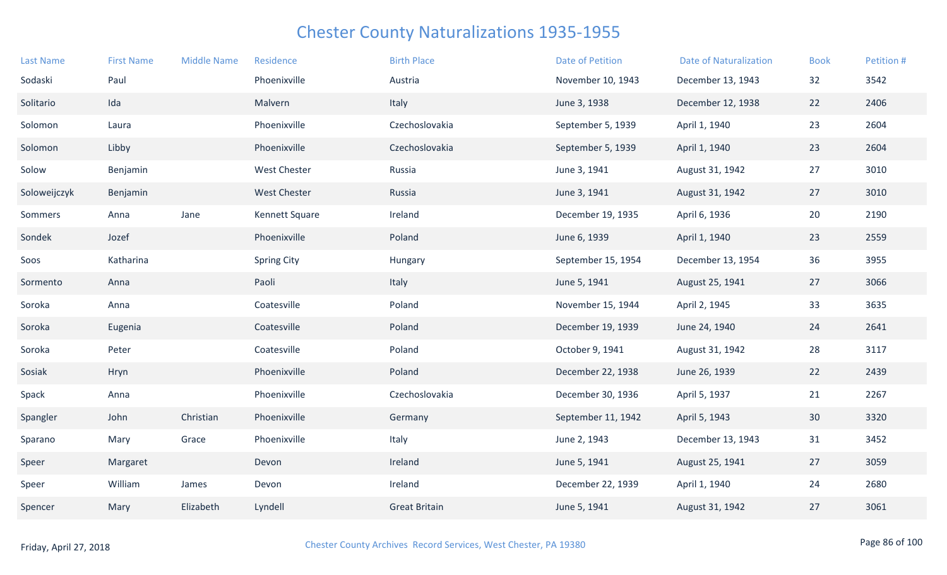| <b>Last Name</b> | <b>First Name</b> | <b>Middle Name</b> | Residence           | <b>Birth Place</b>   | <b>Date of Petition</b> | <b>Date of Naturalization</b> | <b>Book</b> | Petition # |
|------------------|-------------------|--------------------|---------------------|----------------------|-------------------------|-------------------------------|-------------|------------|
| Sodaski          | Paul              |                    | Phoenixville        | Austria              | November 10, 1943       | December 13, 1943             | 32          | 3542       |
| Solitario        | Ida               |                    | Malvern             | Italy                | June 3, 1938            | December 12, 1938             | 22          | 2406       |
| Solomon          | Laura             |                    | Phoenixville        | Czechoslovakia       | September 5, 1939       | April 1, 1940                 | 23          | 2604       |
| Solomon          | Libby             |                    | Phoenixville        | Czechoslovakia       | September 5, 1939       | April 1, 1940                 | 23          | 2604       |
| Solow            | Benjamin          |                    | <b>West Chester</b> | Russia               | June 3, 1941            | August 31, 1942               | 27          | 3010       |
| Soloweijczyk     | Benjamin          |                    | <b>West Chester</b> | Russia               | June 3, 1941            | August 31, 1942               | 27          | 3010       |
| Sommers          | Anna              | Jane               | Kennett Square      | Ireland              | December 19, 1935       | April 6, 1936                 | 20          | 2190       |
| Sondek           | Jozef             |                    | Phoenixville        | Poland               | June 6, 1939            | April 1, 1940                 | 23          | 2559       |
| Soos             | Katharina         |                    | <b>Spring City</b>  | Hungary              | September 15, 1954      | December 13, 1954             | 36          | 3955       |
| Sormento         | Anna              |                    | Paoli               | Italy                | June 5, 1941            | August 25, 1941               | 27          | 3066       |
| Soroka           | Anna              |                    | Coatesville         | Poland               | November 15, 1944       | April 2, 1945                 | 33          | 3635       |
| Soroka           | Eugenia           |                    | Coatesville         | Poland               | December 19, 1939       | June 24, 1940                 | 24          | 2641       |
| Soroka           | Peter             |                    | Coatesville         | Poland               | October 9, 1941         | August 31, 1942               | 28          | 3117       |
| Sosiak           | Hryn              |                    | Phoenixville        | Poland               | December 22, 1938       | June 26, 1939                 | 22          | 2439       |
| Spack            | Anna              |                    | Phoenixville        | Czechoslovakia       | December 30, 1936       | April 5, 1937                 | 21          | 2267       |
| Spangler         | John              | Christian          | Phoenixville        | Germany              | September 11, 1942      | April 5, 1943                 | 30          | 3320       |
| Sparano          | Mary              | Grace              | Phoenixville        | Italy                | June 2, 1943            | December 13, 1943             | 31          | 3452       |
| Speer            | Margaret          |                    | Devon               | Ireland              | June 5, 1941            | August 25, 1941               | 27          | 3059       |
| Speer            | William           | James              | Devon               | Ireland              | December 22, 1939       | April 1, 1940                 | 24          | 2680       |
| Spencer          | Mary              | Elizabeth          | Lyndell             | <b>Great Britain</b> | June 5, 1941            | August 31, 1942               | 27          | 3061       |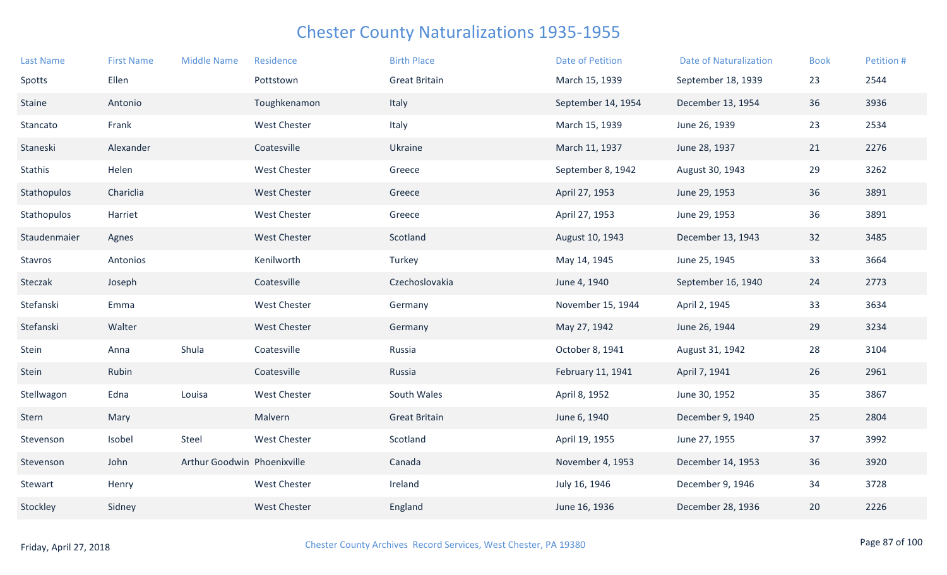| <b>Last Name</b> | <b>First Name</b> | <b>Middle Name</b>          | Residence           | <b>Birth Place</b>   | <b>Date of Petition</b> | <b>Date of Naturalization</b> | <b>Book</b> | Petition # |
|------------------|-------------------|-----------------------------|---------------------|----------------------|-------------------------|-------------------------------|-------------|------------|
| Spotts           | Ellen             |                             | Pottstown           | <b>Great Britain</b> | March 15, 1939          | September 18, 1939            | 23          | 2544       |
| Staine           | Antonio           |                             | Toughkenamon        | Italy                | September 14, 1954      | December 13, 1954             | 36          | 3936       |
| Stancato         | Frank             |                             | <b>West Chester</b> | Italy                | March 15, 1939          | June 26, 1939                 | 23          | 2534       |
| Staneski         | Alexander         |                             | Coatesville         | Ukraine              | March 11, 1937          | June 28, 1937                 | 21          | 2276       |
| <b>Stathis</b>   | Helen             |                             | <b>West Chester</b> | Greece               | September 8, 1942       | August 30, 1943               | 29          | 3262       |
| Stathopulos      | Chariclia         |                             | <b>West Chester</b> | Greece               | April 27, 1953          | June 29, 1953                 | 36          | 3891       |
| Stathopulos      | Harriet           |                             | <b>West Chester</b> | Greece               | April 27, 1953          | June 29, 1953                 | 36          | 3891       |
| Staudenmaier     | Agnes             |                             | <b>West Chester</b> | Scotland             | August 10, 1943         | December 13, 1943             | 32          | 3485       |
| Stavros          | Antonios          |                             | Kenilworth          | Turkey               | May 14, 1945            | June 25, 1945                 | 33          | 3664       |
| Steczak          | Joseph            |                             | Coatesville         | Czechoslovakia       | June 4, 1940            | September 16, 1940            | 24          | 2773       |
| Stefanski        | Emma              |                             | <b>West Chester</b> | Germany              | November 15, 1944       | April 2, 1945                 | 33          | 3634       |
| Stefanski        | Walter            |                             | <b>West Chester</b> | Germany              | May 27, 1942            | June 26, 1944                 | 29          | 3234       |
| Stein            | Anna              | Shula                       | Coatesville         | Russia               | October 8, 1941         | August 31, 1942               | 28          | 3104       |
| Stein            | Rubin             |                             | Coatesville         | Russia               | February 11, 1941       | April 7, 1941                 | 26          | 2961       |
| Stellwagon       | Edna              | Louisa                      | <b>West Chester</b> | South Wales          | April 8, 1952           | June 30, 1952                 | 35          | 3867       |
| Stern            | Mary              |                             | Malvern             | <b>Great Britain</b> | June 6, 1940            | December 9, 1940              | 25          | 2804       |
| Stevenson        | Isobel            | Steel                       | <b>West Chester</b> | Scotland             | April 19, 1955          | June 27, 1955                 | 37          | 3992       |
| Stevenson        | John              | Arthur Goodwin Phoenixville |                     | Canada               | November 4, 1953        | December 14, 1953             | 36          | 3920       |
| Stewart          | Henry             |                             | West Chester        | Ireland              | July 16, 1946           | December 9, 1946              | 34          | 3728       |
| Stockley         | Sidney            |                             | <b>West Chester</b> | England              | June 16, 1936           | December 28, 1936             | 20          | 2226       |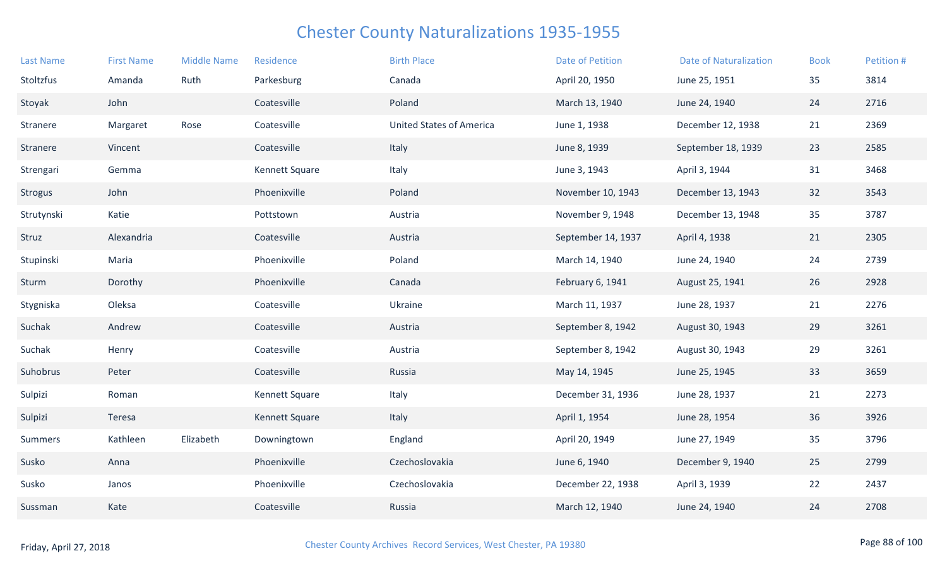| <b>Last Name</b> | <b>First Name</b> | <b>Middle Name</b> | Residence             | <b>Birth Place</b>              | <b>Date of Petition</b> | <b>Date of Naturalization</b> | <b>Book</b> | Petition # |
|------------------|-------------------|--------------------|-----------------------|---------------------------------|-------------------------|-------------------------------|-------------|------------|
| Stoltzfus        | Amanda            | Ruth               | Parkesburg            | Canada                          | April 20, 1950          | June 25, 1951                 | 35          | 3814       |
| Stoyak           | John              |                    | Coatesville           | Poland                          | March 13, 1940          | June 24, 1940                 | 24          | 2716       |
| Stranere         | Margaret          | Rose               | Coatesville           | <b>United States of America</b> | June 1, 1938            | December 12, 1938             | 21          | 2369       |
| Stranere         | Vincent           |                    | Coatesville           | Italy                           | June 8, 1939            | September 18, 1939            | 23          | 2585       |
| Strengari        | Gemma             |                    | Kennett Square        | Italy                           | June 3, 1943            | April 3, 1944                 | 31          | 3468       |
| Strogus          | John              |                    | Phoenixville          | Poland                          | November 10, 1943       | December 13, 1943             | 32          | 3543       |
| Strutynski       | Katie             |                    | Pottstown             | Austria                         | November 9, 1948        | December 13, 1948             | 35          | 3787       |
| Struz            | Alexandria        |                    | Coatesville           | Austria                         | September 14, 1937      | April 4, 1938                 | 21          | 2305       |
| Stupinski        | Maria             |                    | Phoenixville          | Poland                          | March 14, 1940          | June 24, 1940                 | 24          | 2739       |
| Sturm            | Dorothy           |                    | Phoenixville          | Canada                          | February 6, 1941        | August 25, 1941               | 26          | 2928       |
| Stygniska        | Oleksa            |                    | Coatesville           | Ukraine                         | March 11, 1937          | June 28, 1937                 | 21          | 2276       |
| Suchak           | Andrew            |                    | Coatesville           | Austria                         | September 8, 1942       | August 30, 1943               | 29          | 3261       |
| Suchak           | Henry             |                    | Coatesville           | Austria                         | September 8, 1942       | August 30, 1943               | 29          | 3261       |
| Suhobrus         | Peter             |                    | Coatesville           | Russia                          | May 14, 1945            | June 25, 1945                 | 33          | 3659       |
| Sulpizi          | Roman             |                    | <b>Kennett Square</b> | Italy                           | December 31, 1936       | June 28, 1937                 | 21          | 2273       |
| Sulpizi          | Teresa            |                    | Kennett Square        | Italy                           | April 1, 1954           | June 28, 1954                 | 36          | 3926       |
| Summers          | Kathleen          | Elizabeth          | Downingtown           | England                         | April 20, 1949          | June 27, 1949                 | 35          | 3796       |
| Susko            | Anna              |                    | Phoenixville          | Czechoslovakia                  | June 6, 1940            | December 9, 1940              | 25          | 2799       |
| Susko            | Janos             |                    | Phoenixville          | Czechoslovakia                  | December 22, 1938       | April 3, 1939                 | 22          | 2437       |
| Sussman          | Kate              |                    | Coatesville           | Russia                          | March 12, 1940          | June 24, 1940                 | 24          | 2708       |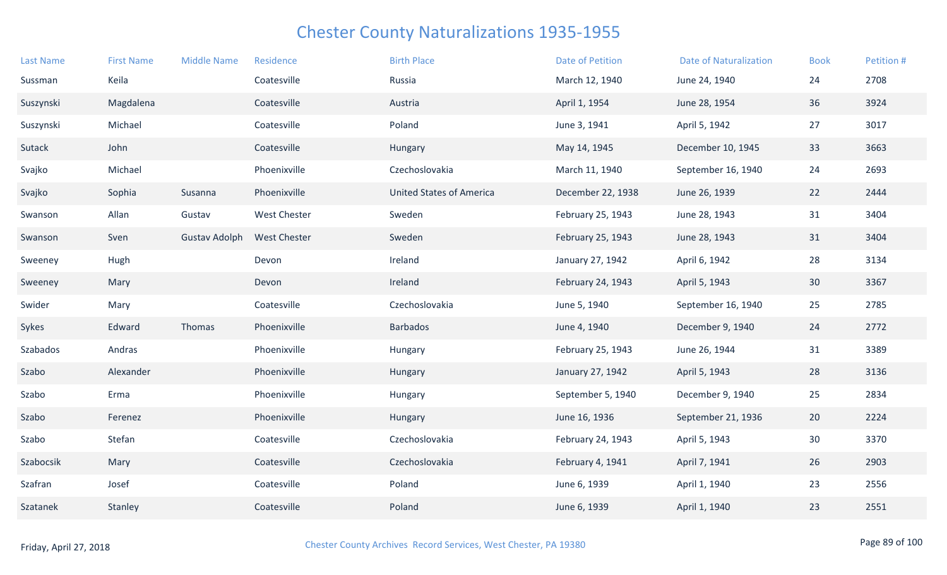| <b>First Name</b> | <b>Middle Name</b>   | Residence           | <b>Birth Place</b>              | <b>Date of Petition</b> | <b>Date of Naturalization</b> | <b>Book</b>                                     | Petition # |
|-------------------|----------------------|---------------------|---------------------------------|-------------------------|-------------------------------|-------------------------------------------------|------------|
| Keila             |                      | Coatesville         | Russia                          | March 12, 1940          | June 24, 1940                 | 24                                              | 2708       |
| Magdalena         |                      | Coatesville         | Austria                         | April 1, 1954           |                               | 36                                              | 3924       |
| Michael           |                      | Coatesville         | Poland                          | June 3, 1941            | April 5, 1942                 | 27                                              | 3017       |
| John              |                      | Coatesville         | Hungary                         | May 14, 1945            | December 10, 1945             | 33                                              | 3663       |
| Michael           |                      | Phoenixville        | Czechoslovakia                  | March 11, 1940          | September 16, 1940            | 24                                              | 2693       |
| Sophia            | Susanna              | Phoenixville        | <b>United States of America</b> | December 22, 1938       |                               | 22                                              | 2444       |
| Allan             | Gustav               | <b>West Chester</b> | Sweden                          | February 25, 1943       | June 28, 1943                 | 31                                              | 3404       |
| Sven              | <b>Gustav Adolph</b> | <b>West Chester</b> | Sweden                          | February 25, 1943       |                               | 31                                              | 3404       |
| Hugh              |                      | Devon               | Ireland                         | January 27, 1942        | April 6, 1942                 | 28                                              | 3134       |
| Mary              |                      | Devon               | Ireland                         | February 24, 1943       | April 5, 1943                 | 30                                              | 3367       |
| Mary              |                      | Coatesville         | Czechoslovakia                  | June 5, 1940            | September 16, 1940            | 25                                              | 2785       |
| Edward            | Thomas               | Phoenixville        | <b>Barbados</b>                 | June 4, 1940            | December 9, 1940              | 24                                              | 2772       |
| Andras            |                      | Phoenixville        | Hungary                         | February 25, 1943       | June 26, 1944                 | 31                                              | 3389       |
| Alexander         |                      | Phoenixville        | Hungary                         | January 27, 1942        | April 5, 1943                 | 28                                              | 3136       |
| Erma              |                      | Phoenixville        | Hungary                         | September 5, 1940       | December 9, 1940              | 25                                              | 2834       |
| Ferenez           |                      | Phoenixville        | Hungary                         | June 16, 1936           | September 21, 1936            | 20                                              | 2224       |
| Stefan            |                      | Coatesville         | Czechoslovakia                  | February 24, 1943       | April 5, 1943                 | 30                                              | 3370       |
| Mary              |                      | Coatesville         | Czechoslovakia                  | February 4, 1941        | April 7, 1941                 | 26                                              | 2903       |
| Josef             |                      | Coatesville         | Poland                          | June 6, 1939            | April 1, 1940                 | 23                                              | 2556       |
| Stanley           |                      | Coatesville         | Poland                          | June 6, 1939            | April 1, 1940                 | 23                                              | 2551       |
|                   |                      |                     |                                 |                         |                               | June 28, 1954<br>June 26, 1939<br>June 28, 1943 |            |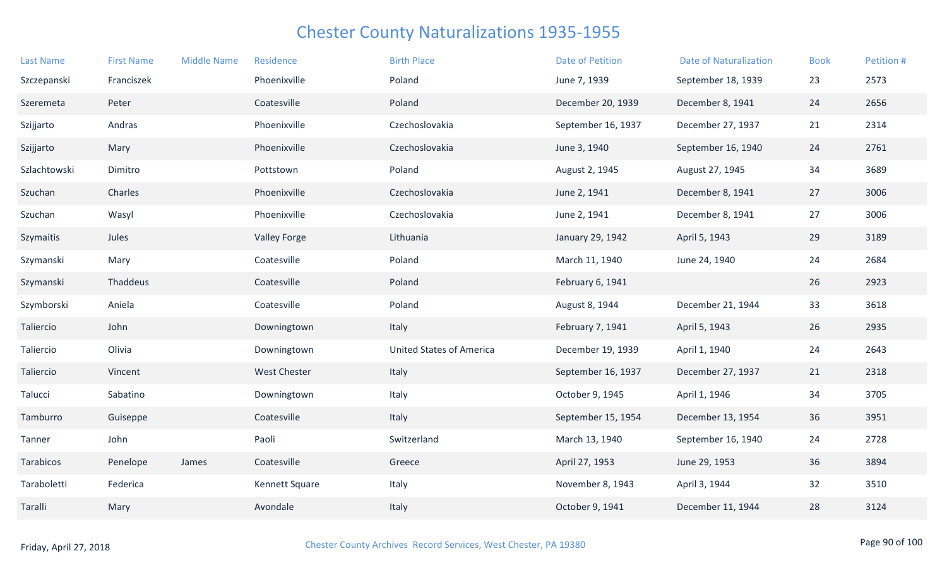| <b>Last Name</b> | <b>First Name</b> | <b>Middle Name</b> | Residence           | <b>Birth Place</b>              | <b>Date of Petition</b> | <b>Date of Naturalization</b> | <b>Book</b> | Petition # |
|------------------|-------------------|--------------------|---------------------|---------------------------------|-------------------------|-------------------------------|-------------|------------|
| Szczepanski      | Franciszek        |                    | Phoenixville        | Poland                          | June 7, 1939            | September 18, 1939            | 23          | 2573       |
| Szeremeta        | Peter             |                    | Coatesville         | Poland                          | December 20, 1939       | December 8, 1941              | 24          | 2656       |
| Szijjarto        | Andras            |                    | Phoenixville        | Czechoslovakia                  | September 16, 1937      | December 27, 1937             | 21          | 2314       |
| Szijjarto        | Mary              |                    | Phoenixville        | Czechoslovakia                  | June 3, 1940            | September 16, 1940            | 24          | 2761       |
| Szlachtowski     | Dimitro           |                    | Pottstown           | Poland                          | August 2, 1945          | August 27, 1945               | 34          | 3689       |
| Szuchan          | Charles           |                    | Phoenixville        | Czechoslovakia                  | June 2, 1941            | December 8, 1941              | 27          | 3006       |
| Szuchan          | Wasyl             |                    | Phoenixville        | Czechoslovakia                  | June 2, 1941            | December 8, 1941              | 27          | 3006       |
| Szymaitis        | Jules             |                    | <b>Valley Forge</b> | Lithuania                       | January 29, 1942        | April 5, 1943                 | 29          | 3189       |
| Szymanski        | Mary              |                    | Coatesville         | Poland                          | March 11, 1940          | June 24, 1940                 | 24          | 2684       |
| Szymanski        | Thaddeus          |                    | Coatesville         | Poland                          | February 6, 1941        |                               | 26          | 2923       |
| Szymborski       | Aniela            |                    | Coatesville         | Poland                          | August 8, 1944          | December 21, 1944             | 33          | 3618       |
| Taliercio        | John              |                    | Downingtown         | Italy                           | February 7, 1941        | April 5, 1943                 | 26          | 2935       |
| Taliercio        | Olivia            |                    | Downingtown         | <b>United States of America</b> | December 19, 1939       | April 1, 1940                 | 24          | 2643       |
| Taliercio        | Vincent           |                    | <b>West Chester</b> | Italy                           | September 16, 1937      | December 27, 1937             | 21          | 2318       |
| Talucci          | Sabatino          |                    | Downingtown         | Italy                           | October 9, 1945         | April 1, 1946                 | 34          | 3705       |
| Tamburro         | Guiseppe          |                    | Coatesville         | Italy                           | September 15, 1954      | December 13, 1954             | 36          | 3951       |
| Tanner           | John              |                    | Paoli               | Switzerland                     | March 13, 1940          | September 16, 1940            | 24          | 2728       |
| Tarabicos        | Penelope          | James              | Coatesville         | Greece                          | April 27, 1953          | June 29, 1953                 | 36          | 3894       |
| Taraboletti      | Federica          |                    | Kennett Square      | Italy                           | November 8, 1943        | April 3, 1944                 | 32          | 3510       |
| Taralli          | Mary              |                    | Avondale            | Italy                           | October 9, 1941         | December 11, 1944             | 28          | 3124       |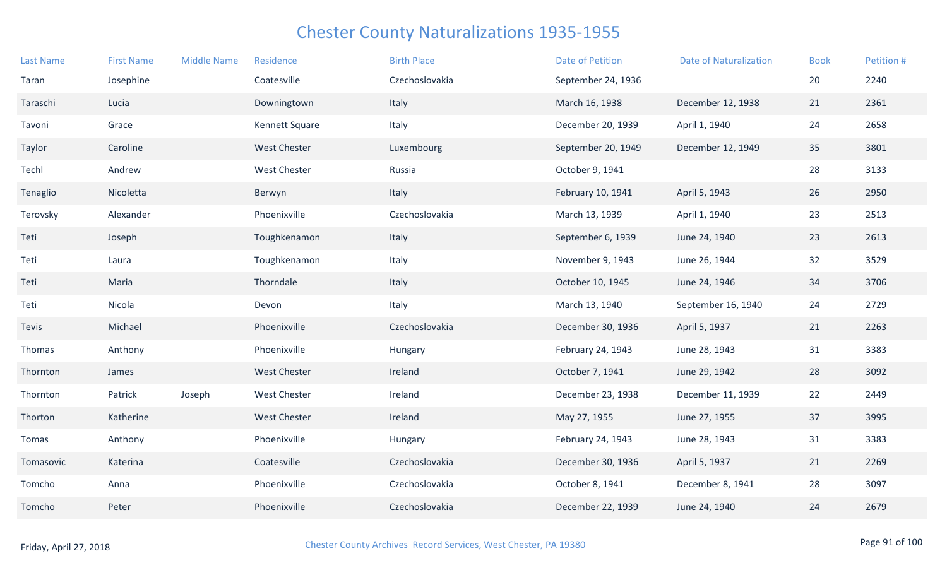| <b>Last Name</b> | <b>First Name</b> | <b>Middle Name</b> | Residence           | <b>Birth Place</b> | <b>Date of Petition</b> | <b>Date of Naturalization</b> | <b>Book</b> | Petition # |
|------------------|-------------------|--------------------|---------------------|--------------------|-------------------------|-------------------------------|-------------|------------|
| Taran            | Josephine         |                    | Coatesville         | Czechoslovakia     | September 24, 1936      |                               | 20          | 2240       |
| Taraschi         | Lucia             |                    | Downingtown         | Italy              | March 16, 1938          | December 12, 1938             | 21          | 2361       |
| Tavoni           | Grace             |                    | Kennett Square      | Italy              | December 20, 1939       | April 1, 1940                 | 24          | 2658       |
| Taylor           | Caroline          |                    | <b>West Chester</b> | Luxembourg         | September 20, 1949      | December 12, 1949             | 35          | 3801       |
| Techl            | Andrew            |                    | <b>West Chester</b> | Russia             | October 9, 1941         |                               | 28          | 3133       |
| Tenaglio         | Nicoletta         |                    | Berwyn              | Italy              | February 10, 1941       | April 5, 1943                 | 26          | 2950       |
| Terovsky         | Alexander         |                    | Phoenixville        | Czechoslovakia     | March 13, 1939          | April 1, 1940                 | 23          | 2513       |
| Teti             | Joseph            |                    | Toughkenamon        | Italy              | September 6, 1939       | June 24, 1940                 | 23          | 2613       |
| Teti             | Laura             |                    | Toughkenamon        | Italy              | November 9, 1943        | June 26, 1944                 | 32          | 3529       |
| Teti             | Maria             |                    | Thorndale           | Italy              | October 10, 1945        | June 24, 1946                 | 34          | 3706       |
| Teti             | Nicola            |                    | Devon               | Italy              | March 13, 1940          | September 16, 1940            | 24          | 2729       |
| Tevis            | Michael           |                    | Phoenixville        | Czechoslovakia     | December 30, 1936       | April 5, 1937                 | 21          | 2263       |
| Thomas           | Anthony           |                    | Phoenixville        | Hungary            | February 24, 1943       | June 28, 1943                 | 31          | 3383       |
| Thornton         | James             |                    | <b>West Chester</b> | Ireland            | October 7, 1941         | June 29, 1942                 | 28          | 3092       |
| Thornton         | Patrick           | Joseph             | West Chester        | Ireland            | December 23, 1938       | December 11, 1939             | 22          | 2449       |
| Thorton          | Katherine         |                    | <b>West Chester</b> | Ireland            | May 27, 1955            | June 27, 1955                 | 37          | 3995       |
| Tomas            | Anthony           |                    | Phoenixville        | Hungary            | February 24, 1943       | June 28, 1943                 | 31          | 3383       |
| Tomasovic        | Katerina          |                    | Coatesville         | Czechoslovakia     | December 30, 1936       | April 5, 1937                 | 21          | 2269       |
| Tomcho           | Anna              |                    | Phoenixville        | Czechoslovakia     | October 8, 1941         | December 8, 1941              | 28          | 3097       |
| Tomcho           | Peter             |                    | Phoenixville        | Czechoslovakia     | December 22, 1939       | June 24, 1940                 | 24          | 2679       |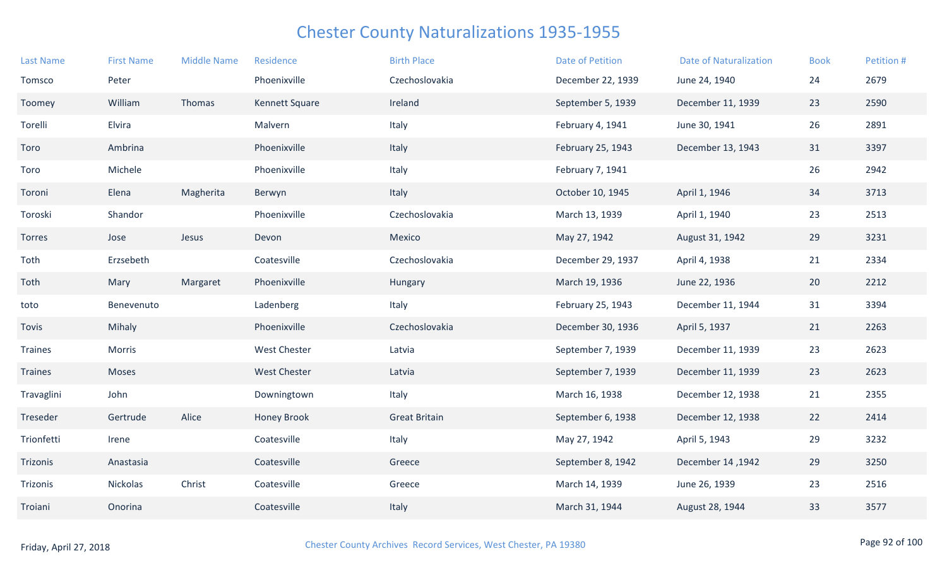| <b>Last Name</b> | <b>First Name</b> | <b>Middle Name</b> | Residence           | <b>Birth Place</b>   | <b>Date of Petition</b> | <b>Date of Naturalization</b> | <b>Book</b> | Petition # |
|------------------|-------------------|--------------------|---------------------|----------------------|-------------------------|-------------------------------|-------------|------------|
| Tomsco           | Peter             |                    | Phoenixville        | Czechoslovakia       | December 22, 1939       | June 24, 1940                 | 24          | 2679       |
| Toomey           | William           | Thomas             | Kennett Square      | Ireland              | September 5, 1939       | December 11, 1939             | 23          | 2590       |
| Torelli          | Elvira            |                    | Malvern             | Italy                | February 4, 1941        | June 30, 1941                 | 26          | 2891       |
| Toro             | Ambrina           |                    | Phoenixville        | Italy                | February 25, 1943       | December 13, 1943             | 31          | 3397       |
| Toro             | Michele           |                    | Phoenixville        | Italy                | February 7, 1941        |                               | 26          | 2942       |
| Toroni           | Elena             | Magherita          | Berwyn              | Italy                | October 10, 1945        | April 1, 1946                 | 34          | 3713       |
| Toroski          | Shandor           |                    | Phoenixville        | Czechoslovakia       | March 13, 1939          | April 1, 1940                 | 23          | 2513       |
| Torres           | Jose              | Jesus              | Devon               | Mexico               | May 27, 1942            | August 31, 1942               | 29          | 3231       |
| Toth             | Erzsebeth         |                    | Coatesville         | Czechoslovakia       | December 29, 1937       | April 4, 1938                 | 21          | 2334       |
| Toth             | Mary              | Margaret           | Phoenixville        | Hungary              | March 19, 1936          | June 22, 1936                 | 20          | 2212       |
| toto             | Benevenuto        |                    | Ladenberg           | Italy                | February 25, 1943       | December 11, 1944             | 31          | 3394       |
| Tovis            | Mihaly            |                    | Phoenixville        | Czechoslovakia       | December 30, 1936       | April 5, 1937                 | 21          | 2263       |
| Traines          | Morris            |                    | <b>West Chester</b> | Latvia               | September 7, 1939       | December 11, 1939             | 23          | 2623       |
| <b>Traines</b>   | Moses             |                    | <b>West Chester</b> | Latvia               | September 7, 1939       | December 11, 1939             | 23          | 2623       |
| Travaglini       | John              |                    | Downingtown         | Italy                | March 16, 1938          | December 12, 1938             | 21          | 2355       |
| Treseder         | Gertrude          | Alice              | <b>Honey Brook</b>  | <b>Great Britain</b> | September 6, 1938       | December 12, 1938             | 22          | 2414       |
| Trionfetti       | Irene             |                    | Coatesville         | Italy                | May 27, 1942            | April 5, 1943                 | 29          | 3232       |
| Trizonis         | Anastasia         |                    | Coatesville         | Greece               | September 8, 1942       | December 14, 1942             | 29          | 3250       |
| Trizonis         | Nickolas          | Christ             | Coatesville         | Greece               | March 14, 1939          | June 26, 1939                 | 23          | 2516       |
| Troiani          | Onorina           |                    | Coatesville         | Italy                | March 31, 1944          | August 28, 1944               | 33          | 3577       |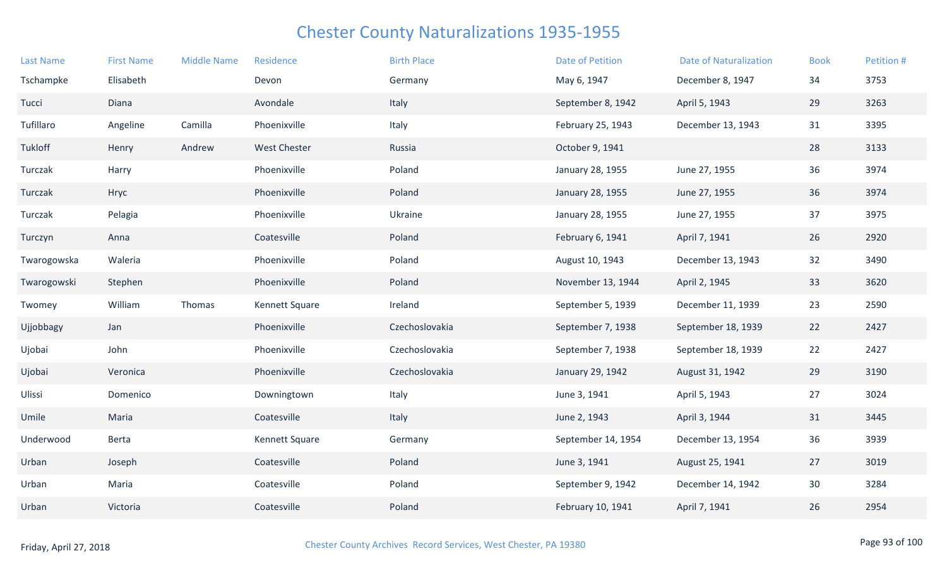| <b>Last Name</b> | <b>First Name</b> | <b>Middle Name</b> | Residence           | <b>Birth Place</b> | <b>Date of Petition</b> | <b>Date of Naturalization</b> | <b>Book</b> | Petition # |
|------------------|-------------------|--------------------|---------------------|--------------------|-------------------------|-------------------------------|-------------|------------|
| Tschampke        | Elisabeth         |                    | Devon               | Germany            | May 6, 1947             | December 8, 1947              | 34          | 3753       |
| Tucci            | Diana             |                    | Avondale            | Italy              | September 8, 1942       | April 5, 1943                 | 29          | 3263       |
| Tufillaro        | Angeline          | Camilla            | Phoenixville        | Italy              | February 25, 1943       | December 13, 1943             | 31          | 3395       |
| Tukloff          | Henry             | Andrew             | <b>West Chester</b> | Russia             | October 9, 1941         |                               | 28          | 3133       |
| Turczak          | Harry             |                    | Phoenixville        | Poland             | January 28, 1955        | June 27, 1955                 | 36          | 3974       |
| Turczak          | Hryc              |                    | Phoenixville        | Poland             | January 28, 1955        | June 27, 1955                 | 36          | 3974       |
| Turczak          | Pelagia           |                    | Phoenixville        | Ukraine            | January 28, 1955        | June 27, 1955                 | 37          | 3975       |
| Turczyn          | Anna              |                    | Coatesville         | Poland             | February 6, 1941        | April 7, 1941                 | 26          | 2920       |
| Twarogowska      | Waleria           |                    | Phoenixville        | Poland             | August 10, 1943         | December 13, 1943             | 32          | 3490       |
| Twarogowski      | Stephen           |                    | Phoenixville        | Poland             | November 13, 1944       | April 2, 1945                 | 33          | 3620       |
| Twomey           | William           | Thomas             | Kennett Square      | Ireland            | September 5, 1939       | December 11, 1939             | 23          | 2590       |
| Ujjobbagy        | Jan               |                    | Phoenixville        | Czechoslovakia     | September 7, 1938       | September 18, 1939            | 22          | 2427       |
| Ujobai           | John              |                    | Phoenixville        | Czechoslovakia     | September 7, 1938       | September 18, 1939            | 22          | 2427       |
| Ujobai           | Veronica          |                    | Phoenixville        | Czechoslovakia     | January 29, 1942        | August 31, 1942               | 29          | 3190       |
| Ulissi           | Domenico          |                    | Downingtown         | Italy              | June 3, 1941            | April 5, 1943                 | 27          | 3024       |
| Umile            | Maria             |                    | Coatesville         | Italy              | June 2, 1943            | April 3, 1944                 | 31          | 3445       |
| Underwood        | Berta             |                    | Kennett Square      | Germany            | September 14, 1954      | December 13, 1954             | 36          | 3939       |
| Urban            | Joseph            |                    | Coatesville         | Poland             | June 3, 1941            | August 25, 1941               | 27          | 3019       |
| Urban            | Maria             |                    | Coatesville         | Poland             | September 9, 1942       | December 14, 1942             | 30          | 3284       |
| Urban            | Victoria          |                    | Coatesville         | Poland             | February 10, 1941       | April 7, 1941                 | 26          | 2954       |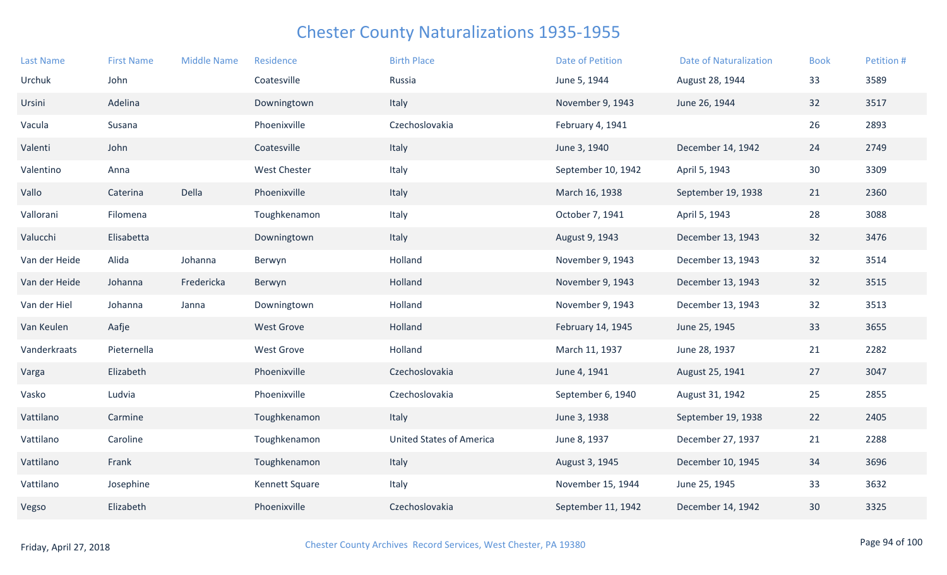| <b>Last Name</b> | <b>First Name</b> | <b>Middle Name</b> | Residence           | <b>Birth Place</b>              | <b>Date of Petition</b> | <b>Date of Naturalization</b> | <b>Book</b> | Petition # |
|------------------|-------------------|--------------------|---------------------|---------------------------------|-------------------------|-------------------------------|-------------|------------|
| Urchuk           | John              |                    | Coatesville         | Russia                          | June 5, 1944            | August 28, 1944               | 33          | 3589       |
| Ursini           | Adelina           |                    | Downingtown         | Italy                           | November 9, 1943        | June 26, 1944                 | 32          | 3517       |
| Vacula           | Susana            |                    | Phoenixville        | Czechoslovakia                  | February 4, 1941        |                               | 26          | 2893       |
| Valenti          | John              |                    | Coatesville         | Italy                           | June 3, 1940            | December 14, 1942             | 24          | 2749       |
| Valentino        | Anna              |                    | <b>West Chester</b> | Italy                           | September 10, 1942      | April 5, 1943                 | 30          | 3309       |
| Vallo            | Caterina          | Della              | Phoenixville        | Italy                           | March 16, 1938          | September 19, 1938            | 21          | 2360       |
| Vallorani        | Filomena          |                    | Toughkenamon        | Italy                           | October 7, 1941         | April 5, 1943                 | 28          | 3088       |
| Valucchi         | Elisabetta        |                    | Downingtown         | Italy                           | August 9, 1943          | December 13, 1943             | 32          | 3476       |
| Van der Heide    | Alida             | Johanna            | Berwyn              | Holland                         | November 9, 1943        | December 13, 1943             | 32          | 3514       |
| Van der Heide    | Johanna           | Fredericka         | Berwyn              | Holland                         | November 9, 1943        | December 13, 1943             | 32          | 3515       |
| Van der Hiel     | Johanna           | Janna              | Downingtown         | Holland                         | November 9, 1943        | December 13, 1943             | 32          | 3513       |
| Van Keulen       | Aafje             |                    | <b>West Grove</b>   | Holland                         | February 14, 1945       | June 25, 1945                 | 33          | 3655       |
| Vanderkraats     | Pieternella       |                    | <b>West Grove</b>   | Holland                         | March 11, 1937          | June 28, 1937                 | 21          | 2282       |
| Varga            | Elizabeth         |                    | Phoenixville        | Czechoslovakia                  | June 4, 1941            | August 25, 1941               | 27          | 3047       |
| Vasko            | Ludvia            |                    | Phoenixville        | Czechoslovakia                  | September 6, 1940       | August 31, 1942               | 25          | 2855       |
| Vattilano        | Carmine           |                    | Toughkenamon        | Italy                           | June 3, 1938            | September 19, 1938            | 22          | 2405       |
| Vattilano        | Caroline          |                    | Toughkenamon        | <b>United States of America</b> | June 8, 1937            | December 27, 1937             | 21          | 2288       |
| Vattilano        | Frank             |                    | Toughkenamon        | Italy                           | August 3, 1945          | December 10, 1945             | 34          | 3696       |
| Vattilano        | Josephine         |                    | Kennett Square      | Italy                           | November 15, 1944       | June 25, 1945                 | 33          | 3632       |
| Vegso            | Elizabeth         |                    | Phoenixville        | Czechoslovakia                  | September 11, 1942      | December 14, 1942             | 30          | 3325       |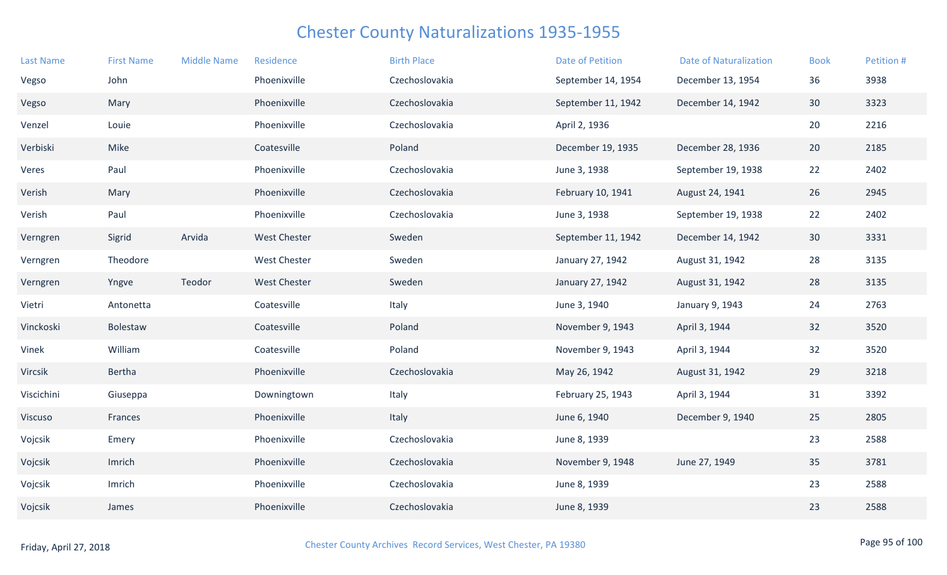| <b>Last Name</b> | <b>First Name</b> | <b>Middle Name</b> | Residence           | <b>Birth Place</b> | <b>Date of Petition</b> | <b>Date of Naturalization</b> | <b>Book</b>     | Petition # |
|------------------|-------------------|--------------------|---------------------|--------------------|-------------------------|-------------------------------|-----------------|------------|
| Vegso            | John              |                    | Phoenixville        | Czechoslovakia     | September 14, 1954      | December 13, 1954             | 36              | 3938       |
| Vegso            | Mary              |                    | Phoenixville        | Czechoslovakia     | September 11, 1942      | December 14, 1942             | 30              | 3323       |
| Venzel           | Louie             |                    | Phoenixville        | Czechoslovakia     | April 2, 1936           |                               | 20              | 2216       |
| Verbiski         | Mike              |                    | Coatesville         | Poland             | December 19, 1935       | December 28, 1936             | 20              | 2185       |
| Veres            | Paul              |                    | Phoenixville        | Czechoslovakia     | June 3, 1938            | September 19, 1938            | 22              | 2402       |
| Verish           | Mary              |                    | Phoenixville        | Czechoslovakia     | February 10, 1941       | August 24, 1941               | 26              | 2945       |
| Verish           | Paul              |                    | Phoenixville        | Czechoslovakia     | June 3, 1938            | September 19, 1938            | 22              | 2402       |
| Verngren         | Sigrid            | Arvida             | <b>West Chester</b> | Sweden             | September 11, 1942      | December 14, 1942             | 30 <sup>°</sup> | 3331       |
| Verngren         | Theodore          |                    | <b>West Chester</b> | Sweden             | January 27, 1942        | August 31, 1942               | 28              | 3135       |
| Verngren         | Yngve             | Teodor             | <b>West Chester</b> | Sweden             | January 27, 1942        | August 31, 1942               | 28              | 3135       |
| Vietri           | Antonetta         |                    | Coatesville         | Italy              | June 3, 1940            | January 9, 1943               | 24              | 2763       |
| Vinckoski        | Bolestaw          |                    | Coatesville         | Poland             | November 9, 1943        | April 3, 1944                 | 32              | 3520       |
| Vinek            | William           |                    | Coatesville         | Poland             | November 9, 1943        | April 3, 1944                 | 32              | 3520       |
| Vircsik          | Bertha            |                    | Phoenixville        | Czechoslovakia     | May 26, 1942            | August 31, 1942               | 29              | 3218       |
| Viscichini       | Giuseppa          |                    | Downingtown         | Italy              | February 25, 1943       | April 3, 1944                 | 31              | 3392       |
| Viscuso          | Frances           |                    | Phoenixville        | Italy              | June 6, 1940            | December 9, 1940              | 25              | 2805       |
| Vojcsik          | Emery             |                    | Phoenixville        | Czechoslovakia     | June 8, 1939            |                               | 23              | 2588       |
| Vojcsik          | Imrich            |                    | Phoenixville        | Czechoslovakia     | November 9, 1948        | June 27, 1949                 | 35              | 3781       |
| Vojcsik          | Imrich            |                    | Phoenixville        | Czechoslovakia     | June 8, 1939            |                               | 23              | 2588       |
| Vojcsik          | James             |                    | Phoenixville        | Czechoslovakia     | June 8, 1939            |                               | 23              | 2588       |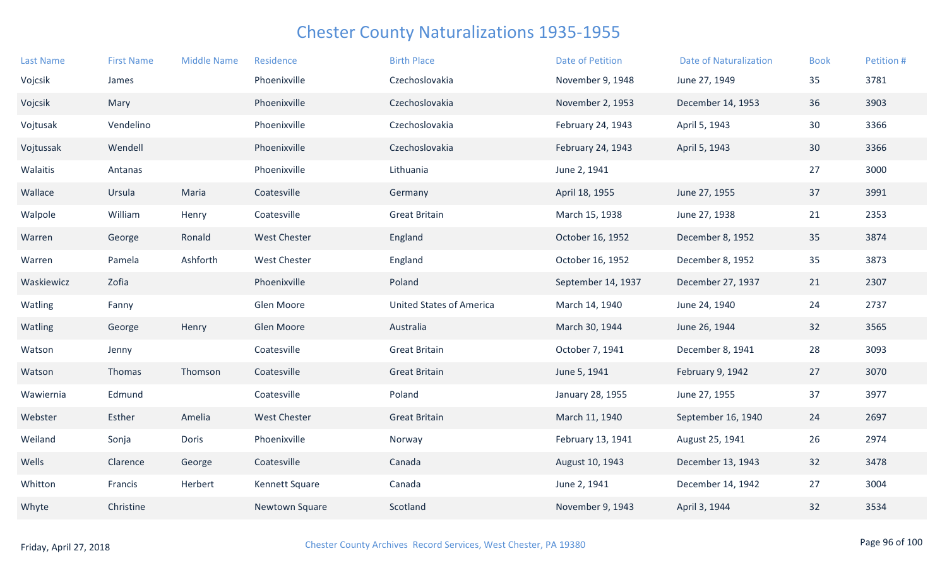| <b>Last Name</b> | <b>First Name</b> | <b>Middle Name</b> | Residence           | <b>Birth Place</b>              | <b>Date of Petition</b> | <b>Date of Naturalization</b> | <b>Book</b> | Petition # |
|------------------|-------------------|--------------------|---------------------|---------------------------------|-------------------------|-------------------------------|-------------|------------|
| Vojcsik          | James             |                    | Phoenixville        | Czechoslovakia                  | November 9, 1948        | June 27, 1949                 | 35          | 3781       |
| Vojcsik          | Mary              |                    | Phoenixville        | Czechoslovakia                  | November 2, 1953        | December 14, 1953             | 36          | 3903       |
| Vojtusak         | Vendelino         |                    | Phoenixville        | Czechoslovakia                  | February 24, 1943       | April 5, 1943                 | 30          | 3366       |
| Vojtussak        | Wendell           |                    | Phoenixville        | Czechoslovakia                  | February 24, 1943       | April 5, 1943                 | 30          | 3366       |
| Walaitis         | Antanas           |                    | Phoenixville        | Lithuania                       | June 2, 1941            |                               | 27          | 3000       |
| Wallace          | Ursula            | Maria              | Coatesville         | Germany                         | April 18, 1955          | June 27, 1955                 | 37          | 3991       |
| Walpole          | William           | Henry              | Coatesville         | <b>Great Britain</b>            | March 15, 1938          | June 27, 1938                 | 21          | 2353       |
| Warren           | George            | Ronald             | <b>West Chester</b> | England                         | October 16, 1952        | December 8, 1952              | 35          | 3874       |
| Warren           | Pamela            | Ashforth           | West Chester        | England                         | October 16, 1952        | December 8, 1952              | 35          | 3873       |
| Waskiewicz       | Zofia             |                    | Phoenixville        | Poland                          | September 14, 1937      | December 27, 1937             | 21          | 2307       |
| Watling          | Fanny             |                    | Glen Moore          | <b>United States of America</b> | March 14, 1940          | June 24, 1940                 | 24          | 2737       |
| Watling          | George            | Henry              | Glen Moore          | Australia                       | March 30, 1944          | June 26, 1944                 | 32          | 3565       |
| Watson           | Jenny             |                    | Coatesville         | <b>Great Britain</b>            | October 7, 1941         | December 8, 1941              | 28          | 3093       |
| Watson           | Thomas            | Thomson            | Coatesville         | <b>Great Britain</b>            | June 5, 1941            | February 9, 1942              | 27          | 3070       |
| Wawiernia        | Edmund            |                    | Coatesville         | Poland                          | January 28, 1955        | June 27, 1955                 | 37          | 3977       |
| Webster          | Esther            | Amelia             | <b>West Chester</b> | <b>Great Britain</b>            | March 11, 1940          | September 16, 1940            | 24          | 2697       |
| Weiland          | Sonja             | Doris              | Phoenixville        | Norway                          | February 13, 1941       | August 25, 1941               | 26          | 2974       |
| Wells            | Clarence          | George             | Coatesville         | Canada                          | August 10, 1943         | December 13, 1943             | 32          | 3478       |
| Whitton          | Francis           | Herbert            | Kennett Square      | Canada                          | June 2, 1941            | December 14, 1942             | 27          | 3004       |
| Whyte            | Christine         |                    | Newtown Square      | Scotland                        | November 9, 1943        | April 3, 1944                 | 32          | 3534       |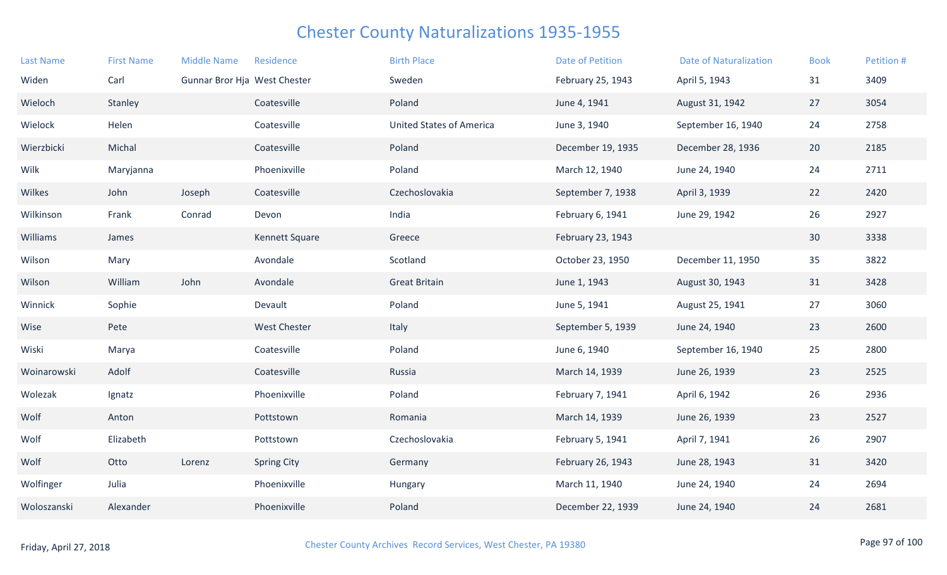| <b>Last Name</b> | <b>First Name</b> | <b>Middle Name</b>           | Residence           | <b>Birth Place</b>              | <b>Date of Petition</b> | <b>Date of Naturalization</b> | <b>Book</b> | Petition # |
|------------------|-------------------|------------------------------|---------------------|---------------------------------|-------------------------|-------------------------------|-------------|------------|
| Widen            | Carl              | Gunnar Bror Hja West Chester |                     | Sweden                          | February 25, 1943       | April 5, 1943                 | 31          | 3409       |
| Wieloch          | Stanley           |                              | Coatesville         | Poland                          | June 4, 1941            | August 31, 1942               | 27          | 3054       |
| Wielock          | Helen             |                              | Coatesville         | <b>United States of America</b> | June 3, 1940            | September 16, 1940            | 24          | 2758       |
| Wierzbicki       | Michal            |                              | Coatesville         | Poland                          | December 19, 1935       | December 28, 1936             | 20          | 2185       |
| Wilk             | Maryjanna         |                              | Phoenixville        | Poland                          | March 12, 1940          | June 24, 1940                 | 24          | 2711       |
| Wilkes           | John              | Joseph                       | Coatesville         | Czechoslovakia                  | September 7, 1938       | April 3, 1939                 | 22          | 2420       |
| Wilkinson        | Frank             | Conrad                       | Devon               | India                           | February 6, 1941        | June 29, 1942                 | 26          | 2927       |
| Williams         | James             |                              | Kennett Square      | Greece                          | February 23, 1943       |                               | 30          | 3338       |
| Wilson           | Mary              |                              | Avondale            | Scotland                        | October 23, 1950        | December 11, 1950             | 35          | 3822       |
| Wilson           | William           | John                         | Avondale            | <b>Great Britain</b>            | June 1, 1943            | August 30, 1943               | 31          | 3428       |
| Winnick          | Sophie            |                              | Devault             | Poland                          | June 5, 1941            | August 25, 1941               | 27          | 3060       |
| Wise             | Pete              |                              | <b>West Chester</b> | Italy                           | September 5, 1939       | June 24, 1940                 | 23          | 2600       |
| Wiski            | Marya             |                              | Coatesville         | Poland                          | June 6, 1940            | September 16, 1940            | 25          | 2800       |
| Woinarowski      | Adolf             |                              | Coatesville         | Russia                          | March 14, 1939          | June 26, 1939                 | 23          | 2525       |
| Wolezak          | Ignatz            |                              | Phoenixville        | Poland                          | February 7, 1941        | April 6, 1942                 | 26          | 2936       |
| Wolf             | Anton             |                              | Pottstown           | Romania                         | March 14, 1939          | June 26, 1939                 | 23          | 2527       |
| Wolf             | Elizabeth         |                              | Pottstown           | Czechoslovakia                  | February 5, 1941        | April 7, 1941                 | 26          | 2907       |
| Wolf             | Otto              | Lorenz                       | <b>Spring City</b>  | Germany                         | February 26, 1943       | June 28, 1943                 | 31          | 3420       |
| Wolfinger        | Julia             |                              | Phoenixville        | Hungary                         | March 11, 1940          | June 24, 1940                 | 24          | 2694       |
| Woloszanski      | Alexander         |                              | Phoenixville        | Poland                          | December 22, 1939       | June 24, 1940                 | 24          | 2681       |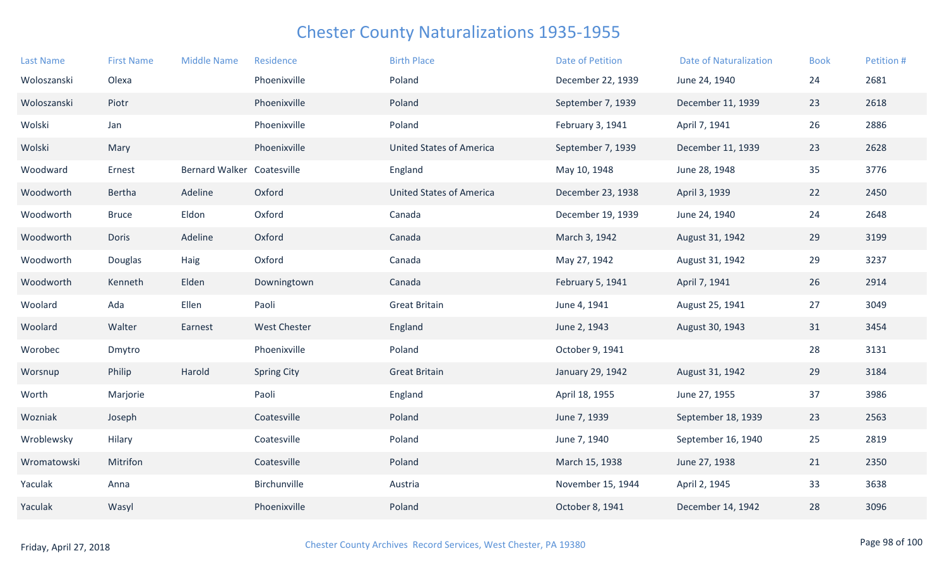| <b>Last Name</b> | <b>First Name</b> | <b>Middle Name</b>    | Residence          | <b>Birth Place</b>              | Date of Petition  | <b>Date of Naturalization</b> | <b>Book</b> | Petition # |
|------------------|-------------------|-----------------------|--------------------|---------------------------------|-------------------|-------------------------------|-------------|------------|
| Woloszanski      | Olexa             |                       | Phoenixville       | Poland                          | December 22, 1939 | June 24, 1940                 | 24          | 2681       |
| Woloszanski      | Piotr             |                       | Phoenixville       | Poland                          | September 7, 1939 | December 11, 1939             | 23          | 2618       |
| Wolski           | Jan               |                       | Phoenixville       | Poland                          | February 3, 1941  | April 7, 1941                 | 26          | 2886       |
| Wolski           | Mary              |                       | Phoenixville       | <b>United States of America</b> | September 7, 1939 | December 11, 1939             | 23          | 2628       |
| Woodward         | Ernest            | <b>Bernard Walker</b> | Coatesville        | England                         | May 10, 1948      | June 28, 1948                 | 35          | 3776       |
| Woodworth        | Bertha            | Adeline               | Oxford             | <b>United States of America</b> | December 23, 1938 | April 3, 1939                 | 22          | 2450       |
| Woodworth        | <b>Bruce</b>      | Eldon                 | Oxford             | Canada                          | December 19, 1939 | June 24, 1940                 | 24          | 2648       |
| Woodworth        | Doris             | Adeline               | Oxford             | Canada                          | March 3, 1942     | August 31, 1942               | 29          | 3199       |
| Woodworth        | Douglas           | Haig                  | Oxford             | Canada                          | May 27, 1942      | August 31, 1942               | 29          | 3237       |
| Woodworth        | Kenneth           | Elden                 | Downingtown        | Canada                          | February 5, 1941  | April 7, 1941                 | 26          | 2914       |
| Woolard          | Ada               | Ellen                 | Paoli              | <b>Great Britain</b>            | June 4, 1941      | August 25, 1941               | 27          | 3049       |
| Woolard          | Walter            | Earnest               | West Chester       | England                         | June 2, 1943      | August 30, 1943               | 31          | 3454       |
| Worobec          | Dmytro            |                       | Phoenixville       | Poland                          | October 9, 1941   |                               | 28          | 3131       |
| Worsnup          | Philip            | Harold                | <b>Spring City</b> | <b>Great Britain</b>            | January 29, 1942  | August 31, 1942               | 29          | 3184       |
| Worth            | Marjorie          |                       | Paoli              | England                         | April 18, 1955    | June 27, 1955                 | 37          | 3986       |
| Wozniak          | Joseph            |                       | Coatesville        | Poland                          | June 7, 1939      | September 18, 1939            | 23          | 2563       |
| Wroblewsky       | Hilary            |                       | Coatesville        | Poland                          | June 7, 1940      | September 16, 1940            | 25          | 2819       |
| Wromatowski      | Mitrifon          |                       | Coatesville        | Poland                          | March 15, 1938    | June 27, 1938                 | 21          | 2350       |
| Yaculak          | Anna              |                       | Birchunville       | Austria                         | November 15, 1944 | April 2, 1945                 | 33          | 3638       |
| Yaculak          | Wasyl             |                       | Phoenixville       | Poland                          | October 8, 1941   | December 14, 1942             | 28          | 3096       |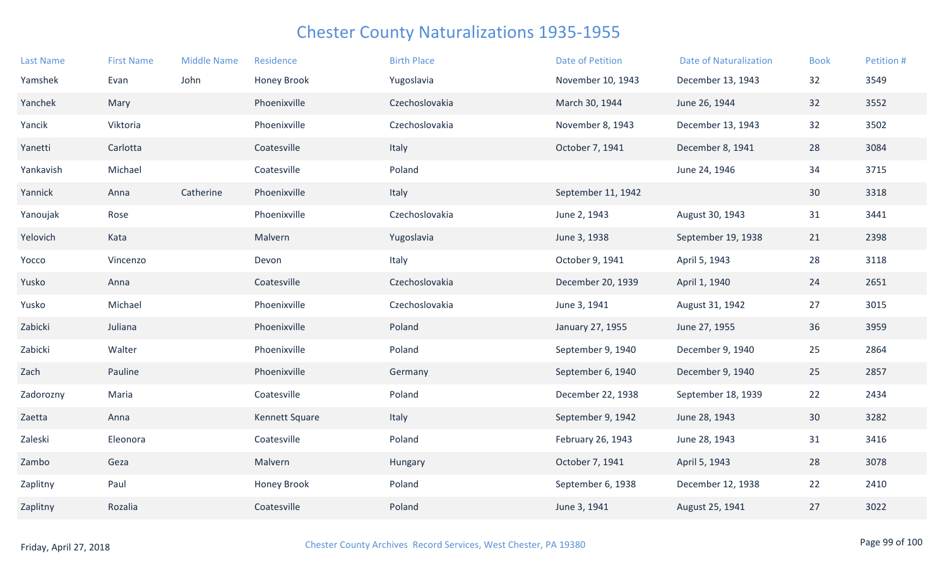| <b>Last Name</b> | <b>First Name</b> | <b>Middle Name</b> | Residence          | <b>Birth Place</b> | <b>Date of Petition</b> | <b>Date of Naturalization</b> | <b>Book</b> | Petition # |
|------------------|-------------------|--------------------|--------------------|--------------------|-------------------------|-------------------------------|-------------|------------|
| Yamshek          | Evan              | John               | <b>Honey Brook</b> | Yugoslavia         | November 10, 1943       | December 13, 1943             | 32          | 3549       |
| Yanchek          | Mary              |                    | Phoenixville       | Czechoslovakia     | March 30, 1944          | June 26, 1944                 | 32          | 3552       |
| Yancik           | Viktoria          |                    | Phoenixville       | Czechoslovakia     | November 8, 1943        | December 13, 1943             | 32          | 3502       |
| Yanetti          | Carlotta          |                    | Coatesville        | Italy              | October 7, 1941         | December 8, 1941              | 28          | 3084       |
| Yankavish        | Michael           |                    | Coatesville        | Poland             |                         | June 24, 1946                 | 34          | 3715       |
| Yannick          | Anna              | Catherine          | Phoenixville       | Italy              | September 11, 1942      |                               | 30          | 3318       |
| Yanoujak         | Rose              |                    | Phoenixville       | Czechoslovakia     | June 2, 1943            | August 30, 1943               | 31          | 3441       |
| Yelovich         | Kata              |                    | Malvern            | Yugoslavia         | June 3, 1938            | September 19, 1938            | 21          | 2398       |
| Yocco            | Vincenzo          |                    | Devon              | Italy              | October 9, 1941         | April 5, 1943                 | 28          | 3118       |
| Yusko            | Anna              |                    | Coatesville        | Czechoslovakia     | December 20, 1939       | April 1, 1940                 | 24          | 2651       |
| Yusko            | Michael           |                    | Phoenixville       | Czechoslovakia     | June 3, 1941            | August 31, 1942               | 27          | 3015       |
| Zabicki          | Juliana           |                    | Phoenixville       | Poland             | January 27, 1955        | June 27, 1955                 | 36          | 3959       |
| Zabicki          | Walter            |                    | Phoenixville       | Poland             | September 9, 1940       | December 9, 1940              | 25          | 2864       |
| Zach             | Pauline           |                    | Phoenixville       | Germany            | September 6, 1940       | December 9, 1940              | 25          | 2857       |
| Zadorozny        | Maria             |                    | Coatesville        | Poland             | December 22, 1938       | September 18, 1939            | 22          | 2434       |
| Zaetta           | Anna              |                    | Kennett Square     | Italy              | September 9, 1942       | June 28, 1943                 | 30          | 3282       |
| Zaleski          | Eleonora          |                    | Coatesville        | Poland             | February 26, 1943       | June 28, 1943                 | 31          | 3416       |
| Zambo            | Geza              |                    | Malvern            | Hungary            | October 7, 1941         | April 5, 1943                 | 28          | 3078       |
| Zaplitny         | Paul              |                    | <b>Honey Brook</b> | Poland             | September 6, 1938       | December 12, 1938             | 22          | 2410       |
| Zaplitny         | Rozalia           |                    | Coatesville        | Poland             | June 3, 1941            | August 25, 1941               | 27          | 3022       |